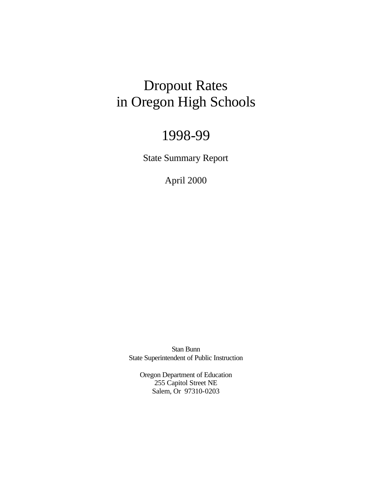## Dropout Rates in Oregon High Schools

## 1998-99

State Summary Report

April 2000

Stan Bunn State Superintendent of Public Instruction

Oregon Department of Education 255 Capitol Street NE Salem, Or 97310-0203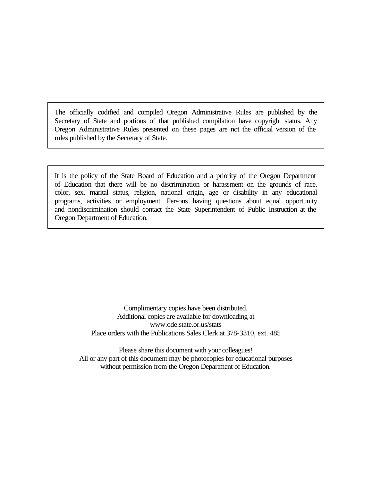The officially codified and compiled Oregon Administrative Rules are published by the Secretary of State and portions of that published compilation have copyright status. Any Oregon Administrative Rules presented on these pages are not the official version of the rules published by the Secretary of State.

It is the policy of the State Board of Education and a priority of the Oregon Department of Education that there will be no discrimination or harassment on the grounds of race, color, sex, marital status, religion, national origin, age or disability in any educational programs, activities or employment. Persons having questions about equal opportunity and nondiscrimination should contact the State Superintendent of Public Instruction at the Oregon Department of Education.

> Complimentary copies have been distributed. Additional copies are available for downloading at www.ode.state.or.us/stats Place orders with the Publications Sales Clerk at 378-3310, ext. 485

Please share this document with your colleagues! All or any part of this document may be photocopies for educational purposes without permission from the Oregon Department of Education.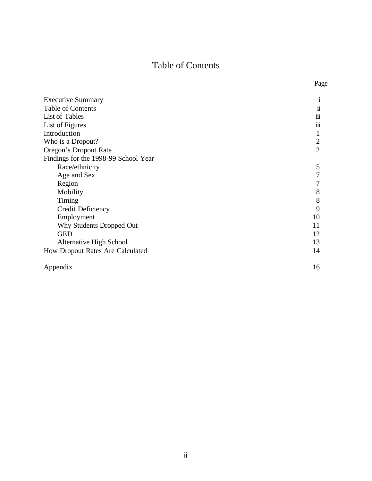## Table of Contents

Page

| <b>Executive Summary</b>             | 1                   |
|--------------------------------------|---------------------|
| Table of Contents                    | $\ddot{\mathbf{i}}$ |
| List of Tables                       | $\cdots$<br>111     |
| List of Figures                      | 111                 |
| Introduction                         | 1                   |
| Who is a Dropout?                    | $\overline{2}$      |
| Oregon's Dropout Rate                | $\overline{2}$      |
| Findings for the 1998-99 School Year |                     |
| Race/ethnicity                       | 5                   |
| Age and Sex                          | $\tau$              |
| Region                               |                     |
| Mobility                             | 8                   |
| Timing                               | 8                   |
| Credit Deficiency                    | 9                   |
| Employment                           | 10                  |
| Why Students Dropped Out             | 11                  |
| <b>GED</b>                           | 12                  |
| Alternative High School              | 13                  |
| How Dropout Rates Are Calculated     | 14                  |
| Appendix                             | 16                  |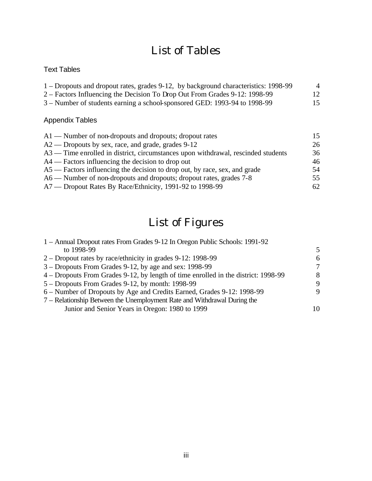## List of Tables

## Text Tables

| 1 – Dropouts and dropout rates, grades 9-12, by background characteristics: 1998-99 | $\overline{A}$ |
|-------------------------------------------------------------------------------------|----------------|
| 2 – Factors Influencing the Decision To Drop Out From Grades 9-12: 1998-99          | 12             |
| 3 – Number of students earning a school-sponsored GED: 1993-94 to 1998-99           | 15             |

## Appendix Tables

| $A1$ — Number of non-dropouts and dropouts; dropout rates                         |    |
|-----------------------------------------------------------------------------------|----|
| A2 — Dropouts by sex, race, and grade, grades 9-12                                | 26 |
| A3 — Time enrolled in district, circumstances upon withdrawal, rescinded students | 36 |
| $A4$ — Factors influencing the decision to drop out                               | 46 |
| A5 — Factors influencing the decision to drop out, by race, sex, and grade        | 54 |
| A6 — Number of non-dropouts and dropouts; dropout rates, grades 7-8               | 55 |
| A7 — Dropout Rates By Race/Ethnicity, 1991-92 to 1998-99                          | 62 |

# List of Figures

| 1 – Annual Dropout rates From Grades 9-12 In Oregon Public Schools: 1991-92        |    |
|------------------------------------------------------------------------------------|----|
| to 1998-99                                                                         | .5 |
| 2 – Dropout rates by race/ethnicity in grades 9-12: 1998-99                        | 6  |
| 3 – Dropouts From Grades 9-12, by age and sex: 1998-99                             | 7  |
| 4 – Dropouts From Grades 9-12, by length of time enrolled in the district: 1998-99 | 8  |
| 5 – Dropouts From Grades 9-12, by month: 1998-99                                   | 9  |
| 6 – Number of Dropouts by Age and Credits Earned, Grades 9-12: 1998-99             | 9  |
| 7 – Relationship Between the Unemployment Rate and Withdrawal During the           |    |
| Junior and Senior Years in Oregon: 1980 to 1999                                    | 10 |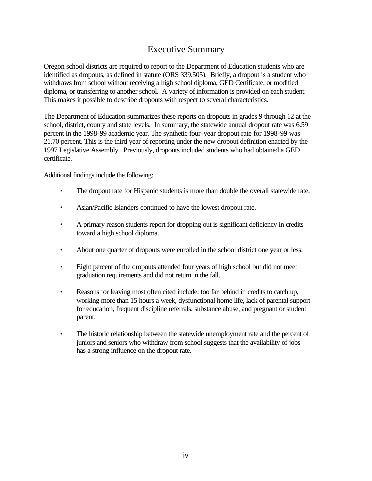## Executive Summary

Oregon school districts are required to report to the Department of Education students who are identified as dropouts, as defined in statute (ORS 339.505). Briefly, a dropout is a student who withdraws from school without receiving a high school diploma, GED Certificate, or modified diploma, or transferring to another school. A variety of information is provided on each student. This makes it possible to describe dropouts with respect to several characteristics.

The Department of Education summarizes these reports on dropouts in grades 9 through 12 at the school, district, county and state levels. In summary, the statewide annual dropout rate was 6.59 percent in the 1998-99 academic year. The synthetic four-year dropout rate for 1998-99 was 21.70 percent. This is the third year of reporting under the new dropout definition enacted by the 1997 Legislative Assembly. Previously, dropouts included students who had obtained a GED certificate.

Additional findings include the following:

- The dropout rate for Hispanic students is more than double the overall statewide rate.
- Asian/Pacific Islanders continued to have the lowest dropout rate.
- A primary reason students report for dropping out is significant deficiency in credits toward a high school diploma.
- About one quarter of dropouts were enrolled in the school district one year or less.
- Eight percent of the dropouts attended four years of high school but did not meet graduation requirements and did not return in the fall.
- Reasons for leaving most often cited include: too far behind in credits to catch up, working more than 15 hours a week, dysfunctional home life, lack of parental support for education, frequent discipline referrals, substance abuse, and pregnant or student parent.
- The historic relationship between the statewide unemployment rate and the percent of juniors and seniors who withdraw from school suggests that the availability of jobs has a strong influence on the dropout rate.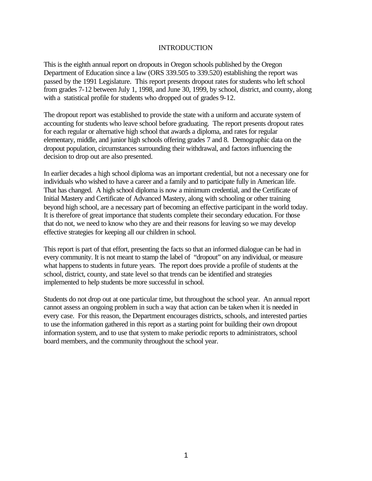#### INTRODUCTION

This is the eighth annual report on dropouts in Oregon schools published by the Oregon Department of Education since a law (ORS 339.505 to 339.520) establishing the report was passed by the 1991 Legislature. This report presents dropout rates for students who left school from grades 7-12 between July 1, 1998, and June 30, 1999, by school, district, and county, along with a statistical profile for students who dropped out of grades 9-12.

The dropout report was established to provide the state with a uniform and accurate system of accounting for students who leave school before graduating. The report presents dropout rates for each regular or alternative high school that awards a diploma, and rates for regular elementary, middle, and junior high schools offering grades 7 and 8. Demographic data on the dropout population, circumstances surrounding their withdrawal, and factors influencing the decision to drop out are also presented.

In earlier decades a high school diploma was an important credential, but not a necessary one for individuals who wished to have a career and a family and to participate fully in American life. That has changed. A high school diploma is now a minimum credential, and the Certificate of Initial Mastery and Certificate of Advanced Mastery, along with schooling or other training beyond high school, are a necessary part of becoming an effective participant in the world today. It is therefore of great importance that students complete their secondary education. For those that do not, we need to know who they are and their reasons for leaving so we may develop effective strategies for keeping all our children in school.

This report is part of that effort, presenting the facts so that an informed dialogue can be had in every community. It is not meant to stamp the label of "dropout" on any individual, or measure what happens to students in future years. The report does provide a profile of students at the school, district, county, and state level so that trends can be identified and strategies implemented to help students be more successful in school.

Students do not drop out at one particular time, but throughout the school year. An annual report cannot assess an ongoing problem in such a way that action can be taken when it is needed in every case. For this reason, the Department encourages districts, schools, and interested parties to use the information gathered in this report as a starting point for building their own dropout information system, and to use that system to make periodic reports to administrators, school board members, and the community throughout the school year.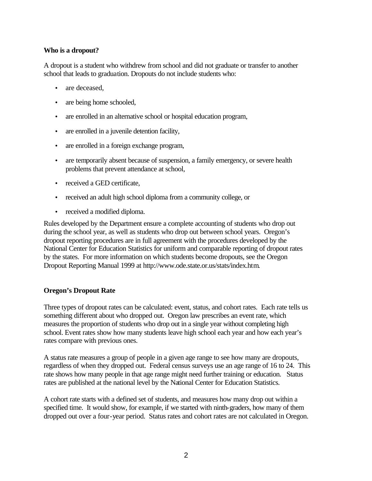## **Who is a dropout?**

A dropout is a student who withdrew from school and did not graduate or transfer to another school that leads to graduation. Dropouts do not include students who:

- are deceased.
- are being home schooled,
- are enrolled in an alternative school or hospital education program,
- are enrolled in a juvenile detention facility,
- are enrolled in a foreign exchange program,
- are temporarily absent because of suspension, a family emergency, or severe health problems that prevent attendance at school,
- received a GED certificate.
- received an adult high school diploma from a community college, or
- received a modified diploma.

Rules developed by the Department ensure a complete accounting of students who drop out during the school year, as well as students who drop out between school years. Oregon's dropout reporting procedures are in full agreement with the procedures developed by the National Center for Education Statistics for uniform and comparable reporting of dropout rates by the states. For more information on which students become dropouts, see the Oregon Dropout Reporting Manual 1999 at http://www.ode.state.or.us/stats/index.htm.

### **Oregon's Dropout Rate**

Three types of dropout rates can be calculated: event, status, and cohort rates. Each rate tells us something different about who dropped out. Oregon law prescribes an event rate, which measures the proportion of students who drop out in a single year without completing high school. Event rates show how many students leave high school each year and how each year's rates compare with previous ones.

A status rate measures a group of people in a given age range to see how many are dropouts, regardless of when they dropped out. Federal census surveys use an age range of 16 to 24. This rate shows how many people in that age range might need further training or education. Status rates are published at the national level by the National Center for Education Statistics.

A cohort rate starts with a defined set of students, and measures how many drop out within a specified time. It would show, for example, if we started with ninth-graders, how many of them dropped out over a four-year period. Status rates and cohort rates are not calculated in Oregon.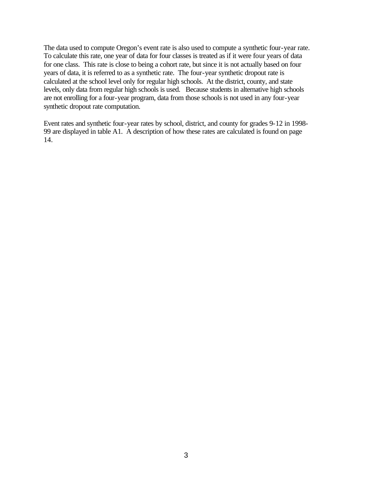The data used to compute Oregon's event rate is also used to compute a synthetic four-year rate. To calculate this rate, one year of data for four classes is treated as if it were four years of data for one class. This rate is close to being a cohort rate, but since it is not actually based on four years of data, it is referred to as a synthetic rate. The four-year synthetic dropout rate is calculated at the school level only for regular high schools. At the district, county, and state levels, only data from regular high schools is used. Because students in alternative high schools are not enrolling for a four-year program, data from those schools is not used in any four-year synthetic dropout rate computation.

Event rates and synthetic four-year rates by school, district, and county for grades 9-12 in 1998- 99 are displayed in table A1. A description of how these rates are calculated is found on page 14.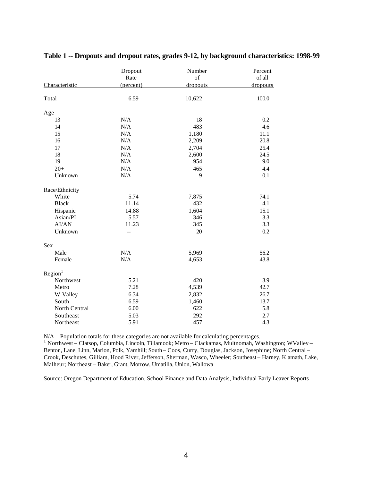|                     | Dropout   | Number          | Percent  |
|---------------------|-----------|-----------------|----------|
|                     | Rate      | of              | of all   |
| Characteristic      | (percent) | <u>dropouts</u> | dropouts |
| Total               | 6.59      | 10,622          | 100.0    |
| Age                 |           |                 |          |
| 13                  | N/A       | 18              | 0.2      |
| 14                  | N/A       | 483             | 4.6      |
| 15                  | N/A       | 1,180           | 11.1     |
| 16                  | N/A       | 2,209           | 20.8     |
| 17                  | N/A       | 2,704           | 25.4     |
| 18                  | N/A       | 2,600           | 24.5     |
| 19                  | N/A       | 954             | 9.0      |
| $20+$               | N/A       | 465             | 4.4      |
| Unknown             | N/A       | 9               | 0.1      |
| Race/Ethnicity      |           |                 |          |
| White               | 5.74      | 7,875           | 74.1     |
| <b>Black</b>        | 11.14     | 432             | 4.1      |
| Hispanic            | 14.88     | 1,604           | 15.1     |
| Asian/PI            | 5.57      | 346             | 3.3      |
| AI/AN               | 11.23     | 345             | 3.3      |
| Unknown             | --        | 20              | 0.2      |
| <b>Sex</b>          |           |                 |          |
| Male                | N/A       | 5,969           | 56.2     |
| Female              | N/A       | 4,653           | 43.8     |
| Region <sup>1</sup> |           |                 |          |
| Northwest           | 5.21      | 420             | 3.9      |
| Metro               | 7.28      | 4,539           | 42.7     |
| W Valley            | 6.34      | 2,832           | 26.7     |
| South               | 6.59      | 1,460           | 13.7     |
| North Central       | 6.00      | 622             | 5.8      |
| Southeast           | 5.03      | 292             | 2.7      |
| Northeast           | 5.91      | 457             | 4.3      |

## **Table 1 -- Dropouts and dropout rates, grades 9-12, by background characteristics: 1998-99**

N/A – Population totals for these categories are not available for calculating percentages.<br><sup>1</sup> Northwest – Clatsop, Columbia, Lincoln, Tillamook; Metro – Clackamas, Multnomah, Washington; WValley – Benton, Lane, Linn, Marion, Polk, Yamhill; South – Coos, Curry, Douglas, Jackson, Josephine; North Central – Crook, Deschutes, Gilliam, Hood River, Jefferson, Sherman, Wasco, Wheeler; Southeast – Harney, Klamath, Lake, Malheur; Northeast – Baker, Grant, Morrow, Umatilla, Union, Wallowa

Source: Oregon Department of Education, School Finance and Data Analysis, Individual Early Leaver Reports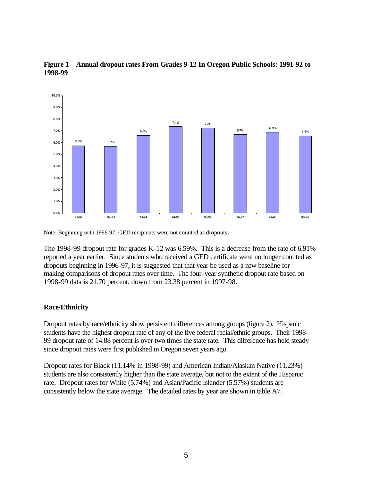

**Figure 1 – Annual dropout rates From Grades 9-12 In Oregon Public Schools: 1991-92 to 1998-99**

Note: Beginning with 1996-97, GED recipients were not counted as dropouts.

The 1998-99 dropout rate for grades K-12 was 6.59%. This is a decrease from the rate of 6.91% reported a year earlier. Since students who received a GED certificate were no longer counted as dropouts beginning in 1996-97, it is suggested that that year be used as a new baseline for making comparisons of dropout rates over time. The four-year synthetic dropout rate based on 1998-99 data is 21.70 percent, down from 23.38 percent in 1997-98.

### **Race/Ethnicity**

Dropout rates by race/ethnicity show persistent differences among groups (figure 2). Hispanic students have the highest dropout rate of any of the five federal racial/ethnic groups. Their 1998- 99 dropout rate of 14.88 percent is over two times the state rate. This difference has held steady since dropout rates were first published in Oregon seven years ago.

Dropout rates for Black (11.14% in 1998-99) and American Indian/Alaskan Native (11.23%) students are also consistently higher than the state average, but not to the extent of the Hispanic rate. Dropout rates for White (5.74%) and Asian/Pacific Islander (5.57%) students are consistently below the state average. The detailed rates by year are shown in table A7.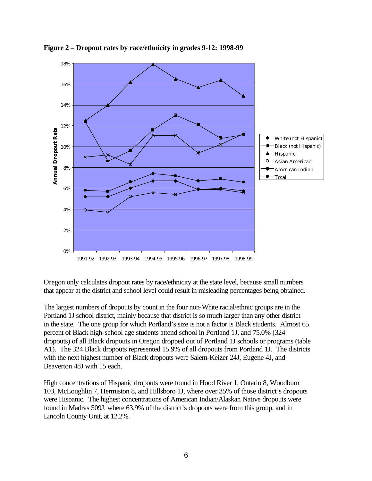

**Figure 2 – Dropout rates by race/ethnicity in grades 9-12: 1998-99**

Oregon only calculates dropout rates by race/ethnicity at the state level, because small numbers that appear at the district and school level could result in misleading percentages being obtained.

The largest numbers of dropouts by count in the four non-White racial/ethnic groups are in the Portland 1J school district, mainly because that district is so much larger than any other district in the state. The one group for which Portland's size is not a factor is Black students. Almost 65 percent of Black high-school age students attend school in Portland 1J, and 75.0% (324 dropouts) of all Black dropouts in Oregon dropped out of Portland 1J schools or programs (table A1). The 324 Black dropouts represented 15.9% of all dropouts from Portland 1J. The districts with the next highest number of Black dropouts were Salem-Keizer 24J, Eugene 4J, and Beaverton 48J with 15 each.

High concentrations of Hispanic dropouts were found in Hood River 1, Ontario 8, Woodburn 103, McLoughlin 7, Hermiston 8, and Hillsboro 1J, where over 35% of those district's dropouts were Hispanic. The highest concentrations of American Indian/Alaskan Native dropouts were found in Madras 509J, where 63.9% of the district's dropouts were from this group, and in Lincoln County Unit, at 12.2%.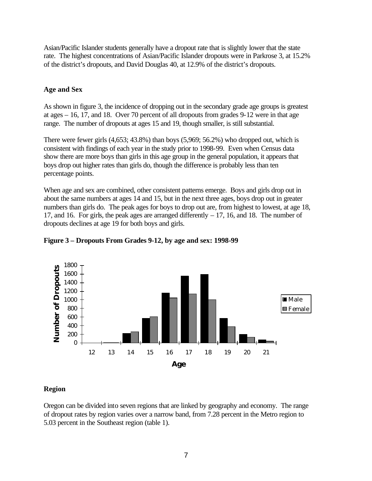Asian/Pacific Islander students generally have a dropout rate that is slightly lower that the state rate. The highest concentrations of Asian/Pacific Islander dropouts were in Parkrose 3, at 15.2% of the district's dropouts, and David Douglas 40, at 12.9% of the district's dropouts.

## **Age and Sex**

As shown in figure 3, the incidence of dropping out in the secondary grade age groups is greatest at ages – 16, 17, and 18. Over 70 percent of all dropouts from grades 9-12 were in that age range. The number of dropouts at ages 15 and 19, though smaller, is still substantial.

There were fewer girls (4,653; 43.8%) than boys (5,969; 56.2%) who dropped out, which is consistent with findings of each year in the study prior to 1998-99. Even when Census data show there are more boys than girls in this age group in the general population, it appears that boys drop out higher rates than girls do, though the difference is probably less than ten percentage points.

When age and sex are combined, other consistent patterns emerge. Boys and girls drop out in about the same numbers at ages 14 and 15, but in the next three ages, boys drop out in greater numbers than girls do. The peak ages for boys to drop out are, from highest to lowest, at age 18, 17, and 16. For girls, the peak ages are arranged differently  $-17$ , 16, and 18. The number of dropouts declines at age 19 for both boys and girls.



## **Figure 3 – Dropouts From Grades 9-12, by age and sex: 1998-99**

## **Region**

Oregon can be divided into seven regions that are linked by geography and economy. The range of dropout rates by region varies over a narrow band, from 7.28 percent in the Metro region to 5.03 percent in the Southeast region (table 1).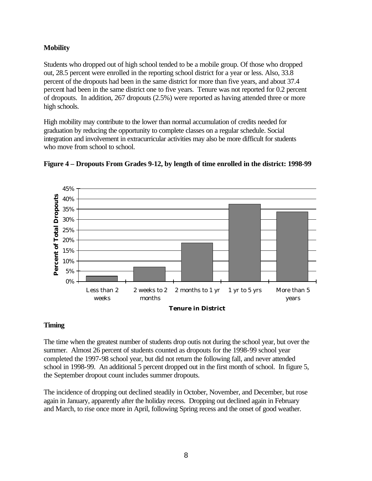## **Mobility**

Students who dropped out of high school tended to be a mobile group. Of those who dropped out, 28.5 percent were enrolled in the reporting school district for a year or less. Also, 33.8 percent of the dropouts had been in the same district for more than five years, and about 37.4 percent had been in the same district one to five years. Tenure was not reported for 0.2 percent of dropouts. In addition, 267 dropouts (2.5%) were reported as having attended three or more high schools.

High mobility may contribute to the lower than normal accumulation of credits needed for graduation by reducing the opportunity to complete classes on a regular schedule. Social integration and involvement in extracurricular activities may also be more difficult for students who move from school to school.



**Figure 4 – Dropouts From Grades 9-12, by length of time enrolled in the district: 1998-99**

### **Tenure in District**

## **Timing**

The time when the greatest number of students drop outis not during the school year, but over the summer. Almost 26 percent of students counted as dropouts for the 1998-99 school year completed the 1997-98 school year, but did not return the following fall, and never attended school in 1998-99. An additional 5 percent dropped out in the first month of school. In figure 5, the September dropout count includes summer dropouts.

The incidence of dropping out declined steadily in October, November, and December, but rose again in January, apparently after the holiday recess. Dropping out declined again in February and March, to rise once more in April, following Spring recess and the onset of good weather.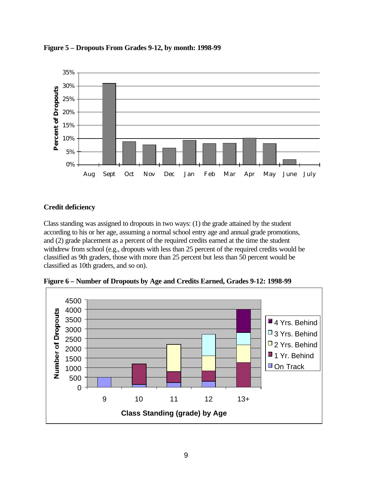

**Figure 5 – Dropouts From Grades 9-12, by month: 1998-99**

## **Credit deficiency**

Class standing was assigned to dropouts in two ways: (1) the grade attained by the student according to his or her age, assuming a normal school entry age and annual grade promotions, and (2) grade placement as a percent of the required credits earned at the time the student withdrew from school (e.g., dropouts with less than 25 percent of the required credits would be classified as 9th graders, those with more than 25 percent but less than 50 percent would be classified as 10th graders, and so on).



**Figure 6 – Number of Dropouts by Age and Credits Earned, Grades 9-12: 1998-99**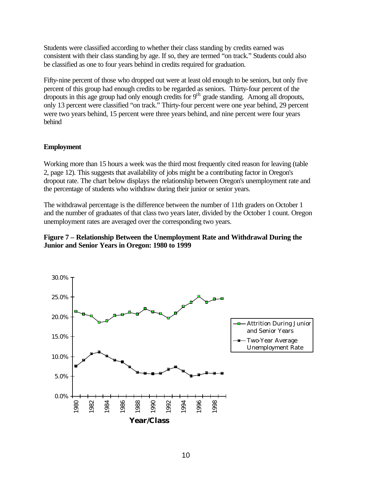Students were classified according to whether their class standing by credits earned was consistent with their class standing by age. If so, they are termed "on track." Students could also be classified as one to four years behind in credits required for graduation.

Fifty-nine percent of those who dropped out were at least old enough to be seniors, but only five percent of this group had enough credits to be regarded as seniors. Thirty-four percent of the dropouts in this age group had only enough credits for  $9<sup>th</sup>$  grade standing. Among all dropouts, only 13 percent were classified "on track." Thirty-four percent were one year behind, 29 percent were two years behind, 15 percent were three years behind, and nine percent were four years behind

## **Employment**

Working more than 15 hours a week was the third most frequently cited reason for leaving (table 2, page 12). This suggests that availability of jobs might be a contributing factor in Oregon's dropout rate. The chart below displays the relationship between Oregon's unemployment rate and the percentage of students who withdraw during their junior or senior years.

The withdrawal percentage is the difference between the number of 11th graders on October 1 and the number of graduates of that class two years later, divided by the October 1 count. Oregon unemployment rates are averaged over the corresponding two years.

## **Figure 7 – Relationship Between the Unemployment Rate and Withdrawal During the Junior and Senior Years in Oregon: 1980 to 1999**

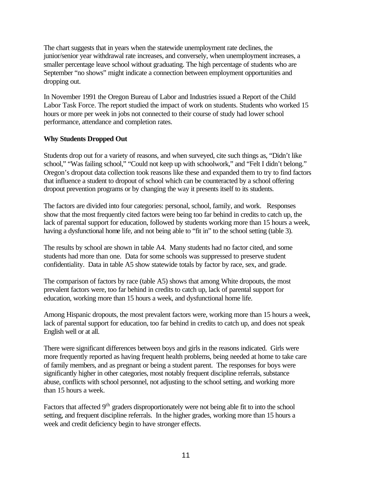The chart suggests that in years when the statewide unemployment rate declines, the junior/senior year withdrawal rate increases, and conversely, when unemployment increases, a smaller percentage leave school without graduating. The high percentage of students who are September "no shows" might indicate a connection between employment opportunities and dropping out.

In November 1991 the Oregon Bureau of Labor and Industries issued a Report of the Child Labor Task Force. The report studied the impact of work on students. Students who worked 15 hours or more per week in jobs not connected to their course of study had lower school performance, attendance and completion rates.

## **Why Students Dropped Out**

Students drop out for a variety of reasons, and when surveyed, cite such things as, "Didn't like school," "Was failing school," "Could not keep up with schoolwork," and "Felt I didn't belong." Oregon's dropout data collection took reasons like these and expanded them to try to find factors that influence a student to dropout of school which can be counteracted by a school offering dropout prevention programs or by changing the way it presents itself to its students.

The factors are divided into four categories: personal, school, family, and work. Responses show that the most frequently cited factors were being too far behind in credits to catch up, the lack of parental support for education, followed by students working more than 15 hours a week, having a dysfunctional home life, and not being able to "fit in" to the school setting (table 3).

The results by school are shown in table A4. Many students had no factor cited, and some students had more than one. Data for some schools was suppressed to preserve student confidentiality. Data in table A5 show statewide totals by factor by race, sex, and grade.

The comparison of factors by race (table A5) shows that among White dropouts, the most prevalent factors were, too far behind in credits to catch up, lack of parental support for education, working more than 15 hours a week, and dysfunctional home life.

Among Hispanic dropouts, the most prevalent factors were, working more than 15 hours a week, lack of parental support for education, too far behind in credits to catch up, and does not speak English well or at all.

There were significant differences between boys and girls in the reasons indicated. Girls were more frequently reported as having frequent health problems, being needed at home to take care of family members, and as pregnant or being a student parent. The responses for boys were significantly higher in other categories, most notably frequent discipline referrals, substance abuse, conflicts with school personnel, not adjusting to the school setting, and working more than 15 hours a week.

Factors that affected 9<sup>th</sup> graders disproportionately were not being able fit to into the school setting, and frequent discipline referrals. In the higher grades, working more than 15 hours a week and credit deficiency begin to have stronger effects.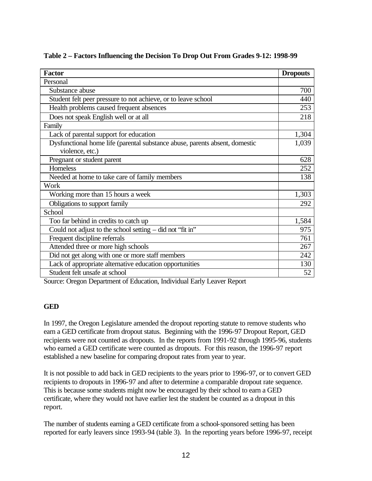| <b>Factor</b>                                                               | <b>Dropouts</b> |
|-----------------------------------------------------------------------------|-----------------|
| Personal                                                                    |                 |
| Substance abuse                                                             | 700             |
| Student felt peer pressure to not achieve, or to leave school               | 440             |
| Health problems caused frequent absences                                    | 253             |
| Does not speak English well or at all                                       | 218             |
| Family                                                                      |                 |
| Lack of parental support for education                                      | 1,304           |
| Dysfunctional home life (parental substance abuse, parents absent, domestic | 1,039           |
| violence, etc.)                                                             |                 |
| Pregnant or student parent                                                  | 628             |
| Homeless                                                                    | 252             |
| Needed at home to take care of family members                               | 138             |
| Work                                                                        |                 |
| Working more than 15 hours a week                                           | 1,303           |
| Obligations to support family                                               | 292             |
| School                                                                      |                 |
| Too far behind in credits to catch up                                       | 1,584           |
| Could not adjust to the school setting $-$ did not "fit in"                 | 975             |
| Frequent discipline referrals                                               | 761             |
| Attended three or more high schools                                         | 267             |
| Did not get along with one or more staff members                            | 242             |
| Lack of appropriate alternative education opportunities                     | 130             |
| Student felt unsafe at school                                               | 52              |

**Table 2 – Factors Influencing the Decision To Drop Out From Grades 9-12: 1998-99**

Source: Oregon Department of Education, Individual Early Leaver Report

### **GED**

In 1997, the Oregon Legislature amended the dropout reporting statute to remove students who earn a GED certificate from dropout status. Beginning with the 1996-97 Dropout Report, GED recipients were not counted as dropouts. In the reports from 1991-92 through 1995-96, students who earned a GED certificate were counted as dropouts. For this reason, the 1996-97 report established a new baseline for comparing dropout rates from year to year.

It is not possible to add back in GED recipients to the years prior to 1996-97, or to convert GED recipients to dropouts in 1996-97 and after to determine a comparable dropout rate sequence. This is because some students might now be encouraged by their school to earn a GED certificate, where they would not have earlier lest the student be counted as a dropout in this report.

The number of students earning a GED certificate from a school-sponsored setting has been reported for early leavers since 1993-94 (table 3). In the reporting years before 1996-97, receipt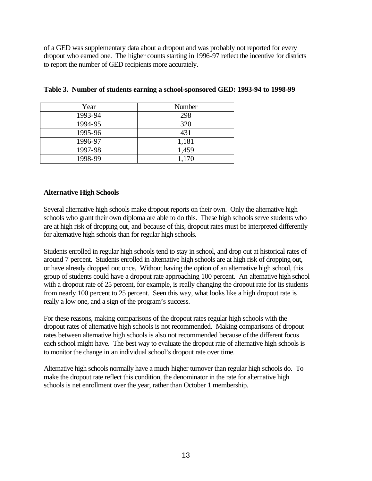of a GED was supplementary data about a dropout and was probably not reported for every dropout who earned one. The higher counts starting in 1996-97 reflect the incentive for districts to report the number of GED recipients more accurately.

| Year    | <b>Number</b> |
|---------|---------------|
| 1993-94 | 298           |
| 1994-95 | 320           |
| 1995-96 | 431           |
| 1996-97 | 1,181         |
| 1997-98 | 1,459         |
| 1998-99 | 1,170         |

|  | Table 3. Number of students earning a school-sponsored GED: 1993-94 to 1998-99 |  |  |  |
|--|--------------------------------------------------------------------------------|--|--|--|
|  |                                                                                |  |  |  |

## **Alternative High Schools**

Several alternative high schools make dropout reports on their own. Only the alternative high schools who grant their own diploma are able to do this. These high schools serve students who are at high risk of dropping out, and because of this, dropout rates must be interpreted differently for alternative high schools than for regular high schools.

Students enrolled in regular high schools tend to stay in school, and drop out at historical rates of around 7 percent. Students enrolled in alternative high schools are at high risk of dropping out, or have already dropped out once. Without having the option of an alternative high school, this group of students could have a dropout rate approaching 100 percent. An alternative high school with a dropout rate of 25 percent, for example, is really changing the dropout rate for its students from nearly 100 percent to 25 percent. Seen this way, what looks like a high dropout rate is really a low one, and a sign of the program's success.

For these reasons, making comparisons of the dropout rates regular high schools with the dropout rates of alternative high schools is not recommended. Making comparisons of dropout rates between alternative high schools is also not recommended because of the different focus each school might have. The best way to evaluate the dropout rate of alternative high schools is to monitor the change in an individual school's dropout rate over time.

Alternative high schools normally have a much higher turnover than regular high schools do. To make the dropout rate reflect this condition, the denominator in the rate for alternative high schools is net enrollment over the year, rather than October 1 membership.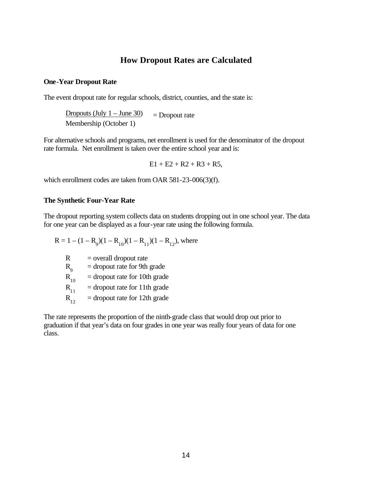## **How Dropout Rates are Calculated**

#### **One-Year Dropout Rate**

The event dropout rate for regular schools, district, counties, and the state is:

Dropouts (July  $1 -$  June 30) = Dropout rate Membership (October 1)

For alternative schools and programs, net enrollment is used for the denominator of the dropout rate formula. Net enrollment is taken over the entire school year and is:

 $E1 + E2 + R2 + R3 + R5$ ,

which enrollment codes are taken from OAR 581-23-006(3)(f).

#### **The Synthetic Four-Year Rate**

The dropout reporting system collects data on students dropping out in one school year. The data for one year can be displayed as a four-year rate using the following formula.

$$
R = 1 - (1 - R9)(1 - R10)(1 - R11)(1 - R12), where
$$
  
\n
$$
R = overall dropout rate
$$
  
\n
$$
R9 = dropout rate for 9th grade
$$
  
\n
$$
R10 = dropout rate for 10th grade
$$
  
\n
$$
R11 = dropout rate for 11th grade
$$

 $R_{12}$  = dropout rate for 12th grade

The rate represents the proportion of the ninth-grade class that would drop out prior to graduation if that year's data on four grades in one year was really four years of data for one class.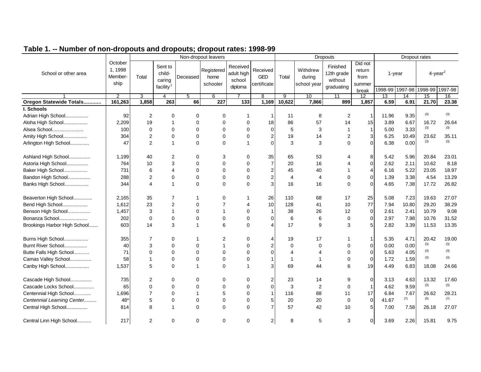|                              |                                       |                |                                                      |              | Non-dropout leavers            |                                             |                                       |                         | <b>Dropouts</b>                   | Dropout rates                                   |                                              |       |                           |                 |                        |
|------------------------------|---------------------------------------|----------------|------------------------------------------------------|--------------|--------------------------------|---------------------------------------------|---------------------------------------|-------------------------|-----------------------------------|-------------------------------------------------|----------------------------------------------|-------|---------------------------|-----------------|------------------------|
| School or other area         | October<br>1, 1998<br>Member-<br>ship | Total          | Sent to<br>child-<br>caring<br>facility <sup>1</sup> | Deceased     | Registered<br>home<br>schooler | Received<br>adult high<br>school<br>diploma | Received<br><b>GED</b><br>certificate | Total                   | Withdrew<br>during<br>school year | Finished<br>12th grade<br>without<br>graduating | Did not<br>return<br>from<br>summer<br>break |       | 1-year<br>1998-99 1997-98 | 1998-99 1997-98 | $4$ -year <sup>2</sup> |
|                              | 2                                     | 3              | 4                                                    | 5            | 6                              |                                             | 8                                     | 9                       | 10                                | 11                                              | 12                                           | 13    | 14                        | 15              | 16                     |
| Oregon Statewide Totals      | 161,263                               | 1,858          | 263                                                  | 66           | $\overline{227}$               | 133                                         | 1,169                                 | 10,622                  | 7,866                             | 899                                             | 1,857                                        | 6.59  | 6.91                      | 21.70           | 23.38                  |
| I. Schools                   |                                       |                |                                                      |              |                                |                                             |                                       |                         |                                   |                                                 |                                              |       |                           |                 |                        |
| Adrian High School           | 92                                    | 2              | 0                                                    | 0            | 0                              | -1                                          |                                       | 11                      | 8                                 | 2                                               |                                              | 11.96 | 9.35                      | (3)             | (3)                    |
| Aloha High School            | 2,209                                 | 19             | $\mathbf 1$                                          | $\Omega$     | $\Omega$                       | $\Omega$                                    | 18                                    | 86                      | 57                                | 14                                              | 15                                           | 3.89  | 6.67                      | 16.72           | 26.64                  |
| Alsea School                 | 100                                   | $\Omega$       | $\Omega$                                             | $\Omega$     | $\Omega$                       | $\Omega$                                    | $\Omega$                              | 5                       | 3                                 | 1                                               | $\mathbf{1}$                                 | 5.00  | 3.33                      | (3)             | (3)                    |
| Amity High School            | 304                                   | $\overline{2}$ | $\mathbf 0$                                          | $\mathbf 0$  | $\mathbf 0$                    | $\mathbf 0$                                 | $\overline{2}$                        | 19                      | 14                                | 2                                               | 3                                            | 6.25  | 10.49                     | 23.62           | 35.11                  |
| Arlington High School        | 47                                    | $\overline{2}$ | $\mathbf{1}$                                         | $\Omega$     | $\Omega$                       | $\overline{1}$                              | $\Omega$                              | 3                       | 3                                 | $\Omega$                                        | $\Omega$                                     | 6.38  | 0.00                      | (3)             | (3)                    |
| Ashland High School          | 1,199                                 | 40             | 2                                                    | 0            | 3                              | 0                                           | 35                                    | 65                      | 53                                | 4                                               | 8                                            | 5.42  | 5.96                      | 20.84           | 23.01                  |
| Astoria High School          | 764                                   | 10             | 3                                                    | $\Omega$     | $\Omega$                       | $\Omega$                                    | $\overline{7}$                        | 20                      | 16                                | 4                                               | $\overline{0}$                               | 2.62  | 2.11                      | 10.62           | 8.18                   |
| Baker High School            | 731                                   | 6              | $\overline{4}$                                       | $\Omega$     | $\Omega$                       | $\Omega$                                    | $\overline{c}$                        | 45                      | 40                                |                                                 | 4                                            | 6.16  | 5.22                      | 23.05           | 18.97                  |
| Bandon High School           | 288                                   | $\overline{2}$ | $\Omega$                                             | $\Omega$     | $\Omega$                       | $\Omega$                                    | $\overline{2}$                        | 4                       | $\overline{4}$                    | $\Omega$                                        | $\Omega$                                     | 1.39  | 3.38                      | 4.54            | 13.29                  |
| Banks High School            | 344                                   | 4              | $\mathbf{1}$                                         | $\Omega$     | $\Omega$                       | $\Omega$                                    | 3                                     | 16                      | 16                                | $\Omega$                                        | $\Omega$                                     | 4.65  | 7.38                      | 17.72           | 26.82                  |
| Beaverton High School        | 2,165                                 | 35             | $\overline{7}$                                       | -1           | 0                              | 1                                           | 26                                    | 110                     | 68                                | 17                                              | 25                                           | 5.08  | 7.23                      | 19.63           | 27.07                  |
| Bend High School             | 1,612                                 | 23             | $\overline{2}$                                       | $\mathbf 0$  | $\overline{7}$                 | 4                                           | 10                                    | 128                     | 41                                | 10                                              | 77                                           | 7.94  | 10.80                     | 29.20           | 38.29                  |
| Benson High School           | 1,457                                 | 3              | $\mathbf{1}$                                         | $\Omega$     | $\mathbf 1$                    | 0                                           | $\mathbf 1$                           | 38                      | 26                                | 12                                              | $\mathbf 0$                                  | 2.61  | 2.41                      | 10.79           | 9.08                   |
| Bonanza School               | 202                                   | $\mathbf 0$    | $\mathbf 0$                                          | $\mathbf 0$  | $\mathbf 0$                    | $\mathbf 0$                                 | 0                                     | 6                       | 6                                 | $\mathbf 0$                                     | $\overline{0}$                               | 2.97  | 7.98                      | 10.76           | 31.52                  |
| Brookings Harbor High School | 603                                   | 14             | 3                                                    | $\mathbf 1$  | 6                              | $\Omega$                                    | $\boldsymbol{\Delta}$                 | 17                      | 9                                 | 3                                               | 5 <sup>1</sup>                               | 2.82  | 3.39                      | 11.53           | 13.35                  |
| Burns High School            | 355                                   | 7              | 0                                                    | -1           | 2                              | 0                                           | 4                                     | 19                      | 17                                |                                                 | 1                                            | 5.35  | 4.71                      | 20.42           | 19.00                  |
| Burnt River School           | 40                                    | 3              | $\mathbf 0$                                          | $\mathbf 0$  | $\mathbf{1}$                   | 0                                           | 2                                     | $\mathbf 0$             | 0                                 | 0                                               | $\overline{0}$                               | 0.00  | 0.00                      | (3)             | (3)                    |
| Butte Falls High School      | 71                                    | 0              | $\mathbf 0$                                          | $\mathbf 0$  | $\mathbf 0$                    | 0                                           | $\Omega$                              | 4                       | $\overline{4}$                    | 0                                               | $\overline{0}$                               | 5.63  | 4.05                      | (3)             | (3)                    |
| Camas Valley School          | 58                                    | $\mathbf 1$    | $\mathbf 0$                                          | $\mathbf 0$  | $\mathbf 0$                    | 0                                           |                                       | $\overline{\mathbf{1}}$ | $\mathbf 1$                       | 0                                               | $\overline{0}$                               | 1.72  | 1.59                      | (3)             | (3)                    |
| Canby High School            | 1,537                                 | 5              | $\Omega$                                             | $\mathbf 1$  | $\Omega$                       | 1                                           | 3                                     | 69                      | 44                                | 6                                               | 19                                           | 4.49  | 6.83                      | 18.08           | 24.66                  |
| Cascade High School          | 735                                   | 2              | $\mathbf 0$                                          | 0            | 0                              | 0                                           | 2                                     | 23                      | 14                                | 9                                               | $\overline{0}$                               | 3.13  | 4.63                      | 13.32           | 17.60                  |
| Cascade Locks School         | 65                                    | 0              | $\mathbf 0$                                          | $\Omega$     | $\Omega$                       | $\Omega$                                    | 0                                     | 3                       | 2                                 | $\mathbf 0$                                     |                                              | 4.62  | 9.59                      | (3)             | (3)                    |
| Centennial High School       | 1,696                                 | $\overline{7}$ | $\mathbf 0$                                          | $\mathbf{1}$ | 5                              | 0                                           | 1                                     | 116                     | 88                                | 11                                              | 17                                           | 6.84  | 7.67                      | 26.62           | 28.21                  |
| Centennial Learning Center   | $48*$                                 | 5              | $\mathbf 0$                                          | $\mathbf 0$  | $\mathbf 0$                    | 0                                           | 5 <sub>5</sub>                        | 20                      | 20                                | 0                                               | $\overline{0}$                               | 41.67 | (7)                       | (5)             | (7)                    |
| Central High School          | 814                                   | 8              | $\mathbf{1}$                                         | $\mathbf 0$  | $\mathbf 0$                    | $\Omega$                                    | $\overline{7}$                        | 57                      | 42                                | 10                                              | 5 <sub>l</sub>                               | 7.00  | 7.58                      | 26.18           | 27.07                  |
| Central Linn High School     | 217                                   | 2              | 0                                                    | 0            | $\mathbf 0$                    | 0                                           | $\mathbf{2}$                          | 8                       | 5                                 | 3                                               | $\overline{0}$                               | 3.69  | 2.26                      | 15.81           | 9.75                   |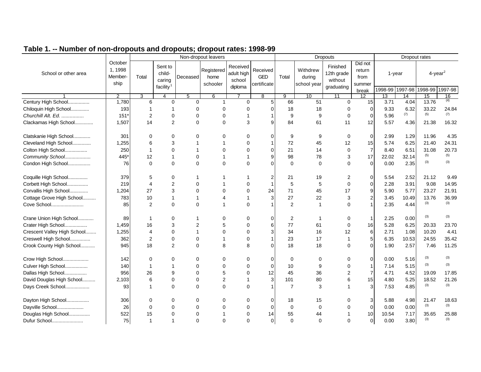|                             |                                       |                |                                                      |                | Non-dropout leavers            |                                             |                                       |                | Dropouts                          | Dropout rates                                   |                                              |                           |                 |                                           |       |
|-----------------------------|---------------------------------------|----------------|------------------------------------------------------|----------------|--------------------------------|---------------------------------------------|---------------------------------------|----------------|-----------------------------------|-------------------------------------------------|----------------------------------------------|---------------------------|-----------------|-------------------------------------------|-------|
| School or other area        | October<br>1, 1998<br>Member-<br>ship | Total          | Sent to<br>child-<br>caring<br>facility <sup>1</sup> | Deceased       | Registered<br>home<br>schooler | Received<br>adult high<br>school<br>diploma | Received<br><b>GED</b><br>certificate | Total          | Withdrew<br>during<br>school year | Finished<br>12th grade<br>without<br>graduating | Did not<br>return<br>from<br>summer<br>break | 1-year<br>1998-99 1997-98 |                 | $4$ -year <sup>2</sup><br>1998-99 1997-98 |       |
|                             | 2                                     | 3              | 4                                                    | 5              | 6                              |                                             | 8                                     | 9              | 10                                | 11                                              | $\overline{12}$                              | $\overline{13}$           | $\overline{14}$ | 15                                        | 16    |
| Century High School         | 1,780                                 | 6              | $\mathbf 0$                                          | 0              | 1                              | $\Omega$                                    | 5                                     | 66             | 51                                | $\Omega$                                        | 15                                           | 3.71                      | 4.04            | 13.76                                     | (4)   |
| Chiloquin High School       | 193                                   | 1              | 1                                                    | $\Omega$       | $\Omega$                       | $\Omega$                                    | $\Omega$                              | 18             | 18                                | 0                                               | $\Omega$                                     | 9.33                      | 6.32            | 33.22                                     | 24.84 |
| Churchill Alt. Ed.          | $151*$                                | $\overline{2}$ | $\mathbf 0$                                          | $\mathbf 0$    | $\mathbf 0$                    | -1                                          |                                       | 9              | 9                                 | $\mathbf 0$                                     | $\Omega$                                     | 5.96                      | (7)             | (5)                                       | (7)   |
| Clackamas High School       | 1,507                                 | 14             | 2                                                    | $\Omega$       | $\Omega$                       | 3                                           | 9                                     | 84             | 61                                | 11                                              | 12                                           | 5.57                      | 4.36            | 21.38                                     | 16.32 |
| Clatskanie High School      | 301                                   | $\Omega$       | 0                                                    | $\Omega$       | 0                              | 0                                           | $\Omega$                              | 9              | 9                                 | 0                                               | 0                                            | 2.99                      | 1.29            | 11.96                                     | 4.35  |
| Cleveland High School       | 1,255                                 | 6              | 3                                                    | 1              | -1                             | $\mathbf 0$                                 |                                       | 72             | 45                                | 12                                              | 15                                           | 5.74                      | 6.25            | 21.40                                     | 24.31 |
| Colton High School          | 250                                   | $\mathbf 1$    | $\Omega$                                             | 1              | $\Omega$                       | $\Omega$                                    | $\Omega$                              | 21             | 14                                | $\mathbf 0$                                     | $\overline{7}$                               | 8.40                      | 6.51            | 31.08                                     | 20.73 |
| Community School            | 445*                                  | 12             | $\mathbf 1$                                          | $\Omega$       | -1                             | $\overline{\mathbf{1}}$                     | 9                                     | 98             | 78                                | 3                                               | 17                                           | 22.02                     | 32.14           | (5)                                       | (5)   |
| Condon High School          | 76                                    | $\Omega$       | $\Omega$                                             | $\Omega$       | $\Omega$                       | $\Omega$                                    | $\Omega$                              | $\mathbf 0$    | $\Omega$                          | 0                                               | $\Omega$                                     | 0.00                      | 2.35            | (3)                                       | (3)   |
| Coquille High School        | 379                                   | 5              | 0                                                    | 1              |                                |                                             | 2                                     | 21             | 19                                | 2                                               | $\Omega$                                     | 5.54                      | 2.52            | 21.12                                     | 9.49  |
| Corbett High School         | 219                                   | $\overline{4}$ | $\overline{c}$                                       | $\Omega$       |                                | $\mathbf 0$                                 |                                       | 5              | 5                                 | $\mathbf 0$                                     | $\Omega$                                     | 2.28                      | 3.91            | 9.08                                      | 14.95 |
| Corvallis High School       | 1,204                                 | 27             | 3                                                    | $\Omega$       | $\Omega$                       | $\mathbf 0$                                 | 24                                    | 71             | 45                                | 17                                              | 9                                            | 5.90                      | 5.77            | 23.27                                     | 21.91 |
| Cottage Grove High School   | 783                                   | 10             | $\mathbf{1}$                                         | $\mathbf{1}$   | $\overline{4}$                 | $\overline{1}$                              | 3                                     | 27             | 22                                | 3                                               |                                              | 3.45                      | 10.49           | 13.76                                     | 36.99 |
| Cove School                 | 85                                    | $\overline{2}$ | $\Omega$                                             | $\Omega$       | $\mathbf 1$                    | $\Omega$                                    |                                       | 2              | $\mathbf{1}$                      | 0                                               |                                              | 2.35                      | 4.44            | (3)                                       | (3)   |
| Crane Union High School     | 89                                    | 1              | $\Omega$                                             | 1              | $\Omega$                       | $\Omega$                                    | $\Omega$                              | 2              | 1                                 | 0                                               | -1                                           | 2.25                      | 0.00            | (3)                                       | (3)   |
| Crater High School          | 1,459                                 | 16             | 3                                                    | $\overline{2}$ | 5                              | $\Omega$                                    | 6                                     | 77             | 61                                | $\mathbf 0$                                     | 16                                           | 5.28                      | 6.25            | 20.33                                     | 23.70 |
| Crescent Valley High School | 1,255                                 | 4              | $\Omega$                                             | $\mathbf{1}$   | $\Omega$                       | $\Omega$                                    | 3                                     | 34             | 16                                | 12                                              | 6                                            | 2.71                      | 1.08            | 10.20                                     | 4.41  |
| Creswell High School        | 362                                   | 2              | $\mathbf 0$                                          | $\mathbf 0$    | $\mathbf 1$                    | $\Omega$                                    |                                       | 23             | 17                                | $\overline{1}$                                  | 5                                            | 6.35                      | 10.53           | 24.55                                     | 35.42 |
| Crook County High School    | 945                                   | 18             | 2                                                    | $\Omega$       | 8                              | 8                                           | $\Omega$                              | 18             | 18                                | $\Omega$                                        | $\Omega$                                     | 1.90                      | 2.57            | 7.46                                      | 11.25 |
| Crow High School            | 142                                   | $\Omega$       | $\Omega$                                             | $\Omega$       | $\Omega$                       | $\Omega$                                    | $\Omega$                              | 0              | 0                                 | 0                                               | $\Omega$                                     | 0.00                      | 5.16            | (3)                                       | (3)   |
| Culver High School          | 140                                   | $\mathbf{1}$   | $\mathbf 1$                                          | $\Omega$       | $\Omega$                       | $\Omega$                                    | $\Omega$                              | 10             | 9                                 | $\Omega$                                        |                                              | 7.14                      | 5.15            | (3)                                       | (3)   |
| Dallas High School          | 956                                   | 26             | 9                                                    | $\Omega$       | 5                              | $\Omega$                                    | 12                                    | 45             | 36                                | $\overline{2}$                                  |                                              | 4.71                      | 4.52            | 19.09                                     | 17.85 |
| David Douglas High School   | 2,103                                 | 6              | $\Omega$                                             | $\Omega$       | $\overline{2}$                 |                                             | 3                                     | 101            | 80                                | 6                                               | 15                                           | 4.80                      | 5.25            | 18.52                                     | 21.26 |
| Days Creek School           | 93                                    | $\overline{1}$ | $\Omega$                                             | $\Omega$       | $\Omega$                       | $\Omega$                                    |                                       | $\overline{7}$ | 3                                 |                                                 |                                              | 7.53                      | 4.85            | (3)                                       | (3)   |
| Dayton High School          | 306                                   | $\Omega$       | 0                                                    | 0              | $\Omega$                       | $\Omega$                                    | $\Omega$                              | 18             | 15                                | 0                                               | 3                                            | 5.88                      | 4.98            | 21.47                                     | 18.63 |
| Dayville School             | 26                                    | $\Omega$       | $\Omega$                                             | $\Omega$       | $\Omega$                       | $\Omega$                                    | $\Omega$                              | $\mathbf 0$    | $\mathbf 0$                       | 0                                               | $\mathbf 0$                                  | 0.00                      | 0.00            | (3)                                       | (3)   |
| Douglas High School         | 522                                   | 15             | $\Omega$                                             | $\Omega$       | $\overline{1}$                 | $\Omega$                                    | 14                                    | 55             | 44                                |                                                 | 10                                           | 10.54                     | 7.17            | 35.65                                     | 25.88 |
| Dufur School                | 75                                    | $\overline{1}$ | 1                                                    | $\Omega$       | $\Omega$                       | $\Omega$                                    | $\Omega$                              | $\Omega$       | $\Omega$                          | $\Omega$                                        | $\Omega$                                     | 0.00                      | 3.80            | (3)                                       | (3)   |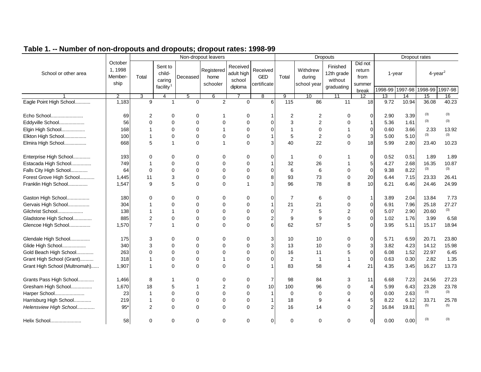|                               |                                                          |                | Non-dropout leavers                        |                                                                 |              |                        |                                       |                |                                   | <b>Dropouts</b>                                 | Dropout rates                                |                 |                           |                                           |       |
|-------------------------------|----------------------------------------------------------|----------------|--------------------------------------------|-----------------------------------------------------------------|--------------|------------------------|---------------------------------------|----------------|-----------------------------------|-------------------------------------------------|----------------------------------------------|-----------------|---------------------------|-------------------------------------------|-------|
| School or other area          | October<br>1, 1998<br>child-<br>Member-<br>Total<br>ship |                | Sent to<br>caring<br>facility <sup>1</sup> | Registered<br>Deceased<br>home<br>school<br>schooler<br>diploma |              | Received<br>adult high | Received<br><b>GED</b><br>certificate | Total          | Withdrew<br>during<br>school year | Finished<br>12th grade<br>without<br>graduating | Did not<br>return<br>from<br>summer<br>break |                 | 1-year<br>1998-99 1997-98 | $4$ -year <sup>2</sup><br>1998-99 1997-98 |       |
|                               | 2                                                        | 3              | 4                                          | 5                                                               | 6            |                        | 8                                     | 9              | 10                                | 11                                              | 12                                           | $\overline{13}$ | 14                        | 15                                        | 16    |
| Eagle Point High School       | 1,183                                                    | 9              |                                            | $\Omega$                                                        | 2            | $\Omega$               | 6                                     | 115            | 86                                | 11                                              | 18                                           | 9.72            | 10.94                     | 36.08                                     | 40.23 |
| Echo School                   | 69                                                       | 2              | $\Omega$                                   | $\Omega$                                                        | 1            | 0                      |                                       | 2              | 2                                 | $\Omega$                                        | $\Omega$                                     | 2.90            | 3.39                      | (3)                                       | (3)   |
| Eddyville School              | 56                                                       | $\Omega$       | $\Omega$                                   | $\Omega$                                                        | $\Omega$     | $\Omega$               | ∩                                     | $\mathbf{3}$   | $\overline{2}$                    | $\Omega$                                        |                                              | 5.36            | 1.61                      | (3)                                       | (3)   |
| Elgin High School             | 168                                                      | 1              | $\Omega$                                   | 0                                                               | 1            | $\mathbf 0$            |                                       | $\mathbf{1}$   | 0                                 |                                                 | $\Omega$                                     | 0.60            | 3.66                      | 2.33                                      | 13.92 |
| Elkton High School            | 100                                                      | 1              | $\Omega$                                   | 0                                                               | 0            | $\mathbf 0$            |                                       | 5              | $\overline{c}$                    | $\mathbf 0$                                     | 3                                            | 5.00            | 5.10                      | (3)                                       | (3)   |
| Elmira High School            | 668                                                      | 5              |                                            | 0                                                               | $\mathbf{1}$ | $\mathbf 0$            | 3                                     | 40             | 22                                | $\Omega$                                        | 18                                           | 5.99            | 2.80                      | 23.40                                     | 10.23 |
| Enterprise High School        | 193                                                      | 0              | $\Omega$                                   | 0                                                               | $\Omega$     | 0                      | 0                                     | -1             | 0                                 |                                                 | 0                                            | 0.52            | 0.51                      | 1.89                                      | 1.89  |
| Estacada High School          | 749                                                      | 1              | $\mathbf 0$                                | 0                                                               | $\Omega$     | 0                      |                                       | 32             | 26                                |                                                 | 5                                            | 4.27            | 2.68                      | 16.35                                     | 10.87 |
| Falls City High School        | 64                                                       | $\mathbf 0$    | $\mathbf 0$                                | $\Omega$                                                        | $\Omega$     | $\Omega$               | $\Omega$                              | 6              | 6                                 | $\mathbf 0$                                     | $\mathbf 0$                                  | 9.38            | 8.22                      | (3)                                       | (3)   |
| Forest Grove High School      | 1,445                                                    | 11             | 3                                          | $\Omega$                                                        | $\Omega$     | $\Omega$               | 8                                     | 93             | 73                                | $\mathbf 0$                                     | 20                                           | 6.44            | 7.15                      | 23.33                                     | 26.41 |
| Franklin High School          | 1,547                                                    | 9              | 5                                          | 0                                                               | 0            | $\overline{1}$         | 3                                     | 96             | 78                                | 8                                               | 10                                           | 6.21            | 6.46                      | 24.46                                     | 24.99 |
| Gaston High School            | 180                                                      | $\Omega$       | $\Omega$                                   | $\Omega$                                                        | $\Omega$     | 0                      | $\Omega$                              | $\overline{7}$ | 6                                 | $\mathbf 0$                                     | 1                                            | 3.89            | 2.04                      | 13.84                                     | 7.73  |
| Gervais High School           | 304                                                      | 1              | $\Omega$                                   | $\Omega$                                                        | $\Omega$     | $\Omega$               |                                       | 21             | 21                                | $\mathbf 0$                                     | $\mathbf 0$                                  | 6.91            | 7.96                      | 25.18                                     | 27.27 |
| Gilchrist School              | 138                                                      | 1              |                                            | $\Omega$                                                        | $\Omega$     | $\Omega$               | ∩                                     | $\overline{7}$ | 5                                 | $\overline{2}$                                  | $\Omega$                                     | 5.07            | 2.90                      | 20.60                                     | (3)   |
| Gladstone High School         | 885                                                      | $\overline{2}$ | $\Omega$                                   | $\Omega$                                                        | 0            | 0                      | $\overline{2}$                        | 9              | 9                                 | $\mathbf 0$                                     | $\Omega$                                     | 1.02            | 1.76                      | 3.99                                      | 6.58  |
| Glencoe High School           | 1,570                                                    | $\overline{7}$ |                                            | $\Omega$                                                        | $\Omega$     | $\Omega$               | 6                                     | 62             | 57                                | 5                                               |                                              | 3.95            | 5.11                      | 15.17                                     | 18.94 |
| Glendale High School          | 175                                                      | 3              | $\Omega$                                   | 0                                                               | 0            | 0                      | 3                                     | 10             | 10                                | $\Omega$                                        | $\overline{0}$                               | 5.71            | 6.59                      | 20.71                                     | 23.80 |
| Glide High School             | 340                                                      | 3              | $\Omega$                                   | 0                                                               | 0            | $\mathbf 0$            | 3                                     | 13             | 10                                | $\mathbf 0$                                     | 3                                            | 3.82            | 4.23                      | 14.12                                     | 15.98 |
| Gold Beach High School        | 263                                                      | 0              | $\Omega$                                   | 0                                                               | 0            | $\mathbf 0$            | $\Omega$                              | 16             | 11                                | 5                                               | 0                                            | 6.08            | 1.52                      | 22.97                                     | 6.45  |
| Grant High School (Grant)     | 318                                                      | 1              | $\Omega$                                   | 0                                                               | $\mathbf{1}$ | $\mathbf 0$            | $\Omega$                              | $\overline{2}$ | $\mathbf{1}$                      |                                                 | $\Omega$                                     | 0.63            | 0.30                      | 2.82                                      | 1.35  |
| Grant High School (Multnomah) | 1,907                                                    | 1              | $\Omega$                                   | $\Omega$                                                        | $\Omega$     | $\Omega$               |                                       | 83             | 58                                | 4                                               | 21                                           | 4.35            | 3.45                      | 16.27                                     | 13.73 |
| Grants Pass High School       | 1,466                                                    | 8              |                                            | 0                                                               | 0            | 0                      | 7                                     | 98             | 84                                | 3                                               | 11                                           | 6.68            | 7.23                      | 24.56                                     | 27.23 |
| Gresham High School           | 1,670                                                    | 18             | 5                                          | 1                                                               | 2            | $\Omega$               | 10                                    | 100            | 96                                | $\mathbf 0$                                     | $\overline{4}$                               | 5.99            | 6.43                      | 23.28                                     | 23.78 |
| Harper School                 | 23                                                       | 1              | $\Omega$                                   | 0                                                               | 0            | $\mathbf 0$            |                                       | $\mathbf 0$    | 0                                 | $\mathbf 0$                                     | 0                                            | 0.00            | 2.63                      | (3)                                       | (3)   |
| Harrisburg High School        | 219                                                      | 1              | $\mathbf 0$                                | 0                                                               | 0            | 0                      |                                       | 18             | 9                                 | 4                                               | 5                                            | 8.22            | 6.12                      | 33.71                                     | 25.78 |
| Helensview High School        | $95*$                                                    | $\overline{2}$ | $\Omega$                                   | 0                                                               | 0            | $\mathbf 0$            |                                       | 16             | 14                                | $\Omega$                                        |                                              | 16.84           | 19.81                     | (5)                                       | (5)   |
| Helix School                  | 58                                                       | 0              | 0                                          | 0                                                               | 0            | 0                      | 0                                     | $\mathbf 0$    | 0                                 | 0                                               | $\overline{0}$                               | 0.00            | 0.00                      | (3)                                       | (3)   |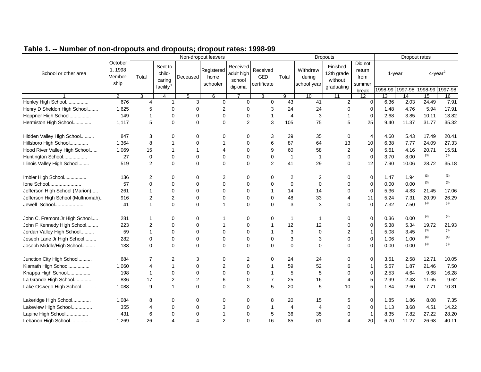|                                   |                                       |                |                                                      |                | Non-dropout leavers            |                                             |                                       |                | <b>Dropouts</b>                   | Dropout rates                                   |                                              |                 |                           |       |                                           |
|-----------------------------------|---------------------------------------|----------------|------------------------------------------------------|----------------|--------------------------------|---------------------------------------------|---------------------------------------|----------------|-----------------------------------|-------------------------------------------------|----------------------------------------------|-----------------|---------------------------|-------|-------------------------------------------|
| School or other area              | October<br>1, 1998<br>Member-<br>ship | Total          | Sent to<br>child-<br>caring<br>facility <sup>1</sup> | Deceased       | Registered<br>home<br>schooler | Received<br>adult high<br>school<br>diploma | Received<br><b>GED</b><br>certificate | Total          | Withdrew<br>during<br>school year | Finished<br>12th grade<br>without<br>graduating | Did not<br>return<br>from<br>summer<br>break |                 | 1-year<br>1998-99 1997-98 |       | $4$ -year <sup>2</sup><br>1998-99 1997-98 |
|                                   | $\overline{2}$                        | 3              | 4                                                    | 5              | 6                              |                                             | 8                                     | 9              | 10                                | 11                                              | $\overline{12}$                              | $\overline{13}$ | $\overline{14}$           | 15    | 16                                        |
| Henley High School                | 676                                   | 4              | 1                                                    | 3              | $\mathbf 0$                    | $\Omega$                                    | $\Omega$                              | 43             | 41                                | 2                                               | $\Omega$                                     | 6.36            | 2.03                      | 24.49 | 7.91                                      |
| Henry D Sheldon High School       | 1,625                                 | 5              | $\mathbf 0$                                          | 0              | $\overline{2}$                 | 0                                           | 3                                     | 24             | 24                                | $\Omega$                                        | ∩                                            | 1.48            | 4.76                      | 5.94  | 17.91                                     |
| Heppner High School               | 149                                   | $\mathbf{1}$   | $\mathbf 0$                                          | $\mathbf 0$    | $\mathbf 0$                    | $\Omega$                                    |                                       | $\overline{4}$ | 3                                 |                                                 | $\Omega$                                     | 2.68            | 3.85                      | 10.11 | 13.82                                     |
| Hermiston High School             | 1,117                                 | 5              | $\Omega$                                             | $\Omega$       | $\Omega$                       | 2                                           | 3                                     | 105            | 75                                | 5                                               | 25                                           | 9.40            | 11.37                     | 31.77 | 35.32                                     |
| Hidden Valley High School         | 847                                   | 3              | $\Omega$                                             | 0              | $\Omega$                       | 0                                           | 3                                     | 39             | 35                                | 0                                               | 4                                            | 4.60            | 5.43                      | 17.49 | 20.41                                     |
| Hillsboro High School             | 1,364                                 | 8              | $\mathbf{1}$                                         | $\Omega$       | $\mathbf 1$                    | $\Omega$                                    | 6                                     | 87             | 64                                | 13                                              | 10                                           | 6.38            | 7.77                      | 24.09 | 27.33                                     |
| Hood River Valley High School     | 1,069                                 | 15             | $\mathbf 1$                                          | $\overline{1}$ | $\overline{4}$                 | $\Omega$                                    | 9                                     | 60             | 58                                | $\overline{2}$                                  | $\Omega$                                     | 5.61            | 4.16                      | 20.71 | 15.51                                     |
| Huntington School                 | 27                                    | $\mathbf 0$    | $\mathbf 0$                                          | $\Omega$       | $\Omega$                       | $\Omega$                                    | $\Omega$                              | $\overline{1}$ | $\mathbf{1}$                      | $\mathbf 0$                                     | $\Omega$                                     | 3.70            | 8.00                      | (3)   | (3)                                       |
| Illinois Valley High School       | 519                                   | $\overline{2}$ | $\Omega$                                             | $\Omega$       | $\Omega$                       | $\Omega$                                    | $\mathfrak{p}$                        | 41             | 29                                | $\Omega$                                        | 12                                           | 7.90            | 10.06                     | 28.72 | 35.18                                     |
| Imbler High School                | 136                                   | $\overline{2}$ | $\Omega$                                             | $\Omega$       | $\overline{2}$                 | $\Omega$                                    | $\Omega$                              | $\overline{2}$ | 2                                 | $\Omega$                                        | $\Omega$                                     | 1.47            | 1.94                      | (3)   | (3)                                       |
| Ione School                       | 57                                    | $\Omega$       | $\Omega$                                             | $\Omega$       | $\Omega$                       | $\Omega$                                    | $\Omega$                              | $\mathbf 0$    | 0                                 | $\mathbf 0$                                     | $\Omega$                                     | 0.00            | 0.00                      | (3)   | (3)                                       |
| Jefferson High School (Marion)    | 261                                   | $\mathbf 1$    | $\mathbf 0$                                          | $\mathbf 0$    | $\mathbf 0$                    | 0                                           |                                       | 14             | 14                                | 0                                               | 0                                            | 5.36            | 4.83                      | 21.45 | 17.06                                     |
| Jefferson High School (Multnomah) | 916                                   | $\overline{2}$ | $\overline{\mathbf{c}}$                              | 0              | $\mathbf 0$                    | $\mathbf 0$                                 | $\Omega$                              | 48             | 33                                | 4                                               | 11                                           | 5.24            | 7.31                      | 20.99 | 26.29                                     |
| Jewell School                     | 41                                    | $\mathbf 1$    | $\mathbf 0$                                          | $\mathbf 0$    | $\mathbf 1$                    | $\Omega$                                    | $\Omega$                              | 3              | 3                                 | $\Omega$                                        | $\Omega$                                     | 7.32            | 7.50                      | (3)   | (3)                                       |
| John C. Fremont Jr High School    | 281                                   | 1              | 0                                                    | 0              | $\mathbf 1$                    | 0                                           | $\Omega$                              | -1             | 1                                 | 0                                               | 0                                            | 0.36            | 0.00                      | (4)   | (4)                                       |
| John F Kennedy High School        | 223                                   | $\overline{2}$ | $\mathbf 0$                                          | $\mathbf 0$    | -1                             | $\Omega$                                    |                                       | 12             | 12                                | $\mathbf 0$                                     | 0                                            | 5.38            | 5.34                      | 19.72 | 21.93                                     |
| Jordan Valley High School         | 59                                    | $\mathbf{1}$   | $\mathbf 0$                                          | $\mathbf 0$    | $\Omega$                       | $\Omega$                                    |                                       | 3              | $\mathbf 0$                       | $\overline{2}$                                  | 1                                            | 5.08            | 3.45                      | (3)   | (3)                                       |
| Joseph Lane Jr High School        | 282                                   | 0              | $\mathbf 0$                                          | 0              | $\mathbf 0$                    | $\mathbf 0$                                 | $\Omega$                              | 3              | 3                                 | $\mathbf 0$                                     | $\Omega$                                     | 1.06            | 1.00                      | (4)   | (4)                                       |
| Joseph Middle/High School         | 138                                   | $\Omega$       | $\Omega$                                             | $\mathbf 0$    | $\Omega$                       | $\Omega$                                    | $\Omega$                              | $\Omega$       | $\Omega$                          | 0                                               | $\Omega$                                     | 0.00            | 0.00                      | (3)   | (3)                                       |
| Junction City High School         | 684                                   | $\overline{7}$ | 2                                                    | 3              | $\Omega$                       | 2                                           | $\Omega$                              | 24             | 24                                | 0                                               | $\Omega$                                     | 3.51            | 2.58                      | 12.71 | 10.05                                     |
| Klamath High School               | 1,060                                 | $\overline{4}$ | $\mathbf{1}$                                         | $\mathbf 0$    | $\overline{2}$                 | $\Omega$                                    |                                       | 59             | 52                                | 6                                               |                                              | 5.57            | 1.87                      | 21.46 | 7.50                                      |
| Knappa High School                | 198                                   | $\mathbf{1}$   | $\mathbf 0$                                          | $\mathbf 0$    | $\Omega$                       | $\Omega$                                    |                                       | 5              | 5                                 | $\mathbf 0$                                     | $\Omega$                                     | 2.53            | 4.64                      | 9.68  | 16.28                                     |
| La Grande High School             | 836                                   | 17             | $\overline{2}$                                       | $\overline{2}$ | 6                              | $\Omega$                                    | 7                                     | 25             | 16                                | 4                                               | 5                                            | 2.99            | 2.48                      | 11.65 | 9.62                                      |
| Lake Oswego High School           | 1,088                                 | 9              | $\mathbf{1}$                                         | $\Omega$       | $\Omega$                       | 3                                           | 5                                     | 20             | 5                                 | 10                                              |                                              | 1.84            | 2.60                      | 7.71  | 10.31                                     |
| Lakeridge High School             | 1,084                                 | 8              | $\mathbf 0$                                          | $\mathbf 0$    | $\mathbf 0$                    | $\mathbf 0$                                 | 8                                     | 20             | 15                                | 5                                               | $\mathbf 0$                                  | 1.85            | 1.86                      | 8.08  | 7.35                                      |
| Lakeview High School              | 355                                   | $\overline{4}$ | $\Omega$                                             | $\Omega$       | 3                              | $\Omega$                                    |                                       | $\overline{4}$ | $\overline{\mathbf{4}}$           | $\Omega$                                        | 0                                            | 1.13            | 3.68                      | 4.51  | 14.22                                     |
| Lapine High School                | 431                                   | 6              | $\Omega$                                             | $\Omega$       | $\mathbf 1$                    | $\Omega$                                    | 5                                     | 36             | 35                                | $\Omega$                                        |                                              | 8.35            | 7.82                      | 27.22 | 28.20                                     |
| Lebanon High School               | 1,269                                 | 26             | 4                                                    | $\overline{4}$ | $\overline{2}$                 | $\Omega$                                    | 16                                    | 85             | 61                                | Δ                                               | 20                                           | 6.70            | 11.27                     | 26.68 | 40.11                                     |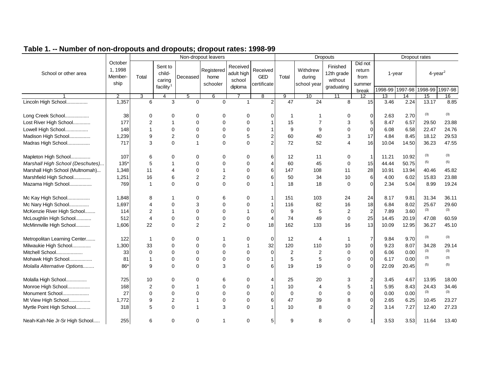|                                  |                                       |                |                                                      |                | Non-dropout leavers            |                                             |                                       |                 |                                   | <b>Dropouts</b>                                 |                                              |       |                           | Dropout rates                             |       |
|----------------------------------|---------------------------------------|----------------|------------------------------------------------------|----------------|--------------------------------|---------------------------------------------|---------------------------------------|-----------------|-----------------------------------|-------------------------------------------------|----------------------------------------------|-------|---------------------------|-------------------------------------------|-------|
| School or other area             | October<br>1, 1998<br>Member-<br>ship | Total          | Sent to<br>child-<br>caring<br>facility <sup>1</sup> | Deceased       | Registered<br>home<br>schooler | Received<br>adult high<br>school<br>diploma | Received<br><b>GED</b><br>certificate | Total           | Withdrew<br>during<br>school year | Finished<br>12th grade<br>without<br>graduating | Did not<br>return<br>from<br>summer<br>break |       | 1-year<br>1998-99 1997-98 | $4$ -year <sup>2</sup><br>1998-99 1997-98 |       |
|                                  | 2                                     | 3              | 4                                                    | 5              | 6                              |                                             | 8                                     | 9               | 10                                | 11                                              | 12                                           | 13    | 14                        | 15                                        | 16    |
| Lincoln High School              | 1,357                                 | 6              | 3                                                    | $\Omega$       | $\Omega$                       | 1                                           | $\overline{2}$                        | $\overline{47}$ | 24                                | 8                                               | 15                                           | 3.46  | 2.24                      | 13.17                                     | 8.85  |
| Long Creek School                | 38                                    | $\Omega$       | 0                                                    | $\mathbf 0$    | $\mathbf 0$                    | $\mathbf 0$                                 | $\Omega$                              | -1              | 1                                 | 0                                               | $\mathbf 0$                                  | 2.63  | 2.70                      | (3)                                       | (3)   |
| Lost River High School           | 177                                   | $\overline{2}$ | $\overline{1}$                                       | $\Omega$       | $\Omega$                       | $\Omega$                                    |                                       | 15              | $\overline{7}$                    | 3                                               | 5                                            | 8.47  | 6.57                      | 29.50                                     | 23.88 |
| Lowell High School               | 148                                   | $\mathbf{1}$   | $\mathbf 0$                                          | $\Omega$       | $\Omega$                       | $\Omega$                                    |                                       | 9               | 9                                 | 0                                               | $\Omega$                                     | 6.08  | 6.58                      | 22.47                                     | 24.76 |
| Madison High School              | 1,239                                 | 9              | $\overline{2}$                                       | $\mathbf 0$    | $\mathbf 0$                    | 5                                           | 2                                     | 60              | 40                                | 3                                               | 17                                           | 4.84  | 8.45                      | 18.12                                     | 29.53 |
| Madras High School               | 717                                   | 3              | $\Omega$                                             | $\mathbf{1}$   | $\mathbf 0$                    | $\mathbf 0$                                 | 2 <sub>1</sub>                        | 72              | 52                                | 4                                               | 16                                           | 10.04 | 14.50                     | 36.23                                     | 47.55 |
| Mapleton High School             | 107                                   | 6              | 0                                                    | $\mathbf 0$    | 0                              | 0                                           | 6                                     | 12              | 11                                | 0                                               |                                              | 11.21 | 10.92                     | (3)                                       | (3)   |
| Marshall High School (Deschutes) | 135*                                  | 5              | 1                                                    | $\mathbf 0$    | 0                              | 0                                           | $\overline{4}$                        | 60              | 45                                | 0                                               | 15                                           | 44.44 | 50.75                     | (5)                                       | (5)   |
| Marshall High School (Multnomah) | 1,348                                 | 11             | 4                                                    | $\mathbf 0$    | -1                             | $\mathbf 0$                                 | 6                                     | 147             | 108                               | 11                                              | 28                                           | 10.91 | 13.94                     | 40.46                                     | 45.82 |
| Marshfield High School           | 1,251                                 | 16             | 6                                                    | $\overline{2}$ | $\overline{2}$                 | $\Omega$                                    | 6                                     | 50              | 34                                | 10                                              | 6                                            | 4.00  | 6.02                      | 15.83                                     | 23.88 |
| Mazama High School               | 769                                   | $\mathbf{1}$   | $\mathbf 0$                                          | $\mathbf 0$    | $\mathbf 0$                    | $\Omega$                                    |                                       | 18              | 18                                | 0                                               | $\Omega$                                     | 2.34  | 5.04                      | 8.99                                      | 19.24 |
| Mc Kay High School               | 1,848                                 | 8              |                                                      | $\mathbf 0$    | 6                              | 0                                           | $\mathbf 1$                           | 151             | 103                               | 24                                              | 24                                           | 8.17  | 9.81                      | 31.34                                     | 36.11 |
| Mc Nary High School              | 1,697                                 | 4              | $\mathbf 0$                                          | 3              | $\Omega$                       | 0                                           |                                       | 116             | 82                                | 16                                              | 18                                           | 6.84  | 8.02                      | 25.67                                     | 29.60 |
| McKenzie River High School       | 114                                   | 2              | $\mathbf{1}$                                         | $\Omega$       | $\Omega$                       | $\overline{1}$                              | $\Omega$                              | 9               | 5                                 | $\overline{2}$                                  | 2                                            | 7.89  | 3.60                      | (3)                                       | (3)   |
| McLoughlin High School           | 512                                   | $\overline{4}$ | $\mathbf 0$                                          | $\mathbf 0$    | $\mathbf 0$                    | $\mathbf 0$                                 | 4                                     | 74              | 49                                | 0                                               | 25                                           | 14.45 | 20.19                     | 47.08                                     | 60.59 |
| McMinnville High School          | 1,606                                 | 22             | $\Omega$                                             | $\overline{2}$ | $\overline{2}$                 | $\Omega$                                    | 18                                    | 162             | 133                               | 16                                              | 13                                           | 10.09 | 12.95                     | 36.27                                     | 45.10 |
| Metropolitan Learning Center     | 122                                   | 1              | 0                                                    | 0              | -1                             | 0                                           | $\mathbf 0$                           | 12              | 4                                 | -1                                              | 7                                            | 9.84  | 9.70                      | (3)                                       | (3)   |
| Milwaukie High School            | 1,300                                 | 33             | $\mathbf 0$                                          | $\mathbf 0$    | $\mathbf 0$                    | $\overline{1}$                              | 32                                    | 120             | 110                               | 10                                              | $\overline{0}$                               | 9.23  | 8.07                      | 34.28                                     | 29.14 |
| Mitchell School                  | 33                                    | 0              | $\mathbf 0$                                          | $\mathbf 0$    | $\mathbf 0$                    | $\mathbf 0$                                 | $\Omega$                              | 2               | $\overline{2}$                    | 0                                               | $\Omega$                                     | 6.06  | 0.00                      | (3)                                       | (3)   |
| Mohawk High School               | 81                                    | $\mathbf{1}$   | 0                                                    | $\mathbf 0$    | $\mathbf 0$                    | 0                                           |                                       | 5               | 5                                 | 0                                               | $\Omega$                                     | 6.17  | 0.00                      | (3)                                       | (3)   |
| Molalla Alternative Options      | $86*$                                 | 9              | $\Omega$                                             | $\Omega$       | 3                              | $\Omega$                                    | 6                                     | 19              | 19                                | 0                                               | $\Omega$                                     | 22.09 | 20.45                     | (5)                                       | (5)   |
| Molalla High School              | 725                                   | 10             | 0                                                    | 0              | 6                              | 0                                           | $\overline{4}$                        | 25              | 20                                | 3                                               | 2                                            | 3.45  | 4.67                      | 13.95                                     | 18.00 |
| Monroe High School               | 168                                   | $\overline{2}$ | 0                                                    | $\mathbf 1$    | $\Omega$                       | $\Omega$                                    |                                       | 10              | $\overline{4}$                    | 5                                               |                                              | 5.95  | 8.43                      | 24.43                                     | 34.46 |
| Monument School                  | 27                                    | 0              | 0                                                    | $\Omega$       | $\Omega$                       | $\Omega$                                    | $\Omega$                              | $\mathbf 0$     | $\mathbf 0$                       | 0                                               | $\Omega$                                     | 0.00  | 0.00                      | (3)                                       | (3)   |
| Mt View High School              | 1,772                                 | 9              | $\overline{2}$                                       | $\mathbf 1$    | 0                              | $\mathbf 0$                                 | 6                                     | 47              | 39                                | 8                                               | $\overline{0}$                               | 2.65  | 6.25                      | 10.45                                     | 23.27 |
| Myrtle Point High School         | 318                                   | 5              | 0                                                    | $\mathbf{1}$   | 3                              | 0                                           |                                       | 10              | 8                                 | 0                                               | 2                                            | 3.14  | 7.27                      | 12.40                                     | 27.23 |
| Neah-Kah-Nie Jr-Sr High School   | 255                                   | 6              | 0                                                    | 0              | 1                              | 0                                           | 5 <sub>l</sub>                        | 9               | 8                                 | 0                                               |                                              | 3.53  | 3.53                      | 11.64                                     | 13.40 |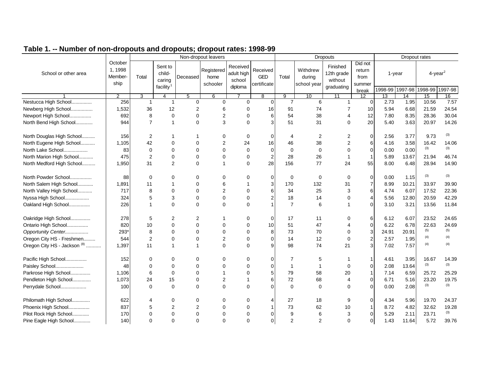|                                         |                                      |                |                                                      |                | Non-dropout leavers            |                                             |                                       |                |                                   | <b>Dropouts</b>                                 |                                              |       | Dropout rates             |                                   |         |
|-----------------------------------------|--------------------------------------|----------------|------------------------------------------------------|----------------|--------------------------------|---------------------------------------------|---------------------------------------|----------------|-----------------------------------|-------------------------------------------------|----------------------------------------------|-------|---------------------------|-----------------------------------|---------|
| School or other area                    | October<br>1.1998<br>Member-<br>ship | Total          | Sent to<br>child-<br>caring<br>facility <sup>1</sup> | Deceased       | Registered<br>home<br>schooler | Received<br>adult high<br>school<br>diploma | Received<br><b>GED</b><br>certificate | Total          | Withdrew<br>during<br>school year | Finished<br>12th grade<br>without<br>graduating | Did not<br>return<br>from<br>summer<br>break |       | 1-year<br>1998-99 1997-98 | $4$ -year <sup>2</sup><br>1998-99 | 1997-98 |
|                                         | $\overline{2}$                       | 3              | 4                                                    | 5              | 6                              |                                             | 8                                     | 9              | 10                                | 11                                              | 12                                           | 13    | 14                        | 15                                | 16      |
| Nestucca High School                    | 256                                  | $\mathbf{1}$   | $\mathbf{1}$                                         | $\mathbf 0$    | $\Omega$                       | $\Omega$                                    | $\Omega$                              | $\overline{7}$ | 6                                 | 1                                               | $\Omega$                                     | 2.73  | 1.95                      | 10.56                             | 7.57    |
| Newberg High School                     | 1,532                                | 36             | 12                                                   | $\overline{2}$ | 6                              | 0                                           | 16                                    | 91             | 74                                | 7                                               | 10                                           | 5.94  | 6.68                      | 21.59                             | 24.54   |
| Newport High School                     | 692                                  | 8              | $\mathbf 0$                                          | $\Omega$       | $\overline{2}$                 | $\mathbf 0$                                 | 6                                     | 54             | 38                                | 4                                               | 12                                           | 7.80  | 8.35                      | 28.36                             | 30.04   |
| North Bend High School                  | 944                                  | $\overline{7}$ | 1                                                    | $\Omega$       | 3                              | $\Omega$                                    | 3                                     | 51             | 31                                | $\Omega$                                        | 20                                           | 5.40  | 3.63                      | 20.97                             | 14.26   |
| North Douglas High School               | 156                                  | 2              |                                                      | -1             | 0                              | 0                                           | $\overline{0}$                        | 4              | 2                                 | 2                                               | $\overline{0}$                               | 2.56  | 3.77                      | 9.73                              | (3)     |
| North Eugene High School                | 1,105                                | 42             | $\mathbf 0$                                          | $\mathbf 0$    | $\overline{2}$                 | 24                                          | 16                                    | 46             | 38                                | $\overline{2}$                                  | 6                                            | 4.16  | 3.58                      | 16.42                             | 14.06   |
| North Lake School                       | 83                                   | 0              | $\Omega$                                             | $\Omega$       | $\Omega$                       | $\mathbf 0$                                 | $\overline{0}$                        | $\mathbf 0$    | $\mathbf 0$                       | $\Omega$                                        | $\overline{0}$                               | 0.00  | 0.00                      | (3)                               | (3)     |
| North Marion High School                | 475                                  | $\overline{2}$ | 0                                                    | $\Omega$       | $\mathbf 0$                    | $\mathbf 0$                                 | $\overline{2}$                        | 28             | 26                                | $\mathbf 1$                                     |                                              | 5.89  | 13.67                     | 21.94                             | 46.74   |
| North Medford High School               | 1,950                                | 31             | 2                                                    | $\Omega$       | 1                              | $\Omega$                                    | 28                                    | 156            | 77                                | 24                                              | 55                                           | 8.00  | 6.48                      | 28.94                             | 14.90   |
| North Powder School                     | 88                                   | $\Omega$       | 0                                                    | 0              | $\Omega$                       | 0                                           | $\overline{0}$                        | 0              | 0                                 | 0                                               | $\overline{0}$                               | 0.00  | 1.15                      | (3)                               | (3)     |
| North Salem High School                 | 1,891                                | 11             | 1                                                    | $\mathbf 0$    | 6                              | 1                                           | 3 <sup>1</sup>                        | 170            | 132                               | 31                                              | $\overline{7}$                               | 8.99  | 10.21                     | 33.97                             | 39.90   |
| North Valley High School                | 717                                  | 8              | $\mathbf 0$                                          | $\Omega$       | $\overline{2}$                 | $\Omega$                                    | 6                                     | 34             | 25                                | 3                                               | 6                                            | 4.74  | 6.07                      | 17.52                             | 22.36   |
| Nyssa High School                       | 324                                  | 5              | 3                                                    | $\mathbf 0$    | $\mathbf 0$                    | 0                                           | $\overline{2}$                        | 18             | 14                                | 0                                               | 4                                            | 5.56  | 12.80                     | 20.59                             | 42.29   |
| Oakland High School                     | 226                                  | 1              | $\Omega$                                             | $\Omega$       | $\Omega$                       | $\Omega$                                    |                                       | $\overline{7}$ | 6                                 |                                                 | $\Omega$                                     | 3.10  | 3.21                      | 13.56                             | 11.84   |
| Oakridge High School                    | 278                                  | 5              | 2                                                    | $\overline{2}$ | -1                             | 0                                           | $\Omega$                              | 17             | 11                                | 0                                               | 6                                            | 6.12  | 6.07                      | 23.52                             | 24.65   |
| Ontario High School                     | 820                                  | 10             | 0                                                    | $\Omega$       | $\Omega$                       | $\Omega$                                    | 10                                    | 51             | 47                                | $\overline{\mathbf{A}}$                         | $\Omega$                                     | 6.22  | 6.78                      | 22.63                             | 24.69   |
| Opportunity Center                      | 293*                                 | 8              | $\Omega$                                             | $\Omega$       | $\Omega$                       | $\Omega$                                    | 8                                     | 73             | 70                                | $\Omega$                                        | 3                                            | 24.91 | 20.91                     | (5)                               | (5)     |
| Oregon City HS - Freshmen               | 544                                  | $\overline{2}$ | $\Omega$                                             | $\mathbf 0$    | $\overline{2}$                 | $\Omega$                                    | $\Omega$                              | 14             | 12                                | 0                                               | 2                                            | 2.57  | 1.95                      | (4)                               | (4)     |
| Oregon City HS - Jackson <sup>(8)</sup> | 1,397                                | 11             | $\mathbf{1}$                                         | $\mathbf{1}$   | $\Omega$                       | $\Omega$                                    | 9                                     | 98             | 74                                | 21                                              | 3                                            | 7.02  | 7.57                      | (4)                               | (4)     |
| Pacific High School                     | 152                                  | $\Omega$       | 0                                                    | $\mathbf 0$    | $\Omega$                       | 0                                           | $\overline{0}$                        | $\overline{7}$ | 5                                 |                                                 |                                              | 4.61  | 3.95                      | 16.67                             | 14.39   |
| Paisley School                          | 48                                   | 0              | 0                                                    | $\Omega$       | $\Omega$                       | $\Omega$                                    | $\overline{0}$                        | $\overline{1}$ | 1                                 | 0                                               | 0                                            | 2.08  | 13.64                     | (3)                               | (3)     |
| Parkrose High School                    | 1,106                                | 6              | $\mathbf 0$                                          | $\Omega$       | $\overline{1}$                 | $\Omega$                                    | 5 <sup>1</sup>                        | 79             | 58                                | 20                                              |                                              | 7.14  | 6.59                      | 25.72                             | 25.29   |
| Pendleton High School                   | 1,073                                | 24             | 15                                                   | $\mathbf 0$    | $\overline{2}$                 | 1                                           | 6                                     | 72             | 68                                | 4                                               | $\Omega$                                     | 6.71  | 5.16                      | 23.20                             | 19.75   |
| Perrydale School                        | 100                                  | $\Omega$       | $\Omega$                                             | $\Omega$       | $\Omega$                       | $\Omega$                                    | $\Omega$                              | $\mathbf 0$    | $\Omega$                          | 0                                               | $\Omega$                                     | 0.00  | 2.08                      | (3)                               | (3)     |
| Philomath High School                   | 622                                  | 4              | 0                                                    | 0              | 0                              | 0                                           | 4                                     | 27             | 18                                | 9                                               | $\overline{0}$                               | 4.34  | 5.96                      | 19.70                             | 24.37   |
| Phoenix High School                     | 837                                  | 5              | 2                                                    | $\overline{2}$ | 0                              | 0                                           |                                       | 73             | 62                                | 10                                              |                                              | 8.72  | 4.82                      | 32.62                             | 19.28   |
| Pilot Rock High School                  | 170                                  | $\Omega$       | 0                                                    | $\mathbf 0$    | $\mathbf 0$                    | 0                                           | $\Omega$                              | 9              | 6                                 | 3                                               | $\overline{0}$                               | 5.29  | 2.11                      | 23.71                             | (3)     |
| Pine Eagle High School                  | 140                                  | $\Omega$       | $\Omega$                                             | $\Omega$       | $\Omega$                       | $\Omega$                                    | $\overline{0}$                        | $\overline{c}$ | 2                                 | 0                                               | $\Omega$                                     | 1.43  | 11.64                     | 5.72                              | 39.76   |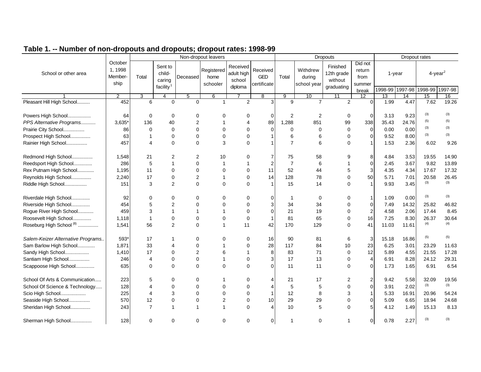|                                     |                                       |                |                                                      |                | Non-dropout leavers            |                                             |                                       |                |                                   | <b>Dropouts</b>                                 |                                              |                 | Dropout rates             |                                           |       |
|-------------------------------------|---------------------------------------|----------------|------------------------------------------------------|----------------|--------------------------------|---------------------------------------------|---------------------------------------|----------------|-----------------------------------|-------------------------------------------------|----------------------------------------------|-----------------|---------------------------|-------------------------------------------|-------|
| School or other area                | October<br>1, 1998<br>Member-<br>ship | Total          | Sent to<br>child-<br>caring<br>facility <sup>1</sup> | Deceased       | Registered<br>home<br>schooler | Received<br>adult high<br>school<br>diploma | Received<br><b>GED</b><br>certificate | Total          | Withdrew<br>during<br>school year | Finished<br>12th grade<br>without<br>graduating | Did not<br>return<br>from<br>summer<br>break |                 | 1-year<br>1998-99 1997-98 | $4$ -year <sup>2</sup><br>1998-99 1997-98 |       |
|                                     | 2                                     | 3              | 4                                                    | 5              | 6                              |                                             | 8                                     | 9              | 10                                | 11                                              | $\overline{12}$                              | $\overline{13}$ | 14                        | 15                                        | 16    |
| Pleasant Hill High School           | 452                                   | 6              | $\Omega$                                             | $\Omega$       | $\overline{1}$                 | 2                                           | 3                                     | 9              | $\overline{7}$                    | 2                                               | $\Omega$                                     | 1.99            | 4.47                      | 7.62                                      | 19.26 |
| Powers High School                  | 64                                    | $\mathbf 0$    | $\mathbf 0$                                          | 0              | $\mathbf 0$                    | 0                                           | $\Omega$                              | 2              | 2                                 | 0                                               | $\Omega$                                     | 3.13            | 9.23                      | (3)                                       | (3)   |
| PPS Alternative Programs            | $3,635*$                              | 136            | 40                                                   | $\overline{2}$ | $\mathbf 1$                    | $\overline{4}$                              | 89                                    | 1,288          | 851                               | 99                                              | 338                                          | 35.43           | 24.76                     | (5)                                       | (5)   |
| Prairie City School                 | 86                                    | $\Omega$       | $\mathbf 0$                                          | $\mathbf 0$    | $\Omega$                       | $\Omega$                                    | $\Omega$                              | $\mathbf 0$    | 0                                 | $\mathbf 0$                                     | $\Omega$                                     | 0.00            | 0.00                      | (3)                                       | (3)   |
| Prospect High School                | 63                                    | $\mathbf 1$    | $\mathbf 0$                                          | 0              | $\mathbf 0$                    | $\mathbf 0$                                 |                                       | 6              | 6                                 | $\mathbf 0$                                     | $\Omega$                                     | 9.52            | 8.00                      | (3)                                       | (3)   |
| Rainier High School                 | 457                                   | $\overline{4}$ | $\Omega$                                             | $\mathbf 0$    | 3                              | $\Omega$                                    |                                       | $\overline{7}$ | 6                                 | $\Omega$                                        |                                              | 1.53            | 2.36                      | 6.02                                      | 9.26  |
| Redmond High School                 | 1,548                                 | 21             | 2                                                    | 2              | 10                             | 0                                           | 7                                     | 75             | 58                                | 9                                               | 8                                            | 4.84            | 3.53                      | 19.55                                     | 14.90 |
| Reedsport High School               | 286                                   | 5              | $\mathbf{1}$                                         | 0              | $\mathbf 1$                    | -1                                          | $\overline{2}$                        | $\overline{7}$ | 6                                 |                                                 | $\Omega$                                     | 2.45            | 3.67                      | 9.82                                      | 13.89 |
| Rex Putnam High School              | 1,195                                 | 11             | $\mathbf 0$                                          | $\mathbf 0$    | $\mathbf 0$                    | $\mathbf 0$                                 | 11                                    | 52             | 44                                | 5                                               |                                              | 4.35            | 4.34                      | 17.67                                     | 17.32 |
| Reynolds High School                | 2,240                                 | 17             | $\mathbf 0$                                          | 2              | $\mathbf 1$                    | $\Omega$                                    | 14                                    | 128            | 78                                | $\Omega$                                        | 50                                           | 5.71            | 7.01                      | 20.58                                     | 26.45 |
| Riddle High School                  | 151                                   | 3              | 2                                                    | $\mathbf 0$    | $\mathbf 0$                    | $\Omega$                                    |                                       | 15             | 14                                | $\Omega$                                        |                                              | 9.93            | 3.45                      | (3)                                       | (3)   |
| Riverdale High School               | 92                                    | $\Omega$       | $\mathbf 0$                                          | 0              | $\mathbf 0$                    | $\mathbf 0$                                 | $\Omega$                              | $\mathbf 1$    | 0                                 | 0                                               | 1                                            | 1.09            | 0.00                      | (3)                                       | (3)   |
| Riverside High School               | 454                                   | 5              | $\overline{c}$                                       | $\Omega$       | $\Omega$                       | $\Omega$                                    | 3                                     | 34             | 34                                | 0                                               | $\Omega$                                     | 7.49            | 14.32                     | 25.82                                     | 46.82 |
| Rogue River High School             | 459                                   | 3              | $\mathbf 1$                                          | 1              | $\mathbf 1$                    | $\Omega$                                    | $\Omega$                              | 21             | 19                                | $\Omega$                                        | 2                                            | 4.58            | 2.06                      | 17.44                                     | 8.45  |
| Roosevelt High School               | 1,118                                 | $\mathbf{1}$   | $\mathbf 0$                                          | 0              | $\mathbf 0$                    | $\mathbf 0$                                 | -1                                    | 81             | 65                                | $\mathbf 0$                                     | 16                                           | 7.25            | 8.30                      | 26.37                                     | 30.64 |
| Roseburg High School <sup>(8)</sup> | 1,541                                 | 56             | 2                                                    | $\Omega$       | $\mathbf{1}$                   | 11                                          | 42                                    | 170            | 129                               | $\Omega$                                        | 41                                           | 11.03           | 11.61                     | (4)                                       | (4)   |
| Salem-Keizer Alternative Programs   | 593*                                  | 17             | 1                                                    | 0              | $\Omega$                       | $\mathbf 0$                                 | 16                                    | 90             | 81                                | 6                                               | 3                                            | 15.18           | 16.86                     | (5)                                       | (5)   |
| Sam Barlow High School              | 1,871                                 | 33             | $\overline{4}$                                       | 0              | $\mathbf 1$                    | $\mathbf 0$                                 | 28                                    | 117            | 84                                | 10                                              | 23                                           | 6.25            | 3.01                      | 23.29                                     | 11.63 |
| Sandy High School                   | 1,410                                 | 17             | $\Omega$                                             | $\overline{2}$ | 6                              | $\overline{\mathbf{1}}$                     | 8                                     | 83             | 71                                | $\mathbf 0$                                     | 12                                           | 5.89            | 4.55                      | 21.55                                     | 17.28 |
| Santiam High School                 | 246                                   | $\overline{4}$ | $\mathbf 0$                                          | $\mathbf 0$    | $\mathbf{1}$                   | $\mathbf 0$                                 | 3                                     | 17             | 13                                | $\mathbf 0$                                     | 4                                            | 6.91            | 8.28                      | 24.12                                     | 29.31 |
| Scappoose High School               | 635                                   | $\Omega$       | $\Omega$                                             | $\Omega$       | $\Omega$                       | $\Omega$                                    | $\Omega$                              | 11             | 11                                | $\Omega$                                        | $\Omega$                                     | 1.73            | 1.65                      | 6.91                                      | 6.54  |
| School Of Arts & Communication      | 223                                   | 5              | 0                                                    | 0              | -1                             | 0                                           | 4                                     | 21             | 17                                | 2                                               | 2                                            | 9.42            | 5.58                      | 32.09                                     | 19.56 |
| School Of Science & Technology      | 128                                   | $\overline{4}$ | $\mathbf 0$                                          | $\Omega$       | $\Omega$                       | $\Omega$                                    | $\boldsymbol{\Delta}$                 | 5              | 5                                 | $\mathbf 0$                                     | 0                                            | 3.91            | 2.02                      | (3)                                       | (3)   |
| Scio High School                    | 225                                   | $\overline{4}$ | 3                                                    | $\mathbf 0$    | $\Omega$                       | $\mathbf 0$                                 | -1                                    | 12             | 8                                 | 3                                               |                                              | 5.33            | 16.91                     | 20.96                                     | 54.24 |
| Seaside High School                 | 570                                   | 12             | $\mathbf 0$                                          | 0              | $\overline{2}$                 | $\mathbf 0$                                 | 10                                    | 29             | 29                                | 0                                               | 0                                            | 5.09            | 6.65                      | 18.94                                     | 24.68 |
| Sheridan High School                | 243                                   | $\overline{7}$ | $\mathbf{1}$                                         | $\mathbf{1}$   | $\mathbf{1}$                   | $\mathbf 0$                                 |                                       | 10             | 5                                 | $\mathbf 0$                                     |                                              | 4.12            | 1.49                      | 15.13                                     | 8.13  |
| Sherman High School                 | 128                                   | 0              | 0                                                    | 0              | $\mathbf 0$                    | 0                                           | $\Omega$                              | $\mathbf 1$    | 0                                 | 1                                               | 0                                            | 0.78            | 2.27                      | (3)                                       | (3)   |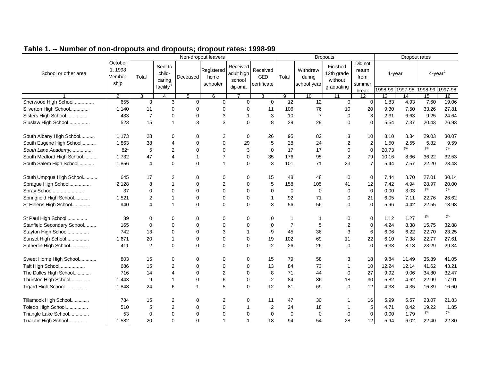|                            |                                       |                |                                                      |              | Non-dropout leavers            |                                             |                                       |                |                                   | <b>Dropouts</b>                                 |                                              |       |                           | Dropout rates                     |         |
|----------------------------|---------------------------------------|----------------|------------------------------------------------------|--------------|--------------------------------|---------------------------------------------|---------------------------------------|----------------|-----------------------------------|-------------------------------------------------|----------------------------------------------|-------|---------------------------|-----------------------------------|---------|
| School or other area       | October<br>1, 1998<br>Member-<br>ship | Total          | Sent to<br>child-<br>caring<br>facility <sup>1</sup> | Deceased     | Registered<br>home<br>schooler | Received<br>adult high<br>school<br>diploma | Received<br><b>GED</b><br>certificate | Total          | Withdrew<br>during<br>school year | Finished<br>12th grade<br>without<br>graduating | Did not<br>return<br>from<br>summer<br>break |       | 1-year<br>1998-99 1997-98 | $4$ -year <sup>2</sup><br>1998-99 | 1997-98 |
|                            | 2                                     | 3              | $\overline{4}$                                       | 5            | 6                              |                                             | 8                                     | 9              | 10                                | 11                                              | 12                                           | 13    | 14                        | 15                                | 16      |
| Sherwood High School       | 655                                   | 3              | 3                                                    | 0            | $\Omega$                       | $\Omega$                                    | $\Omega$                              | 12             | 12                                | $\mathbf 0$                                     | $\Omega$                                     | 1.83  | 4.93                      | 7.60                              | 19.06   |
| Silverton High School      | 1,140                                 | 11             | $\mathbf 0$                                          | 0            | $\Omega$                       | $\Omega$                                    | 11                                    | 106            | 76                                | 10                                              | 20                                           | 9.30  | 7.50                      | 33.26                             | 27.81   |
| Sisters High School        | 433                                   | $\overline{7}$ | $\mathbf 0$                                          | 0            | 3                              | -1                                          | 3                                     | 10             | $\overline{7}$                    | $\Omega$                                        | 3                                            | 2.31  | 6.63                      | 9.25                              | 24.64   |
| Siuslaw High School        | 523                                   | 15             | $\mathbf{1}$                                         | 3            | 3                              | $\Omega$                                    | 8                                     | 29             | 29                                | $\Omega$                                        | $\Omega$                                     | 5.54  | 7.37                      | 20.43                             | 26.93   |
| South Albany High School   | 1,173                                 | 28             | 0                                                    | 0            | 2                              | $\mathbf 0$                                 | 26                                    | 95             | 82                                | 3                                               | 10                                           | 8.10  | 8.34                      | 29.03                             | 30.07   |
| South Eugene High School   | 1,863                                 | 38             | $\overline{4}$                                       | $\Omega$     | $\mathbf 0$                    | 29                                          | 5                                     | 28             | 24                                | 2                                               | $\overline{c}$                               | 1.50  | 2.55                      | 5.82                              | 9.59    |
| South Lane Academy         | $82*$                                 | 5              | 2                                                    | $\Omega$     | $\Omega$                       | $\sqrt{3}$                                  | $\Omega$                              | 17             | 17                                | 0                                               | $\overline{0}$                               | 20.73 | (6)                       | (3)                               | (6)     |
| South Medford High School  | 1,732                                 | 47             | 4                                                    | 1            | $\overline{7}$                 | $\mathbf 0$                                 | 35                                    | 176            | 95                                | $\overline{2}$                                  | 79                                           | 10.16 | 8.66                      | 36.22                             | 32.53   |
| South Salem High School    | 1,856                                 | 4              | $\Omega$                                             | 0            | $\mathbf 1$                    | $\Omega$                                    | 3                                     | 101            | 71                                | 23                                              |                                              | 5.44  | 7.57                      | 22.20                             | 28.43   |
| South Umpqua High School   | 645                                   | 17             | 2                                                    | 0            | $\Omega$                       | $\mathbf 0$                                 | 15                                    | 48             | 48                                | 0                                               | $\mathbf 0$                                  | 7.44  | 8.70                      | 27.01                             | 30.14   |
| Sprague High School        | 2,128                                 | 8              | $\overline{1}$                                       | 0            | $\overline{2}$                 | $\mathbf 0$                                 | 5                                     | 158            | 105                               | 41                                              | 12                                           | 7.42  | 4.94                      | 28.97                             | 20.00   |
| Spray School               | 37                                    | $\Omega$       | $\Omega$                                             | $\Omega$     | $\Omega$                       | $\Omega$                                    | $\Omega$                              | $\mathbf 0$    | $\mathbf 0$                       | 0                                               | $\mathbf 0$                                  | 0.00  | 3.03                      | (3)                               | (3)     |
| Springfield High School    | 1,521                                 | $\overline{2}$ | $\overline{1}$                                       | $\mathbf 0$  | $\mathbf 0$                    | $\mathbf 0$                                 | $\mathbf{1}$                          | 92             | 71                                | 0                                               | 21                                           | 6.05  | 7.11                      | 22.76                             | 26.62   |
| St Helens High School      | 940                                   | 4              |                                                      | $\Omega$     | $\Omega$                       | $\Omega$                                    | 3                                     | 56             | 56                                | 0                                               | $\Omega$                                     | 5.96  | 4.42                      | 22.55                             | 18.93   |
| St Paul High School        | 89                                    | 0              | $\Omega$                                             | 0            | 0                              | $\Omega$                                    | $\Omega$                              | $\mathbf 1$    | 1                                 | 0                                               | $\Omega$                                     | 1.12  | 1.27                      | (3)                               | (3)     |
| Stanfield Secondary School | 165                                   | $\Omega$       | $\Omega$                                             | $\Omega$     | $\Omega$                       | $\Omega$                                    | $\Omega$                              | $\overline{7}$ | 5                                 | $\overline{2}$                                  | $\Omega$                                     | 4.24  | 8.38                      | 15.75                             | 32.88   |
| Stayton High School        | 742                                   | 13             | $\Omega$                                             | $\Omega$     | 3                              | 1                                           | 9                                     | 45             | 36                                | 3                                               | 6                                            | 6.06  | 6.22                      | 22.70                             | 23.25   |
| Sunset High School         | 1,671                                 | 20             |                                                      | 0            | $\mathbf 0$                    | $\Omega$                                    | 19                                    | 102            | 69                                | 11                                              | 22                                           | 6.10  | 7.38                      | 22.77                             | 27.61   |
| Sutherlin High School      | 411                                   | 2              | $\Omega$                                             | $\Omega$     | $\Omega$                       | $\Omega$                                    | 2                                     | 26             | 26                                | $\Omega$                                        | $\Omega$                                     | 6.33  | 8.18                      | 23.29                             | 29.34   |
| Sweet Home High School     | 803                                   | 15             | 0                                                    | 0            | 0                              | $\mathbf 0$                                 | 15                                    | 79             | 58                                | 3                                               | 18                                           | 9.84  | 11.49                     | 35.89                             | 41.05   |
| Taft High School           | 686                                   | 15             | 2                                                    | 0            | $\Omega$                       | $\Omega$                                    | 13                                    | 84             | 73                                | $\mathbf{1}$                                    | 10                                           | 12.24 | 12.14                     | 41.62                             | 43.21   |
| The Dalles High School     | 716                                   | 14             | $\overline{4}$                                       | 0            | $\overline{2}$                 | $\Omega$                                    | 8                                     | 71             | 44                                | 0                                               | 27                                           | 9.92  | 9.06                      | 34.80                             | 32.47   |
| Thurston High School       | 1,443                                 | 9              | 1                                                    | 0            | 6                              | $\mathbf 0$                                 | $\overline{2}$                        | 84             | 36                                | 18                                              | 30                                           | 5.82  | 4.62                      | 22.99                             | 17.91   |
| Tigard High School         | 1,848                                 | 24             | 6                                                    | $\mathbf{1}$ | 5                              | $\Omega$                                    | 12                                    | 81             | 69                                | $\Omega$                                        | 12                                           | 4.38  | 4.35                      | 16.39                             | 16.60   |
| Tillamook High School      | 784                                   | 15             | 2                                                    | 0            | $\overline{2}$                 | 0                                           | 11                                    | 47             | 30                                |                                                 | 16                                           | 5.99  | 5.57                      | 23.07                             | 21.83   |
| Toledo High School         | 510                                   | 5              | $\overline{2}$                                       | 0            | $\mathbf 0$                    | -1                                          | $\overline{2}$                        | 24             | 18                                |                                                 | 5                                            | 4.71  | 0.42                      | 19.22                             | 1.85    |
| Triangle Lake School       | 53                                    | $\mathbf 0$    | $\mathbf 0$                                          | $\Omega$     | $\Omega$                       | $\Omega$                                    | $\mathbf 0$                           | 0              | $\mathbf 0$                       | 0                                               | $\mathbf 0$                                  | 0.00  | 1.79                      | (3)                               | (3)     |
| Tualatin High School       | 1,582                                 | 20             | $\Omega$                                             | $\Omega$     | $\mathbf 1$                    | -1                                          | 18                                    | 94             | 54                                | 28                                              | 12                                           | 5.94  | 6.02                      | 22.40                             | 22.80   |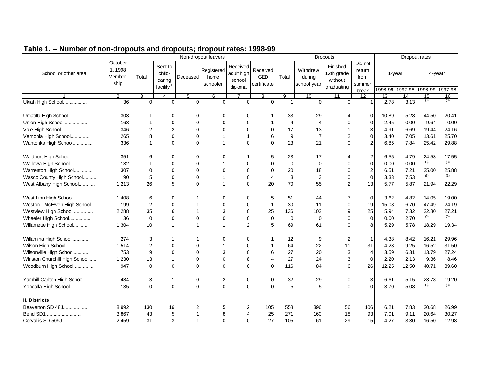|                               |                                       |                |                                                      |              | Non-dropout leavers            |                                             |                                |                |                                   | Dropouts                                        |                                              |       | Dropout rates             |                                   |         |
|-------------------------------|---------------------------------------|----------------|------------------------------------------------------|--------------|--------------------------------|---------------------------------------------|--------------------------------|----------------|-----------------------------------|-------------------------------------------------|----------------------------------------------|-------|---------------------------|-----------------------------------|---------|
| School or other area          | October<br>1, 1998<br>Member-<br>ship | Total          | Sent to<br>child-<br>caring<br>facility <sup>1</sup> | Deceased     | Registered<br>home<br>schooler | Received<br>adult high<br>school<br>diploma | Received<br>GED<br>certificate | Total          | Withdrew<br>during<br>school year | Finished<br>12th grade<br>without<br>graduating | Did not<br>return<br>from<br>summer<br>break |       | 1-year<br>1998-99 1997-98 | $4$ -year <sup>2</sup><br>1998-99 | 1997-98 |
|                               | 2                                     | 3              | 4                                                    | 5            | 6                              |                                             | 8                              | 9              | 10                                | 11                                              | 12                                           | 13    | 14                        | 15                                | 16      |
| Ukiah High School             | 36                                    | 0              | $\mathbf 0$                                          | 0            | $\mathbf 0$                    | $\Omega$                                    | $\Omega$                       | $\mathbf{1}$   | 0                                 | $\mathbf 0$                                     |                                              | 2.78  | 3.13                      | (3)                               | (3)     |
| Umatilla High School          | 303                                   | 1              | 0                                                    | 0            | 0                              | 0                                           |                                | 33             | 29                                | 4                                               | 0                                            | 10.89 | 5.28                      | 44.50                             | 20.41   |
| Union High School             | 163                                   | $\mathbf 1$    | $\mathbf 0$                                          | 0            | $\Omega$                       | $\Omega$                                    |                                | $\overline{4}$ | $\overline{\mathbf{4}}$           | $\Omega$                                        | $\Omega$                                     | 2.45  | 0.00                      | 9.64                              | 0.00    |
| Vale High School              | 346                                   | $\overline{2}$ | $\overline{2}$                                       | $\mathbf 0$  | $\mathbf 0$                    | $\Omega$                                    | $\Omega$                       | 17             | 13                                |                                                 | 3                                            | 4.91  | 6.69                      | 19.44                             | 24.16   |
| Vernonia High School          | 265                                   | 8              | $\mathbf 0$                                          | 0            | $\mathbf 1$                    | $\overline{1}$                              | 6                              | 9              | $\overline{7}$                    | 2                                               | $\Omega$                                     | 3.40  | 7.05                      | 13.61                             | 25.70   |
| Wahtonka High School          | 336                                   | $\mathbf 1$    | $\mathbf 0$                                          | $\mathbf 0$  | $\mathbf{1}$                   | $\mathbf 0$                                 | $\Omega$                       | 23             | 21                                | $\Omega$                                        |                                              | 6.85  | 7.84                      | 25.42                             | 29.88   |
| Waldport High School          | 351                                   | 6              | 0                                                    | 0            | 0                              | -1                                          | 5                              | 23             | 17                                | 4                                               | 2                                            | 6.55  | 4.79                      | 24.53                             | 17.55   |
| Wallowa High School           | 132                                   | 1              | $\mathbf 0$                                          | $\mathbf 0$  | -1                             | $\mathbf 0$                                 | $\Omega$                       | $\mathbf 0$    | 0                                 | 0                                               | $\Omega$                                     | 0.00  | 0.00                      | (3)                               | (3)     |
| Warrenton High School         | 307                                   | $\Omega$       | $\mathbf 0$                                          | $\mathbf 0$  | $\mathbf 0$                    | $\Omega$                                    | $\Omega$                       | 20             | 18                                | $\mathbf 0$                                     | 2                                            | 6.51  | 7.21                      | 25.00                             | 25.88   |
| Wasco County High School      | 90                                    | 5              | $\mathbf 0$                                          | $\mathbf 0$  | $\mathbf 1$                    | $\mathbf 0$                                 | $\boldsymbol{\Delta}$          | 3              | 3                                 | $\mathbf 0$                                     | 0                                            | 3.33  | 7.53                      | (3)                               | (3)     |
| West Albany High School       | 1,213                                 | 26             | 5                                                    | $\mathbf 0$  | $\mathbf 1$                    | $\mathbf 0$                                 | 20                             | 70             | 55                                | 2                                               | 13                                           | 5.77  | 5.87                      | 21.94                             | 22.29   |
| West Linn High School         | 1,408                                 | 6              | 0                                                    | 1            | 0                              | 0                                           | 5                              | 51             | 44                                | 7                                               | 0                                            | 3.62  | 4.82                      | 14.05                             | 19.00   |
| Weston - McEwen High School   | 199                                   | $\overline{2}$ | $\mathbf 0$                                          | 1            | $\mathbf 0$                    | 0                                           | $\mathbf 1$                    | 30             | 11                                | 0                                               | 19                                           | 15.08 | 6.70                      | 47.49                             | 24.19   |
| Westview High School          | 2,288                                 | 35             | 6                                                    | 1            | 3                              | $\mathbf 0$                                 | 25                             | 136            | 102                               | 9                                               | 25                                           | 5.94  | 7.32                      | 22.80                             | 27.21   |
| Wheeler High School           | 36                                    | $\mathbf 0$    | $\mathbf 0$                                          | 0            | $\mathbf 0$                    | 0                                           | $\mathbf 0$                    | $\mathbf 0$    | 0                                 | 0                                               | $\Omega$                                     | 0.00  | 2.70                      | (3)                               | (3)     |
| Willamette High School        | 1,304                                 | 10             | $\mathbf{1}$                                         | $\mathbf{1}$ | $\mathbf{1}$                   | $\overline{2}$                              | 5                              | 69             | 61                                | $\Omega$                                        |                                              | 5.29  | 5.78                      | 18.29                             | 19.34   |
| Willamina High School         | 274                                   | 3              | 1                                                    | 1            | 0                              | 0                                           |                                | 12             | 9                                 | 2                                               | -1                                           | 4.38  | 8.42                      | 16.21                             | 29.96   |
| Wilson High School            | 1,514                                 | 2              | $\mathbf 0$                                          | 0            | $\mathbf 1$                    | $\mathbf 0$                                 |                                | 64             | 22                                | 11                                              | 31                                           | 4.23  | 9.25                      | 16.52                             | 31.50   |
| Wilsonville High School       | 753                                   | 9              | $\mathbf 0$                                          | $\mathbf 0$  | 3                              | $\mathbf 0$                                 | 6                              | 27             | 20                                | 3                                               | $\overline{4}$                               | 3.59  | 6.31                      | 13.79                             | 27.24   |
| Winston Churchill High School | 1,230                                 | 13             | $\mathbf{1}$                                         | $\mathbf 0$  | $\mathbf 0$                    | 8                                           | 4                              | 27             | 24                                | 3                                               | $\Omega$                                     | 2.20  | 2.13                      | 9.36                              | 8.46    |
| Woodburn High School          | 947                                   | $\mathbf 0$    | $\mathbf 0$                                          | $\mathbf 0$  | $\Omega$                       | $\Omega$                                    | $\Omega$                       | 116            | 84                                | 6                                               | 26                                           | 12.25 | 12.50                     | 40.71                             | 39.60   |
| Yamhill-Carlton High School   | 484                                   | 3              | 1                                                    | 0            | $\overline{2}$                 | 0                                           | $\mathbf 0$                    | 32             | 29                                | 0                                               | 3                                            | 6.61  | 5.15                      | 23.78                             | 19.20   |
| Yoncalla High School          | 135                                   | $\Omega$       | $\Omega$                                             | $\mathbf 0$  | $\Omega$                       | $\Omega$                                    | $\Omega$                       | 5              | 5                                 | $\Omega$                                        |                                              | 3.70  | 5.08                      | (3)                               | (3)     |
| II. Districts                 |                                       |                |                                                      |              |                                |                                             |                                |                |                                   |                                                 |                                              |       |                           |                                   |         |
| Beaverton SD 48J              | 8,992                                 | 130            | 16                                                   | 2            | 5                              | $\overline{c}$                              | 105                            | 558            | 396                               | 56                                              | 106                                          | 6.21  | 7.83                      | 20.68                             | 26.99   |
| Bend SD1                      | 3,867                                 | 43             | 5                                                    | 1            | 8                              | 4                                           | 25                             | 271            | 160                               | 18                                              | 93                                           | 7.01  | 9.11                      | 20.64                             | 30.27   |
| Corvallis SD 509J             | 2,459                                 | 31             | 3                                                    | 1            | $\Omega$                       | $\mathbf 0$                                 | 27                             | 105            | 61                                | 29                                              | 15                                           | 4.27  | 3.30                      | 16.50                             | 12.98   |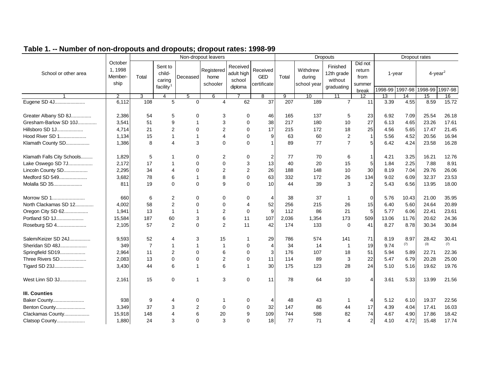| Table 1. -- Number of non-dropouts and dropouts; dropout rates: 1998-99 |
|-------------------------------------------------------------------------|
|-------------------------------------------------------------------------|

|                            |                                       |                |                                                      |                | Non-dropout leavers            |                                             |                                       |                |                                   | <b>Dropouts</b>                                 |                                              |       | Dropout rates                |                                   |         |
|----------------------------|---------------------------------------|----------------|------------------------------------------------------|----------------|--------------------------------|---------------------------------------------|---------------------------------------|----------------|-----------------------------------|-------------------------------------------------|----------------------------------------------|-------|------------------------------|-----------------------------------|---------|
| School or other area       | October<br>1, 1998<br>Member-<br>ship | Total          | Sent to<br>child-<br>caring<br>facility <sup>1</sup> | Deceased       | Registered<br>home<br>schooler | Received<br>adult high<br>school<br>diploma | Received<br><b>GED</b><br>certificate | Total          | Withdrew<br>during<br>school year | Finished<br>12th grade<br>without<br>graduating | Did not<br>return<br>from<br>summer<br>break |       | $1$ -year<br>1998-99 1997-98 | $4$ -year <sup>2</sup><br>1998-99 | 1997-98 |
|                            | 2                                     | 3              | 4                                                    | 5              | 6                              |                                             | 8                                     | $\overline{9}$ | 10                                | 11                                              | 12                                           | 13    | 14                           | 15                                | 16      |
| Eugene SD 4J               | 6,112                                 | 108            | 5                                                    | $\Omega$       | $\overline{4}$                 | 62                                          | 37                                    | 207            | 189                               | $\overline{7}$                                  | 11                                           | 3.39  | 4.55                         | 8.59                              | 15.72   |
| Greater Albany SD 8J       | 2,386                                 | 54             | 5                                                    | $\Omega$       | 3                              | $\mathbf 0$                                 | 46                                    | 165            | 137                               | 5                                               | 23                                           | 6.92  | 7.09                         | 25.54                             | 26.18   |
| Gresham-Barlow SD 10J      | 3,541                                 | 51             | 9                                                    | 1              | 3                              | $\Omega$                                    | 38                                    | 217            | 180                               | 10                                              | 27                                           | 6.13  | 4.65                         | 23.26                             | 17.61   |
| Hillsboro SD 1J            | 4.714                                 | 21             | 2                                                    | $\Omega$       | $\overline{2}$                 | $\Omega$                                    | 17                                    | 215            | 172                               | 18                                              | 25                                           | 4.56  | 5.65                         | 17.47                             | 21.45   |
| Hood River SD 1            | 1,134                                 | 15             | $\mathbf{1}$                                         | $\mathbf{1}$   | $\overline{4}$                 | $\Omega$                                    | 9                                     | 63             | 60                                | 2                                               | $\overline{1}$                               | 5.56  | 4.52                         | 20.56                             | 16.94   |
| Klamath County SD          | 1,386                                 | 8              | $\overline{\mathcal{L}}$                             | 3              | $\Omega$                       | $\Omega$                                    | $\overline{1}$                        | 89             | 77                                | $\overline{7}$                                  | 5                                            | 6.42  | 4.24                         | 23.58                             | 16.28   |
| Klamath Falls City Schools | 1,829                                 | 5              | $\mathbf 1$                                          | 0              | $\overline{2}$                 | $\mathbf 0$                                 | 2                                     | 77             | 70                                | 6                                               |                                              | 4.21  | 3.25                         | 16.21                             | 12.76   |
| Lake Oswego SD 7J          | 2,172                                 | 17             | $\mathbf{1}$                                         | $\Omega$       | $\Omega$                       | 3                                           | 13                                    | 40             | 20                                | 15                                              | 5                                            | 1.84  | 2.25                         | 7.88                              | 8.91    |
| Lincoln County SD          | 2,295                                 | 34             | $\overline{4}$                                       | $\Omega$       | $\overline{2}$                 | 2                                           | 26                                    | 188            | 148                               | 10                                              | 30                                           | 8.19  | 7.04                         | 29.76                             | 26.06   |
| Medford SD 549             | 3,682                                 | 78             | 6                                                    | $\mathbf{1}$   | 8                              | $\Omega$                                    | 63                                    | 332            | 172                               | 26                                              | 134                                          | 9.02  | 6.09                         | 32.37                             | 23.53   |
| Molalla SD 35              | 811                                   | 19             | $\Omega$                                             | $\Omega$       | 9                              | $\Omega$                                    | 10                                    | 44             | 39                                | 3                                               | $\mathcal{P}$                                | 5.43  | 6.56                         | 13.95                             | 18.00   |
| Morrow SD 1                | 660                                   | 6              | 2                                                    | 0              | 0                              | 0                                           | 4                                     | 38             | 37                                |                                                 | $\mathbf 0$                                  | 5.76  | 10.43                        | 21.00                             | 35.95   |
| North Clackamas SD 12      | 4,002                                 | 58             | $\overline{2}$                                       | $\Omega$       | $\mathbf 0$                    | $\overline{4}$                              | 52                                    | 256            | 215                               | 26                                              | 15                                           | 6.40  | 5.60                         | 24.64                             | 20.89   |
| Oregon City SD 62          | 1,941                                 | 13             | $\mathbf{1}$                                         | 1              | $\overline{2}$                 | $\mathbf 0$                                 | 9                                     | 112            | 86                                | 21                                              | 5                                            | 5.77  | 6.06                         | 22.41                             | 23.61   |
| Portland SD 1J             | 15,584                                | 187            | 60                                                   | 3              | 6                              | 11                                          | 107                                   | 2,036          | 1,354                             | 173                                             | 509                                          | 13.06 | 11.76                        | 20.62                             | 24.36   |
| Roseburg SD 4              | 2,105                                 | 57             | 2                                                    | $\Omega$       | 2                              | 11                                          | 42                                    | 174            | 133                               | $\Omega$                                        | 41                                           | 8.27  | 8.78                         | 30.34                             | 30.84   |
| Salem/Keizer SD 24J        | 9,593                                 | 52             | 4                                                    | 3              | 15                             | $\overline{\mathbf{1}}$                     | 29                                    | 786            | 574                               | 141                                             | 71                                           | 8.19  | 8.97                         | 28.42                             | 30.41   |
| Sheridan SD 48J            | 349                                   | $\overline{7}$ | $\mathbf{1}$                                         | $\mathbf{1}$   | $\mathbf{1}$                   | 0                                           | $\overline{4}$                        | 34             | 14                                | $\overline{1}$                                  | 19                                           | 9.74  | (7)                          | (3)                               | (7)     |
| Springfield SD19           | 2,964                                 | 11             | 2                                                    | $\mathbf 0$    | 6                              | $\mathbf 0$                                 | 3                                     | 176            | 107                               | 18                                              | 51                                           | 5.94  | 5.89                         | 22.71                             | 22.36   |
| Three Rivers SD            | 2,083                                 | 13             | $\mathbf 0$                                          | $\mathbf 0$    | $\boldsymbol{2}$               | $\mathbf 0$                                 | 11                                    | 114            | 89                                | 3                                               | 22                                           | 5.47  | 6.79                         | 20.28                             | 25.00   |
| Tigard SD 23J              | 3,430                                 | 44             | 6                                                    | 1              | 6                              | $\overline{1}$                              | 30                                    | 175            | 123                               | 28                                              | 24                                           | 5.10  | 5.16                         | 19.62                             | 19.76   |
| West Linn SD 3J            | 2,161                                 | 15             | $\mathbf 0$                                          | $\mathbf{1}$   | 3                              | $\mathbf 0$                                 | 11                                    | 78             | 64                                | 10                                              | Δ                                            | 3.61  | 5.33                         | 13.99                             | 21.56   |
| <b>III. Counties</b>       |                                       |                |                                                      |                |                                |                                             |                                       |                |                                   |                                                 |                                              |       |                              |                                   |         |
| Baker County               | 938                                   | 9              | 4                                                    | 0              | -1                             | 0                                           | 4                                     | 48             | 43                                |                                                 |                                              | 5.12  | 6.10                         | 19.37                             | 22.56   |
| Benton County              | 3,349                                 | 37             | 3                                                    | $\overline{2}$ | $\mathbf 0$                    | 0                                           | 32                                    | 147            | 86                                | 44                                              | 17                                           | 4.39  | 4.04                         | 17.41                             | 16.03   |
| Clackamas County           | 15,918                                | 148            | $\overline{A}$                                       | 6              | 20                             | 9                                           | 109                                   | 744            | 588                               | 82                                              | 74                                           | 4.67  | 4.90                         | 17.86                             | 18.42   |
| Clatsop County             | 1,880                                 | 24             | 3                                                    | $\Omega$       | 3                              | $\Omega$                                    | 18                                    | 77             | 71                                | 4                                               | 2                                            | 4.10  | 4.72                         | 15.48                             | 17.74   |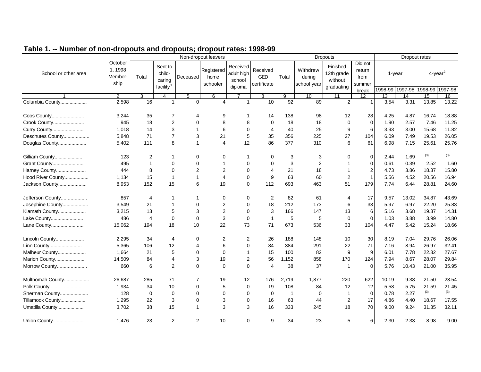|                      |                                      |                         |                                                      |                | Non-dropout leavers            |                                             |                                       |                |                                   | <b>Dropouts</b>                                 |                                              |         |                      | Dropout rates                             |       |
|----------------------|--------------------------------------|-------------------------|------------------------------------------------------|----------------|--------------------------------|---------------------------------------------|---------------------------------------|----------------|-----------------------------------|-------------------------------------------------|----------------------------------------------|---------|----------------------|-------------------------------------------|-------|
| School or other area | October<br>1.1998<br>Member-<br>ship | Total                   | Sent to<br>child-<br>caring<br>facility <sup>1</sup> | Deceased       | Registered<br>home<br>schooler | Received<br>adult high<br>school<br>diploma | Received<br><b>GED</b><br>certificate | Total          | Withdrew<br>during<br>school year | Finished<br>12th grade<br>without<br>graduating | Did not<br>return<br>from<br>summer<br>break | 1998-99 | $1$ -year<br>1997-98 | $4$ -year <sup>2</sup><br>1998-99 1997-98 |       |
|                      | $\overline{2}$                       | 3                       | 4                                                    | 5              | 6                              |                                             | 8                                     | $\overline{9}$ | 10                                | 11                                              | 12 <sup>°</sup>                              | 13      | 14                   | 15                                        | 16    |
| Columbia County      | 2,598                                | 16                      | $\overline{1}$                                       | $\mathbf 0$    | $\overline{4}$                 | $\mathbf{1}$                                | 10                                    | 92             | 89                                | 2                                               |                                              | 3.54    | 3.31                 | 13.85                                     | 13.22 |
| Coos County          | 3,244                                | 35                      | 7                                                    | 4              | 9                              | 1                                           | 14                                    | 138            | 98                                | 12                                              | 28                                           | 4.25    | 4.87                 | 16.74                                     | 18.88 |
| Crook County         | 945                                  | 18                      | $\overline{c}$                                       | $\Omega$       | 8                              | 8                                           | $\Omega$                              | 18             | 18                                | $\mathbf 0$                                     | $\mathbf 0$                                  | 1.90    | 2.57                 | 7.46                                      | 11.25 |
| Curry County         | 1,018                                | 14                      | 3                                                    | $\mathbf{1}$   | $\,6\,$                        | $\mathbf 0$                                 | $\overline{\mathbf{4}}$               | 40             | 25                                | 9                                               | 6                                            | 3.93    | 3.00                 | 15.68                                     | 11.82 |
| Deschutes County     | 5,848                                | 71                      | $\overline{7}$                                       | 3              | 21                             | $\overline{5}$                              | 35                                    | 356            | 225                               | 27                                              | 104                                          | 6.09    | 7.49                 | 19.53                                     | 26.05 |
| Douglas County       | 5,402                                | 111                     | 8                                                    | $\mathbf{1}$   | $\overline{4}$                 | 12                                          | 86                                    | 377            | 310                               | 6                                               | 61                                           | 6.98    | 7.15                 | 25.61                                     | 25.76 |
| Gilliam County       | 123                                  | 2                       | $\mathbf 1$                                          | $\mathbf 0$    | 0                              | 1                                           | 0                                     | 3              | 3                                 | 0                                               | 0                                            | 2.44    | 1.69                 | (3)                                       | (3)   |
| Grant County         | 495                                  | 1                       | $\mathbf 0$                                          | $\mathbf 0$    | $\mathbf 1$                    | 0                                           | 0                                     | 3              | 2                                 |                                                 | $\mathbf 0$                                  | 0.61    | 0.39                 | 2.52                                      | 1.60  |
| Harney County        | 444                                  | 8                       | $\mathbf 0$                                          | 2              | $\overline{2}$                 | 0                                           | 4                                     | 21             | 18                                | $\mathbf 1$                                     | 2                                            | 4.73    | 3.86                 | 18.37                                     | 15.80 |
| Hood River County    | 1,134                                | 15                      | $\mathbf{1}$                                         | $\mathbf{1}$   | $\overline{4}$                 | 0                                           | 9                                     | 63             | 60                                | 2                                               |                                              | 5.56    | 4.52                 | 20.56                                     | 16.94 |
| Jackson County       | 8,953                                | 152                     | 15                                                   | 6              | 19                             | 0                                           | 112                                   | 693            | 463                               | 51                                              | 179                                          | 7.74    | 6.44                 | 28.81                                     | 24.60 |
| Jefferson County     | 857                                  | $\overline{4}$          |                                                      | 1              | 0                              | 0                                           | $\overline{c}$                        | 82             | 61                                | 4                                               | 17                                           | 9.57    | 13.02                | 34.87                                     | 43.69 |
| Josephine County     | 3,549                                | 21                      | 1                                                    | $\Omega$       | $\overline{2}$                 | 0                                           | 18                                    | 212            | 173                               | 6                                               | 33                                           | 5.97    | 6.97                 | 22.20                                     | 25.83 |
| Klamath County       | 3,215                                | 13                      | 5                                                    | 3              | $\overline{2}$                 | $\Omega$                                    | 3                                     | 166            | 147                               | 13                                              | 6                                            | 5.16    | 3.68                 | 19.37                                     | 14.31 |
| Lake County          | 486                                  | $\overline{\mathbf{4}}$ | $\mathbf 0$                                          | $\Omega$       | $\mathbf{3}$                   | $\mathbf 0$                                 | $\mathbf{1}$                          | 5              | 5                                 | $\mathbf 0$                                     | $\Omega$                                     | 1.03    | 3.88                 | 3.99                                      | 14.80 |
| Lane County          | 15,062                               | 194                     | 18                                                   | 10             | 22                             | 73                                          | 71                                    | 673            | 536                               | 33                                              | 104                                          | 4.47    | 5.42                 | 15.24                                     | 18.66 |
| Lincoln County       | 2,295                                | 34                      | $\overline{4}$                                       | $\Omega$       | 2                              | 2                                           | 26                                    | 188            | 148                               | 10                                              | 30                                           | 8.19    | 7.04                 | 29.76                                     | 26.06 |
| Linn County          | 5,365                                | 106                     | 12                                                   | 4              | $\,6$                          | $\Omega$                                    | 84                                    | 384            | 291                               | 22                                              | 71                                           | 7.16    | 8.94                 | 26.97                                     | 32.41 |
| Malheur County       | 1,664                                | 21                      | 5                                                    | $\Omega$       | $\mathbf 0$                    | $\mathbf{1}$                                | 15                                    | 100            | 82                                | 9                                               | 9                                            | 6.01    | 7.78                 | 22.32                                     | 27.67 |
| Marion County        | 14,509                               | 84                      | $\overline{4}$                                       | 3              | 19                             | $\overline{\mathbf{c}}$                     | 56                                    | 1,152          | 858                               | 170                                             | 124                                          | 7.94    | 8.67                 | 28.07                                     | 29.84 |
| Morrow County        | 660                                  | 6                       | 2                                                    | $\Omega$       | $\Omega$                       | $\Omega$                                    | 4                                     | 38             | 37                                | $\overline{\mathbf{1}}$                         | $\Omega$                                     | 5.76    | 10.43                | 21.00                                     | 35.95 |
| Multnomah County     | 26,687                               | 285                     | 71                                                   | 7              | 19                             | 12                                          | 176                                   | 2,719          | 1,877                             | 220                                             | 622                                          | 10.19   | 9.38                 | 21.50                                     | 23.54 |
| Polk County          | 1,934                                | 34                      | 10                                                   | $\mathbf 0$    | 5                              | 0                                           | 19                                    | 108            | 84                                | 12                                              | 12                                           | 5.58    | 5.75                 | 21.59                                     | 21.45 |
| Sherman County       | 128                                  | 0                       | $\mathbf 0$                                          | $\Omega$       | $\mathbf 0$                    | 0                                           | $\mathbf 0$                           | $\overline{1}$ | 0                                 | $\overline{1}$                                  | $\overline{0}$                               | 0.78    | 2.27                 | (3)                                       | (3)   |
| Tillamook County     | 1,295                                | 22                      | 3                                                    | $\mathbf 0$    | 3                              | 0                                           | 16                                    | 63             | 44                                | 2                                               | 17                                           | 4.86    | 4.40                 | 18.67                                     | 17.55 |
| Umatilla County      | 3,702                                | 38                      | 15                                                   | $\mathbf{1}$   | 3                              | 3                                           | 16                                    | 333            | 245                               | 18                                              | 70                                           | 9.00    | 9.24                 | 31.35                                     | 32.11 |
| Union County         | 1,476                                | 23                      | $\overline{2}$                                       | $\overline{2}$ | 10                             | 0                                           | 9 <sub>l</sub>                        | 34             | 23                                | 5                                               | 6                                            | 2.30    | 2.33                 | 8.98                                      | 9.00  |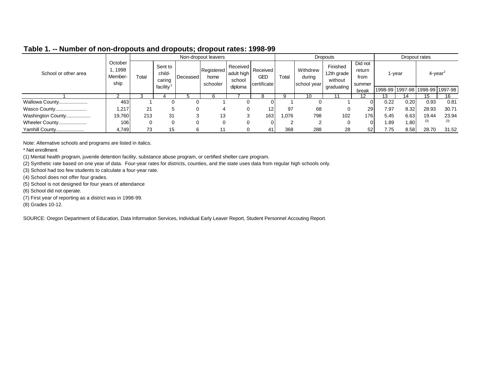|                      |                                      |       |                             |                 | Non-dropout leavers            |                                  |                                |       |                                   | <b>Dropouts</b>                   |                                     |         |        | Dropout rates                 |       |
|----------------------|--------------------------------------|-------|-----------------------------|-----------------|--------------------------------|----------------------------------|--------------------------------|-------|-----------------------------------|-----------------------------------|-------------------------------------|---------|--------|-------------------------------|-------|
| School or other area | October<br>, 1998<br>Member-<br>ship | Total | Sent to<br>child-<br>caring | <b>Deceased</b> | Registered<br>home<br>schooler | Received<br>adult high<br>school | Received<br>GED<br>certificate | Total | Withdrew<br>durina<br>school year | Finished<br>12th grade<br>without | Did not<br>return<br>from<br>summer |         | 1-vear | $4$ -year <sup>2</sup>        |       |
|                      |                                      |       | facility                    |                 |                                | diploma                          |                                |       |                                   | graduating                        | break                               | 1998-99 |        | l 1997-98   1998-99   1997-98 |       |
|                      |                                      |       |                             |                 |                                |                                  |                                | a     | 10                                |                                   | 12                                  | 13      | 14     | 15                            | 16    |
| Wallowa County       | 463                                  |       |                             | O               |                                | 0                                |                                |       |                                   |                                   |                                     | 0.22    | 0.20   | 0.93                          | 0.81  |
| Wasco County         | 1,217                                | 21    |                             |                 | 4                              | 0                                | 12                             | 97    | 68                                |                                   | 29                                  | 7.97    | 8.32   | 28.93                         | 30.71 |
| Washington County    | 19,760                               | 213   | 31                          |                 | 13                             | 3                                | 163                            | .076  | 798                               | 102                               | 176 <sub>1</sub>                    | 5.45    | 6.63   | 19.44                         | 23.94 |
| Wheeler County       | 106                                  |       |                             | 0               |                                | $\Omega$                         |                                | ົ     | ⌒                                 | 0                                 |                                     | 1.89    | 1.80   | (3)                           | (3)   |
| Yamhill County       | 4,749                                | 73    | 15                          | 6               | -11                            |                                  | 41                             | 368   | 288                               | 28                                | 52                                  | 7.75    | 8.58   | 28.70                         | 31.52 |

Note: Alternative schools and programs are listed in italics.

\* Net enrollment

(1) Mental health program, juvenile detention facility, substance abuse program, or certified shelter care program.

(2) Synthetic rate based on one year of data. Four-year rates for districts, counties, and the state uses data from regular high schools only.

(3) School had too few students to calculate a four-year rate.

(4) School does not offer four grades.

(5) School is not designed for four years of attendance

(6) School did not operate.

(7) First year of reporting as a district was in 1998-99.

(8) Grades 10-12.

SOURCE: Oregon Department of Education, Data Information Services, Individual Early Leaver Report, Student Personnel Accouting Report.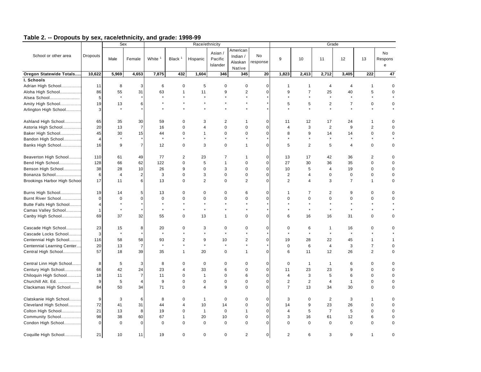|                                     |                         |                | <b>Sex</b>     |             |                    | Race/ethnicity          |                                |                                           |                |                |                | Grade          |                      |                  |                            |
|-------------------------------------|-------------------------|----------------|----------------|-------------|--------------------|-------------------------|--------------------------------|-------------------------------------------|----------------|----------------|----------------|----------------|----------------------|------------------|----------------------------|
| School or other area                | Dropouts                | Male           | Female         | White       | Black <sup>1</sup> | Hispanic                | Asian /<br>Pacific<br>Islander | American<br>Indian /<br>Alaskan<br>Native | No<br>response | 9              | 10             | 11             | 12                   | 13               | No<br>Respons<br>${\bf e}$ |
| Oregon Statewide Totals             | 10,622                  | 5,969          | 4,653          | 7,875       | 432                | 1,604                   | 346                            | 345                                       | 20             | 1,823          | 2,413          | 2,712          | 3,405                | 222              | 47                         |
| I. Schools                          |                         |                |                |             |                    |                         |                                |                                           |                |                |                |                |                      |                  |                            |
| Adrian High School                  | 11                      | 8              | 3              | 6           | 0                  | 5                       | 0                              | 0                                         | $\mathbf 0$    | $\mathbf{1}$   | $\mathbf{1}$   | 4              | 4                    | 1                | $\mathbf 0$                |
| Aloha High School                   | 86                      | 55             | 31             | 63          | $\mathbf{1}$       | 11                      | 9                              | 2                                         | 0              | 9              | $\overline{7}$ | 25             | 40                   | 5                | $\mathbf 0$                |
| Alsea School                        | 5                       | $\star$        |                |             |                    |                         |                                |                                           |                |                | $\star$        | $\star$        |                      |                  |                            |
| Amity High School                   | 19                      | 13             | 6              |             |                    |                         |                                |                                           |                | 5              | 5              | 2              | $\overline{7}$       | 0                | $\mathbf 0$                |
| Arlington High School               | 3                       | $\star$        |                |             |                    |                         |                                |                                           |                |                | $\star$        | $\star$        | $\star$              |                  |                            |
| Ashland High School                 | 65                      | 35             | 30             | 59          | $\Omega$           | 3                       | $\overline{2}$                 | -1                                        | $\Omega$       | 11             | 12             | 17             | 24                   | 1                | 0                          |
| Astoria High School                 | 20                      | 13             | $\overline{7}$ | 16          | $\mathbf 0$        | 4                       | $\mathbf 0$                    | $\mathbf 0$                               | $\pmb{0}$      | 4              | 3              | $\overline{2}$ | 9                    | $\overline{c}$   | $\mathbf 0$                |
| Baker High School                   | 45                      | 30             | 15             | 44          | $\mathbf 0$        | 1                       | $\mathbf 0$                    | $\mathbf 0$                               | 0              | 8              | 9              | 14             | 14                   | 0                | $\mathbf 0$                |
| Bandon High School                  | $\overline{4}$          | $\star$        |                | $\star$     |                    | $\ddot{\phantom{a}}$    | $\ddot{\phantom{a}}$           | ٠                                         |                |                | $\star$        | $\star$        | $\ddot{\phantom{a}}$ |                  |                            |
| Banks High School                   | 16                      | 9              | $\overline{7}$ | 12          | $\mathbf 0$        | 3                       | $\mathbf 0$                    | $\mathbf{1}$                              | $\Omega$       | 5              | $\overline{2}$ | 5              | $\overline{4}$       | $\mathbf 0$      | 0                          |
| Beaverton High School               | 110                     | 61             | 49             | 77          | 2                  | 23                      | $\overline{7}$                 |                                           | $\mathbf 0$    | 13             | 17             | 42             | 36                   | $\overline{2}$   | $\mathbf 0$                |
| Bend High School                    | 128                     | 66             | 62             | 122         | 0                  | 5                       | $\mathbf{1}$                   | $\mathbf 0$                               | $\pmb{0}$      | 27             | 30             | 36             | 35                   | $\pmb{0}$        | $\mathbf 0$                |
| Benson High School                  | 38                      | 28             | 10             | 26          | 9                  | $\pmb{0}$               | 3                              | $\mathbf 0$                               | 0              | 10             | 5              | $\overline{4}$ | 19                   | $\pmb{0}$        | 0                          |
| Bonanza School                      | 6                       | $\overline{4}$ | $\overline{2}$ | 3           | 0                  | 3                       | $\mathbf 0$                    | 0                                         | 0              | 2              | 4              | $\mathbf 0$    | $\mathbf 0$          | $\pmb{0}$        | 0                          |
| <b>Brookings Harbor High School</b> | 17                      | 11             | 6              | 13          | $\mathbf 0$        | $\overline{2}$          | $\mathbf 0$                    | 2                                         | 0              | $\overline{2}$ | 4              | 3              | $\overline{7}$       | 1                | 0                          |
| Burns High School                   | 19                      | 14             | 5              | 13          | $\mathbf 0$        | 0                       | $\mathbf 0$                    | 6                                         | 0              | $\mathbf{1}$   | $\overline{7}$ | $\overline{2}$ | 9                    | 0                | $\mathbf 0$                |
| Burnt River School                  | $\overline{0}$          | $\mathbf 0$    | $\Omega$       | $\mathbf 0$ | $\mathbf 0$        | 0                       | $\mathbf 0$                    | $\Omega$                                  | 0              | $\Omega$       | 0              | $\mathbf 0$    | $\mathbf 0$          | 0                | $\mathbf 0$                |
| Butte Falls High School             | $\overline{\mathbf{4}}$ |                |                |             |                    | $\star$                 |                                |                                           |                |                |                |                | $\star$              |                  |                            |
| Camas Valley School                 | $\mathbf{1}$            |                |                |             |                    | $\star$                 |                                |                                           |                |                | $\star$        |                | $\star$              |                  |                            |
| Canby High School                   | 69                      | 37             | 32             | 55          | 0                  | 13                      | $\mathbf{1}$                   | $\mathbf 0$                               | 0              | 6              | 16             | 16             | 31                   | 0                | 0                          |
| Cascade High School                 | 23                      | 15             | 8              | 20          | $\mathbf 0$        | 3                       | $\mathbf 0$                    | 0                                         | 0              | $\mathbf 0$    | 6              | $\mathbf{1}$   | 16                   | 0                | $\mathbf 0$                |
| Cascade Locks School                | 3                       | $\star$        |                | $\star$     |                    | $\star$                 | $\star$                        |                                           | $\star$        | $\star$        | $\star$        | $\star$        | $\star$              |                  |                            |
| Centennial High School              | 116                     | 58             | 58             | 93          | $\overline{2}$     | 9                       | 10                             | 2                                         | 0              | 19             | 28             | 22             | 45                   | 1                | $\mathbf{1}$               |
| Centennial Learning Center          | 20                      | 13             | $\overline{7}$ | $\star$     | $\star$            | $\star$                 | $\star$                        |                                           |                | $\mathbf 0$    | 6              | $\overline{4}$ | 3                    | $\boldsymbol{7}$ | $\mathbf 0$                |
| Central High School                 | 57                      | 18             | 39             | 35          | 1                  | 20                      | $\mathbf 0$                    | $\mathbf{1}$                              | 0              | 6              | 11             | 12             | 26                   | $\overline{c}$   | $\mathbf 0$                |
| Central Linn High School            | 8                       | 5              | 3              | 8           | $\mathbf 0$        | $\mathbf 0$             | $\mathbf 0$                    | $\mathbf 0$                               | 0              | $\mathbf 0$    | $\overline{1}$ | $\mathbf{1}$   | 6                    | 0                | $\mathbf 0$                |
| Century High School                 | 66                      | 42             | 24             | 23          | $\overline{4}$     | 33                      | 6                              | $\mathbf 0$                               | $\mathbf 0$    | 11             | 23             | 23             | 9                    | 0                | $\mathbf 0$                |
| Chiloquin High School               | 18                      | 11             | $\overline{7}$ | 11          | $\mathbf 0$        | $\mathbf{1}$            | $\mathbf 0$                    | 6                                         | 0              | $\overline{4}$ | 3              | 5              | 6                    | $\mathbf 0$      | $\mathbf 0$                |
| Churchill Alt. Ed.                  | $9\,$                   | $\,$ 5 $\,$    | $\overline{4}$ | 9           | 0                  | $\pmb{0}$               | $\mathbf 0$                    | $\mathsf 0$                               | 0              | $\overline{2}$ | $\overline{2}$ | $\overline{4}$ | $\mathbf{1}$         | $\pmb{0}$        | $\mathbf 0$                |
| Clackamas High School               | 84                      | 50             | 34             | 71          | 0                  | $\overline{\mathbf{4}}$ | 9                              | $\mathbf 0$                               | 0              | $\overline{7}$ | 13             | 34             | 30                   | 0                | $\mathbf 0$                |
| Clatskanie High School              | 9                       | 3              | 6              | 8           | $\mathbf 0$        | $\overline{1}$          | $\mathbf 0$                    | $\mathbf 0$                               | 0              | 3              | 0              | $\overline{2}$ | 3                    | 1                | $\mathbf 0$                |
| Cleveland High School               | 72                      | 41             | 31             | 44          | $\overline{4}$     | 10                      | 14                             | $\mathbf 0$                               | $\pmb{0}$      | 14             | 9              | 23             | 26                   | $\mathbf 0$      | $\mathbf 0$                |
| Colton High School                  | 21                      | 13             | 8              | 19          | $\mathbf 0$        | $\mathbf{1}$            | $\mathbf 0$                    | $\mathbf{1}$                              | 0              | $\overline{4}$ | 5              | $\overline{7}$ | 5                    | $\mathbf 0$      | $\mathbf 0$                |
| Community School                    | 98                      | 38             | 60             | 67          | $\mathbf{1}$       | 20                      | 10                             | $\mathbf 0$                               | 0              | 3              | 16             | 61             | 12                   | 6                | $\mathbf 0$                |
| Condon High School                  | $\mathbf 0$             | $\Omega$       | $\Omega$       | $\pmb{0}$   | 0                  | $\mathbf 0$             | $\mathbf 0$                    | $\Omega$                                  | 0              | $\Omega$       | $\pmb{0}$      | $\mathbf 0$    | $\Omega$             | 0                | $\Omega$                   |
| Coquille High School                | 21                      | 10             | 11             | 19          | $\mathbf 0$        | 0                       | $\mathbf 0$                    | 2                                         | 0              | 2              | 6              | 3              | 9                    | 1                | $\mathbf 0$                |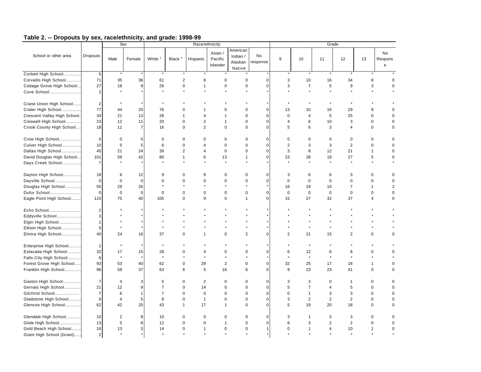|                                                |                       |                | Sex            |                    |                |                         | Race/ethnicity                 |                                           |                       |                |                |                         | Grade          |                |                            |
|------------------------------------------------|-----------------------|----------------|----------------|--------------------|----------------|-------------------------|--------------------------------|-------------------------------------------|-----------------------|----------------|----------------|-------------------------|----------------|----------------|----------------------------|
| School or other area                           | Dropouts              | Male           | Female         | White <sup>1</sup> | Black $1$      | Hispanic                | Asian /<br>Pacific<br>Islander | American<br>Indian /<br>Alaskan<br>Native | <b>No</b><br>response | $9\,$          | 10             | 11                      | 12             | 13             | No<br>Respons<br>${\bf e}$ |
| Corbett High School                            | $\sqrt{5}$            | $\star$        |                |                    |                |                         |                                |                                           |                       |                |                |                         |                |                |                            |
| Corvallis High School                          | 71                    | 35             | 36             | 61                 | $\overline{c}$ | 8                       | $\mathbf 0$                    | $\mathbf 0$                               | $\pmb{0}$             | 3              | 10             | 16                      | 34             | 8              |                            |
| Cottage Grove High School                      | 27                    | 18             | 9              | 26                 | 0              | 1                       | $\mathbf 0$                    | $\mathbf 0$                               | $\mathbf 0$           | 3              | $\overline{7}$ | 5                       | 9              | 3              | 0                          |
| Cove School                                    | $\overline{2}$        | $\star$        |                |                    |                |                         |                                | $\star$                                   |                       |                | $\star$        | $\star$                 |                | $\star$        |                            |
| Crane Union High School                        | $\overline{2}$        |                |                |                    |                |                         |                                |                                           |                       |                |                |                         |                |                |                            |
| Crater High School                             | 77                    | 44             | 33             | 76                 | 0              |                         | $\Omega$                       | $\mathbf 0$                               | $\mathbf 0$           | 13             | 10             | 16                      | 29             | 9              | $\Omega$                   |
| Crescent Valley High School.                   | 34                    | 21             | 13             | 28                 | $\mathbf{1}$   | $\overline{\mathbf{4}}$ | 1                              | $\Omega$                                  | $\mathbf 0$           | $\Omega$       | 4              | 5                       | 25             | $\mathbf 0$    |                            |
| Creswell High School                           | 23                    | 12             | 11             | 20                 | 0              | $\overline{2}$          | $\mathbf{1}$                   | $\Omega$                                  | $\mathbf 0$           | 4              | 6              | 10                      | 3              | $\mathbf 0$    | 0                          |
| Crook County High School                       | 18                    | 11             | $\overline{7}$ | 16                 | 0              | $\overline{2}$          | $\mathbf 0$                    | $\Omega$                                  | $\mathbf 0$           | 5              | 6              | 3                       | $\overline{4}$ | $\mathbf 0$    | $\mathbf 0$                |
| Crow High School                               | $\mathbf{0}$          | $\mathbf 0$    | $\mathbf 0$    | $\mathbf 0$        | $\Omega$       | $\Omega$                | $\Omega$                       | $\Omega$                                  | $\mathbf 0$           | $\Omega$       | $\mathbf 0$    | $\mathbf 0$             | $\mathbf 0$    | $\mathbf 0$    |                            |
|                                                | 10                    | 5              | 5              | 6                  | 0              | 4                       | $\Omega$                       | $\Omega$                                  | $\mathbf 0$           | $\overline{2}$ | 3              | 3                       | $\overline{2}$ | $\mathbf 0$    | $\Omega$                   |
| Culver High School                             |                       | 21             | 24             | 39                 |                | 4                       | $\mathbf 0$                    | $\Omega$                                  | $\mathbf 0$           | 3              | 8              |                         |                | $\mathbf{1}$   | $\Omega$                   |
| Dallas High School                             | 45                    |                |                |                    | $\overline{2}$ |                         |                                | $\mathbf{1}$                              | $\mathbf 0$           |                |                | 12                      | 21             |                |                            |
| David Douglas High School<br>Days Creek School | 101<br>$\overline{7}$ | 59             | 42             | 80                 | $\mathbf{1}$   | 6<br>$\star$            | 13<br>$\star$                  |                                           |                       | 23             | 28             | 18                      | 27             | 5              | $\mathbf 0$                |
|                                                |                       |                |                |                    |                |                         |                                |                                           |                       |                |                |                         |                |                |                            |
| Dayton High School                             | 18                    | 6              | 12             | 9                  | $\Omega$       | 9                       | $\mathbf 0$                    | $\Omega$                                  | $\mathbf 0$           | 3              | 6              | 6                       | 3              | $\Omega$       |                            |
| Dayville School                                | $\Omega$              | $\Omega$       | $\Omega$       | $\mathbf 0$        | $\Omega$       | $\mathbf 0$             | $\Omega$                       | $\Omega$                                  | $\mathbf 0$           | $\Omega$       | $\Omega$       | $\Omega$                | $\Omega$       | $\Omega$       | $\Omega$                   |
| Douglas High School                            | 55                    | 29             | 26             |                    |                |                         |                                |                                           |                       | 16             | 19             | 10                      | $\overline{7}$ | $\mathbf{1}$   | $\overline{2}$             |
| Dufur School                                   | $\Omega$              | $\mathbf 0$    | $\Omega$       | $\mathbf 0$        | $\Omega$       | $\Omega$                | $\mathbf 0$                    | $\Omega$                                  | $\mathbf 0$           | $\mathbf 0$    | $\mathbf 0$    | $\mathbf 0$             | $\mathbf 0$    | $\mathbf 0$    | $\mathbf 0$                |
| Eagle Point High School                        | 115                   | 75             | 40             | 105                | $\Omega$       | 9                       | $\Omega$                       | $\mathbf{1}$                              | $\mathbf 0$           | 15             | 27             | 32                      | 37             | $\overline{4}$ | $\mathbf 0$                |
| Echo School                                    | $\overline{2}$        |                |                |                    |                |                         |                                |                                           |                       |                |                |                         |                |                |                            |
| Eddyville School                               | 3                     |                |                |                    |                |                         |                                |                                           |                       |                |                |                         |                |                |                            |
| Elgin High School                              | $\mathbf{1}$          |                |                |                    |                |                         |                                |                                           |                       |                |                |                         |                |                |                            |
| Elkton High School                             | 5                     |                |                |                    |                |                         |                                |                                           |                       |                |                |                         |                |                |                            |
| Elmira High School                             | 40                    | 24             | 16             | 37                 | 0              | 1                       | $\mathbf 0$                    | $\overline{2}$                            | $\mathbf 0$           | $\overline{2}$ | 21             | 15                      | $\overline{2}$ | $\mathbf 0$    | $\Omega$                   |
| Enterprise High School                         | $\mathbf{1}$          |                |                |                    |                |                         |                                |                                           |                       |                |                |                         |                |                |                            |
| Estacada High School                           | 32                    | 17             | 15             | 28                 | 0              | 4                       | $\mathbf 0$                    | $\mathbf 0$                               | $\mathbf 0$           | 6              | 12             | 6                       | 8              | $\mathbf 0$    |                            |
| Falls City High School                         | 6                     | $\star$        |                | $\star$            |                | $\star$                 |                                |                                           |                       |                | $\star$        | $\star$                 | $\star$        |                |                            |
| Forest Grove High School                       | 93                    | 53             | 40             | 62                 | 0              | 29                      | $\overline{2}$                 | $\mathbf 0$                               | $\mathbf 0$           | 32             | 25             | 17                      | 18             | $\mathbf{1}$   | $\Omega$                   |
| Franklin High School                           | 96                    | 59             | 37             | 63                 | 6              | 5                       | 16                             | 6                                         | $\mathbf 0$           | 9              | 23             | 23                      | 41             | $\mathbf 0$    | $\Omega$                   |
| Gaston High School                             | $\overline{7}$        | $\overline{4}$ | 3              | 5                  | 0              | $\overline{2}$          | $\mathbf 0$                    | $\mathbf 0$                               | $\mathbf 0$           | 3              | 3              | $\mathbf 0$             | $\mathbf{1}$   | $\mathbf 0$    |                            |
| Gervais High School                            | 21                    | 12             | 9              | $\overline{7}$     | 0              | 14                      | $\mathbf 0$                    | $\mathbf 0$                               | $\mathbf 0$           | 5              | $\overline{7}$ | 4                       | 5              | $\mathbf 0$    |                            |
| Gilchrist School                               | $\overline{7}$        | 6              | $\mathbf{1}$   | $\overline{7}$     | 0              | $\mathbf 0$             | $\mathbf 0$                    | $\mathbf 0$                               | $\mathbf 0$           | $\mathbf 0$    | $\mathbf{1}$   | 3                       | 3              | $\mathbf 0$    | $\Omega$                   |
| Gladstone High School                          | 9                     | $\overline{4}$ | 5              | 8                  | 0              | $\mathbf{1}$            | $\mathbf 0$                    | $\mathbf 0$                               | $\mathbf 0$           | 3              | $\overline{2}$ | $\overline{2}$          | $\overline{2}$ | $\mathbf 0$    | $\Omega$                   |
| Glencoe High School                            | 62                    | 42             | 20             | 43                 | $\mathbf{1}$   | 17                      | $\mathbf{1}$                   | $\mathbf 0$                               | $\mathbf 0$           | 5              | 19             | 20                      | 18             | $\mathbf 0$    |                            |
|                                                |                       |                |                |                    |                |                         |                                |                                           |                       |                |                |                         |                |                |                            |
| Glendale High School                           | 10                    | 2              | 8              | 10                 | $\Omega$       | $\mathbf 0$             | $\Omega$                       | $\mathbf 0$                               | $\mathbf 0$           | 3              | $\mathbf{1}$   | 3                       | 3              | $\mathbf 0$    |                            |
| Glide High School                              | 13                    | 5              | 8              | 12                 | 0              | $\mathbf 0$             | $\mathbf{1}$                   | $\mathbf 0$                               | $\mathbf 0$           | 6              | 3              | $\overline{2}$          | $\overline{2}$ | $\mathbf 0$    |                            |
| Gold Beach High School                         | 16                    | 13             | 3              | 14                 | $\Omega$       | 1                       | $\mathbf 0$                    | $\mathbf 0$                               | $\mathbf{1}$          | $\Omega$       | 1              | $\overline{\mathbf{4}}$ | 10             | $\mathbf{1}$   | $\Omega$                   |
| Grant High School (Grant)                      | $\overline{2}$        | $\star$        |                |                    |                |                         |                                |                                           |                       |                |                |                         |                |                |                            |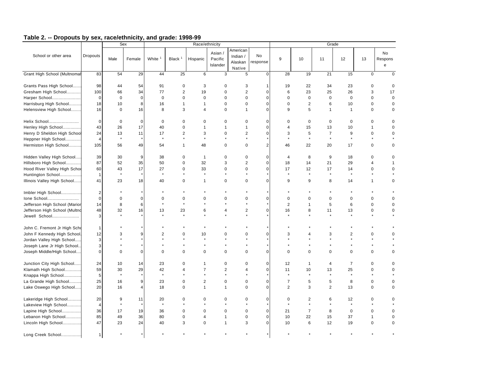|                               |                 |             | Sex            |                      |                      | Race/ethnicity          |                                |                                           |                |                |                |                | Grade                   |                      |                    |
|-------------------------------|-----------------|-------------|----------------|----------------------|----------------------|-------------------------|--------------------------------|-------------------------------------------|----------------|----------------|----------------|----------------|-------------------------|----------------------|--------------------|
| School or other area          | <b>Dropouts</b> | Male        | Female         | White <sup>1</sup>   | Black $1$            | Hispanic                | Asian /<br>Pacific<br>Islander | American<br>Indian /<br>Alaskan<br>Native | No<br>response | 9              | 10             | 11             | 12                      | 13                   | No<br>Respons<br>e |
| Grant High School (Multnomal  | 83              | 54          | 29             | 44                   | 25                   | 6                       | 3                              | 5                                         | $\pmb{0}$      | 28             | 19             | 21             | 15                      | 0                    | $\mathbf 0$        |
| Grants Pass High School       | 98              | 44          | 54             | 91                   | $\mathbf 0$          | 3                       | $\mathbf 0$                    | 3                                         | $\mathbf 1$    | 19             | 22             | 34             | 23                      | $\mathbf 0$          | $\mathbf 0$        |
| Gresham High School           | 100             | 66          | 34             | 77                   | $\overline{2}$       | 19                      | $\mathbf 0$                    | $\overline{c}$                            | $\mathbf 0$    | 6              | 23             | 25             | 26                      | 3                    | 17                 |
| Harper School                 | $\mathbf 0$     | $\mathbf 0$ | $\mathbf 0$    | $\mathbf 0$          | $\mathbf 0$          | $\mathbf 0$             | $\mathbf 0$                    | 0                                         | $\mathbf 0$    | $\mathbf 0$    | $\mathbf 0$    | $\mathbf 0$    | $\mathbf 0$             | $\mathbf 0$          | $\mathbf 0$        |
| Harrisburg High School        | 18              | 10          | 8              | 16                   | $\mathbf{1}$         | $\mathbf{1}$            | $\mathbf 0$                    | 0                                         | $\mathbf 0$    | $\mathbf 0$    | $\mathbf 2$    | 6              | 10                      | $\mathbf 0$          | $\mathbf 0$        |
| Helensview High School        | 16              | $\mathbf 0$ | 16             | 8                    | 3                    | $\overline{\mathbf{4}}$ | $\Omega$                       | $\mathbf{1}$                              | $\mathbf 0$    | 9              | 5              | $\overline{1}$ | $\mathbf{1}$            | $\pmb{0}$            | $\mathbf 0$        |
| Helix School                  | 0               | $\mathbf 0$ | $\mathbf 0$    | $\mathbf 0$          | 0                    | 0                       | 0                              | 0                                         | $\mathbf 0$    | 0              | 0              | $\mathbf 0$    | 0                       | $\mathbf 0$          | 0                  |
| Henley High School            | 43              | 26          | 17             | 40                   | $\mathbf 0$          | 1                       | 1                              | 1                                         | $\mathbf 0$    | 4              | 15             | 13             | 10                      | $\mathbf{1}$         | $\mathbf 0$        |
| Henry D Sheldon High School   | 24              | 13          | 11             | 17                   | 2                    | 3                       | $\mathbf 0$                    | $\overline{2}$                            | $\mathbf 0$    | 3              | 5              | $\overline{7}$ | 9                       | $\mathbf 0$          | 0                  |
| Heppner High School           | $\overline{4}$  | $\star$     |                | $\star$              | $\ddot{\phantom{1}}$ | $\star$                 |                                | $\ddot{\phantom{0}}$                      |                |                | $\star$        | $\star$        | $\star$                 | $\ddot{\phantom{a}}$ |                    |
| Hermiston High School         | 105             | 56          | 49             | 54                   | $\mathbf{1}$         | 48                      | $\mathbf 0$                    | $\mathbf 0$                               | $\overline{2}$ | 46             | 22             | 20             | 17                      | $\mathbf 0$          | 0                  |
| Hidden Valley High School     | 39              | 30          | 9              | 38                   | 0                    | $\mathbf{1}$            | $\mathbf 0$                    | 0                                         | $\mathbf 0$    | $\overline{4}$ | 8              | 9              | 18                      | $\mathbf 0$          | $\mathbf 0$        |
| Hillsboro High School         | 87              | 52          | 35             | 50                   | $\mathbf 0$          | 32                      | 3                              | $\overline{c}$                            | $\mathbf 0$    | 18             | 14             | 21             | 29                      | $\overline{4}$       |                    |
| Hood River Valley High Schoo  | 60              | 43          | 17             | 27                   | $\mathbf 0$          | 33                      | $\mathbf 0$                    | $\mathbf 0$                               | $\mathbf 0$    | 17             | 12             | 17             | 14                      | $\mathbf 0$          | $\mathbf 0$        |
| Huntington School             | $\mathbf{1}$    | $\star$     |                | $\star$              | $\star$              | $\star$                 |                                | $\star$                                   |                | $\star$        | $\star$        | $\star$        | $\star$                 | $\star$              |                    |
| Illinois Valley High School   | 41              | 23          | 18             | 40                   | $\mathbf 0$          | $\mathbf{1}$            | $\pmb{0}$                      | $\mathbf 0$                               | $\mathbf 0$    | 9              | 9              | 8              | 14                      | $\mathbf{1}$         | $\pmb{0}$          |
| Imbler High School            | $\overline{2}$  |             |                |                      |                      |                         |                                |                                           |                |                |                |                |                         |                      |                    |
| Ione School                   | 0               | $\mathbf 0$ | $\mathbf 0$    | $\mathbf 0$          | 0                    | 0                       | 0                              | 0                                         | $\mathbf 0$    | $\mathbf 0$    | 0              | 0              | 0                       | $\mathbf 0$          | $\mathbf 0$        |
| Jefferson High School (Marior | 14              | 8           | 6              | $\star$              | $\star$              |                         |                                | $\star$                                   |                | $\overline{2}$ | $\mathbf{1}$   | 5              | 6                       | $\mathbf 0$          | $\mathbf 0$        |
| Jefferson High School (Multno | 48              | 32          | 16             | 13                   | 23                   | 6                       | $\overline{4}$                 | $\overline{2}$                            | $\mathbf 0$    | 16             | 8              | 11             | 13                      | $\mathbf 0$          | 0                  |
| Jewell School                 | 3               |             |                | $\ddot{\phantom{0}}$ |                      | $\star$                 |                                |                                           |                |                |                |                |                         | $\ddot{\phantom{0}}$ |                    |
| John C. Fremont Jr High Scho  | 1               |             |                |                      |                      |                         |                                |                                           |                |                |                |                |                         |                      |                    |
| John F Kennedy High School.   | 12              | 3           | 9              | $\sqrt{2}$           | $\mathbf 0$          | 10                      | 0                              | 0                                         | $\mathbf 0$    | 3              | $\overline{4}$ | 3              | $\overline{\mathbf{c}}$ | $\mathbf 0$          | $\mathbf 0$        |
| Jordan Valley High School     | 3               |             |                |                      |                      |                         |                                |                                           |                |                |                |                | $\star$                 |                      |                    |
| Joseph Lane Jr High School.   | 3               |             |                |                      |                      |                         |                                |                                           |                |                |                |                | $\star$                 |                      |                    |
| Joseph Middle/High School     | 0               | $\Omega$    | $\mathbf 0$    | $\mathbf 0$          | $\mathbf 0$          | $\mathbf 0$             | $\mathbf 0$                    | 0                                         | $\mathbf 0$    | $\Omega$       | $\Omega$       | $\mathbf 0$    | 0                       | $\mathbf 0$          | 0                  |
| Junction City High School     | 24              | 10          | 14             | 23                   | 0                    | 1                       | $\mathbf 0$                    | 0                                         | $\mathbf 0$    | 12             | $\mathbf{1}$   | 4              | $\overline{7}$          | $\mathbf 0$          | $\mathbf 0$        |
| Klamath High School           | 59              | 30          | 29             | 42                   | $\overline{4}$       | $\overline{7}$          | $\overline{2}$                 | 4                                         | $\mathbf 0$    | 11             | 10             | 13             | 25                      | $\mathbf 0$          | 0                  |
| Knappa High School            | 5               | $\star$     |                | $\star$              |                      |                         | $\star$                        |                                           |                | $\star$        | $\star$        | $\star$        | $\star$                 | $\star$              |                    |
| La Grande High School         | 25              | 16          | 9              | 23                   | $\mathbf 0$          | $\overline{2}$          | $\mathbf 0$                    | $\mathbf 0$                               | $\mathbf 0$    | $\overline{7}$ | 5              | 5              | 8                       | $\mathbf 0$          | 0                  |
| Lake Oswego High School       | 20              | 16          | $\overline{4}$ | 18                   | $\mathbf 0$          | $\mathbf{1}$            | $\overline{1}$                 | $\mathbf 0$                               | $\mathbf 0$    | $\overline{2}$ | 3              | $\overline{2}$ | 13                      | $\mathbf 0$          | $\mathbf 0$        |
| Lakeridge High School         | 20              | 9           | 11             | 20                   | $\mathbf 0$          | $\Omega$                | 0                              | $\mathbf 0$                               | $\mathbf 0$    | 0              | 2              | 6              | 12                      | $\mathbf 0$          | $\mathbf 0$        |
| Lakeview High School          | $\overline{4}$  | $\star$     |                | $\star$              |                      |                         |                                | $\star$                                   |                | $\star$        | $\star$        | $\star$        | $\star$                 |                      |                    |
| Lapine High School            | 36              | 17          | 19             | 36                   | $\mathbf 0$          | $\mathbf 0$             | $\mathbf 0$                    | $\pmb{0}$                                 | $\mathbf 0$    | 21             | $\overline{7}$ | 8              | $\mathbf 0$             | $\mathbf 0$          | $\mathbf 0$        |
| Lebanon High School           | 85              | 49          | 36             | 80                   | $\mathbf 0$          | 4                       | $\overline{1}$                 | $\pmb{0}$                                 | $\mathbf 0$    | 10             | 22             | 15             | 37                      | $\mathbf{1}$         | 0                  |
| Lincoln High School           | 47              | 23          | 24             | 40                   | 3                    | $\mathbf 0$             | $\overline{1}$                 | 3                                         | $\mathbf 0$    | 10             | 6              | 12             | 19                      | $\mathbf 0$          | $\mathbf 0$        |
| Long Creek School             | $\mathbf{1}$    |             |                |                      |                      |                         |                                |                                           |                |                |                |                |                         |                      |                    |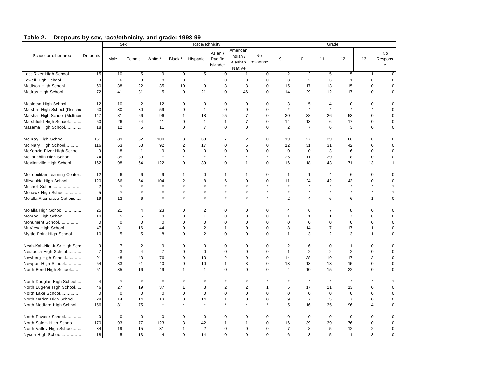|                               |                 | Sex             |                      |                    |                        | Race/ethnicity         |                                |                                             |                |                      |                | Grade          |                |                |                           |
|-------------------------------|-----------------|-----------------|----------------------|--------------------|------------------------|------------------------|--------------------------------|---------------------------------------------|----------------|----------------------|----------------|----------------|----------------|----------------|---------------------------|
| School or other area          | <b>Dropouts</b> | Male            | Female               | White <sup>1</sup> | Black $1$              | Hispanic               | Asian /<br>Pacific<br>Islander | American<br>Indian $/$<br>Alaskan<br>Native | No<br>response | 9                    | 10             | 11             | 12             | 13             | <b>No</b><br>Respons<br>e |
| Lost River High School        | 15              | 10              | 5                    | 9                  | $\mathbf 0$            | 5                      | $\mathbf 0$                    | $\mathbf 1$                                 | 0              | 2                    | $\overline{2}$ | 5              | 5              | $\mathbf{1}$   | $\Omega$                  |
| Lowell High School            | 9               | $6\phantom{1}6$ | 3                    | 8                  | $\pmb{0}$              | $\mathbf{1}$           | $\mathbf 0$                    | $\pmb{0}$                                   | 0              | 3                    | $\overline{2}$ | 3              | $\mathbf{1}$   | $\pmb{0}$      | $\Omega$                  |
| Madison High School           | 60              | 38              | 22                   | 35                 | 10                     | 9                      | 3                              | 3                                           | 0              | 15                   | 17             | 13             | 15             | 0              | $\mathbf 0$               |
| Madras High School            | 72              | 41              | 31                   | 5                  | $\mathbf 0$            | 21                     | $\mathbf 0$                    | 46                                          | 0              | 14                   | 29             | 12             | 17             | $\mathbf 0$    | $\mathbf 0$               |
| Mapleton High School          | 12              | 10              | $\overline{2}$       | 12                 | $\mathbf 0$            | $\mathbf 0$            | $\mathbf 0$                    | 0                                           | 0              | 3                    | 5              | 4              | 0              | 0              | $\Omega$                  |
| Marshall High School (Deschu  | 60              | 30              | 30                   | 59                 | $\mathbf 0$            | $\mathbf{1}$           | $\mathbf 0$                    | $\mathbf 0$                                 | 0              | $\ddot{\phantom{a}}$ | $\star$        | $\bullet$      | $\bullet$      |                | $\Omega$                  |
| Marshall High School (Multnon | 147             | 81              | 66                   | 96                 | $\mathbf{1}$           | 18                     | 25                             | $\boldsymbol{7}$                            | 0              | 30                   | 38             | 26             | 53             | $\pmb{0}$      | $\Omega$                  |
| Marshfield High School        | 50              | 26              | 24                   | 41                 | $\mathbf 0$            | $\mathbf{1}$           | $\mathbf{1}$                   | $\overline{7}$                              | 0              | 14                   | 13             | 6              | 17             | 0              | $\Omega$                  |
| Mazama High School            | 18              | 12              | 6                    | 11                 | $\mathbf 0$            | $\overline{7}$         | $\mathbf 0$                    | $\mathbf 0$                                 | 0              | 2                    | $\overline{7}$ | 6              | 3              | $\pmb{0}$      | $\mathbf 0$               |
| Mc Kay High School            | 151             | 89              | 62                   | 100                | 3<br>2                 | 39                     | $\overline{7}$                 | $\overline{2}$                              | 0              | 19                   | 27             | 39             | 66             | $\pmb{0}$      | $\mathbf 0$               |
| Mc Nary High School           | 116             | 63              | 53<br>$\overline{1}$ | 92                 |                        | 17                     | $\mathbf 0$                    | 5                                           | 0              | 12                   | 31             | 31             | 42             | $\mathbf 0$    | $\mathbf 0$               |
| McKenzie River High School    | 9               | 8               |                      | 9<br>$\star$       | $\mathbf 0$<br>$\star$ | $\mathbf 0$<br>$\star$ | $\mathbf 0$                    | $\mathbf 0$                                 | 0              | $\mathbf 0$          | $\mathbf 0$    | 3              | 6              | $\mathbf 0$    | $\mathbf 0$               |
| McLoughlin High School        | 74              | 35              | 39                   |                    |                        |                        |                                |                                             |                | 26                   | 11             | 29             | 8              | $\pmb{0}$      | $\mathbf 0$               |
| McMinnville High School       | 162             | 98              | 64                   | 122                | $\mathbf 0$            | 39                     | $\mathbf 0$                    | $\mathbf 1$                                 | 0              | 16                   | 18             | 43             | 71             | 13             | $\mathbf 1$               |
| Metropolitan Learning Center  | 12              | 6               | 6                    | 9                  | $\mathbf{1}$           | $\mathbf 0$            | 1                              | -1                                          | 0              | $\mathbf{1}$         | $\mathbf{1}$   | $\overline{4}$ | 6              | 0              | $\mathbf 0$               |
| Milwaukie High School         | 120             | 66              | 54                   | 104                | 2                      | 8                      | 6                              | $\mathbf 0$                                 | 0              | 11                   | 24             | 42             | 43             | 0              | $\Omega$                  |
| Mitchell School               | $\overline{2}$  |                 |                      |                    |                        |                        |                                |                                             |                |                      |                |                |                |                |                           |
| Mohawk High School            | 5               | $\star$         |                      |                    |                        |                        |                                |                                             |                |                      |                |                |                | $\star$        |                           |
| Molalla Alternative Options   | 19              | 13              | 6                    |                    |                        |                        |                                |                                             |                | $\overline{2}$       | $\overline{4}$ | 6              | 6              | 1              | $\mathbf 0$               |
| Molalla High School           | 25              | 21              | $\overline{4}$       | 23                 | $\mathbf 0$            | $\mathbf 2$            | $\Omega$                       | $\mathbf 0$                                 | 0              | 4                    | 6              | $\overline{7}$ | 8              | 0              | $\Omega$                  |
| Monroe High School            | 10              | 5               | 5                    | 9                  | $\Omega$               | $\mathbf{1}$           | $\Omega$                       | $\mathbf 0$                                 | 0              | -1                   | $\mathbf{1}$   | $\mathbf{1}$   | $\overline{7}$ | 0              | $\Omega$                  |
| Monument School               | $\mathbf 0$     | $\mathbf 0$     | $\Omega$             | 0                  | $\mathbf 0$            | $\mathbf 0$            | $\Omega$                       | $\mathbf 0$                                 | 0              | $\mathbf 0$          | $\mathbf 0$    | $\mathbf 0$    | $\mathbf 0$    | 0              | $\Omega$                  |
| Mt View High School           | 47              | 31              | 16                   | 44                 | $\mathbf 0$            | $\overline{c}$         | $\mathbf{1}$                   | $\mathbf 0$                                 | 0              | 8                    | 14             | $\overline{7}$ | 17             | $\mathbf{1}$   | $\Omega$                  |
| Myrtle Point High School      | 10              | 5               | 5                    | 8                  | $\mathbf 0$            | $\overline{2}$         | $\mathbf 0$                    | $\mathbf 0$                                 | 0              | $\overline{1}$       | 3              | $\overline{2}$ | 3              | $\mathbf{1}$   | $\mathbf 0$               |
| Neah-Kah-Nie Jr-Sr High Scho  | 9               | $\overline{7}$  | $\overline{2}$       | 9                  | $\mathbf 0$            | $\mathbf 0$            | $\mathbf 0$                    | $\mathbf 0$                                 | 0              | 2                    | 6              | $\mathbf 0$    | $\mathbf 1$    | 0              | $\Omega$                  |
| Nestucca High School          | $\overline{7}$  | 3               | $\overline{4}$       | $\overline{7}$     | $\mathbf 0$            | $\mathbf 0$            | $\mathbf 0$                    | $\pmb{0}$                                   | 0              | $\mathbf{1}$         | $\overline{2}$ | $\overline{2}$ | $\overline{2}$ | 0              | $\mathbf 0$               |
| Newberg High School           | 91              | 48              | 43                   | 76                 | 0                      | 13                     | $\overline{2}$                 | $\mathbf 0$                                 | 0              | 14                   | 38             | 19             | 17             | 3              | $\mathbf 0$               |
| Newport High School           | 54              | 33              | 21                   | 40                 | $\mathbf 0$            | 10                     | $\mathbf{1}$                   | 3                                           | 0              | 13                   | 13             | 13             | 15             | 0              | $\mathbf 0$               |
| North Bend High School        | 51              | 35              | 16                   | 49                 | $\mathbf{1}$           | $\mathbf{1}$           | $\Omega$                       | $\Omega$                                    | $\Omega$       | $\overline{4}$       | 10             | 15             | 22             | 0              | $\Omega$                  |
| North Douglas High School     | 4               | $\star$         |                      |                    |                        |                        |                                |                                             |                |                      | $\star$        |                |                |                |                           |
| North Eugene High School      | 46              | 27              | 19                   | 37                 | $\mathbf{1}$           | 3                      | $\overline{2}$                 | $\overline{2}$                              | $\mathbf{1}$   | 5                    | 17             | 11             | 13             | 0              | $\Omega$                  |
| North Lake School             | $\mathbf 0$     | $\mathbf 0$     | $\mathbf 0$          | $\pmb{0}$          | $\mathbf 0$            | $\mathbf 0$            | $\mathbf 0$                    | $\mathbf 0$                                 | 0              | $\mathbf 0$          | $\mathbf 0$    | $\mathbf 0$    | $\mathbf 0$    | $\mathbf 0$    | $\Omega$                  |
| North Marion High School      | 28              | 14              | 14                   | 13                 | $\mathbf 0$            | 14                     | $\mathbf{1}$                   | $\mathbf 0$                                 | 0              | 9                    | $\overline{7}$ | 5              | $\overline{7}$ | $\mathbf 0$    | $\mathbf 0$               |
| North Medford High School     | 156             | 81              | 75                   |                    |                        | $\star$                |                                |                                             |                | 5                    | 16             | 35             | 96             | 4              | $\mathbf 0$               |
| North Powder School           | $\mathbf 0$     | $\mathbf 0$     | $\mathbf 0$          | 0                  | $\mathbf 0$            | 0                      | $\Omega$                       | $\mathbf 0$                                 | 0              | $\mathbf 0$          | $\mathbf 0$    | $\mathbf 0$    | $\mathbf 0$    | 0              | $\Omega$                  |
| North Salem High School       | 170             | 93              | 77                   | 123                | 3                      | 42                     | $\mathbf{1}$                   | 1                                           | 0              | 16                   | 39             | 39             | 76             | 0              | $\mathbf 0$               |
| North Valley High School      | 34              | 19              | 15                   | 31                 | $\mathbf{1}$           | $\overline{2}$         | $\mathbf 0$                    | $\pmb{0}$                                   | 0              | $\overline{7}$       | 8              | 5              | 12             | $\overline{2}$ | $\mathbf 0$               |
| Nyssa High School             | 18              | 5               | 13                   | 4                  | $\mathbf 0$            | 14                     | $\mathbf 0$                    | $\mathbf 0$                                 | $\overline{0}$ | 6                    | 3              | 5              | $\mathbf{1}$   | 3              | $\Omega$                  |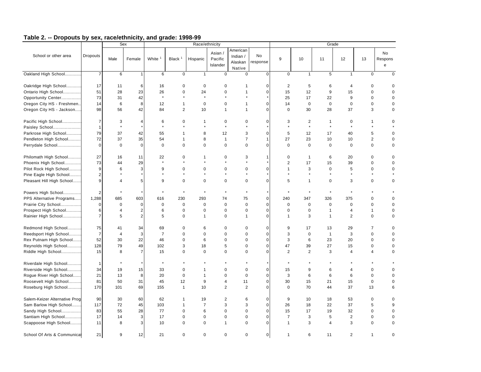|                               |                |                 | Sex            |                    |                | Race/ethnicity |                                |                                           |                |                |                |                | Grade          |                |                    |
|-------------------------------|----------------|-----------------|----------------|--------------------|----------------|----------------|--------------------------------|-------------------------------------------|----------------|----------------|----------------|----------------|----------------|----------------|--------------------|
| School or other area          | Dropouts       | Male            | Female         | White <sup>1</sup> | Black $1$      | Hispanic       | Asian /<br>Pacific<br>Islander | American<br>Indian /<br>Alaskan<br>Native | No<br>response | $9\,$          | 10             | 11             | 12             | 13             | No<br>Respons<br>e |
| Oakland High School           | $\overline{7}$ | 6               |                | 6                  | 0              | $\mathbf{1}$   | $\mathbf 0$                    | $\mathbf 0$                               | 0              | 0              | $\mathbf{1}$   | 5              | $\mathbf{1}$   | 0              | $\mathbf 0$        |
| Oakridge High School          | 17             | 11              | 6              | 16                 | $\mathbf 0$    | $\mathbf 0$    | $\mathbf 0$                    |                                           | $\mathbf 0$    | $\overline{2}$ | 5              | 6              | $\overline{4}$ | $\Omega$       | $\Omega$           |
| Ontario High School           | 51             | 28              | 23             | 26                 | $\mathbf 0$    | 24             | $\mathbf 0$                    |                                           | $\mathbf 0$    | 15             | 12             | 9              | 15             | $\Omega$       | $\Omega$           |
| Opportunity Center            | 73             | 31              | 42             |                    |                | $\star$        |                                |                                           |                | 25             | 17             | 22             | 9              | 0              | $\mathbf 0$        |
| Oregon City HS - Freshmen     | 14             | $6\phantom{1}6$ | 8              | 12                 | 1              | $\pmb{0}$      | $\mathbf 0$                    |                                           | $\mathbf 0$    | 14             | $\pmb{0}$      | $\bf 0$        | $\mathbf 0$    | $\pmb{0}$      | $\mathbf 0$        |
| Oregon City HS - Jackson      | 98             | 56              | 42             | 84                 | $\overline{2}$ | 10             | $\mathbf{1}$                   | -1                                        | $\overline{0}$ | $\mathbf 0$    | 30             | 28             | 37             | 3              | 0                  |
| Pacific High School           | $\overline{7}$ | 3               | 4              | 6                  | 0              | 1              | $\mathbf 0$                    | $\mathbf 0$                               | $\mathbf 0$    | 3              | $\overline{c}$ | $\mathbf{1}$   | $\mathbf 0$    | 1              | 0                  |
| Paisley School                | $\mathbf{1}$   | $\star$         |                | $\star$            |                | $\star$        | $\star$                        |                                           |                |                | $\star$        | $\star$        | $\star$        |                |                    |
| Parkrose High School          | 79             | 37              | 42             | 55                 | 1              | 8              | 12                             | 3                                         | $\mathbf 0$    | 5              | 12             | 17             | 40             | 5              | $\mathbf 0$        |
| Pendleton High School         | 72             | 37              | 35             | 54                 | $\mathbf{1}$   | 8              | $\mathbf{1}$                   | $\overline{7}$                            | $\mathbf{1}$   | 27             | 23             | 10             | 10             | $\overline{c}$ | $\mathbf 0$        |
| Perrydale School              | $\mathbf{0}$   | $\mathbf 0$     | $\Omega$       | $\mathbf 0$        | $\mathbf 0$    | $\mathbf 0$    | $\mathbf 0$                    | $\mathbf 0$                               | 0              | $\mathbf 0$    | $\mathbf 0$    | $\mathbf 0$    | $\mathbf 0$    | $\mathbf 0$    | 0                  |
| Philomath High School         | 27             | 16              | 11             | 22                 | 0              | 1              | $\mathbf 0$                    | 3                                         | 1              | $\mathbf 0$    | $\mathbf{1}$   | 6              | 20             | 0              | $\mathbf 0$        |
| Phoenix High School           | 73             | 44              | 29             | $\star$            |                |                |                                |                                           |                | 2              | 17             | 15             | 39             | 0              | 0                  |
| Pilot Rock High School        | 9              | 6               | 3              | 9                  | $\mathbf 0$    | 0              | $\mathbf 0$                    | 0                                         | 0              | $\mathbf 1$    | 3              | $\mathbf 0$    | 5              | $\pmb{0}$      | 0                  |
| Pine Eagle High School        | 2              |                 |                |                    |                | $\star$        | $\star$                        |                                           |                |                | $\star$        | $\star$        | $\star$        |                |                    |
| Pleasant Hill High School     | 9              | $\overline{4}$  | 5              | 9                  | 0              | 0              | $\mathbf 0$                    | $\mathbf 0$                               | 0              | 5              | $\mathbf{1}$   | $\mathbf 0$    | 3              | 0              | 0                  |
| Powers High School            | $\overline{2}$ |                 |                |                    | $\star$        | $\star$        |                                |                                           |                |                | $\star$        |                |                |                |                    |
| PPS Alternative Programs      | 1,288          | 685             | 603            | 616                | 230            | 293            | 74                             | 75                                        | $\mathsf 0$    | 240            | 347            | 326            | 375            | 0              | $\mathbf 0$        |
| Prairie City School           | 0              | $\mathbf 0$     | $\Omega$       | $\pmb{0}$          | $\pmb{0}$      | $\pmb{0}$      | $\mathbf 0$                    | $\mathbf 0$                               | $\pmb{0}$      | 0              | 0              | $\mathbf 0$    | $\mathbf 0$    | 0              | $\mathbf 0$        |
| Prospect High School          | 6              | $\overline{4}$  | $\sqrt{2}$     | 6                  | 0              | 0              | $\mathbf 0$                    | $\mathbf 0$                               | $\pmb{0}$      | 0              | $\mathsf 0$    | $\mathbf{1}$   | $\overline{4}$ | 1              | $\mathbf 0$        |
| Rainier High School           | $\overline{7}$ | 5               | $\overline{2}$ | 5                  | 0              | 1              | $\mathbf 0$                    | $\overline{1}$                            | 0              | 1              | 3              | $\overline{1}$ | 2              | 0              | 0                  |
| Redmond High School           | 75             | 41              | 34             | 69                 | 0              | 6              | $\mathbf 0$                    | 0                                         | 0              | 9              | 17             | 13             | 29             | 7              | $\mathbf 0$        |
| Reedsport High School         | $\overline{7}$ | $\overline{4}$  | 3              | $\overline{7}$     | $\mathbf 0$    | 0              | $\mathbf 0$                    | $\mathbf 0$                               | 0              | 3              | 0              | $\overline{1}$ | 3              | $\mathsf 0$    | $\mathbf 0$        |
| Rex Putnam High School        | 52             | 30              | 22             | 46                 | $\mathbf 0$    | 6              | $\mathbf 0$                    | $\Omega$                                  | 0              | 3              | 6              | 23             | 20             | 0              | $\mathbf 0$        |
| Reynolds High School          | 128            | 79              | 49             | 102                | 3              | 18             | 5                              | $\mathbf 0$                               | 0              | 47             | 39             | 27             | 15             | 0              | $\mathbf 0$        |
| Riddle High School            | 15             | 8               | $\overline{7}$ | 15                 | $\mathbf 0$    | $\mathbf 0$    | $\Omega$                       | $\Omega$                                  | 0              | $\overline{2}$ | $\overline{2}$ | 3              | $\overline{4}$ | $\overline{4}$ | $\mathbf 0$        |
| Riverdale High School         | $\mathbf{1}$   |                 |                |                    |                |                |                                |                                           |                |                |                |                |                |                |                    |
| Riverside High School         | 34             | 19              | 15             | 33                 | 0              | $\mathbf 1$    | $\mathbf 0$                    | $\mathbf 0$                               | 0              | 15             | 9              | 6              | $\overline{4}$ | 0              | $\mathbf 0$        |
| Rogue River High School       | 21             | 13              | 8              | 20                 | 0              | $\mathbf{1}$   | $\mathbf 0$                    | $\mathbf 0$                               | $\pmb{0}$      | 3              | 6              | 6              | 6              | $\pmb{0}$      | $\mathbf 0$        |
| Roosevelt High School         | 81             | 50              | 31             | 45                 | 12             | 9              | $\overline{4}$                 | 11                                        | 0              | 30             | 15             | 21             | 15             | $\pmb{0}$      | 0                  |
| Roseburg High School          | 170            | 101             | 69             | 155                | $\mathbf{1}$   | 10             | $\overline{2}$                 | 2                                         | 0              | $\mathbf 0$    | 70             | 44             | 37             | 13             | 6                  |
| Salem-Keizer Alternative Prog | 90             | 30              | 60             | 62                 | 1              | 19             | $\overline{2}$                 | 6                                         | 0              | 9              | 10             | 18             | 53             | 0              | $\mathbf 0$        |
| Sam Barlow High School        | 117            | 72              | 45             | 103                | $\mathbf{1}$   | $\overline{7}$ | 3                              | 3                                         | $\pmb{0}$      | 26             | 18             | 22             | 37             | 5              | 9                  |
| Sandy High School             | 83             | 55              | 28             | 77                 | $\mathbf 0$    | 6              | $\mathbf 0$                    | $\mathbf 0$                               | $\pmb{0}$      | 15             | 17             | 19             | 32             | $\mathbf 0$    | $\mathbf 0$        |
| Santiam High School           | 17             | 14              | 3              | 17                 | 0              | $\pmb{0}$      | $\mathbf 0$                    | $\mathsf 0$                               | $\pmb{0}$      | $\overline{7}$ | 3              | 5              | $\overline{2}$ | $\pmb{0}$      | $\mathbf 0$        |
| Scappoose High School         | 11             | 8               | 3              | 10                 | $\mathbf 0$    | $\pmb{0}$      | $\overline{1}$                 | $\mathbf 0$                               | 0              | $\mathbf{1}$   | 3              | $\overline{4}$ | 3              | $\pmb{0}$      | $\mathbf 0$        |
| School Of Arts & Communicat   | 21             | 9               | 12             | 21                 | $\mathbf 0$    | $\mathbf 0$    | $\mathbf 0$                    | $\mathbf 0$                               | 0              | $\mathbf{1}$   | 6              | 11             | 2              | 1              | $\mathbf 0$        |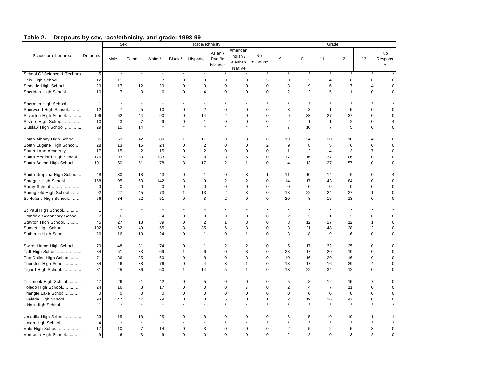| American<br>No<br>Asian /<br>School or other area<br><b>Dropouts</b><br>No<br>Indian /<br>White <sup>1</sup><br>Black <sup>1</sup><br>Pacific<br>12<br>13<br>Male<br>Female<br>Hispanic<br>9<br>10<br>11<br>Respons<br>response<br>Alaskan<br>Islander<br>${\bf e}$<br>Native<br>School Of Science & Technold<br>$5\phantom{.0}$<br>$\star$<br>$\ddot{\phantom{1}}$<br>12<br>$\overline{7}$<br>$\mathbf 2$<br>Scio High School<br>11<br>$\mathbf 0$<br>$\mathbf 0$<br>$\mathbf 0$<br>$\mathbf 0$<br>5<br>$\mathbf 0$<br>$\overline{4}$<br>6<br>$\mathbf 0$<br>$\overline{1}$<br>$\Omega$<br>29<br>17<br>12<br>29<br>$\mathbf 0$<br>$\pmb{0}$<br>9<br>6<br>$\overline{7}$<br>$\overline{\mathbf{4}}$<br>Seaside High School<br>$\mathbf 0$<br>$\mathbf 0$<br>$\mathbf 0$<br>3<br>$\mathbf 0$<br>10<br>$\overline{7}$<br>3<br>6<br>$\mathbf 0$<br>$\pmb{0}$<br>$\overline{2}$<br>$\overline{c}$<br>5<br>Sheridan High School<br>0<br>4<br>$\mathbf 0$<br>$\mathbf{1}$<br>0<br>$\Omega$<br>Sherman High School<br>$\star$<br>$\mathbf{1}$<br>$\overline{2}$<br>Sherwood High School<br>12<br>$\overline{7}$<br>10<br>$\mathbf 0$<br>$\mathbf 0$<br>0<br>3<br>$\mathbf{1}$<br>5<br>0<br>$\mathbf 0$<br>5<br>0<br>3<br>$\overline{2}$<br>$\mathbf 0$<br>106<br>$\mathbf 0$<br>14<br>$\mathbf 0$<br>$\mathbf 0$<br>9<br>33<br>27<br>37<br>Silverton High School<br>62<br>44<br>90<br>$\mathbf 0$<br>3<br>$\pmb{0}$<br>$\overline{0}$<br>$\mathbf{1}$<br>2<br>$\mathbf 0$<br>Sisters High School<br>10<br>$\overline{7}$<br>9<br>$\mathbf 0$<br>$\mathbf 0$<br>$\overline{2}$<br>$\mathbf{1}$<br>$\mathbf{1}$<br>$\overline{4}$<br>$\star$<br>$\star$<br>29<br>$\overline{7}$<br>$\overline{7}$<br>5<br>$\mathbf 0$<br>Siuslaw High School<br>15<br>14<br>10<br>$\pmb{0}$<br>South Albany High School<br>95<br>$\mathbf 0$<br>$\mathbf 0$<br>53<br>42<br>80<br>$\mathbf{1}$<br>11<br>$\mathbf 0$<br>3<br>19<br>24<br>30<br>18<br>$\overline{4}$<br>28<br>2<br>$\mathbf 0$<br>$\mathbf 2$<br>9<br>5<br>$\mathbf 0$<br>South Eugene High School<br>13<br>15<br>24<br>$\mathbf 0$<br>$\mathbf 0$<br>8<br>6<br>$\mathbf 0$<br>$\mathbf 0$<br>17<br>15<br>$\overline{2}$<br>$\mathbf 0$<br>2<br>$\mathbf 0$<br>$\mathbf 0$<br>$\mathbf{1}$<br>$\overline{2}$<br>$\overline{4}$<br>$\overline{7}$<br>South Lane Academy<br>15<br>3<br>$\mathbf 0$<br>$\pmb{0}$<br>South Medford High School<br>176<br>93<br>83<br>133<br>6<br>28<br>3<br>6<br>17<br>16<br>37<br>106<br>$\mathbf 0$<br>$\mathbf 0$<br>South Salem High School<br>101<br>50<br>51<br>78<br>3<br>17<br>$\overline{2}$<br>$\Omega$<br>13<br>27<br>57<br>$\mathbf 0$<br>$\mathbf 0$<br>$\mathbf{1}$<br>$\overline{4}$<br>South Umpqua High School<br>48<br>30<br>18<br>43<br>0<br>$\mathbf 0$<br>3<br>1<br>11<br>10<br>14<br>9<br>$\mathbf 0$<br>$\mathbf{1}$<br>4<br>$\sqrt{2}$<br>$\mathbf 2$<br>$\pmb{0}$<br>Sprague High School<br>158<br>95<br>63<br>142<br>3<br>9<br>14<br>17<br>43<br>84<br>$\mathbf 0$<br>$\Omega$<br>$\mathbf 0$<br>$\mathbf 0$<br>$\pmb{0}$<br>$\bf 0$<br>$\mathbf 0$<br>Spray School<br>$\mathbf 0$<br>$\mathbf 0$<br>$\mathbf 0$<br>$\mathbf 0$<br>$\mathbf 0$<br>$\mathbf 0$<br>$\mathbf 0$<br>$\mathbf 0$<br>$\mathbf 0$<br>$\mathbf 0$<br>92<br>$\sqrt{2}$<br>$\overline{0}$<br>Springfield High School<br>47<br>45<br>73<br>13<br>3<br>27<br>$\mathbf{1}$<br>18<br>22<br>24<br>1<br>$\mathbf 0$<br>56<br>3<br>$\overline{2}$<br>$\Omega$<br>$\mathbf 0$<br>St Helens High School<br>34<br>22<br>51<br>$\mathbf 0$<br>$\Omega$<br>20<br>8<br>15<br>13<br>$\mathbf 0$<br>St Paul High School<br>$\mathbf{1}$<br>$\overline{7}$<br>3<br>$\overline{2}$<br>$\overline{2}$<br>Stanfield Secondary School<br>6<br>$\mathbf 0$<br>$\mathbf 0$<br>$\mathbf 0$<br>$\mathbf 0$<br>$\overline{2}$<br>$\mathbf{1}$<br>$\mathbf 0$<br>$\mathbf 0$<br>4<br>$\overline{\phantom{a}}$<br>45<br>27<br>$\overline{2}$<br>$\mathbf 0$<br>12<br>Stayton High School<br>18<br>39<br>$\mathbf 0$<br>3<br>3<br>12<br>17<br>$\mathbf{1}$<br>$\Omega$<br>$\mathbf{1}$<br>102<br>62<br>40<br>3<br>35<br>6<br>3<br>$\pmb{0}$<br>21<br>28<br>$\overline{2}$<br>Sunset High School<br>55<br>3<br>48<br>$\mathbf 0$<br>Sutherlin High School<br>26<br>$\mathbf 0$<br>$\mathbf{1}$<br>$\mathbf 0$<br>$\Omega$<br>8<br>$\mathbf 0$<br>16<br>10<br>24<br>$\mathbf{1}$<br>3<br>9<br>6<br>$\mathbf 0$<br>Sweet Home High School<br>79<br>48<br>31<br>74<br>$\mathbf 0$<br>$\overline{2}$<br>$\overline{2}$<br>$\mathbf 0$<br>5<br>17<br>32<br>25<br>$\mathbf 0$<br>$\Omega$<br>$\mathbf{1}$<br>Taft High School<br>33<br>69<br>$\pmb{0}$<br>8<br>$\pmb{0}$<br>28<br>20<br>19<br>$\mathbf 0$<br>84<br>51<br>$\mathbf{1}$<br>6<br>17<br>$\mathbf 0$<br>The Dalles High School<br>71<br>36<br>35<br>60<br>$\mathbf 0$<br>8<br>$\mathbf 0$<br>3<br>$\pmb{0}$<br>16<br>20<br>16<br>9<br>10<br>$\mathbf 0$<br>84<br>3<br>$\pmb{0}$<br>Thurston High School<br>46<br>38<br>76<br>$\mathbf 0$<br>$\overline{\mathbf{4}}$<br>18<br>17<br>16<br>29<br>$\overline{\mathbf{4}}$<br>$\mathbf{1}$<br>$\Omega$<br>5<br>$\overline{0}$<br>Tigard High School<br>81<br>45<br>36<br>60<br>$\mathbf{1}$<br>14<br>13<br>22<br>34<br>12<br>$\mathbf 0$<br>$\Omega$<br>1<br>Tillamook High School<br>47<br>21<br>5<br>$\mathbf 0$<br>$\mathbf 0$<br>12<br>15<br>26<br>42<br>$\mathbf 0$<br>$\mathbf 0$<br>5<br>8<br>$\overline{7}$<br>$\mathbf 0$<br>24<br>0<br>$\mathbf 0$<br>$\overline{7}$<br>$\mathbf 0$<br>$\overline{2}$<br>$\overline{7}$<br>$\mathbf 0$<br>Toledo High School<br>16<br>8<br>17<br>$\mathbf 0$<br>4<br>11<br>$\mathbf 0$<br>$\mathbf 0$<br>$\mathbf 0$<br>$\mathbf 0$<br>0<br>$\mathbf 0$<br>$\mathbf 0$<br>$\pmb{0}$<br>$\mathbf 0$<br>$\mathbf 0$<br>Triangle Lake School<br>$\mathbf 0$<br>0<br>$\mathbf 0$<br>0<br>$\mathbf 0$<br>$\mathbf 0$<br>6<br>$\overline{2}$<br>$\mathbf 0$<br>Tualatin High School<br>94<br>47<br>47<br>79<br>$\mathbf 0$<br>8<br>$\mathbf 0$<br>19<br>26<br>47<br>$\Omega$<br>1<br>$\star$<br>$\star$<br>Ukiah High School<br>$\mathbf{1}$<br>Umatilla High School<br>33<br>18<br>25<br>$\mathbf 0$<br>8<br>$\mathbf 0$<br>$\mathbf 0$<br>0<br>6<br>5<br>10<br>10<br>15<br>1<br>$\star$<br>$\star$<br>$\star$<br>$\star$<br>$\star$<br>Union High School<br>$\overline{4}$<br>17<br>10<br>3<br>$\mathbf 0$<br>$\pmb{0}$<br>$\overline{2}$<br>5<br>$\overline{2}$<br>Vale High School<br>$\overline{7}$<br>14<br>0<br>$\mathbf 0$<br>5<br>3<br>$\mathbf 0$<br>9<br>6<br>3 <sup>1</sup><br>9<br>$\mathbf 0$<br>$\mathbf 0$<br>$\pmb{0}$<br>2<br>$\overline{2}$<br>$\mathbf 0$<br>$\overline{2}$<br>Vernonia High School<br>$\mathbf 0$<br>$\mathbf 0$<br>3<br>$\Omega$ |  | Sex |  | Race/ethnicity |  |  |  | Grade |  |
|------------------------------------------------------------------------------------------------------------------------------------------------------------------------------------------------------------------------------------------------------------------------------------------------------------------------------------------------------------------------------------------------------------------------------------------------------------------------------------------------------------------------------------------------------------------------------------------------------------------------------------------------------------------------------------------------------------------------------------------------------------------------------------------------------------------------------------------------------------------------------------------------------------------------------------------------------------------------------------------------------------------------------------------------------------------------------------------------------------------------------------------------------------------------------------------------------------------------------------------------------------------------------------------------------------------------------------------------------------------------------------------------------------------------------------------------------------------------------------------------------------------------------------------------------------------------------------------------------------------------------------------------------------------------------------------------------------------------------------------------------------------------------------------------------------------------------------------------------------------------------------------------------------------------------------------------------------------------------------------------------------------------------------------------------------------------------------------------------------------------------------------------------------------------------------------------------------------------------------------------------------------------------------------------------------------------------------------------------------------------------------------------------------------------------------------------------------------------------------------------------------------------------------------------------------------------------------------------------------------------------------------------------------------------------------------------------------------------------------------------------------------------------------------------------------------------------------------------------------------------------------------------------------------------------------------------------------------------------------------------------------------------------------------------------------------------------------------------------------------------------------------------------------------------------------------------------------------------------------------------------------------------------------------------------------------------------------------------------------------------------------------------------------------------------------------------------------------------------------------------------------------------------------------------------------------------------------------------------------------------------------------------------------------------------------------------------------------------------------------------------------------------------------------------------------------------------------------------------------------------------------------------------------------------------------------------------------------------------------------------------------------------------------------------------------------------------------------------------------------------------------------------------------------------------------------------------------------------------------------------------------------------------------------------------------------------------------------------------------------------------------------------------------------------------------------------------------------------------------------------------------------------------------------------------------------------------------------------------------------------------------------------------------------------------------------------------------------------------------------------------------------------------------------------------------------------------------------------------------------------------------------------------------------------------------------------------------------------------------------------------------------------------------------------------------------------------------------------------------------------------------------------------------------------------------------------------------------------------------------------------------------------------------------------------------------------------------------------------------------------------------------------------------------------------------------------------------------------------------------------------------------------------------------------------------------------------------------------------------------------------------------------------------------------------------------------------------------------------------------------------------------------------------------------------------------------------------------------------------------------------------------------------------------------------------------------------------------------------------------------------------------------------------------------------------------------------------------------------------------------------------------------------------------------------------------------------------------------------------------------------------------------------------------------------------------------------------------------------------------------------------------------------------------------------------------------------------------------------------------------------------------------------------------------------------------------------------------------------------------------------------------------|--|-----|--|----------------|--|--|--|-------|--|
|                                                                                                                                                                                                                                                                                                                                                                                                                                                                                                                                                                                                                                                                                                                                                                                                                                                                                                                                                                                                                                                                                                                                                                                                                                                                                                                                                                                                                                                                                                                                                                                                                                                                                                                                                                                                                                                                                                                                                                                                                                                                                                                                                                                                                                                                                                                                                                                                                                                                                                                                                                                                                                                                                                                                                                                                                                                                                                                                                                                                                                                                                                                                                                                                                                                                                                                                                                                                                                                                                                                                                                                                                                                                                                                                                                                                                                                                                                                                                                                                                                                                                                                                                                                                                                                                                                                                                                                                                                                                                                                                                                                                                                                                                                                                                                                                                                                                                                                                                                                                                                                                                                                                                                                                                                                                                                                                                                                                                                                                                                                                                                                                                                                                                                                                                                                                                                                                                                                                                                                                                                                                                                                                                                                                                                                                                                                                                                                                                                                                                                                                                                                                                                                |  |     |  |                |  |  |  |       |  |
|                                                                                                                                                                                                                                                                                                                                                                                                                                                                                                                                                                                                                                                                                                                                                                                                                                                                                                                                                                                                                                                                                                                                                                                                                                                                                                                                                                                                                                                                                                                                                                                                                                                                                                                                                                                                                                                                                                                                                                                                                                                                                                                                                                                                                                                                                                                                                                                                                                                                                                                                                                                                                                                                                                                                                                                                                                                                                                                                                                                                                                                                                                                                                                                                                                                                                                                                                                                                                                                                                                                                                                                                                                                                                                                                                                                                                                                                                                                                                                                                                                                                                                                                                                                                                                                                                                                                                                                                                                                                                                                                                                                                                                                                                                                                                                                                                                                                                                                                                                                                                                                                                                                                                                                                                                                                                                                                                                                                                                                                                                                                                                                                                                                                                                                                                                                                                                                                                                                                                                                                                                                                                                                                                                                                                                                                                                                                                                                                                                                                                                                                                                                                                                                |  |     |  |                |  |  |  |       |  |
|                                                                                                                                                                                                                                                                                                                                                                                                                                                                                                                                                                                                                                                                                                                                                                                                                                                                                                                                                                                                                                                                                                                                                                                                                                                                                                                                                                                                                                                                                                                                                                                                                                                                                                                                                                                                                                                                                                                                                                                                                                                                                                                                                                                                                                                                                                                                                                                                                                                                                                                                                                                                                                                                                                                                                                                                                                                                                                                                                                                                                                                                                                                                                                                                                                                                                                                                                                                                                                                                                                                                                                                                                                                                                                                                                                                                                                                                                                                                                                                                                                                                                                                                                                                                                                                                                                                                                                                                                                                                                                                                                                                                                                                                                                                                                                                                                                                                                                                                                                                                                                                                                                                                                                                                                                                                                                                                                                                                                                                                                                                                                                                                                                                                                                                                                                                                                                                                                                                                                                                                                                                                                                                                                                                                                                                                                                                                                                                                                                                                                                                                                                                                                                                |  |     |  |                |  |  |  |       |  |
|                                                                                                                                                                                                                                                                                                                                                                                                                                                                                                                                                                                                                                                                                                                                                                                                                                                                                                                                                                                                                                                                                                                                                                                                                                                                                                                                                                                                                                                                                                                                                                                                                                                                                                                                                                                                                                                                                                                                                                                                                                                                                                                                                                                                                                                                                                                                                                                                                                                                                                                                                                                                                                                                                                                                                                                                                                                                                                                                                                                                                                                                                                                                                                                                                                                                                                                                                                                                                                                                                                                                                                                                                                                                                                                                                                                                                                                                                                                                                                                                                                                                                                                                                                                                                                                                                                                                                                                                                                                                                                                                                                                                                                                                                                                                                                                                                                                                                                                                                                                                                                                                                                                                                                                                                                                                                                                                                                                                                                                                                                                                                                                                                                                                                                                                                                                                                                                                                                                                                                                                                                                                                                                                                                                                                                                                                                                                                                                                                                                                                                                                                                                                                                                |  |     |  |                |  |  |  |       |  |
|                                                                                                                                                                                                                                                                                                                                                                                                                                                                                                                                                                                                                                                                                                                                                                                                                                                                                                                                                                                                                                                                                                                                                                                                                                                                                                                                                                                                                                                                                                                                                                                                                                                                                                                                                                                                                                                                                                                                                                                                                                                                                                                                                                                                                                                                                                                                                                                                                                                                                                                                                                                                                                                                                                                                                                                                                                                                                                                                                                                                                                                                                                                                                                                                                                                                                                                                                                                                                                                                                                                                                                                                                                                                                                                                                                                                                                                                                                                                                                                                                                                                                                                                                                                                                                                                                                                                                                                                                                                                                                                                                                                                                                                                                                                                                                                                                                                                                                                                                                                                                                                                                                                                                                                                                                                                                                                                                                                                                                                                                                                                                                                                                                                                                                                                                                                                                                                                                                                                                                                                                                                                                                                                                                                                                                                                                                                                                                                                                                                                                                                                                                                                                                                |  |     |  |                |  |  |  |       |  |
|                                                                                                                                                                                                                                                                                                                                                                                                                                                                                                                                                                                                                                                                                                                                                                                                                                                                                                                                                                                                                                                                                                                                                                                                                                                                                                                                                                                                                                                                                                                                                                                                                                                                                                                                                                                                                                                                                                                                                                                                                                                                                                                                                                                                                                                                                                                                                                                                                                                                                                                                                                                                                                                                                                                                                                                                                                                                                                                                                                                                                                                                                                                                                                                                                                                                                                                                                                                                                                                                                                                                                                                                                                                                                                                                                                                                                                                                                                                                                                                                                                                                                                                                                                                                                                                                                                                                                                                                                                                                                                                                                                                                                                                                                                                                                                                                                                                                                                                                                                                                                                                                                                                                                                                                                                                                                                                                                                                                                                                                                                                                                                                                                                                                                                                                                                                                                                                                                                                                                                                                                                                                                                                                                                                                                                                                                                                                                                                                                                                                                                                                                                                                                                                |  |     |  |                |  |  |  |       |  |
|                                                                                                                                                                                                                                                                                                                                                                                                                                                                                                                                                                                                                                                                                                                                                                                                                                                                                                                                                                                                                                                                                                                                                                                                                                                                                                                                                                                                                                                                                                                                                                                                                                                                                                                                                                                                                                                                                                                                                                                                                                                                                                                                                                                                                                                                                                                                                                                                                                                                                                                                                                                                                                                                                                                                                                                                                                                                                                                                                                                                                                                                                                                                                                                                                                                                                                                                                                                                                                                                                                                                                                                                                                                                                                                                                                                                                                                                                                                                                                                                                                                                                                                                                                                                                                                                                                                                                                                                                                                                                                                                                                                                                                                                                                                                                                                                                                                                                                                                                                                                                                                                                                                                                                                                                                                                                                                                                                                                                                                                                                                                                                                                                                                                                                                                                                                                                                                                                                                                                                                                                                                                                                                                                                                                                                                                                                                                                                                                                                                                                                                                                                                                                                                |  |     |  |                |  |  |  |       |  |
|                                                                                                                                                                                                                                                                                                                                                                                                                                                                                                                                                                                                                                                                                                                                                                                                                                                                                                                                                                                                                                                                                                                                                                                                                                                                                                                                                                                                                                                                                                                                                                                                                                                                                                                                                                                                                                                                                                                                                                                                                                                                                                                                                                                                                                                                                                                                                                                                                                                                                                                                                                                                                                                                                                                                                                                                                                                                                                                                                                                                                                                                                                                                                                                                                                                                                                                                                                                                                                                                                                                                                                                                                                                                                                                                                                                                                                                                                                                                                                                                                                                                                                                                                                                                                                                                                                                                                                                                                                                                                                                                                                                                                                                                                                                                                                                                                                                                                                                                                                                                                                                                                                                                                                                                                                                                                                                                                                                                                                                                                                                                                                                                                                                                                                                                                                                                                                                                                                                                                                                                                                                                                                                                                                                                                                                                                                                                                                                                                                                                                                                                                                                                                                                |  |     |  |                |  |  |  |       |  |
|                                                                                                                                                                                                                                                                                                                                                                                                                                                                                                                                                                                                                                                                                                                                                                                                                                                                                                                                                                                                                                                                                                                                                                                                                                                                                                                                                                                                                                                                                                                                                                                                                                                                                                                                                                                                                                                                                                                                                                                                                                                                                                                                                                                                                                                                                                                                                                                                                                                                                                                                                                                                                                                                                                                                                                                                                                                                                                                                                                                                                                                                                                                                                                                                                                                                                                                                                                                                                                                                                                                                                                                                                                                                                                                                                                                                                                                                                                                                                                                                                                                                                                                                                                                                                                                                                                                                                                                                                                                                                                                                                                                                                                                                                                                                                                                                                                                                                                                                                                                                                                                                                                                                                                                                                                                                                                                                                                                                                                                                                                                                                                                                                                                                                                                                                                                                                                                                                                                                                                                                                                                                                                                                                                                                                                                                                                                                                                                                                                                                                                                                                                                                                                                |  |     |  |                |  |  |  |       |  |
|                                                                                                                                                                                                                                                                                                                                                                                                                                                                                                                                                                                                                                                                                                                                                                                                                                                                                                                                                                                                                                                                                                                                                                                                                                                                                                                                                                                                                                                                                                                                                                                                                                                                                                                                                                                                                                                                                                                                                                                                                                                                                                                                                                                                                                                                                                                                                                                                                                                                                                                                                                                                                                                                                                                                                                                                                                                                                                                                                                                                                                                                                                                                                                                                                                                                                                                                                                                                                                                                                                                                                                                                                                                                                                                                                                                                                                                                                                                                                                                                                                                                                                                                                                                                                                                                                                                                                                                                                                                                                                                                                                                                                                                                                                                                                                                                                                                                                                                                                                                                                                                                                                                                                                                                                                                                                                                                                                                                                                                                                                                                                                                                                                                                                                                                                                                                                                                                                                                                                                                                                                                                                                                                                                                                                                                                                                                                                                                                                                                                                                                                                                                                                                                |  |     |  |                |  |  |  |       |  |
|                                                                                                                                                                                                                                                                                                                                                                                                                                                                                                                                                                                                                                                                                                                                                                                                                                                                                                                                                                                                                                                                                                                                                                                                                                                                                                                                                                                                                                                                                                                                                                                                                                                                                                                                                                                                                                                                                                                                                                                                                                                                                                                                                                                                                                                                                                                                                                                                                                                                                                                                                                                                                                                                                                                                                                                                                                                                                                                                                                                                                                                                                                                                                                                                                                                                                                                                                                                                                                                                                                                                                                                                                                                                                                                                                                                                                                                                                                                                                                                                                                                                                                                                                                                                                                                                                                                                                                                                                                                                                                                                                                                                                                                                                                                                                                                                                                                                                                                                                                                                                                                                                                                                                                                                                                                                                                                                                                                                                                                                                                                                                                                                                                                                                                                                                                                                                                                                                                                                                                                                                                                                                                                                                                                                                                                                                                                                                                                                                                                                                                                                                                                                                                                |  |     |  |                |  |  |  |       |  |
|                                                                                                                                                                                                                                                                                                                                                                                                                                                                                                                                                                                                                                                                                                                                                                                                                                                                                                                                                                                                                                                                                                                                                                                                                                                                                                                                                                                                                                                                                                                                                                                                                                                                                                                                                                                                                                                                                                                                                                                                                                                                                                                                                                                                                                                                                                                                                                                                                                                                                                                                                                                                                                                                                                                                                                                                                                                                                                                                                                                                                                                                                                                                                                                                                                                                                                                                                                                                                                                                                                                                                                                                                                                                                                                                                                                                                                                                                                                                                                                                                                                                                                                                                                                                                                                                                                                                                                                                                                                                                                                                                                                                                                                                                                                                                                                                                                                                                                                                                                                                                                                                                                                                                                                                                                                                                                                                                                                                                                                                                                                                                                                                                                                                                                                                                                                                                                                                                                                                                                                                                                                                                                                                                                                                                                                                                                                                                                                                                                                                                                                                                                                                                                                |  |     |  |                |  |  |  |       |  |
|                                                                                                                                                                                                                                                                                                                                                                                                                                                                                                                                                                                                                                                                                                                                                                                                                                                                                                                                                                                                                                                                                                                                                                                                                                                                                                                                                                                                                                                                                                                                                                                                                                                                                                                                                                                                                                                                                                                                                                                                                                                                                                                                                                                                                                                                                                                                                                                                                                                                                                                                                                                                                                                                                                                                                                                                                                                                                                                                                                                                                                                                                                                                                                                                                                                                                                                                                                                                                                                                                                                                                                                                                                                                                                                                                                                                                                                                                                                                                                                                                                                                                                                                                                                                                                                                                                                                                                                                                                                                                                                                                                                                                                                                                                                                                                                                                                                                                                                                                                                                                                                                                                                                                                                                                                                                                                                                                                                                                                                                                                                                                                                                                                                                                                                                                                                                                                                                                                                                                                                                                                                                                                                                                                                                                                                                                                                                                                                                                                                                                                                                                                                                                                                |  |     |  |                |  |  |  |       |  |
|                                                                                                                                                                                                                                                                                                                                                                                                                                                                                                                                                                                                                                                                                                                                                                                                                                                                                                                                                                                                                                                                                                                                                                                                                                                                                                                                                                                                                                                                                                                                                                                                                                                                                                                                                                                                                                                                                                                                                                                                                                                                                                                                                                                                                                                                                                                                                                                                                                                                                                                                                                                                                                                                                                                                                                                                                                                                                                                                                                                                                                                                                                                                                                                                                                                                                                                                                                                                                                                                                                                                                                                                                                                                                                                                                                                                                                                                                                                                                                                                                                                                                                                                                                                                                                                                                                                                                                                                                                                                                                                                                                                                                                                                                                                                                                                                                                                                                                                                                                                                                                                                                                                                                                                                                                                                                                                                                                                                                                                                                                                                                                                                                                                                                                                                                                                                                                                                                                                                                                                                                                                                                                                                                                                                                                                                                                                                                                                                                                                                                                                                                                                                                                                |  |     |  |                |  |  |  |       |  |
|                                                                                                                                                                                                                                                                                                                                                                                                                                                                                                                                                                                                                                                                                                                                                                                                                                                                                                                                                                                                                                                                                                                                                                                                                                                                                                                                                                                                                                                                                                                                                                                                                                                                                                                                                                                                                                                                                                                                                                                                                                                                                                                                                                                                                                                                                                                                                                                                                                                                                                                                                                                                                                                                                                                                                                                                                                                                                                                                                                                                                                                                                                                                                                                                                                                                                                                                                                                                                                                                                                                                                                                                                                                                                                                                                                                                                                                                                                                                                                                                                                                                                                                                                                                                                                                                                                                                                                                                                                                                                                                                                                                                                                                                                                                                                                                                                                                                                                                                                                                                                                                                                                                                                                                                                                                                                                                                                                                                                                                                                                                                                                                                                                                                                                                                                                                                                                                                                                                                                                                                                                                                                                                                                                                                                                                                                                                                                                                                                                                                                                                                                                                                                                                |  |     |  |                |  |  |  |       |  |
|                                                                                                                                                                                                                                                                                                                                                                                                                                                                                                                                                                                                                                                                                                                                                                                                                                                                                                                                                                                                                                                                                                                                                                                                                                                                                                                                                                                                                                                                                                                                                                                                                                                                                                                                                                                                                                                                                                                                                                                                                                                                                                                                                                                                                                                                                                                                                                                                                                                                                                                                                                                                                                                                                                                                                                                                                                                                                                                                                                                                                                                                                                                                                                                                                                                                                                                                                                                                                                                                                                                                                                                                                                                                                                                                                                                                                                                                                                                                                                                                                                                                                                                                                                                                                                                                                                                                                                                                                                                                                                                                                                                                                                                                                                                                                                                                                                                                                                                                                                                                                                                                                                                                                                                                                                                                                                                                                                                                                                                                                                                                                                                                                                                                                                                                                                                                                                                                                                                                                                                                                                                                                                                                                                                                                                                                                                                                                                                                                                                                                                                                                                                                                                                |  |     |  |                |  |  |  |       |  |
|                                                                                                                                                                                                                                                                                                                                                                                                                                                                                                                                                                                                                                                                                                                                                                                                                                                                                                                                                                                                                                                                                                                                                                                                                                                                                                                                                                                                                                                                                                                                                                                                                                                                                                                                                                                                                                                                                                                                                                                                                                                                                                                                                                                                                                                                                                                                                                                                                                                                                                                                                                                                                                                                                                                                                                                                                                                                                                                                                                                                                                                                                                                                                                                                                                                                                                                                                                                                                                                                                                                                                                                                                                                                                                                                                                                                                                                                                                                                                                                                                                                                                                                                                                                                                                                                                                                                                                                                                                                                                                                                                                                                                                                                                                                                                                                                                                                                                                                                                                                                                                                                                                                                                                                                                                                                                                                                                                                                                                                                                                                                                                                                                                                                                                                                                                                                                                                                                                                                                                                                                                                                                                                                                                                                                                                                                                                                                                                                                                                                                                                                                                                                                                                |  |     |  |                |  |  |  |       |  |
|                                                                                                                                                                                                                                                                                                                                                                                                                                                                                                                                                                                                                                                                                                                                                                                                                                                                                                                                                                                                                                                                                                                                                                                                                                                                                                                                                                                                                                                                                                                                                                                                                                                                                                                                                                                                                                                                                                                                                                                                                                                                                                                                                                                                                                                                                                                                                                                                                                                                                                                                                                                                                                                                                                                                                                                                                                                                                                                                                                                                                                                                                                                                                                                                                                                                                                                                                                                                                                                                                                                                                                                                                                                                                                                                                                                                                                                                                                                                                                                                                                                                                                                                                                                                                                                                                                                                                                                                                                                                                                                                                                                                                                                                                                                                                                                                                                                                                                                                                                                                                                                                                                                                                                                                                                                                                                                                                                                                                                                                                                                                                                                                                                                                                                                                                                                                                                                                                                                                                                                                                                                                                                                                                                                                                                                                                                                                                                                                                                                                                                                                                                                                                                                |  |     |  |                |  |  |  |       |  |
|                                                                                                                                                                                                                                                                                                                                                                                                                                                                                                                                                                                                                                                                                                                                                                                                                                                                                                                                                                                                                                                                                                                                                                                                                                                                                                                                                                                                                                                                                                                                                                                                                                                                                                                                                                                                                                                                                                                                                                                                                                                                                                                                                                                                                                                                                                                                                                                                                                                                                                                                                                                                                                                                                                                                                                                                                                                                                                                                                                                                                                                                                                                                                                                                                                                                                                                                                                                                                                                                                                                                                                                                                                                                                                                                                                                                                                                                                                                                                                                                                                                                                                                                                                                                                                                                                                                                                                                                                                                                                                                                                                                                                                                                                                                                                                                                                                                                                                                                                                                                                                                                                                                                                                                                                                                                                                                                                                                                                                                                                                                                                                                                                                                                                                                                                                                                                                                                                                                                                                                                                                                                                                                                                                                                                                                                                                                                                                                                                                                                                                                                                                                                                                                |  |     |  |                |  |  |  |       |  |
|                                                                                                                                                                                                                                                                                                                                                                                                                                                                                                                                                                                                                                                                                                                                                                                                                                                                                                                                                                                                                                                                                                                                                                                                                                                                                                                                                                                                                                                                                                                                                                                                                                                                                                                                                                                                                                                                                                                                                                                                                                                                                                                                                                                                                                                                                                                                                                                                                                                                                                                                                                                                                                                                                                                                                                                                                                                                                                                                                                                                                                                                                                                                                                                                                                                                                                                                                                                                                                                                                                                                                                                                                                                                                                                                                                                                                                                                                                                                                                                                                                                                                                                                                                                                                                                                                                                                                                                                                                                                                                                                                                                                                                                                                                                                                                                                                                                                                                                                                                                                                                                                                                                                                                                                                                                                                                                                                                                                                                                                                                                                                                                                                                                                                                                                                                                                                                                                                                                                                                                                                                                                                                                                                                                                                                                                                                                                                                                                                                                                                                                                                                                                                                                |  |     |  |                |  |  |  |       |  |
|                                                                                                                                                                                                                                                                                                                                                                                                                                                                                                                                                                                                                                                                                                                                                                                                                                                                                                                                                                                                                                                                                                                                                                                                                                                                                                                                                                                                                                                                                                                                                                                                                                                                                                                                                                                                                                                                                                                                                                                                                                                                                                                                                                                                                                                                                                                                                                                                                                                                                                                                                                                                                                                                                                                                                                                                                                                                                                                                                                                                                                                                                                                                                                                                                                                                                                                                                                                                                                                                                                                                                                                                                                                                                                                                                                                                                                                                                                                                                                                                                                                                                                                                                                                                                                                                                                                                                                                                                                                                                                                                                                                                                                                                                                                                                                                                                                                                                                                                                                                                                                                                                                                                                                                                                                                                                                                                                                                                                                                                                                                                                                                                                                                                                                                                                                                                                                                                                                                                                                                                                                                                                                                                                                                                                                                                                                                                                                                                                                                                                                                                                                                                                                                |  |     |  |                |  |  |  |       |  |
|                                                                                                                                                                                                                                                                                                                                                                                                                                                                                                                                                                                                                                                                                                                                                                                                                                                                                                                                                                                                                                                                                                                                                                                                                                                                                                                                                                                                                                                                                                                                                                                                                                                                                                                                                                                                                                                                                                                                                                                                                                                                                                                                                                                                                                                                                                                                                                                                                                                                                                                                                                                                                                                                                                                                                                                                                                                                                                                                                                                                                                                                                                                                                                                                                                                                                                                                                                                                                                                                                                                                                                                                                                                                                                                                                                                                                                                                                                                                                                                                                                                                                                                                                                                                                                                                                                                                                                                                                                                                                                                                                                                                                                                                                                                                                                                                                                                                                                                                                                                                                                                                                                                                                                                                                                                                                                                                                                                                                                                                                                                                                                                                                                                                                                                                                                                                                                                                                                                                                                                                                                                                                                                                                                                                                                                                                                                                                                                                                                                                                                                                                                                                                                                |  |     |  |                |  |  |  |       |  |
|                                                                                                                                                                                                                                                                                                                                                                                                                                                                                                                                                                                                                                                                                                                                                                                                                                                                                                                                                                                                                                                                                                                                                                                                                                                                                                                                                                                                                                                                                                                                                                                                                                                                                                                                                                                                                                                                                                                                                                                                                                                                                                                                                                                                                                                                                                                                                                                                                                                                                                                                                                                                                                                                                                                                                                                                                                                                                                                                                                                                                                                                                                                                                                                                                                                                                                                                                                                                                                                                                                                                                                                                                                                                                                                                                                                                                                                                                                                                                                                                                                                                                                                                                                                                                                                                                                                                                                                                                                                                                                                                                                                                                                                                                                                                                                                                                                                                                                                                                                                                                                                                                                                                                                                                                                                                                                                                                                                                                                                                                                                                                                                                                                                                                                                                                                                                                                                                                                                                                                                                                                                                                                                                                                                                                                                                                                                                                                                                                                                                                                                                                                                                                                                |  |     |  |                |  |  |  |       |  |
|                                                                                                                                                                                                                                                                                                                                                                                                                                                                                                                                                                                                                                                                                                                                                                                                                                                                                                                                                                                                                                                                                                                                                                                                                                                                                                                                                                                                                                                                                                                                                                                                                                                                                                                                                                                                                                                                                                                                                                                                                                                                                                                                                                                                                                                                                                                                                                                                                                                                                                                                                                                                                                                                                                                                                                                                                                                                                                                                                                                                                                                                                                                                                                                                                                                                                                                                                                                                                                                                                                                                                                                                                                                                                                                                                                                                                                                                                                                                                                                                                                                                                                                                                                                                                                                                                                                                                                                                                                                                                                                                                                                                                                                                                                                                                                                                                                                                                                                                                                                                                                                                                                                                                                                                                                                                                                                                                                                                                                                                                                                                                                                                                                                                                                                                                                                                                                                                                                                                                                                                                                                                                                                                                                                                                                                                                                                                                                                                                                                                                                                                                                                                                                                |  |     |  |                |  |  |  |       |  |
|                                                                                                                                                                                                                                                                                                                                                                                                                                                                                                                                                                                                                                                                                                                                                                                                                                                                                                                                                                                                                                                                                                                                                                                                                                                                                                                                                                                                                                                                                                                                                                                                                                                                                                                                                                                                                                                                                                                                                                                                                                                                                                                                                                                                                                                                                                                                                                                                                                                                                                                                                                                                                                                                                                                                                                                                                                                                                                                                                                                                                                                                                                                                                                                                                                                                                                                                                                                                                                                                                                                                                                                                                                                                                                                                                                                                                                                                                                                                                                                                                                                                                                                                                                                                                                                                                                                                                                                                                                                                                                                                                                                                                                                                                                                                                                                                                                                                                                                                                                                                                                                                                                                                                                                                                                                                                                                                                                                                                                                                                                                                                                                                                                                                                                                                                                                                                                                                                                                                                                                                                                                                                                                                                                                                                                                                                                                                                                                                                                                                                                                                                                                                                                                |  |     |  |                |  |  |  |       |  |
|                                                                                                                                                                                                                                                                                                                                                                                                                                                                                                                                                                                                                                                                                                                                                                                                                                                                                                                                                                                                                                                                                                                                                                                                                                                                                                                                                                                                                                                                                                                                                                                                                                                                                                                                                                                                                                                                                                                                                                                                                                                                                                                                                                                                                                                                                                                                                                                                                                                                                                                                                                                                                                                                                                                                                                                                                                                                                                                                                                                                                                                                                                                                                                                                                                                                                                                                                                                                                                                                                                                                                                                                                                                                                                                                                                                                                                                                                                                                                                                                                                                                                                                                                                                                                                                                                                                                                                                                                                                                                                                                                                                                                                                                                                                                                                                                                                                                                                                                                                                                                                                                                                                                                                                                                                                                                                                                                                                                                                                                                                                                                                                                                                                                                                                                                                                                                                                                                                                                                                                                                                                                                                                                                                                                                                                                                                                                                                                                                                                                                                                                                                                                                                                |  |     |  |                |  |  |  |       |  |
|                                                                                                                                                                                                                                                                                                                                                                                                                                                                                                                                                                                                                                                                                                                                                                                                                                                                                                                                                                                                                                                                                                                                                                                                                                                                                                                                                                                                                                                                                                                                                                                                                                                                                                                                                                                                                                                                                                                                                                                                                                                                                                                                                                                                                                                                                                                                                                                                                                                                                                                                                                                                                                                                                                                                                                                                                                                                                                                                                                                                                                                                                                                                                                                                                                                                                                                                                                                                                                                                                                                                                                                                                                                                                                                                                                                                                                                                                                                                                                                                                                                                                                                                                                                                                                                                                                                                                                                                                                                                                                                                                                                                                                                                                                                                                                                                                                                                                                                                                                                                                                                                                                                                                                                                                                                                                                                                                                                                                                                                                                                                                                                                                                                                                                                                                                                                                                                                                                                                                                                                                                                                                                                                                                                                                                                                                                                                                                                                                                                                                                                                                                                                                                                |  |     |  |                |  |  |  |       |  |
|                                                                                                                                                                                                                                                                                                                                                                                                                                                                                                                                                                                                                                                                                                                                                                                                                                                                                                                                                                                                                                                                                                                                                                                                                                                                                                                                                                                                                                                                                                                                                                                                                                                                                                                                                                                                                                                                                                                                                                                                                                                                                                                                                                                                                                                                                                                                                                                                                                                                                                                                                                                                                                                                                                                                                                                                                                                                                                                                                                                                                                                                                                                                                                                                                                                                                                                                                                                                                                                                                                                                                                                                                                                                                                                                                                                                                                                                                                                                                                                                                                                                                                                                                                                                                                                                                                                                                                                                                                                                                                                                                                                                                                                                                                                                                                                                                                                                                                                                                                                                                                                                                                                                                                                                                                                                                                                                                                                                                                                                                                                                                                                                                                                                                                                                                                                                                                                                                                                                                                                                                                                                                                                                                                                                                                                                                                                                                                                                                                                                                                                                                                                                                                                |  |     |  |                |  |  |  |       |  |
|                                                                                                                                                                                                                                                                                                                                                                                                                                                                                                                                                                                                                                                                                                                                                                                                                                                                                                                                                                                                                                                                                                                                                                                                                                                                                                                                                                                                                                                                                                                                                                                                                                                                                                                                                                                                                                                                                                                                                                                                                                                                                                                                                                                                                                                                                                                                                                                                                                                                                                                                                                                                                                                                                                                                                                                                                                                                                                                                                                                                                                                                                                                                                                                                                                                                                                                                                                                                                                                                                                                                                                                                                                                                                                                                                                                                                                                                                                                                                                                                                                                                                                                                                                                                                                                                                                                                                                                                                                                                                                                                                                                                                                                                                                                                                                                                                                                                                                                                                                                                                                                                                                                                                                                                                                                                                                                                                                                                                                                                                                                                                                                                                                                                                                                                                                                                                                                                                                                                                                                                                                                                                                                                                                                                                                                                                                                                                                                                                                                                                                                                                                                                                                                |  |     |  |                |  |  |  |       |  |
|                                                                                                                                                                                                                                                                                                                                                                                                                                                                                                                                                                                                                                                                                                                                                                                                                                                                                                                                                                                                                                                                                                                                                                                                                                                                                                                                                                                                                                                                                                                                                                                                                                                                                                                                                                                                                                                                                                                                                                                                                                                                                                                                                                                                                                                                                                                                                                                                                                                                                                                                                                                                                                                                                                                                                                                                                                                                                                                                                                                                                                                                                                                                                                                                                                                                                                                                                                                                                                                                                                                                                                                                                                                                                                                                                                                                                                                                                                                                                                                                                                                                                                                                                                                                                                                                                                                                                                                                                                                                                                                                                                                                                                                                                                                                                                                                                                                                                                                                                                                                                                                                                                                                                                                                                                                                                                                                                                                                                                                                                                                                                                                                                                                                                                                                                                                                                                                                                                                                                                                                                                                                                                                                                                                                                                                                                                                                                                                                                                                                                                                                                                                                                                                |  |     |  |                |  |  |  |       |  |
|                                                                                                                                                                                                                                                                                                                                                                                                                                                                                                                                                                                                                                                                                                                                                                                                                                                                                                                                                                                                                                                                                                                                                                                                                                                                                                                                                                                                                                                                                                                                                                                                                                                                                                                                                                                                                                                                                                                                                                                                                                                                                                                                                                                                                                                                                                                                                                                                                                                                                                                                                                                                                                                                                                                                                                                                                                                                                                                                                                                                                                                                                                                                                                                                                                                                                                                                                                                                                                                                                                                                                                                                                                                                                                                                                                                                                                                                                                                                                                                                                                                                                                                                                                                                                                                                                                                                                                                                                                                                                                                                                                                                                                                                                                                                                                                                                                                                                                                                                                                                                                                                                                                                                                                                                                                                                                                                                                                                                                                                                                                                                                                                                                                                                                                                                                                                                                                                                                                                                                                                                                                                                                                                                                                                                                                                                                                                                                                                                                                                                                                                                                                                                                                |  |     |  |                |  |  |  |       |  |
|                                                                                                                                                                                                                                                                                                                                                                                                                                                                                                                                                                                                                                                                                                                                                                                                                                                                                                                                                                                                                                                                                                                                                                                                                                                                                                                                                                                                                                                                                                                                                                                                                                                                                                                                                                                                                                                                                                                                                                                                                                                                                                                                                                                                                                                                                                                                                                                                                                                                                                                                                                                                                                                                                                                                                                                                                                                                                                                                                                                                                                                                                                                                                                                                                                                                                                                                                                                                                                                                                                                                                                                                                                                                                                                                                                                                                                                                                                                                                                                                                                                                                                                                                                                                                                                                                                                                                                                                                                                                                                                                                                                                                                                                                                                                                                                                                                                                                                                                                                                                                                                                                                                                                                                                                                                                                                                                                                                                                                                                                                                                                                                                                                                                                                                                                                                                                                                                                                                                                                                                                                                                                                                                                                                                                                                                                                                                                                                                                                                                                                                                                                                                                                                |  |     |  |                |  |  |  |       |  |
|                                                                                                                                                                                                                                                                                                                                                                                                                                                                                                                                                                                                                                                                                                                                                                                                                                                                                                                                                                                                                                                                                                                                                                                                                                                                                                                                                                                                                                                                                                                                                                                                                                                                                                                                                                                                                                                                                                                                                                                                                                                                                                                                                                                                                                                                                                                                                                                                                                                                                                                                                                                                                                                                                                                                                                                                                                                                                                                                                                                                                                                                                                                                                                                                                                                                                                                                                                                                                                                                                                                                                                                                                                                                                                                                                                                                                                                                                                                                                                                                                                                                                                                                                                                                                                                                                                                                                                                                                                                                                                                                                                                                                                                                                                                                                                                                                                                                                                                                                                                                                                                                                                                                                                                                                                                                                                                                                                                                                                                                                                                                                                                                                                                                                                                                                                                                                                                                                                                                                                                                                                                                                                                                                                                                                                                                                                                                                                                                                                                                                                                                                                                                                                                |  |     |  |                |  |  |  |       |  |
|                                                                                                                                                                                                                                                                                                                                                                                                                                                                                                                                                                                                                                                                                                                                                                                                                                                                                                                                                                                                                                                                                                                                                                                                                                                                                                                                                                                                                                                                                                                                                                                                                                                                                                                                                                                                                                                                                                                                                                                                                                                                                                                                                                                                                                                                                                                                                                                                                                                                                                                                                                                                                                                                                                                                                                                                                                                                                                                                                                                                                                                                                                                                                                                                                                                                                                                                                                                                                                                                                                                                                                                                                                                                                                                                                                                                                                                                                                                                                                                                                                                                                                                                                                                                                                                                                                                                                                                                                                                                                                                                                                                                                                                                                                                                                                                                                                                                                                                                                                                                                                                                                                                                                                                                                                                                                                                                                                                                                                                                                                                                                                                                                                                                                                                                                                                                                                                                                                                                                                                                                                                                                                                                                                                                                                                                                                                                                                                                                                                                                                                                                                                                                                                |  |     |  |                |  |  |  |       |  |
|                                                                                                                                                                                                                                                                                                                                                                                                                                                                                                                                                                                                                                                                                                                                                                                                                                                                                                                                                                                                                                                                                                                                                                                                                                                                                                                                                                                                                                                                                                                                                                                                                                                                                                                                                                                                                                                                                                                                                                                                                                                                                                                                                                                                                                                                                                                                                                                                                                                                                                                                                                                                                                                                                                                                                                                                                                                                                                                                                                                                                                                                                                                                                                                                                                                                                                                                                                                                                                                                                                                                                                                                                                                                                                                                                                                                                                                                                                                                                                                                                                                                                                                                                                                                                                                                                                                                                                                                                                                                                                                                                                                                                                                                                                                                                                                                                                                                                                                                                                                                                                                                                                                                                                                                                                                                                                                                                                                                                                                                                                                                                                                                                                                                                                                                                                                                                                                                                                                                                                                                                                                                                                                                                                                                                                                                                                                                                                                                                                                                                                                                                                                                                                                |  |     |  |                |  |  |  |       |  |
|                                                                                                                                                                                                                                                                                                                                                                                                                                                                                                                                                                                                                                                                                                                                                                                                                                                                                                                                                                                                                                                                                                                                                                                                                                                                                                                                                                                                                                                                                                                                                                                                                                                                                                                                                                                                                                                                                                                                                                                                                                                                                                                                                                                                                                                                                                                                                                                                                                                                                                                                                                                                                                                                                                                                                                                                                                                                                                                                                                                                                                                                                                                                                                                                                                                                                                                                                                                                                                                                                                                                                                                                                                                                                                                                                                                                                                                                                                                                                                                                                                                                                                                                                                                                                                                                                                                                                                                                                                                                                                                                                                                                                                                                                                                                                                                                                                                                                                                                                                                                                                                                                                                                                                                                                                                                                                                                                                                                                                                                                                                                                                                                                                                                                                                                                                                                                                                                                                                                                                                                                                                                                                                                                                                                                                                                                                                                                                                                                                                                                                                                                                                                                                                |  |     |  |                |  |  |  |       |  |
|                                                                                                                                                                                                                                                                                                                                                                                                                                                                                                                                                                                                                                                                                                                                                                                                                                                                                                                                                                                                                                                                                                                                                                                                                                                                                                                                                                                                                                                                                                                                                                                                                                                                                                                                                                                                                                                                                                                                                                                                                                                                                                                                                                                                                                                                                                                                                                                                                                                                                                                                                                                                                                                                                                                                                                                                                                                                                                                                                                                                                                                                                                                                                                                                                                                                                                                                                                                                                                                                                                                                                                                                                                                                                                                                                                                                                                                                                                                                                                                                                                                                                                                                                                                                                                                                                                                                                                                                                                                                                                                                                                                                                                                                                                                                                                                                                                                                                                                                                                                                                                                                                                                                                                                                                                                                                                                                                                                                                                                                                                                                                                                                                                                                                                                                                                                                                                                                                                                                                                                                                                                                                                                                                                                                                                                                                                                                                                                                                                                                                                                                                                                                                                                |  |     |  |                |  |  |  |       |  |
|                                                                                                                                                                                                                                                                                                                                                                                                                                                                                                                                                                                                                                                                                                                                                                                                                                                                                                                                                                                                                                                                                                                                                                                                                                                                                                                                                                                                                                                                                                                                                                                                                                                                                                                                                                                                                                                                                                                                                                                                                                                                                                                                                                                                                                                                                                                                                                                                                                                                                                                                                                                                                                                                                                                                                                                                                                                                                                                                                                                                                                                                                                                                                                                                                                                                                                                                                                                                                                                                                                                                                                                                                                                                                                                                                                                                                                                                                                                                                                                                                                                                                                                                                                                                                                                                                                                                                                                                                                                                                                                                                                                                                                                                                                                                                                                                                                                                                                                                                                                                                                                                                                                                                                                                                                                                                                                                                                                                                                                                                                                                                                                                                                                                                                                                                                                                                                                                                                                                                                                                                                                                                                                                                                                                                                                                                                                                                                                                                                                                                                                                                                                                                                                |  |     |  |                |  |  |  |       |  |
|                                                                                                                                                                                                                                                                                                                                                                                                                                                                                                                                                                                                                                                                                                                                                                                                                                                                                                                                                                                                                                                                                                                                                                                                                                                                                                                                                                                                                                                                                                                                                                                                                                                                                                                                                                                                                                                                                                                                                                                                                                                                                                                                                                                                                                                                                                                                                                                                                                                                                                                                                                                                                                                                                                                                                                                                                                                                                                                                                                                                                                                                                                                                                                                                                                                                                                                                                                                                                                                                                                                                                                                                                                                                                                                                                                                                                                                                                                                                                                                                                                                                                                                                                                                                                                                                                                                                                                                                                                                                                                                                                                                                                                                                                                                                                                                                                                                                                                                                                                                                                                                                                                                                                                                                                                                                                                                                                                                                                                                                                                                                                                                                                                                                                                                                                                                                                                                                                                                                                                                                                                                                                                                                                                                                                                                                                                                                                                                                                                                                                                                                                                                                                                                |  |     |  |                |  |  |  |       |  |
|                                                                                                                                                                                                                                                                                                                                                                                                                                                                                                                                                                                                                                                                                                                                                                                                                                                                                                                                                                                                                                                                                                                                                                                                                                                                                                                                                                                                                                                                                                                                                                                                                                                                                                                                                                                                                                                                                                                                                                                                                                                                                                                                                                                                                                                                                                                                                                                                                                                                                                                                                                                                                                                                                                                                                                                                                                                                                                                                                                                                                                                                                                                                                                                                                                                                                                                                                                                                                                                                                                                                                                                                                                                                                                                                                                                                                                                                                                                                                                                                                                                                                                                                                                                                                                                                                                                                                                                                                                                                                                                                                                                                                                                                                                                                                                                                                                                                                                                                                                                                                                                                                                                                                                                                                                                                                                                                                                                                                                                                                                                                                                                                                                                                                                                                                                                                                                                                                                                                                                                                                                                                                                                                                                                                                                                                                                                                                                                                                                                                                                                                                                                                                                                |  |     |  |                |  |  |  |       |  |
|                                                                                                                                                                                                                                                                                                                                                                                                                                                                                                                                                                                                                                                                                                                                                                                                                                                                                                                                                                                                                                                                                                                                                                                                                                                                                                                                                                                                                                                                                                                                                                                                                                                                                                                                                                                                                                                                                                                                                                                                                                                                                                                                                                                                                                                                                                                                                                                                                                                                                                                                                                                                                                                                                                                                                                                                                                                                                                                                                                                                                                                                                                                                                                                                                                                                                                                                                                                                                                                                                                                                                                                                                                                                                                                                                                                                                                                                                                                                                                                                                                                                                                                                                                                                                                                                                                                                                                                                                                                                                                                                                                                                                                                                                                                                                                                                                                                                                                                                                                                                                                                                                                                                                                                                                                                                                                                                                                                                                                                                                                                                                                                                                                                                                                                                                                                                                                                                                                                                                                                                                                                                                                                                                                                                                                                                                                                                                                                                                                                                                                                                                                                                                                                |  |     |  |                |  |  |  |       |  |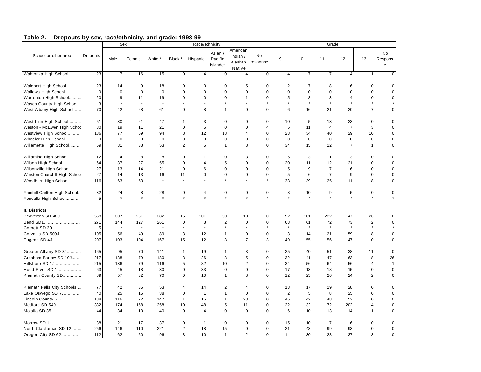|                               |                 |                | Sex         |                    |                | Race/ethnicity |                                |                                           |                |                         |                |                | Grade                |                      |                    |
|-------------------------------|-----------------|----------------|-------------|--------------------|----------------|----------------|--------------------------------|-------------------------------------------|----------------|-------------------------|----------------|----------------|----------------------|----------------------|--------------------|
| School or other area          | <b>Dropouts</b> | Male           | Female      | White <sup>1</sup> | Black $1$      | Hispanic       | Asian /<br>Pacific<br>Islander | American<br>Indian /<br>Alaskan<br>Native | No<br>response | 9                       | 10             | 11             | 12                   | 13                   | No<br>Respons<br>e |
| Wahtonka High School          | 23              | $\overline{7}$ | 16          | 15                 | $\mathbf 0$    | $\overline{4}$ | $\mathbf 0$                    | 4                                         | $\mathbf 0$    | $\overline{4}$          | $\overline{7}$ | $\overline{7}$ | 4                    | $\mathbf{1}$         | $\Omega$           |
| Waldport High School          | 23              | 14             | 9           | 18                 | $\Omega$       | $\mathbf 0$    | $\mathbf 0$                    | 5                                         | $\mathbf 0$    | $\overline{\mathbf{c}}$ | $\overline{7}$ | 8              | 6                    | $\mathbf 0$          | $\Omega$           |
| Wallowa High School           | $\bf 0$         | $\bf 0$        | $\mathbf 0$ | $\mathbf 0$        | $\Omega$       | $\Omega$       | $\pmb{0}$                      | $\pmb{0}$                                 | $\mathbf 0$    | $\mathbf 0$             | $\mathbf 0$    | $\Omega$       | 0                    | $\mathbf 0$          | $\Omega$           |
| Warrenton High School         | 20              | 9              | 11          | 19                 | 0              | $\mathbf 0$    | $\mathbf 0$                    | $\mathbf{1}$                              | $\mathbf 0$    | 5                       | 8              | 3              | $\overline{4}$       | $\mathbf 0$          | $\mathbf 0$        |
| Wasco County High School      | 3               | $\star$        |             | $\star$            |                | $\star$        | 4                              | ٠                                         |                |                         | $\star$        | $\star$        | $\ddot{\phantom{a}}$ | $\ddot{\phantom{0}}$ |                    |
| West Albany High School       | 70              | 42             | 28          | 61                 | $\mathbf 0$    | 8              | $\overline{1}$                 | $\mathbf 0$                               | $\mathbf 0$    | 6                       | 16             | 21             | 20                   | $\overline{7}$       | $\mathbf 0$        |
| West Linn High School         | 51              | 30             | 21          | 47                 | 1              | 3              | $\mathbf 0$                    | $\mathbf 0$                               | $\mathbf 0$    | 10                      | 5              | 13             | 23                   | $\mathbf 0$          | $\mathbf 0$        |
| Weston - McEwen High Schoo    | 30              | 19             | 11          | 21                 | 0              | 5              | $\mathbf 0$                    | $\mathbf 0$                               | $\overline{4}$ | 5                       | 11             | $\overline{4}$ | $\overline{7}$       | 3                    | $\mathbf 0$        |
| Westview High School          | 136             | 77             | 59          | 94                 | 8              | 12             | 18                             | $\overline{4}$                            | $\mathbf 0$    | 23                      | 34             | 40             | 29                   | 10                   | $\mathbf 0$        |
| Wheeler High School           | $\mathbf 0$     | $\mathbf 0$    | $\mathbf 0$ | $\mathbf 0$        | $\pmb{0}$      | 0              | $\mathbf 0$                    | $\mathbf 0$                               | $\mathbf 0$    | $\mathbf 0$             | $\bf 0$        | $\mathbf 0$    | $\mathbf 0$          | $\mathbf 0$          | $\mathbf 0$        |
| Willamette High School        | 69              | 31             | 38          | 53                 | 2              | 5              | $\overline{1}$                 | 8                                         | $\mathbf 0$    | 34                      | 15             | 12             | $\overline{7}$       | $\mathbf{1}$         | 0                  |
| Willamina High School         | 12              | $\overline{4}$ | 8           | 8                  | 0              | $\mathbf{1}$   | $\mathbf 0$                    | 3                                         | $\pmb{0}$      | 5                       | 3              | $\overline{1}$ | 3                    | $\mathbf 0$          | $\mathbf 0$        |
| Wilson High School            | 64              | 37             | 27          | 55                 | $\mathbf 0$    | 4              | 5                              | $\mathbf 0$                               | $\mathbf 0$    | 20                      | 11             | 12             | 21                   | $\mathbf 0$          | $\mathbf 0$        |
| Wilsonville High School       | 27              | 13             | 14          | 21                 | $\mathbf 0$    | 6              | $\mathbf 0$                    | $\mathbf 0$                               | $\mathbf 0$    | 5                       | 9              | $\overline{7}$ | 6                    | $\mathbf 0$          | $\mathbf 0$        |
| Winston Churchill High School | 27              | 14             | 13          | 16                 | 11             | 0              | $\pmb{0}$                      | $\mathbf 0$                               | $\mathbf 0$    | 5                       | 6              | $\overline{7}$ | 9                    | $\mathbf 0$          | $\mathbf 0$        |
| Woodburn High School          | 116             | 63             | 53          | $\star$            | $\star$        | $\star$        | $\star$                        | $\star$                                   |                | 33                      | 39             | 25             | 11                   | 8                    | 0                  |
| Yamhill-Carlton High School.  | 32              | 24             | 8           | 28                 | 0              | 4              | 0                              | 0                                         | $\mathbf 0$    | 8                       | 10             | 9              | 5                    | $\mathbf 0$          | 0                  |
| Yoncalla High School          | 5               |                |             | $\star$            |                |                |                                |                                           |                |                         | $\star$        |                |                      | $\star$              |                    |
| II. Districts                 |                 |                |             |                    |                |                |                                |                                           |                |                         |                |                |                      |                      |                    |
| Beaverton SD 48J              | 558             | 307            | 251         | 382                | 15             | 101            | 50                             | 10                                        | $\mathbf 0$    | 52                      | 101            | 232            | 147                  | 26                   | 0                  |
| Bend SD1                      | 271             | 144            | 127         | 261                | $\mathbf 0$    | 8              | $\overline{2}$                 | $\mathbf 0$                               | $\mathbf 0$    | 63                      | 61             | 72             | 73                   | $\overline{2}$       | $\mathbf 0$        |
| Corbett SD 39                 | $\,$ 5 $\,$     | $\star$        |             | $\star$            | $\star$        | $\star$        | $\star$                        | $\star$                                   |                | $\star$                 | $\star$        | $\star$        | $\star$              | $\star$              |                    |
| Corvallis SD 509J             | 105             | 56             | 49          | 89                 | 3              | 12             | $\mathbf{1}$                   | $\mathbf 0$                               | $\mathbf 0$    | 3                       | 14             | 21             | 59                   | 8                    | 0                  |
| Eugene SD 4J                  | 207             | 103            | 104         | 167                | 15             | 12             | 3                              | $\overline{7}$                            | 3              | 49                      | 55             | 56             | 47                   | $\mathbf 0$          | $\mathbf 0$        |
| Greater Albany SD 8J          | 165             | 95             | 70          | 141                | $\mathbf{1}$   | 19             | $\overline{1}$                 | 3                                         | $\mathsf 0$    | 25                      | 40             | 51             | 38                   | 11                   | $\mathbf 0$        |
| Gresham-Barlow SD 10J         | 217             | 138            | 79          | 180                | 3              | 26             | 3                              | 5                                         | $\mathbf 0$    | 32                      | 41             | 47             | 63                   | 8                    | 26                 |
| Hillsboro SD 1J               | 215             | 136            | 79          | 116                | 5              | 82             | 10                             | 2                                         | $\mathbf 0$    | 34                      | 56             | 64             | 56                   | $\overline{4}$       | $\mathbf{1}$       |
| Hood River SD 1               | 63              | 45             | 18          | 30                 | $\mathbf 0$    | 33             | $\mathbf 0$                    | $\mathbf 0$                               | $\mathbf 0$    | 17                      | 13             | 18             | 15                   | $\mathbf 0$          | $\mathbf 0$        |
| Klamath County SD             | 89              | 57             | 32          | 70                 | $\mathsf 0$    | 10             | $\overline{1}$                 | 8                                         | $\pmb{0}$      | 12                      | 25             | 26             | 24                   | $\overline{2}$       | $\Omega$           |
| Klamath Falls City Schools    | 77              | 42             | 35          | 53                 | 4              | 14             | $\overline{2}$                 | 4                                         | $\mathsf 0$    | 13                      | 17             | 19             | 28                   | $\mathbf 0$          | $\mathbf 0$        |
| Lake Oswego SD 7J             | 40              | 25             | 15          | 38                 | $\mathbf 0$    | $\mathbf{1}$   | $\mathbf{1}$                   | $\mathbf 0$                               | $\mathbf 0$    | $\overline{2}$          | 5              | 8              | 25                   | $\mathbf 0$          | $\mathbf 0$        |
| Lincoln County SD             | 188             | 116            | 72          | 147                | $\mathbf{1}$   | 16             | $\mathbf{1}$                   | 23                                        | $\mathsf 0$    | 46                      | 42             | 48             | 52                   | $\mathbf 0$          | $\mathbf 0$        |
| Medford SD 549                | 332             | 174            | 158         | 258                | 10             | 48             | 5                              | 11                                        | $\mathbf 0$    | 22                      | 32             | 72             | 202                  | $\overline{4}$       | $\mathbf 0$        |
| Molalla SD 35                 | 44              | 34             | 10          | 40                 | $\mathbf 0$    | $\overline{4}$ | $\mathbf 0$                    | $\mathbf 0$                               | $\mathbf 0$    | 6                       | 10             | 13             | 14                   | $\mathbf{1}$         | $\Omega$           |
| Morrow SD 1                   | 38              | 21             | 17          | 37                 | $\mathsf 0$    | $\mathbf{1}$   | $\mathsf 0$                    | 0                                         | $\mathbf 0$    | 15                      | 10             | $\overline{7}$ | 6                    | $\mathbf 0$          | $\mathbf 0$        |
| North Clackamas SD 12         | 256             | 146            | 110         | 221                | $\overline{c}$ | 18             | 15                             | $\pmb{0}$                                 | $\mathbf 0$    | 21                      | 43             | 99             | 93                   | $\mathbf 0$          | $\mathbf 0$        |
| Oregon City SD 62             | 112             | 62             | 50          | 96                 | 3              | 10             | $\overline{1}$                 | $\overline{2}$                            | $\pmb{0}$      | 14                      | 30             | 28             | 37                   | 3                    | $\mathbf 0$        |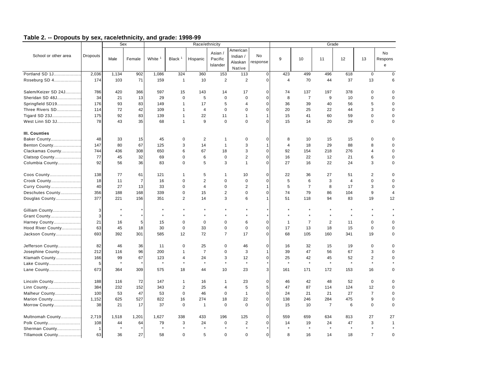|                      |                     | <b>Sex</b> |                |                    |                    | Race/ethnicity |                                |                                           |                       |                    |                |                | Grade          |                |                            |
|----------------------|---------------------|------------|----------------|--------------------|--------------------|----------------|--------------------------------|-------------------------------------------|-----------------------|--------------------|----------------|----------------|----------------|----------------|----------------------------|
| School or other area | Dropouts            | Male       | Female         | White <sup>1</sup> | Black <sup>1</sup> | Hispanic       | Asian /<br>Pacific<br>Islander | American<br>Indian /<br>Alaskan<br>Native | <b>No</b><br>response | 9                  | 10             | 11             | 12             | 13             | No<br>Respons<br>${\bf e}$ |
| Portland SD 1J       | 2,036               | 1,134      | 902            | 1,086              | 324                | 360            | 153                            | 113                                       | $\mathbf 0$           | 423                | 499            | 496            | 618            | $\mathbf 0$    | $\mathbf 0$                |
| Roseburg SD 4        | 174                 | 103        | 71             | 159                | $\overline{1}$     | 10             | $\overline{2}$                 | $\overline{2}$                            | $\pmb{0}$             | $\overline{4}$     | 70             | 44             | 37             | 13             | 6                          |
|                      |                     |            |                |                    |                    |                |                                |                                           |                       |                    |                |                |                |                |                            |
| Salem/Keizer SD 24J  | 786                 | 420        | 366            | 597                | 15                 | 143            | 14                             | 17                                        | 0                     | 74                 | 137            | 197            | 378            | $\mathbf 0$    | $\mathbf 0$                |
| Sheridan SD 48J      | 34                  | 21         | 13             | 29                 | $\mathbf 0$        | 5              | $\mathbf 0$                    | $\mathbf 0$                               | $\mathbf 0$           | 8                  | $\overline{7}$ | 9              | 10             | $\mathbf 0$    | $\mathbf 0$                |
| Springfield SD19     | 176                 | 93         | 83             | 149                | $\mathbf{1}$       | 17             | 5                              | $\overline{4}$                            | $\mathbf 0$           | 36                 | 39             | 40             | 56             | 5              | $\mathbf 0$                |
| Three Rivers SD      | 114                 | 72         | 42             | 109                | $\mathbf{1}$       | 4              | $\mathbf 0$                    | $\mathbf 0$                               | $\Omega$              | 20                 | 25             | 22             | 44             | 3              | $\mathbf 0$                |
| Tigard SD 23J        | 175                 | 92         | 83             | 139                | $\mathbf{1}$       | 22             | 11                             | 1                                         | 1                     | 15                 | 41             | 60             | 59             | $\mathbf 0$    | $\mathbf 0$                |
| West Linn SD 3J      | 78                  | 43         | 35             | 68                 | $\mathbf{1}$       | 9              | $\mathbf 0$                    | $\mathbf 0$                               | $\Omega$              | 15                 | 14             | 20             | 29             | $\mathbf 0$    | $\mathbf 0$                |
| III. Counties        |                     |            |                |                    |                    |                |                                |                                           |                       |                    |                |                |                |                |                            |
| Baker County         | 48                  | 33         | 15             | 45                 | $\mathbf 0$        | 2              | $\mathbf{1}$                   | $\mathbf 0$                               | $\Omega$              | 8                  | 10             | 15             | 15             | 0              | $\mathbf 0$                |
| Benton County        | 147                 | 80         | 67             | 125                | 3                  | 14             | $\mathbf{1}$                   | 3                                         | $\mathbf{1}$          | $\overline{4}$     | 18             | 29             | 88             | 8              | $\Omega$                   |
| Clackamas County     | 744                 | 436        | 308            | 650                | 6                  | 67             | 18                             | 3                                         | $\mathbf 0$           | 92                 | 154            | 218            | 276            | $\overline{4}$ | $\Omega$                   |
| Clatsop County       | 77                  | 45         | 32             | 69                 | $\mathbf 0$        | 6              | $\mathbf 0$                    | $\overline{2}$                            | $\Omega$              | 16                 | 22             | 12             | 21             | 6              | $\mathbf 0$                |
| Columbia County      | 92                  | 56         | 36             | 83                 | $\Omega$           | 5              | 3                              | $\mathbf{1}$                              | $\Omega$              | 27                 | 16             | 22             | 24             | 3              | $\Omega$                   |
|                      |                     |            |                |                    |                    |                |                                |                                           |                       |                    |                |                |                |                |                            |
| Coos County          | 138                 | 77         | 61             | 121                | $\mathbf{1}$       | 5              | $\mathbf{1}$                   | 10                                        | $\Omega$              | 22                 | 36             | 27             | 51             | $\overline{2}$ | $\mathbf 0$                |
| Crook County         | 18                  | 11         | $\overline{7}$ | 16                 | $\Omega$           | $\overline{2}$ | $\Omega$                       | $\Omega$                                  | $\Omega$              | 5                  | 6              | 3              | $\overline{4}$ | $\mathbf 0$    | $\mathbf 0$                |
| Curry County         | 40                  | 27         | 13             | 33                 | $\Omega$           | $\overline{4}$ | $\Omega$                       | $\mathbf 2$                               | $\mathbf{1}$          | 5                  | $\overline{7}$ | 8              | 17             | 3              | $\mathbf 0$                |
| Deschutes County     | 356                 | 188        | 168            | 339                | $\mathbf 0$        | 15             | 2                              | $\mathbf 0$                               | $\mathbf 0$           | 74                 | 79             | 86             | 104            | 9              | $\overline{4}$             |
| Douglas County       | 377                 | 221        | 156            | 351                | 2                  | 14             | 3                              | 6                                         | $\mathbf{1}$          | 51                 | 118            | 94             | 83             | 19             | 12                         |
|                      |                     |            |                |                    |                    | $\star$        |                                |                                           |                       |                    |                |                |                |                |                            |
| Gilliam County       | 3 <sup>1</sup><br>3 |            |                | $\star$            |                    |                |                                |                                           |                       |                    |                |                | $\star$        |                |                            |
| Grant County         | 21                  | 16         | 5              |                    | $\mathbf 0$        | $\mathbf 0$    | $\mathbf 0$                    | 6                                         | $\mathbf 0$           |                    | $\overline{7}$ | 2              | 11             | $\mathbf 0$    | $\Omega$                   |
| Harney County        | 63                  |            |                | 15<br>30           | $\mathbf 0$        | 33             | $\pmb{0}$                      | $\mathbf 0$                               | $\mathbf 0$           | $\mathbf{1}$<br>17 |                |                |                | $\mathbf 0$    | $\Omega$                   |
| Hood River County    | 693                 | 45<br>392  | 18<br>301      |                    |                    | 72             | $\overline{7}$                 | 17                                        | $\mathbf 0$           |                    | 13             | 18             | 15             |                | $\Omega$                   |
| Jackson County       |                     |            |                | 585                | 12                 |                |                                |                                           |                       | 68                 | 105            | 160            | 341            | 19             |                            |
| Jefferson County     | 82                  | 46         | 36             | 11                 | $\mathbf 0$        | 25             | $\mathbf 0$                    | 46                                        | $\mathbf 0$           | 16                 | 32             | 15             | 19             | $\mathbf 0$    | $\mathbf 0$                |
| Josephine County     | 212                 | 116        | 96             | 200                | $\mathbf{1}$       | $\overline{7}$ | $\mathbf 0$                    | 3                                         | $\mathbf{1}$          | 39                 | 47             | 56             | 67             | 3              | $\mathbf 0$                |
| Klamath County       | 166                 | 99         | 67             | 123                | 4                  | 24             | 3                              | 12                                        | $\pmb{0}$             | 25                 | 42             | 45             | 52             | $\overline{2}$ | $\mathbf 0$                |
| Lake County          | 5                   | $\star$    |                | $\star$            | $\star$            | $\star$        | $\star$                        | $\star$                                   |                       | $\star$            | $\star$        | $\star$        | $\star$        | $\star$        |                            |
| Lane County          | 673                 | 364        | 309            | 575                | 18                 | 44             | 10                             | 23                                        | 3                     | 161                | 171            | 172            | 153            | 16             | $\mathbf 0$                |
| Lincoln County       | 188                 | 116        | 72             | 147                | $\mathbf{1}$       | 16             | $\mathbf{1}$                   | 23                                        | $\mathbf 0$           | 46                 | 42             | 48             | 52             | $\mathbf 0$    | $\Omega$                   |
| Linn County          | 384                 | 232        | 152            | 343                | $\overline{2}$     | 25             | $\overline{4}$                 | 5                                         | 5                     | 47                 | 87             | 114            | 124            | 12             | $\mathbf 0$                |
| Malheur County       | 100                 | 53         | 47             | 53                 | $\mathbf 0$        | 46             | $\mathbf 0$                    | $\mathbf{1}$                              | $\mathbf 0$           | 24                 | 21             | 21             | 27             | $\overline{7}$ | $\mathbf 0$                |
| Marion County        | 1,152               | 625        | 527            | 822                | 16                 | 274            | 18                             | 22                                        | $\mathbf 0$           | 138                | 246            | 284            | 475            | 9              | $\mathbf 0$                |
| Morrow County        | 38                  | 21         | 17             | 37                 | $\mathbf 0$        | $\mathbf{1}$   | $\mathbf 0$                    | $\Omega$                                  | $\mathbf 0$           | 15                 | 10             | $\overline{7}$ | 6              | $\mathbf 0$    | $\Omega$                   |
|                      |                     |            |                |                    |                    |                |                                |                                           |                       |                    |                |                |                |                |                            |
| Multnomah County     | 2,719               | 1,518      | 1,201          | 1,627              | 338                | 433            | 196                            | 125                                       | $\mathbf 0$           | 559                | 659            | 634            | 813            | 27             | 27                         |
| Polk County          | 108                 | 44         | 64             | 79                 | 3                  | 24             | $\mathbf 0$                    | $\overline{2}$                            | $\mathbf 0$           | 14                 | 19             | 24             | 47             | 3              | $\mathbf{1}$               |
| Sherman County       | $\mathbf{1}$        | $\star$    |                | $\star$            | $\star$            | $\star$        | $\star$                        | $\star$                                   | $\star$               |                    | $\star$        | $\star$        | $\star$        | $\star$        |                            |
| Tillamook County     | 63                  | 36         | 27             | 58                 | $\Omega$           | 5              | $\Omega$                       | $\Omega$                                  | $\mathbf 0$           | 8                  | 16             | 14             | 18             | $\overline{7}$ | $\Omega$                   |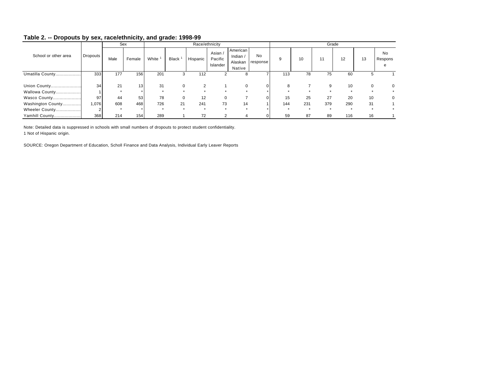|                      |          |      | Sex             |       |              |          | Race/ethnicity                 |                                           |                |              |     |     | Grade   |          |                    |
|----------------------|----------|------|-----------------|-------|--------------|----------|--------------------------------|-------------------------------------------|----------------|--------------|-----|-----|---------|----------|--------------------|
| School or other area | Dropouts | Male | Female          | White | <b>Black</b> | Hispanic | Asian /<br>Pacific<br>Islander | American<br>Indian /<br>Alaskan<br>Native | No<br>response | <sub>9</sub> | 10  | 11  | 12      | 13       | No<br>Respons<br>e |
| Umatilla County      | 333      | 177  | 156             | 201   | 3            | 112      |                                |                                           |                | 113          | 78  | 75  | 60      | 5        |                    |
|                      |          |      |                 |       |              |          |                                |                                           |                |              |     |     |         |          |                    |
|                      | 34       | 21   | 13 <sub>1</sub> | 31    |              |          |                                |                                           |                | 8            |     | 9   | 10      | $\Omega$ | 0                  |
| Wallowa County       |          |      |                 |       |              |          |                                |                                           |                |              |     |     |         |          |                    |
| Wasco County         | 97       | 44   | 53              | 78    |              | 12       | $\Omega$                       |                                           |                | 15           | 25  | 27  | 20      | 10       | 0                  |
| Washington County    | 1,076    | 608  | 468             | 726   | 21           | 241      | 73                             | 14                                        |                | 144          | 231 | 379 | 290     | 31       |                    |
| Wheeler County       |          |      |                 |       | $\star$      | $\star$  |                                |                                           |                |              |     |     | $\star$ |          |                    |
| Yamhill County       | 368      | 214  | 154             | 289   |              | 72       | 2                              |                                           |                | 59           | 87  | 89  | 116     | 16       |                    |

Note: Detailed data is suppressed in schools with small numbers of dropouts to protect student confidentiality. 1 Not of Hispanic origin.

SOURCE: Oregon Department of Education, Scholl Finance and Data Analysis, Individual Early Leaver Reports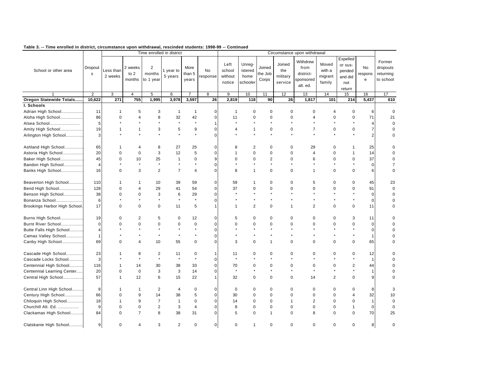|                               |                |              |                          |                      | Time enrolled in district |                         |              |                |                |                |             | Circumstance upon withdrawal |                          |                |                |                |
|-------------------------------|----------------|--------------|--------------------------|----------------------|---------------------------|-------------------------|--------------|----------------|----------------|----------------|-------------|------------------------------|--------------------------|----------------|----------------|----------------|
|                               |                |              |                          |                      |                           |                         |              |                |                |                |             | Withdrew                     |                          | Expelled       |                | Former         |
|                               |                |              |                          |                      |                           |                         |              | Left           | Unreg-         |                | Joined      |                              | Moved                    | or sus-        |                |                |
| School or other area          | Dropout        | ess than     | 2 weeks                  | $\overline{2}$       | 1 year to                 | More                    | No           | school         | istered        | Joined         | the         | from                         | with a                   | pended         | No             | dropouts       |
|                               | $\mathbf s$    | 2 weeks      | to $2$                   | months               | 5 years                   | than 5                  | response     | without        | home           | the Job        | military    | district-                    | migrant                  | and did        | respons        | returning      |
|                               |                |              | months                   | to 1 year            |                           | years                   |              | notice         | schooler       | Corps          | service     | sponsored                    | family                   | not            | e              | to school      |
|                               |                |              |                          |                      |                           |                         |              |                |                |                |             | alt. ed.                     |                          | return         |                |                |
|                               | $\overline{2}$ | 3            | $\overline{4}$           | 5                    | 6                         | $\overline{7}$          | 8            | 9              | 10             | 11             | 12          | 13                           | 14                       | 15             | 16             | 17             |
| Oregon Statewide Totals       | 10,622         | 271          | 755                      | 1,995                | 3,978                     | 3,597                   | 26           | 2,819          | 118            | 90             | 26          | 1,817                        | 101                      | 214            | 5,437          | 610            |
| I. Schools                    |                |              |                          |                      |                           |                         |              |                |                |                |             |                              |                          |                |                |                |
| Adrian High School            | 11             | $\mathbf{1}$ | 5                        | 3                    | $\mathbf{1}$              | 1                       | 0            | $\mathbf{1}$   | $\mathbf 0$    | $\mathbf 0$    | 0           | $\mathbf 0$                  | $\overline{\mathcal{A}}$ | 0              | 6              | $\mathbf 0$    |
| Aloha High School             | 86             | 0            | 4                        | 8                    | 32                        | 42                      | $\mathbf 0$  | 11             | 0              | $\pmb{0}$      | $\pmb{0}$   | 4                            | $\mathbf 0$              | $\mathbf 0$    | 71             | 21             |
| Alsea School                  | 5              |              |                          |                      |                           | $\star$                 | 1            |                |                |                |             |                              |                          |                | $\overline{4}$ | $\mathbf 0$    |
| Amity High School             | 19             | 1            | $\mathbf{1}$             | 3                    | 5                         | 9                       | $\mathbf 0$  | $\overline{4}$ | 1              | 0              | 0           | $\overline{7}$               | $\mathbf 0$              | $\mathbf 0$    | $\overline{7}$ | $\mathbf 0$    |
|                               | 3              |              |                          | $\star$              | $\star$                   | $\star$                 | $\Omega$     | $\star$        | $\star$        | $\star$        |             |                              | $\star$                  | $\star$        | $\overline{c}$ | $\Omega$       |
| Arlington High School         |                |              |                          |                      |                           |                         |              |                |                |                |             |                              |                          |                |                |                |
| Ashland High School           | 65             | $\mathbf 1$  | 4                        | 8                    | 27                        | 25                      | $\Omega$     | 8              | 2              | $\mathbf 0$    | 0           | 29                           | $\mathbf 0$              | 1              | 25             | 0              |
| Astoria High School           | 20             | 0            | $\mathbf 0$              | 3                    | 12                        | 5                       | $\mathbf 0$  | $\overline{1}$ | $\mathbf 0$    | $\mathbf 0$    | $\mathbf 0$ | 4                            | $\mathbf 0$              | $\mathbf{1}$   | 14             | $\mathbf 0$    |
| Baker High School             | 45             | 0            | 10                       | 25                   | $\mathbf{1}$              | 0                       | 9            | $\mathbf 0$    | $\mathbf 0$    | $\overline{2}$ | $\mathbf 0$ | 6                            | $\mathbf 0$              | $\mathbf 0$    | 37             | $\mathbf 0$    |
| Bandon High School            | $\overline{4}$ |              |                          | $\star$              |                           | $\star$                 | $\mathbf 0$  |                |                | $\star$        |             |                              |                          |                | $\pmb{0}$      | $\overline{7}$ |
| Banks High School             | 16             | $\mathbf 0$  | 3                        | 2                    | $\overline{7}$            | $\overline{4}$          | $\Omega$     | 8              | $\mathbf{1}$   | $\mathbf 0$    | $\mathbf 0$ | $\mathbf{1}$                 | $\mathbf 0$              | $\mathbf 0$    | 6              | $\mathbf 0$    |
|                               |                |              |                          |                      |                           |                         |              |                |                |                |             |                              |                          |                |                |                |
| Beaverton High School         | 110            | 1            | 1                        | 10                   | 39                        | 59                      | $\mathbf 0$  | 59             | 1              | $\mathbf 0$    | 0           | 5                            | $\mathbf 0$              | $\mathbf 0$    | 45             | 23             |
| Bend High School              | 128            | 0            | $\overline{\mathcal{A}}$ | 29                   | 41                        | 54                      | $\Omega$     | 37             | 0              | $\mathbf 0$    | $\Omega$    | $\mathbf 0$                  | $\mathbf 0$              | $\mathbf 0$    | 91             | $\mathbf 0$    |
| Benson High School            | 38             | 0            | $\Omega$                 | 3                    | 6                         | 29                      | $\mathbf 0$  |                |                |                |             |                              |                          |                | $\pmb{0}$      | $\mathbf 0$    |
| Bonanza School                | 6              |              |                          | $\star$              | $\star$                   | $\star$                 | 0            |                |                |                |             |                              |                          | $\star$        | $\mathbf 0$    | 0              |
| Brookings Harbor High School. | 17             | $\Omega$     | $\Omega$                 | $\Omega$             | 11                        | 5                       | $\mathbf{1}$ | $\mathbf{1}$   | $\overline{2}$ | $\mathbf 0$    | 1           | $\overline{2}$               | $\mathbf 0$              | $\mathbf 0$    | 11             | $\Omega$       |
|                               |                |              |                          |                      |                           |                         |              |                |                |                |             |                              |                          |                |                |                |
| Burns High School             | 19             | 0            | $\overline{2}$           | 5                    | 0                         | 12                      | 0            | 5              | 0              | 0              | $\mathbf 0$ | $\mathbf 0$                  | $\mathbf 0$              | 3              | 11             | $\Omega$       |
| Burnt River School            | $\mathbf 0$    | 0            | $\Omega$                 | $\Omega$             | $\Omega$                  | $\mathbf 0$             | $\mathbf 0$  | $\Omega$       | $\Omega$       | $\mathbf 0$    | $\Omega$    | $\Omega$                     | $\Omega$                 | $\Omega$       | $\mathsf 0$    | $\Omega$       |
| Butte Falls High School       | $\overline{4}$ |              |                          |                      |                           | $\star$                 | $\mathbf 0$  |                |                |                |             |                              |                          | $\star$        | $\pmb{0}$      | $\mathbf 0$    |
| Camas Valley School           | $\overline{1}$ |              |                          | $\ddot{\phantom{0}}$ |                           | $\star$                 | $\mathbf 0$  |                |                |                |             |                              | $\star$                  | $\star$        | $\mathbf{1}$   | $\Omega$       |
| Canby High School             | 69             | 0            | $\overline{\mathcal{A}}$ | 10                   | 55                        | 0                       | 0            | 3              | 0              | $\mathbf{1}$   | $\Omega$    | $\mathbf 0$                  | $\mathbf 0$              | $\mathbf 0$    | 65             | $\mathbf 0$    |
|                               |                |              |                          |                      |                           |                         |              |                |                |                |             |                              |                          |                |                |                |
| Cascade High School           | 23             |              | 8                        | 2                    | 11                        | $\mathbf 0$             | 1            | 11             | 0              | $\mathbf 0$    | $\mathbf 0$ | $\mathbf 0$                  | $\mathbf 0$              | $\mathbf 0$    | 12             | $\Omega$       |
| Cascade Locks School          | 3              |              |                          | $\star$              | $\star$                   | $\star$                 | $\mathbf 0$  | $\star$        |                |                |             |                              |                          | $\star$        | $\mathbf{1}$   | $\mathbf 0$    |
| Centennial High School        | 116            | 1            | 14                       | 30                   | 38                        | 33                      | $\mathbf 0$  | 70             | 0              | $\mathbf 0$    | $\mathbf 0$ | $\mathbf 0$                  | $\mathbf 0$              | $\overline{2}$ | 44             | $\Omega$       |
| Centennial Learning Center    | 20             | $\mathbf 0$  | $\mathbf 0$              | 3                    | 3                         | 14                      | $\Omega$     | $\star$        | $\star$        |                | $\star$     | $\star$                      | $\star$                  | $\star$        | $\mathbf{1}$   | $\mathbf 0$    |
| Central High School           | 57             | $\mathbf{1}$ | 12                       | 6                    | 15                        | 22                      | 1            | 32             | 0              | $\mathbf 0$    | $\mathbf 0$ | 14                           | 2                        | $\mathbf 0$    | 9              | $\mathbf 0$    |
|                               |                |              |                          |                      |                           |                         |              |                |                |                |             |                              |                          |                |                |                |
| Central Linn High School      | 8              | 1            | 1                        | $\overline{2}$       | $\overline{4}$            | 0                       | $\Omega$     | $\mathbf 0$    | 0              | $\mathbf 0$    | $\mathbf 0$ | $\mathbf 0$                  | $\mathbf 0$              | $\mathbf 0$    | 8              | 3              |
| Century High School           | 66             | 0            | $\mathbf{Q}$             | 14                   | 38                        | 5                       | $\mathbf 0$  | 30             | $\Omega$       | $\mathbf 0$    | $\Omega$    | $\mathbf 0$                  | $\Omega$                 | 4              | 32             | 10             |
| Chiloquin High School         | 18             | 1            | 9                        | $\overline{7}$       | $\overline{1}$            | 0                       | $\mathbf 0$  | 14             | $\mathbf 0$    | $\mathbf 0$    | 1           | $\overline{2}$               | $\mathbf 0$              | $\mathbf 0$    | $\mathbf{1}$   | $\mathbf 0$    |
| Churchill Alt. Ed.            | 9              | $\Omega$     | $\pmb{0}$                | $\overline{2}$       | 3                         | $\overline{\mathbf{4}}$ | $\Omega$     | 8              | $\pmb{0}$      | $\pmb{0}$      | $\pmb{0}$   | $\pmb{0}$                    | $\mathbf 0$              | $\mathbf{1}$   | $\pmb{0}$      | $\Omega$       |
| Clackamas High School         | 84             | 0            | $\overline{7}$           | 8                    | 38                        | 31                      | 0            | 5              | $\Omega$       | $\mathbf{1}$   | $\mathbf 0$ | 8                            | $\mathbf 0$              | $\mathbf 0$    | 70             | 25             |
|                               |                |              |                          |                      |                           |                         |              |                |                |                |             |                              |                          |                |                |                |
| Clatskanie High School        | $\overline{9}$ | $\Omega$     | $\overline{\mathcal{A}}$ | 3                    | $\overline{2}$            | $\mathbf 0$             | $\pmb{0}$    | $\mathbf 0$    | 1              | $\Omega$       | $\Omega$    | $\mathbf 0$                  | $\mathbf 0$              | $\mathbf 0$    | 8              | $\mathbf 0$    |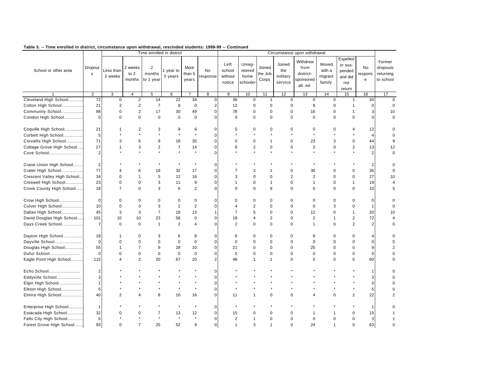|                             |                 |                      |                             |                                       | Time enrolled in district |                         |                         |                                     |                                       |                            |                                      | Circumstance upon withdrawal                           |                                      |                                                           |                           |                                              |
|-----------------------------|-----------------|----------------------|-----------------------------|---------------------------------------|---------------------------|-------------------------|-------------------------|-------------------------------------|---------------------------------------|----------------------------|--------------------------------------|--------------------------------------------------------|--------------------------------------|-----------------------------------------------------------|---------------------------|----------------------------------------------|
| School or other area        | Dropout<br>s    | Less than<br>2 weeks | 2 weeks<br>to $2$<br>months | $\overline{2}$<br>months<br>to 1 year | 1 year to<br>5 years      | More<br>than 5<br>years | <b>No</b><br>response   | Left<br>school<br>without<br>notice | Unreg-<br>istered<br>home<br>schooler | Joined<br>the Job<br>Corps | Joined<br>the<br>military<br>service | Withdrew<br>from<br>district-<br>sponsored<br>alt. ed. | Moved<br>with a<br>migrant<br>family | Expelled<br>or sus-<br>pended<br>and did<br>not<br>return | No<br>respons<br>e        | Former<br>dropouts<br>returning<br>to school |
|                             | $\overline{2}$  | 3                    | $\overline{4}$              | 5                                     | 6                         |                         | 8                       | 9                                   | 10                                    | 11                         | 12                                   | 13                                                     | 14                                   | 15                                                        | 16                        | 17                                           |
| Cleveland High School       | $\overline{72}$ | $\mathbf 0$          | $\overline{2}$              | 14                                    | 22                        | 34                      | 0                       | 36                                  | $\mathbf 0$                           | $\overline{1}$             | $\mathbf 0$                          | $\mathbf 0$                                            | $\mathbf 0$                          | $\mathbf{1}$                                              | 34                        | $\mathbf 0$                                  |
| Colton High School          | 21              | $\overline{2}$       | $\overline{2}$              | $\overline{7}$                        | 8                         | $\mathbf 0$             | $\overline{\mathbf{c}}$ | 12                                  | $\mathbf 0$                           | $\mathbf 0$                | $\mathbf 0$                          | 8                                                      | 0                                    | $\overline{1}$                                            | $\mathbf 0$               | $\mathbf 0$                                  |
| Community School            | 98              | $\Omega$             | $\overline{2}$              | 17                                    | 30                        | 49                      | $\mathbf 0$             | 78                                  | $\mathbf 0$                           | $\mathbf 0$                | $\mathbf 0$                          | 16                                                     | $\mathbf 0$                          | $\mathbf{1}$                                              | $\ensuremath{\mathsf{3}}$ | 10                                           |
| Condon High School          | $\mathbf 0$     | $\Omega$             | $\Omega$                    | $\mathbf 0$                           | $\mathbf{0}$              | $\mathsf 0$             | $\mathbf 0$             | $\mathbf 0$                         | $\mathbf 0$                           | $\mathbf 0$                | $\mathbf 0$                          | $\mathbf 0$                                            | $\mathbf 0$                          | $\mathbf 0$                                               | $\pmb{0}$                 | $\mathbf 0$                                  |
| Coquille High School        | 21              |                      | 2                           | 3                                     | 9                         | 6                       | $\mathbf 0$             | 5                                   | $\Omega$                              | $\Omega$                   | $\Omega$                             | 0                                                      | $\Omega$                             | 4                                                         | 12                        | 0                                            |
| Corbett High School         | $\sqrt{5}$      |                      |                             |                                       |                           | $\star$                 | 0                       |                                     |                                       |                            |                                      |                                                        |                                      |                                                           | $\overline{4}$            | $\mathbf 0$                                  |
| Corvallis High School       | 71              | 3                    | 6                           | 9                                     | 18                        | 35                      | $\mathbf 0$             | $\mathbf 0$                         | $\mathbf 0$                           | $\mathbf{1}$               | $\Omega$                             | 23                                                     | 3                                    | $\mathbf 0$                                               | 44                        | 9                                            |
| Cottage Grove High School   | 27              | 1                    | 3                           | $\sqrt{2}$                            | $\overline{7}$            | 14                      | 0                       | 8                                   | $\mathbf 2$                           | $\pmb{0}$                  | $\pmb{0}$                            | $\overline{c}$                                         | $\pmb{0}$                            | $\overline{2}$                                            | 13                        | 12                                           |
| Cove School                 | $\overline{2}$  |                      |                             |                                       |                           | $\star$                 | $\mathbf 0$             |                                     |                                       |                            |                                      | $\star$                                                |                                      | $\star$                                                   | $\overline{2}$            | $\mathbf 0$                                  |
| Crane Union High School     | $\overline{2}$  |                      |                             |                                       | $\star$                   | $\star$                 | $\mathbf 0$             |                                     |                                       |                            |                                      |                                                        |                                      |                                                           | $\overline{2}$            | $\Omega$                                     |
| Crater High School          | 77              | $\Delta$             | 6                           | 18                                    | 32                        | 17                      | 0                       | $\overline{7}$                      | 3                                     | 1                          | $\mathbf 0$                          | 30                                                     | $\mathbf 0$                          | 0                                                         | 36                        | $\mathbf 0$                                  |
| Crescent Valley High School | 34              | $\mathbf 0$          | 1                           | 5                                     | 12                        | 16                      | 0                       | 3                                   | $\mathbf 0$                           | $\mathbf 0$                | $\overline{2}$                       | $\overline{2}$                                         | $\mathbf 0$                          | $\pmb{0}$                                                 | 27                        | 10                                           |
| Creswell High School        | 23              | $\mathbf 0$          | $\mathbf 0$                 | 3                                     | 11                        | 9                       | 0                       | $\mathbf{1}$                        | 0                                     | $\mathbf{1}$               | $\mathbf 0$                          | $\mathbf{1}$                                           | $\mathbf 0$                          | $\mathbf{1}$                                              | 19                        | $\overline{4}$                               |
| Crook County High School    | 18              | $\overline{7}$       | $\Omega$                    | 3                                     | 6                         | $\overline{c}$          | 0                       | $\Omega$                            | $\mathbf 0$                           | 8                          | $\mathbf 0$                          | $\mathbf 0$                                            | $\mathbf 0$                          | $\mathbf 0$                                               | 10                        | 5                                            |
| Crow High School            | $\mathbf 0$     | $\mathbf 0$          | $\mathbf 0$                 | $\mathbf 0$                           | $\mathbf 0$               | $\mathbf 0$             | $\mathbf 0$             | $\mathbf 0$                         | $\pmb{0}$                             | $\mathbf 0$                | $\mathbf 0$                          | $\mathbf 0$                                            | $\mathbf 0$                          | $\mathsf 0$                                               | $\mathbf 0$               | $\mathbf 0$                                  |
| Culver High School          | 10              | $\mathbf 0$          | 3                           | 3                                     | 2                         | $\overline{2}$          | $\mathbf 0$             | $\overline{4}$                      | $\overline{2}$                        | $\mathbf 0$                | $\mathbf 0$                          | $\mathbf 0$                                            | 3                                    | $\mathbf 0$                                               | $\mathbf{1}$              | $\Omega$                                     |
| Dallas High School          | 45              | 3                    | 3                           | $\overline{7}$                        | 18                        | 13                      | 1                       | $\overline{7}$                      | 5                                     | $\mathbf 0$                | $\mathbf 0$                          | 12                                                     | $\mathbf 0$                          | $\overline{1}$                                            | 20                        | 10                                           |
| David Douglas High School   | 101             | 10                   | 10                          | 23                                    | 58                        | 0                       | $\mathbf 0$             | 18                                  | 4                                     | $\overline{2}$             | $\mathbf 0$                          | $\overline{2}$                                         | $\mathbf{1}$                         | $\overline{2}$                                            | 72                        | $\overline{4}$                               |
| Days Creek School           | $\overline{7}$  | $\Omega$             | $\mathbf 0$                 | $\mathbf{1}$                          | 2                         | 4                       | 0                       | 2                                   | $\mathbf 0$                           | $\mathbf 0$                | $\mathbf 0$                          | $\mathbf{1}$                                           | $\mathbf 0$                          | 2                                                         | $\overline{2}$            | $\mathbf 0$                                  |
| Dayton High School          | 18              | -1                   | $\mathbf 0$                 | 3                                     | 6                         | 8                       | 0                       | 6                                   | $\mathbf 0$                           | $\mathbf 0$                | 0                                    | 8                                                      | $\mathbf 0$                          | 0                                                         | 4                         | O                                            |
| Dayville School             | $\mathbf 0$     | $\mathbf 0$          | $\mathbf 0$                 | $\mathbf 0$                           | $\mathbf 0$               | $\pmb{0}$               | 0                       | $\mathbf 0$                         | $\mathbf 0$                           | $\mathbf 0$                | $\mathbf 0$                          | $\mathbf 0$                                            | $\mathbf 0$                          | $\mathsf 0$                                               | $\pmb{0}$                 | $\mathbf 0$                                  |
| Douglas High School         | 55              | 1                    | $\overline{7}$              | 9                                     | 28                        | 10                      | 0                       | 21                                  | $\mathbf 0$                           | $\mathbf 0$                | $\mathbf 0$                          | 25                                                     | $\mathbf 0$                          | $\pmb{0}$                                                 | $9\,$                     | $\overline{2}$                               |
| Dufur School                | $\mathbf 0$     | $\Omega$             | $\mathbf 0$                 | $\mathbf 0$                           | $\mathbf 0$               | $\pmb{0}$               | 0                       | $\mathbf 0$                         | $\pmb{0}$                             | $\mathbf 0$                | $\mathbf 0$                          | $\mathbf 0$                                            | $\pmb{0}$                            | $\pmb{0}$                                                 | $\pmb{0}$                 | $\mathbf 0$                                  |
| Eagle Point High School     | 115             | $\Delta$             | $\overline{2}$              | 20                                    | 67                        | 20                      | $\overline{2}$          | 48                                  | 1                                     | $\mathbf{1}$               | $\Omega$                             | $\Omega$                                               | $\Omega$                             | 5                                                         | 60                        | $\mathbf 0$                                  |
| Echo School                 | $\overline{2}$  |                      |                             |                                       |                           |                         | $\mathbf 0$             |                                     |                                       |                            |                                      |                                                        |                                      |                                                           | 1                         | $\Omega$                                     |
| Eddyville School            | 3               |                      |                             |                                       |                           |                         | 0                       |                                     |                                       |                            |                                      |                                                        |                                      |                                                           | 3                         | $\Omega$                                     |
| Elgin High School           | $\mathbf{1}$    |                      |                             |                                       |                           | $\star$                 | $\mathbf 0$             |                                     |                                       |                            |                                      |                                                        |                                      | $\star$                                                   | $\pmb{0}$                 | $\Omega$                                     |
| Elkton High School          | 5               |                      |                             |                                       |                           | $\star$                 | $\mathbf 0$             |                                     |                                       |                            |                                      |                                                        |                                      | $\star$                                                   | $\sqrt{5}$                |                                              |
| Elmira High School          | 40              | $\overline{2}$       | Δ                           | 8                                     | 10                        | 16                      | 0                       | 11                                  | $\mathbf{1}$                          | $\mathbf 0$                | $\mathbf 0$                          | Δ                                                      | $\mathbf 0$                          | $\mathbf 2$                                               | 22                        |                                              |
| Enterprise High School      | $\mathbf{1}$    |                      |                             |                                       | $\star$                   | $\star$                 | $\mathbf 0$             |                                     |                                       |                            |                                      |                                                        |                                      |                                                           | 1                         | O                                            |
| Estacada High School        | 32              | $\Omega$             | $\Omega$                    | $\overline{7}$                        | 13                        | 12                      | 0                       | 15                                  | $\mathbf 0$                           | $\mathbf 0$                | 0                                    | -1                                                     |                                      | $\mathbf 0$                                               | 15                        | $\mathbf 1$                                  |
| Falls City High School      | 6               |                      |                             |                                       | $\star$                   | $\star$                 | 0                       | $\overline{2}$                      | 1                                     | $\mathbf 0$                | $\mathbf 0$                          | $\mathbf 0$                                            | $\Omega$                             | $\mathbf 0$                                               | 3                         | $\mathbf{1}$                                 |
| Forest Grove High School    | 93              | $\Omega$             | $\overline{7}$              | 25                                    | 52                        | 9                       | $\mathbf 0$             | $\mathbf{1}$                        | 3                                     | $\mathbf{1}$               | $\Omega$                             | 24                                                     | $\mathbf{1}$                         | $\Omega$                                                  | 63                        | $\mathbf 0$                                  |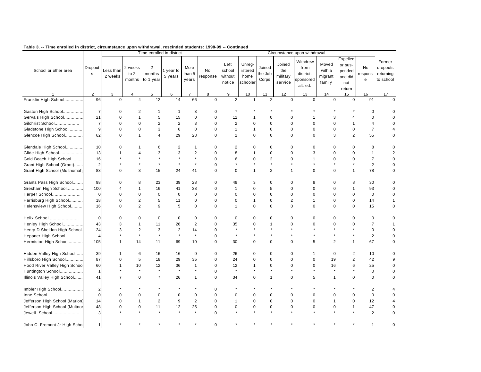|                                |                        |                      |                             |                                       | Time enrolled in district |                         |                |                                     |                                       |                            |                                      | Circumstance upon withdrawal                           |                                      |                                                           |                         |                                              |
|--------------------------------|------------------------|----------------------|-----------------------------|---------------------------------------|---------------------------|-------------------------|----------------|-------------------------------------|---------------------------------------|----------------------------|--------------------------------------|--------------------------------------------------------|--------------------------------------|-----------------------------------------------------------|-------------------------|----------------------------------------------|
| School or other area           | Dropout<br>$\mathbf s$ | Less than<br>2 weeks | 2 weeks<br>to $2$<br>months | $\overline{2}$<br>months<br>to 1 year | 1 year to<br>5 years      | More<br>than 5<br>years | No<br>response | Left<br>school<br>without<br>notice | Unreg-<br>istered<br>home<br>schooler | Joined<br>the Job<br>Corps | Joined<br>the<br>military<br>service | Withdrew<br>from<br>district-<br>sponsored<br>alt. ed. | Moved<br>with a<br>migrant<br>family | Expelled<br>or sus-<br>pended<br>and did<br>not<br>return | No<br>respons<br>e      | Former<br>dropouts<br>returning<br>to school |
|                                | 2                      | 3                    | 4                           | 5                                     | 6                         |                         | 8              | 9                                   | 10                                    | 11                         | 12                                   | 13                                                     | 14                                   | 15                                                        | 16                      | 17                                           |
| Franklin High School           | 96                     | $\mathbf 0$          | $\overline{4}$              | 12                                    | 14                        | 66                      | $\mathbf 0$    | 2                                   | $\mathbf{1}$                          | 2                          | $\mathbf 0$                          | $\mathbf 0$                                            | $\mathbf 0$                          | $\mathbf 0$                                               | 91                      | $\Omega$                                     |
| Gaston High School             | $\overline{7}$         | $\Omega$             | 2                           | $\mathbf{1}$                          | $\mathbf{1}$              | 3                       | 0              |                                     |                                       |                            |                                      |                                                        |                                      |                                                           | 0                       | $\Omega$                                     |
| Gervais High School            | 21                     | 0                    | $\mathbf 1$                 | 5                                     | 15                        | $\pmb{0}$               | $\pmb{0}$      | 12                                  |                                       | $\mathbf 0$                | $\Omega$                             | 1                                                      | 3                                    | 4                                                         | 0                       |                                              |
| Gilchrist School               | $\overline{7}$         | 0                    | $\Omega$                    | $\overline{2}$                        | $\overline{2}$            | 3                       | $\pmb{0}$      | 2                                   | $\mathbf 0$                           | $\mathbf 0$                | $\Omega$                             | $\mathbf 0$                                            | $\mathbf 0$                          | $\mathbf{1}$                                              | $\overline{4}$          |                                              |
| Gladstone High School          | 9                      | $\Omega$             | $\Omega$                    | 3                                     | 6                         | $\pmb{0}$               | 0              | $\mathbf{1}$                        | 1                                     | 0                          | $\mathbf 0$                          | $\mathbf 0$                                            | $\mathbf 0$                          | $\pmb{0}$                                                 | $\overline{7}$          | 4                                            |
| Glencoe High School            | 62                     | 0                    | $\mathbf{1}$                | 4                                     | 29                        | 28                      | 0              | 2                                   | $\mathbf 0$                           | $\mathbf 0$                | $\mathbf 0$                          | $\mathbf 0$                                            | 3                                    | $\overline{2}$                                            | 55                      | $\mathbf 0$                                  |
| Glendale High School           | 10                     | 0                    |                             | 6                                     | $\overline{2}$            | $\mathbf{1}$            | 0              | $\overline{2}$                      | 0                                     | $\mathbf 0$                | $\Omega$                             | $\mathbf 0$                                            | $\mathbf 0$                          | 0                                                         | 8                       | 0                                            |
| Glide High School              | 13                     |                      |                             | 3                                     | 3                         | $\overline{2}$          | 0              | 8                                   | $\mathbf{1}$                          | $\mathbf 0$                | $\Omega$                             | 3                                                      | $\mathbf 0$                          | $\mathbf 0$                                               | $\mathbf{1}$            | $\overline{2}$                               |
| Gold Beach High School         | 16                     |                      |                             |                                       |                           | $\star$                 | $\mathbf 0$    | 6                                   | $\mathbf 0$                           | $\overline{\mathbf{c}}$    | $\Omega$                             | -1                                                     | $\mathbf 0$                          | $\mathbf 0$                                               | $\boldsymbol{7}$        | $\mathbf 0$                                  |
| Grant High School (Grant)      | $\overline{2}$         |                      |                             |                                       |                           | $\star$                 | 0              |                                     |                                       | $\star$                    |                                      |                                                        |                                      | $\star$                                                   | $\overline{2}$          | $\Omega$                                     |
| Grant High School (Multnomah)  | 83                     | $\Omega$             | 3                           | 15                                    | 24                        | 41                      | 0              | $\mathbf 0$                         | $\mathbf{1}$                          | $\overline{2}$             | $\mathbf{1}$                         | $\mathbf 0$                                            | $\mathbf 0$                          | $\mathbf{1}$                                              | 78                      | $\mathbf 0$                                  |
| Grants Pass High School        | 98                     | $\Omega$             | 8                           | 23                                    | 39                        | 28                      | 0              | 49                                  | 3                                     | $\mathbf 0$                | $\Omega$                             | 8                                                      | $\mathbf 0$                          | 8                                                         | 30                      | $\mathbf 0$                                  |
| Gresham High School            | 100                    | 4                    | $\mathbf 1$                 | 16                                    | 41                        | 38                      | $\Omega$       | $\mathbf{1}$                        | $\mathbf 0$                           | 5                          | $\Omega$                             | $\mathbf 0$                                            | $\mathbf 0$                          | $\mathbf{1}$                                              | 93                      | $\mathbf 0$                                  |
| Harper School                  | $\mathbf 0$            | 0                    | $\Omega$                    | $\mathbf 0$                           | $\mathbf 0$               | $\pmb{0}$               | 0              | $\mathbf 0$                         | $\mathbf 0$                           | $\mathbf 0$                | $\mathbf 0$                          | $\mathbf 0$                                            | $\mathbf 0$                          | $\pmb{0}$                                                 | $\pmb{0}$               | $\mathbf 0$                                  |
| Harrisburg High School         | 18                     | 0                    | $\overline{2}$              | 5                                     | 11                        | $\pmb{0}$               | 0              | $\mathbf 0$                         | $\mathbf{1}$                          | $\mathbf 0$                | $\overline{c}$                       | $\mathbf{1}$                                           | $\mathbf 0$                          | $\pmb{0}$                                                 | 14                      | 1                                            |
| Helensview High School         | 16                     | $\Omega$             | 2                           | 9                                     | 5                         | $\pmb{0}$               | 0              | $\overline{1}$                      | $\mathbf 0$                           | $\mathbf 0$                | $\Omega$                             | $\mathbf 0$                                            | $\mathbf 0$                          | $\mathbf 0$                                               | 15                      | $\mathbf 0$                                  |
| Helix School                   | $\Omega$               | 0                    | $\Omega$                    | $\mathbf 0$                           | $\mathbf 0$               | $\mathbf 0$             | $\Omega$       | $\mathbf 0$                         | $\mathbf 0$                           | $\mathbf 0$                | $\Omega$                             | $\mathbf 0$                                            | $\mathbf 0$                          | $\mathbf 0$                                               | $\mathbf 0$             | $\Omega$                                     |
| Henley High School             | 43                     | 3                    |                             | 11                                    | 26                        | $\mathbf 2$             | 0              | 35                                  | $\mathbf 0$                           | 1                          | 0                                    | $\Omega$                                               | $\Omega$                             | $\mathbf 0$                                               | $\overline{\mathbf{7}}$ |                                              |
| Henry D Sheldon High School.   | 24                     | 3                    | $\overline{\mathbf{c}}$     | 3                                     | $\mathbf 2$               | 14                      | 0              |                                     |                                       |                            |                                      |                                                        |                                      |                                                           | $\pmb{0}$               | $\Omega$                                     |
| Heppner High School            | $\overline{4}$         |                      |                             | $\star$                               | $\star$                   | $\star$                 | 0              | $\star$                             |                                       |                            |                                      |                                                        |                                      | $\star$                                                   | $\sqrt{2}$              | $\Omega$                                     |
| Hermiston High School          | 105                    |                      | 14                          | 11                                    | 69                        | 10                      | 0              | 30                                  | $\mathbf 0$                           | $\mathbf 0$                | $\Omega$                             | 5                                                      | $\overline{2}$                       | $\mathbf{1}$                                              | 67                      | $\mathbf 0$                                  |
| Hidden Valley High School      | 39                     |                      | 6                           | 16                                    | 16                        | $\pmb{0}$               | $\mathbf 0$    | 26                                  | $\mathbf 0$                           | $\mathbf 0$                | $\Omega$                             | 1                                                      | $\mathbf 0$                          | $\overline{\mathbf{c}}$                                   | 10                      | $\mathbf 0$                                  |
| Hillsboro High School          | 87                     | $\Omega$             | 5                           | 18                                    | 29                        | 35                      | $\pmb{0}$      | 24                                  | $\mathbf 0$                           | $\mathbf 0$                | $\Omega$                             | $\mathbf 0$                                            | 19                                   | $\overline{c}$                                            | 42                      | 9                                            |
| Hood River Valley High School  | 60                     | 1                    | 10                          | 12                                    | 36                        | 1                       | 0              | 12                                  | 1                                     | 0                          | 0                                    | $\mathbf 0$                                            | 16                                   | 6                                                         | 25                      | $\mathbf 0$                                  |
| Huntington School              | $\overline{1}$         |                      |                             | $\star$                               | $\star$                   | $\star$                 | 0              | $\star$                             |                                       | $\star$                    |                                      |                                                        | $\star$                              | $\star$                                                   | $\pmb{0}$               | $\mathbf 0$                                  |
| Illinois Valley High School    | 41                     | $\overline{7}$       | $\mathbf 0$                 | $\overline{7}$                        | 26                        | 1                       | 0              | 34                                  | $\mathbf 0$                           | $\overline{1}$             | 0                                    | 5                                                      | $\mathbf{1}$                         | 0                                                         | 0                       | $\mathbf 0$                                  |
| Imbler High School             | $\overline{2}$         |                      |                             |                                       |                           |                         | $\mathbf 0$    |                                     |                                       |                            |                                      |                                                        |                                      |                                                           | $\overline{c}$          | 4                                            |
| Ione School                    | $\mathbf 0$            | 0                    | $\mathbf 0$                 | 0                                     | $\mathbf 0$               | $\pmb{0}$               | 0              | $\mathbf 0$                         | 0                                     | $\mathbf 0$                | 0                                    | $\mathbf 0$                                            | $\mathbf 0$                          | $\pmb{0}$                                                 | $\pmb{0}$               | $\Omega$                                     |
| Jefferson High School (Marion) | 14                     | 0                    | $\mathbf{1}$                | $\overline{2}$                        | 9                         | $\overline{2}$          | 0              | $\mathbf{1}$                        | $\mathbf 0$                           | 0                          | $\mathbf 0$                          | $\mathbf 0$                                            | $\mathbf{1}$                         | $\mathbf 0$                                               | 12                      |                                              |
| Jefferson High School (Multnor | 48                     | 0                    | 0                           | 11                                    | 12                        | 25                      | 0              | $\mathbf 0$                         | 0                                     | $\pmb{0}$                  | 0                                    | 0                                                      | $\pmb{0}$                            | $\mathbf{1}$                                              | 47                      | $\Omega$                                     |
| Jewell School                  | 3                      |                      |                             |                                       |                           | $\star$                 | 0              |                                     |                                       |                            |                                      |                                                        |                                      |                                                           | $\overline{2}$          | $\Omega$                                     |
| John C. Fremont Jr High Scho   | $\mathbf{1}$           |                      |                             |                                       |                           |                         | 0              |                                     |                                       |                            |                                      |                                                        |                                      |                                                           | 1                       | $\Omega$                                     |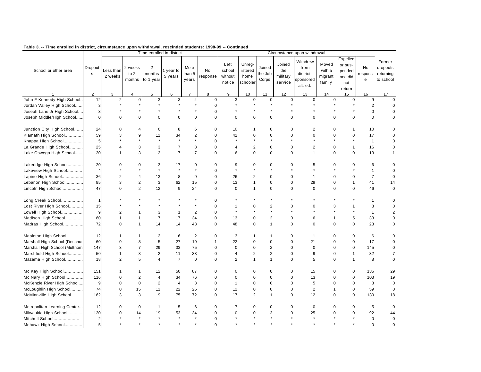|                               |                         |                         |                           |                          | Time enrolled in district |                         |                       |                                     |                                       |                            |                                      | Circumstance upon withdrawal                           |                                      |                                                           |                    |                                              |
|-------------------------------|-------------------------|-------------------------|---------------------------|--------------------------|---------------------------|-------------------------|-----------------------|-------------------------------------|---------------------------------------|----------------------------|--------------------------------------|--------------------------------------------------------|--------------------------------------|-----------------------------------------------------------|--------------------|----------------------------------------------|
| School or other area          | Dropout<br>$\mathsf{s}$ | Less than<br>2 weeks    | 2 weeks<br>to 2<br>months | 2<br>months<br>to 1 year | 1 year to<br>5 years      | More<br>than 5<br>years | <b>No</b><br>response | Left<br>school<br>without<br>notice | Unreg-<br>istered<br>home<br>schooler | Joined<br>the Job<br>Corps | Joined<br>the<br>military<br>service | Withdrew<br>from<br>district-<br>sponsored<br>alt. ed. | Moved<br>with a<br>migrant<br>family | Expelled<br>or sus-<br>pended<br>and did<br>not<br>return | No<br>respons<br>e | Former<br>dropouts<br>returning<br>to school |
|                               | $\overline{2}$          | 3                       | $\overline{4}$            | 5                        | 6                         |                         | 8                     | 9                                   | 10                                    | 11                         | 12                                   | 13                                                     | 14                                   | 15                                                        | 16                 | 17                                           |
| John F Kennedy High School.   | 12                      | $\overline{\mathbf{c}}$ | 0                         | 3                        | 3                         | 4                       | $\mathbf 0$           | 3                                   | 0                                     | 0                          | 0                                    | 0                                                      | 0                                    | 0                                                         | 9                  | $\mathbf 0$                                  |
| Jordan Valley High School     | 3                       |                         |                           |                          |                           |                         | $\mathbf 0$           |                                     |                                       |                            |                                      |                                                        |                                      |                                                           | 2                  | $\Omega$                                     |
| Joseph Lane Jr High School    | 3                       |                         |                           |                          |                           |                         | $\mathbf 0$           |                                     |                                       |                            |                                      |                                                        |                                      | $\star$                                                   | 0                  | $\mathbf 0$                                  |
| Joseph Middle/High School     | $\Omega$                | $\mathbf 0$             | $\mathbf 0$               | $\mathbf 0$              | $\mathbf 0$               | $\mathbf 0$             | $\mathbf 0$           | $\mathbf 0$                         | $\mathbf 0$                           | $\mathbf 0$                | $\mathbf 0$                          | $\mathbf 0$                                            | $\mathbf 0$                          | $\mathbf 0$                                               | 0                  | $\Omega$                                     |
| Junction City High School     | 24                      | $\Omega$                | $\overline{4}$            | 6                        | 8                         | 6                       | $\mathbf 0$           | 10                                  | $\mathbf{1}$                          | 0                          | $\Omega$                             | $\overline{2}$                                         | $\Omega$                             | $\mathbf{1}$                                              | 10                 | 0                                            |
| Klamath High School           | 59                      | 3                       | 9                         | 11                       | 34                        | $\overline{\mathbf{c}}$ | $\mathbf 0$           | 42                                  | $\mathbf 0$                           | $\pmb{0}$                  | $\mathbf 0$                          | $\mathbf 0$                                            | $\pmb{0}$                            | 0                                                         | 17                 | $\mathbf 0$                                  |
| Knappa High School            | 5                       |                         |                           |                          |                           | $\star$                 | $\mathbf 0$           | $\star$                             | $\star$                               | $\star$                    |                                      |                                                        | $\star$                              | $\star$                                                   | $\mathbf{1}$       | $\mathbf 0$                                  |
| La Grande High School         | 25                      | 4                       | 3                         | 3                        | $\overline{7}$            | 8                       | $\mathbf 0$           | $\overline{4}$                      | $\overline{c}$                        | $\pmb{0}$                  | 0                                    | $\overline{2}$                                         | $\pmb{0}$                            | $\mathbf{1}$                                              | 16                 | $\mathbf 0$                                  |
| Lake Oswego High School       | 20                      | 1                       | 3                         | $\overline{2}$           | $\overline{7}$            | $\overline{7}$          | $\mathbf 0$           | 6                                   | $\mathbf 0$                           | $\mathbf 0$                | $\Omega$                             | $\mathbf{1}$                                           | $\mathbf 0$                          | $\mathbf 0$                                               | 13                 | $\mathbf{1}$                                 |
| Lakeridge High School         | 20                      | 0                       | $\Omega$                  | 3                        | 17                        | 0                       | 0                     | 9                                   | $\mathbf 0$                           | 0                          | 0                                    | 5                                                      | $\mathbf 0$                          | 0                                                         | 6                  | $\Omega$                                     |
| Lakeview High School          | $\overline{4}$          |                         |                           |                          |                           | $\star$                 | $\mathbf 0$           |                                     | $\star$                               |                            |                                      |                                                        | $\star$                              |                                                           | $\mathbf{1}$       | $\mathbf 0$                                  |
| Lapine High School            | 36                      | 2                       | 4                         | 13                       | 8                         | 9                       | $\mathbf 0$           | 26                                  | $\overline{2}$                        | $\mathbf 0$                | $\Omega$                             | $\mathbf{1}$                                           | $\mathbf 0$                          | $\mathbf 0$                                               | $\overline{7}$     | $\mathbf 0$                                  |
| Lebanon High School           | 85                      | 3                       | $\overline{2}$            | 3                        | 62                        | 15                      | $\mathbf 0$           | 13                                  | $\mathbf{1}$                          | $\pmb{0}$                  | $\mathbf 0$                          | 29                                                     | $\pmb{0}$                            | $\mathbf{1}$                                              | 41                 | 14                                           |
| Lincoln High School           | 47                      | $\Omega$                | $\overline{2}$            | 12                       | 9                         | 24                      | $\mathbf 0$           | $\Omega$                            | $\mathbf{1}$                          | $\mathbf 0$                | $\Omega$                             | $\mathbf 0$                                            | $\Omega$                             | $\mathbf 0$                                               | 46                 | $\mathbf 0$                                  |
| Long Creek School             | $\mathbf{1}$            |                         |                           |                          |                           |                         | $\mathbf 0$           |                                     |                                       |                            |                                      |                                                        |                                      |                                                           | 1                  | $\Omega$                                     |
| Lost River High School        | 15                      |                         |                           |                          |                           | $\star$                 | $\pmb{0}$             | $\mathbf{1}$                        | 0                                     | $\overline{\mathbf{c}}$    | 0                                    | 0                                                      | 3                                    | $\mathbf{1}$                                              | 8                  | $\Omega$                                     |
| Lowell High School            | 9                       | $\overline{2}$          |                           | 3                        | $\mathbf{1}$              | $\overline{2}$          | $\mathbf 0$           | $\star$                             |                                       | $\star$                    |                                      |                                                        |                                      | $\star$                                                   | $\mathbf{1}$       | $\overline{2}$                               |
| Madison High School           | 60                      | 1                       | $\mathbf 1$               | $\overline{7}$           | 17                        | 34                      | $\mathbf 0$           | 13                                  | 0                                     | $\overline{\mathbf{c}}$    | 0                                    | 6                                                      | $\mathbf{1}$                         | 5                                                         | 33                 | $\mathbf 0$                                  |
| Madras High School            | 72                      | $\Omega$                | $\mathbf{1}$              | 14                       | 14                        | 43                      | $\mathbf 0$           | 48                                  | $\Omega$                              | $\overline{1}$             | $\Omega$                             | $\Omega$                                               | $\Omega$                             | $\mathbf 0$                                               | 23                 | $\mathbf 0$                                  |
| Mapleton High School          | 12                      | 1                       | -1                        | 2                        | 6                         | $\overline{2}$          | 0                     | 3                                   | $\mathbf 1$                           | $\mathbf 1$                | $\Omega$                             | $\mathbf 1$                                            | 0                                    | 0                                                         | 6                  | $\Omega$                                     |
| Marshall High School (Deschut | 60                      | $\mathbf 0$             | 8                         | 5                        | 27                        | 19                      | $\mathbf{1}$          | 22                                  | $\mathbf 0$                           | $\pmb{0}$                  | $\mathbf 0$                          | 21                                                     | $\mathbf 0$                          | $\pmb{0}$                                                 | 17                 | $\mathbf 0$                                  |
| Marshall High School (Multnom | 147                     | 3                       | $\overline{7}$            | 29                       | 33                        | 75                      | $\mathbf 0$           | $\mathbf 0$                         | $\mathbf 0$                           | $\overline{2}$             | $\mathbf 0$                          | $\mathbf 0$                                            | $\mathbf 0$                          | $\mathbf 0$                                               | 145                | $\mathbf 0$                                  |
| Marshfield High School        | 50                      | $\mathbf{1}$            | 3                         | $\overline{2}$           | 11                        | 33                      | $\pmb{0}$             | $\overline{4}$                      | $\overline{c}$                        | $\mathbf 2$                | $\mathbf 0$                          | 9                                                      | $\pmb{0}$                            | $\mathbf{1}$                                              | 32                 | $\overline{7}$                               |
| Mazama High School            | 18                      | $\overline{2}$          | 5                         | $\overline{4}$           | $\overline{7}$            | $\mathbf 0$             | $\mathbf 0$           | 2                                   | $\mathbf{1}$                          | $\overline{1}$             | $\mathbf 0$                          | 5                                                      | $\mathbf 0$                          | $\mathbf{1}$                                              | 8                  | $\mathbf 0$                                  |
| Mc Kay High School            | 151                     | 1                       | $\mathbf 1$               | 12                       | 50                        | 87                      | 0                     | $\mathbf 0$                         | 0                                     | 0                          | 0                                    | 15                                                     | 0                                    | 0                                                         | 136                | 29                                           |
| Mc Nary High School           | 116                     | $\Omega$                | $\overline{2}$            | $\overline{4}$           | 34                        | 76                      | $\mathbf 0$           | $\mathbf 0$                         | $\mathbf 0$                           | $\Omega$                   | $\Omega$                             | 13                                                     | $\mathbf 0$                          | $\mathbf 0$                                               | 103                | 19                                           |
| McKenzie River High School    | 9                       | 0                       | $\mathbf 0$               | $\overline{2}$           | $\overline{4}$            | 3                       | $\mathbf 0$           | $\mathbf{1}$                        | $\mathbf 0$                           | $\mathbf 0$                | $\Omega$                             | 5                                                      | $\mathbf 0$                          | $\mathbf 0$                                               | 3                  | $\mathbf 0$                                  |
| McLoughlin High School        | 74                      | $\Omega$                | 15                        | 11                       | 22                        | 26                      | $\mathbf 0$           | 12                                  | $\mathbf 0$                           | $\mathbf 0$                | $\mathbf 0$                          | $\overline{2}$                                         | $\mathbf{1}$                         | $\mathbf 0$                                               | 59                 | $\mathbf 0$                                  |
| McMinnville High School       | 162                     | 3                       | 3                         | 9                        | 75                        | 72                      | $\mathbf 0$           | 17                                  | $\overline{2}$                        | $\overline{1}$             | $\mathbf 0$                          | 12                                                     | $\mathbf 0$                          | $\mathbf 0$                                               | 130                | 18                                           |
| Metropolitan Learning Center  | 12                      | 0                       | 0                         | $\mathbf{1}$             | 5                         | 6                       | $\mathbf 0$           | 7                                   | $\mathbf 0$                           | 0                          | 0                                    | 0                                                      | $\mathbf 0$                          | 0                                                         | 5                  | $\mathbf 0$                                  |
| Milwaukie High School         | 120                     | O                       | 14                        | 19                       | 53                        | 34                      | $\mathbf 0$           | $\Omega$                            | $\Omega$                              | 3                          | $\Omega$                             | 25                                                     | $\Omega$                             | $\Omega$                                                  | 92                 | 44                                           |
| Mitchell School               | $\overline{2}$          |                         |                           |                          |                           |                         | $\mathbf 0$           |                                     |                                       |                            |                                      |                                                        |                                      |                                                           | $\mathsf 0$        | $\mathbf 0$                                  |
| Mohawk High School            | 5                       |                         |                           |                          |                           | $\star$                 | $\mathbf 0$           |                                     |                                       |                            |                                      |                                                        |                                      |                                                           | 0                  | $\Omega$                                     |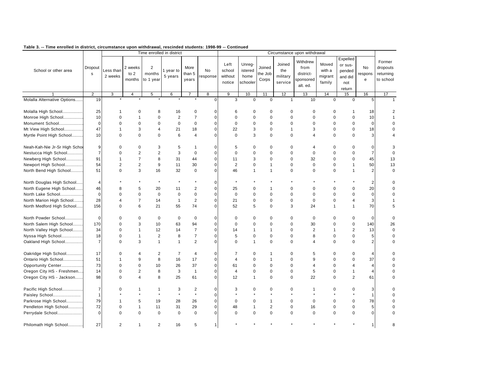|                               |                |                      |                           |                                       | Time enrolled in district |                         |                |                                     |                                       |                            |                                      | Circumstance upon withdrawal                           |                                      |                                                           |                         |                                              |
|-------------------------------|----------------|----------------------|---------------------------|---------------------------------------|---------------------------|-------------------------|----------------|-------------------------------------|---------------------------------------|----------------------------|--------------------------------------|--------------------------------------------------------|--------------------------------------|-----------------------------------------------------------|-------------------------|----------------------------------------------|
| School or other area          | Dropout<br>s   | Less than<br>2 weeks | 2 weeks<br>to 2<br>months | $\overline{c}$<br>months<br>to 1 year | 1 year to<br>5 years      | More<br>than 5<br>years | No<br>response | Left<br>school<br>without<br>notice | Unreg-<br>istered<br>home<br>schooler | Joined<br>the Job<br>Corps | Joined<br>the<br>military<br>service | Withdrew<br>from<br>district-<br>sponsored<br>alt. ed. | Moved<br>with a<br>migrant<br>family | Expelled<br>or sus-<br>pended<br>and did<br>not<br>return | No<br>respons<br>e      | Former<br>dropouts<br>returning<br>to school |
|                               | 2              | 3                    | 4                         | 5                                     | 6                         | 7                       | 8              | 9                                   | 10                                    | 11                         | 12                                   | 13                                                     | 14                                   | 15                                                        | 16                      | 17                                           |
| Molalla Alternative Options   | 19             |                      |                           |                                       |                           |                         | $\mathbf 0$    | 3                                   | $\mathbf 0$                           | $\mathbf 0$                | $\mathbf{1}$                         | 10                                                     | $\mathbf 0$                          | $\mathbf 0$                                               | 5                       | $\overline{1}$                               |
| Molalla High School           | 25             | 1                    | 0                         | 8                                     | 16                        | $\pmb{0}$               | 0              | 6                                   | 0                                     | $\mathbf 0$                | 0                                    | $\mathbf 0$                                            | 0                                    | $\mathbf{1}$                                              | 18                      | 2                                            |
| Monroe High School            | 10             | $\mathbf 0$          | $\mathbf{1}$              | $\mathbf 0$                           | $\overline{2}$            | $\overline{7}$          | $\mathbf 0$    | $\mathbf 0$                         | $\mathbf 0$                           | $\mathbf 0$                | $\Omega$                             | $\mathbf 0$                                            | $\mathbf 0$                          | $\mathbf 0$                                               | 10                      |                                              |
| Monument School               | $\mathbf 0$    | $\mathbf 0$          | $\mathbf 0$               | $\mathbf 0$                           | $\mathbf 0$               | $\mathbf 0$             | $\mathbf 0$    | $\mathbf 0$                         | $\mathbf 0$                           | $\mathbf 0$                | $\Omega$                             | $\mathbf 0$                                            | $\mathbf 0$                          | $\mathbf 0$                                               | $\pmb{0}$               | 0                                            |
| Mt View High School           | 47             | 1                    | 3                         | $\overline{4}$                        | 21                        | 18                      | $\mathbf 0$    | 22                                  | 3                                     | $\mathbf 0$                | $\mathbf 1$                          | 3                                                      | $\mathbf 0$                          | $\mathbf 0$                                               | 18                      | $\mathbf 0$                                  |
| Myrtle Point High School      | 10             | $\mathbf 0$          | $\mathbf 0$               | $\mathbf 0$                           | 6                         | $\overline{4}$          | $\mathbf 0$    | $\mathbf 0$                         | 3                                     | $\mathbf 0$                | $\mathbf 0$                          | 4                                                      | $\mathbf 0$                          | $\mathbf 0$                                               | 3                       | 4                                            |
| Neah-Kah-Nie Jr-Sr High Schor | 9              | 0                    | 0                         | 3                                     | 5                         | $\mathbf{1}$            | 0              | 5                                   | 0                                     | 0                          | $\Omega$                             | 4                                                      | $\mathbf 0$                          | 0                                                         | 0                       | 3                                            |
| Nestucca High School          | $\overline{7}$ | $\mathbf 0$          | $\overline{2}$            | $\overline{2}$                        | 3                         | $\mathbf 0$             | $\mathbf 0$    | $\mathbf 0$                         | $\mathbf 0$                           | $\mathbf 0$                | $\mathbf 0$                          | $\pmb{0}$                                              | $\mathbf 0$                          | $\pmb{0}$                                                 | $\overline{7}$          | $\mathbf 0$                                  |
| Newberg High School           | 91             | 1                    | $\overline{7}$            | 8                                     | 31                        | 44                      | $\mathbf 0$    | 11                                  | 3                                     | $\Omega$                   | $\Omega$                             | 32                                                     | $\Omega$                             | $\mathbf 0$                                               | 45                      | 13                                           |
| Newport High School           | 54             | $\overline{2}$       | $\overline{2}$            | 9                                     | 11                        | 30                      | $\mathbf 0$    | $\overline{2}$                      | 0                                     | $\mathbf{1}$               | $\mathbf 0$                          | $\pmb{0}$                                              | $\mathbf 0$                          | $\mathbf{1}$                                              | 50                      | 13                                           |
| North Bend High School        | 51             | $\Omega$             | 3                         | 16                                    | 32                        | $\mathbf 0$             | $\mathbf 0$    | 46                                  | $\mathbf{1}$                          | $\overline{1}$             | $\Omega$                             | $\mathbf 0$                                            | $\mathbf 0$                          | $\overline{1}$                                            | $\overline{2}$          | $\mathbf 0$                                  |
| North Douglas High School     | $\overline{4}$ |                      |                           |                                       |                           | $\star$                 | $\mathbf 0$    | $\star$                             |                                       |                            |                                      |                                                        |                                      |                                                           | 2                       | $\mathbf 0$                                  |
| North Eugene High School      | 46             | 8                    | 5                         | 20                                    | 11                        | $\overline{2}$          | $\mathbf 0$    | 25                                  | 0                                     | 1                          | $\Omega$                             | 0                                                      | $\mathbf 0$                          | 0                                                         | 20                      | $\Omega$                                     |
| North Lake School             | $\mathbf 0$    | $\Omega$             | $\Omega$                  | $\mathbf 0$                           | $\mathbf 0$               | $\mathbf 0$             | $\mathbf 0$    | $\mathbf 0$                         | $\mathbf 0$                           | $\mathsf 0$                | $\Omega$                             | $\mathbf 0$                                            | $\mathbf 0$                          | $\pmb{0}$                                                 | $\pmb{0}$               | $\mathbf 0$                                  |
| North Marion High School      | 28             | Δ                    | $\overline{7}$            | 14                                    | $\mathbf{1}$              | $\overline{2}$          | $\mathbf 0$    | 21                                  | $\mathbf 0$                           | $\mathbf 0$                | $\mathbf 0$                          | $\mathbf 0$                                            | $\mathbf 0$                          | $\overline{\mathbf{4}}$                                   | 3                       | 1                                            |
| North Medford High School     | 156            | $\mathbf 0$          | 6                         | 21                                    | 55                        | 74                      | $\mathbf 0$    | 52                                  | 5                                     | $\mathbf 0$                | 3                                    | 24                                                     | $\mathbf{1}$                         | $\mathbf{1}$                                              | 70                      | 5                                            |
| North Powder School           | $\mathbf 0$    | $\mathbf 0$          | 0                         | $\mathbf 0$                           | $\mathbf 0$               | $\mathbf 0$             | 0              | 0                                   | 0                                     | 0                          | 0                                    | 0                                                      | $\mathbf 0$                          | 0                                                         | $\mathbf 0$             | $\mathbf 0$                                  |
| North Salem High School       | 170            | $\Omega$             | 3                         | 10                                    | 63                        | 94                      | $\mathbf 0$    | $\mathbf 0$                         | $\mathbf 0$                           | $\mathbf 0$                | $\mathbf 0$                          | 30                                                     | $\mathbf 0$                          | $\pmb{0}$                                                 | 140                     | 26                                           |
| North Valley High School      | 34             | 0                    | 1                         | 12                                    | 14                        | $\overline{7}$          | $\mathbf 0$    | 14                                  | 1                                     | $\overline{1}$             | $\mathbf 0$                          | $\overline{2}$                                         | $\mathbf{1}$                         | $\overline{c}$                                            | 13                      | $\mathbf 0$                                  |
| Nyssa High School             | 18             | $\mathbf 0$          | $\mathbf{1}$              | $\overline{2}$                        | 8                         | $\overline{7}$          | $\mathbf 0$    | 5                                   | $\mathbf 0$                           | $\mathsf 0$                | $\mathbf 0$                          | 8                                                      | $\mathbf 0$                          | $\pmb{0}$                                                 | 5                       | $\mathbf 0$                                  |
| Oakland High School           | $\overline{7}$ | $\Omega$             | 3                         | $\mathbf{1}$                          | $\mathbf{1}$              | $\overline{2}$          | $\mathbf 0$    | $\Omega$                            | $\mathbf{1}$                          | $\mathbf 0$                | $\Omega$                             | $\overline{4}$                                         | $\mathbf 0$                          | $\mathbf 0$                                               | $\overline{\mathbf{c}}$ | $\mathbf 0$                                  |
| Oakridge High School          | 17             | $\Omega$             | $\overline{4}$            | $\overline{2}$                        | $\overline{7}$            | $\overline{4}$          | $\mathbf 0$    | $\overline{7}$                      | $\mathbf 0$                           | $\overline{1}$             | $\Omega$                             | 5                                                      | $\mathbf 0$                          | 0                                                         | $\overline{4}$          | $\Omega$                                     |
| Ontario High School           | 51             | 1                    | 9                         | 8                                     | 16                        | 17                      | $\mathbf 0$    | $\overline{4}$                      | $\mathbf 0$                           | $\overline{1}$             | $\Omega$                             | 9                                                      | $\mathbf 0$                          | $\mathbf 0$                                               | 37                      | O                                            |
| Opportunity Center            | 73             | $\mathbf 0$          | $\mathbf 0$               | 10                                    | 26                        | 37                      | $\mathbf 0$    | 61                                  | 0                                     | 0                          | $\mathbf 0$                          | $\overline{4}$                                         | $\mathbf 0$                          | 4                                                         | $\overline{4}$          | $\mathbf 0$                                  |
| Oregon City HS - Freshmen     | 14             | $\mathbf 0$          | $\overline{2}$            | 8                                     | 3                         | $\overline{1}$          | $\mathbf 0$    | $\overline{4}$                      | $\mathbf 0$                           | $\mathbf 0$                | $\mathbf 0$                          | 5                                                      | $\mathsf 0$                          | $\mathbf{1}$                                              | $\overline{4}$          | $\mathbf 0$                                  |
| Oregon City HS - Jackson      | 98             | $\Omega$             | $\overline{4}$            | 8                                     | 25                        | 61                      | $\mathbf 0$    | 12                                  | $\mathbf{1}$                          | $\mathbf 0$                | $\mathbf 0$                          | 22                                                     | $\mathbf 0$                          | $\overline{2}$                                            | 61                      | 0                                            |
| Pacific High School           | $\overline{7}$ | $\mathbf 0$          |                           | $\mathbf 1$                           | 3                         | $\overline{2}$          | $\mathbf 0$    | 3                                   | $\mathbf 0$                           | 0                          | 0                                    | 1                                                      | $\mathbf 0$                          | 0                                                         | 3                       | 0                                            |
| Paisley School                | $\mathbf 1$    |                      |                           | $\star$                               | $\star$                   | $\star$                 | $\mathbf 0$    |                                     |                                       |                            |                                      |                                                        |                                      | $\star$                                                   | $\mathbf{1}$            | 0                                            |
| Parkrose High School          | 79             | 1                    | 5                         | 19                                    | 28                        | 26                      | $\mathbf 0$    | $\mathbf 0$                         | $\mathbf 0$                           | $\mathbf 1$                | 0                                    | $\mathbf 0$                                            | $\mathbf 0$                          | $\mathbf 0$                                               | 78                      | 0                                            |
| Pendleton High School         | 72             | $\mathbf 0$          | $\mathbf{1}$              | 11                                    | 31                        | 29                      | $\mathbf 0$    | 48                                  | 1                                     | $\mathbf 2$                | $\mathbf 0$                          | 16                                                     | $\pmb{0}$                            | $\pmb{0}$                                                 | 5                       | $\Omega$                                     |
| Perrydale School              | $\mathbf 0$    | $\Omega$             | $\Omega$                  | $\Omega$                              | $\Omega$                  | $\mathbf 0$             | $\mathbf 0$    | $\mathbf 0$                         | $\mathbf 0$                           | $\mathbf 0$                | $\mathbf 0$                          | $\mathbf 0$                                            | $\mathbf 0$                          | $\mathbf 0$                                               | $\pmb{0}$               | $\Omega$                                     |
| Philomath High School         | 27             | $\overline{2}$       | $\mathbf{1}$              | $\overline{2}$                        | 16                        | 5                       | $\mathbf{1}$   |                                     |                                       |                            |                                      |                                                        |                                      |                                                           | $\mathbf{1}$            | 8                                            |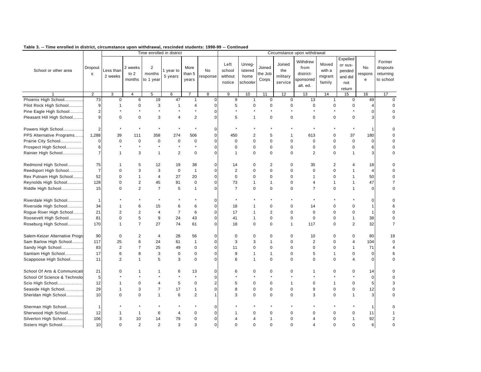|                                 |                         |                      |                             |                                       | Time enrolled in district |                         |                      |                                     |                                       |                            |                                      | Circumstance upon withdrawal                           |                                      |                                                           |                           |                                              |
|---------------------------------|-------------------------|----------------------|-----------------------------|---------------------------------------|---------------------------|-------------------------|----------------------|-------------------------------------|---------------------------------------|----------------------------|--------------------------------------|--------------------------------------------------------|--------------------------------------|-----------------------------------------------------------|---------------------------|----------------------------------------------|
| School or other area            | Dropout<br>s            | Less than<br>2 weeks | 2 weeks<br>to $2$<br>months | $\overline{2}$<br>months<br>to 1 year | 1 year to<br>5 years      | More<br>than 5<br>years | <b>No</b><br>esponse | Left<br>school<br>without<br>notice | Unreg-<br>istered<br>home<br>schooler | Joined<br>the Job<br>Corps | Joined<br>the<br>military<br>service | Withdrew<br>from<br>district-<br>sponsored<br>alt. ed. | Moved<br>with a<br>migrant<br>family | Expelled<br>or sus-<br>pended<br>and did<br>not<br>return | <b>No</b><br>respons<br>e | Former<br>dropouts<br>returning<br>to school |
|                                 | 2                       | 3                    | $\overline{4}$              | 5                                     | 6                         |                         | 8                    | 9                                   | 10                                    | 11                         | 12                                   | 13                                                     | 14                                   | 15                                                        | 16                        | 17                                           |
| Phoenix High School             | 73                      | $\pmb{0}$            | 6                           | 19                                    | 47                        | $\mathbf{1}$            | $\pmb{0}$            | 9                                   | $\mathbf{1}$                          | $\mathbf 0$                | $\mathbf 0$                          | 13                                                     | $\mathbf{1}$                         | $\mathbf 0$                                               | 49                        | $\Omega$                                     |
| Pilot Rock High School          | 9                       | $\mathbf{1}$         | $\mathbf 0$                 | 3                                     | $\mathbf{1}$              | 4                       | $\pmb{0}$            | 5                                   | $\mathbf 0$                           | 0                          | $\mathbf 0$                          | 0                                                      | 0                                    | $\mathbf 0$                                               | 4                         | $\Omega$                                     |
| Pine Eagle High School          | $\overline{2}$          |                      |                             |                                       |                           | $\star$                 | 0                    | $\star$                             | $\star$                               | $\star$                    |                                      | $\star$                                                | $\star$                              | $\star$                                                   | $\mathbf 0$               | $\Omega$                                     |
| Pleasant Hill High School       | 9                       | $\mathbf 0$          | $\mathbf 0$                 | 3                                     | $\overline{4}$            | $\overline{2}$          | 0                    | 5                                   | $\mathbf{1}$                          | $\mathbf 0$                | $\mathbf 0$                          | $\mathbf 0$                                            | $\mathbf 0$                          | $\mathbf 0$                                               | 3                         |                                              |
| Powers High School              | $\overline{2}$          |                      |                             |                                       |                           |                         | $\mathbf 0$          |                                     |                                       |                            |                                      |                                                        |                                      |                                                           | $\mathbf{1}$              |                                              |
| PPS Alternative Programs        | 1,288                   | 39                   | 111                         | 358                                   | 274                       | 506                     | $\pmb{0}$            | 450                                 | $\overline{2}$                        | 5                          | $\mathbf 1$                          | 613                                                    | $\mathbf 0$                          | 37                                                        | 180                       |                                              |
| Prairie City School             | $\mathbf 0$             | $\mathbf 0$          | $\mathbf 0$                 | $\mathbf 0$                           | $\mathbf 0$               | $\pmb{0}$               | 0                    | $\mathbf 0$                         | $\mathbf 0$                           | $\mathbf 0$                | $\mathbf 0$                          | $\mathbf 0$                                            | $\mathbf 0$                          | $\mathbf 0$                                               | $\mathbf 0$               | $\Omega$                                     |
| Prospect High School            | 6                       |                      |                             | $\star$                               | $\star$                   | $\star$                 | 0                    | $\mathbf 0$                         | $\mathbf 0$                           | $\pmb{0}$                  | $\mathbf 0$                          | $\pmb{0}$                                              | $\mathbf 0$                          | $\mathbf 0$                                               | 6                         |                                              |
| Rainier High School             | $\overline{7}$          | $\mathbf{1}$         | 3                           | $\mathbf{1}$                          | 2                         | $\mathbf 0$             | 0                    | $\overline{1}$                      | $\mathbf 0$                           | $\mathbf 0$                | $\mathbf 0$                          | $\overline{2}$                                         | $\mathbf 0$                          | $\mathbf{1}$                                              | 3                         | $\Omega$                                     |
| Redmond High School             | 75                      |                      | 5                           | 12                                    | 19                        | 38                      | $\Omega$             | 14                                  | $\Omega$                              | $\overline{2}$             | $\Omega$                             | 35                                                     | 2                                    | 4                                                         | 18                        |                                              |
| Reedsport High School           | $\overline{7}$          | $\mathbf 0$          | 3                           | 3                                     | $\mathbf 0$               | $\mathbf{1}$            | 0                    | 2                                   | $\mathbf 0$                           | $\mathbf 0$                | $\mathbf 0$                          | $\mathbf 0$                                            | $\mathbf 0$                          | $\mathbf{1}$                                              | $\overline{4}$            | $\Omega$                                     |
| Rex Putnam High School          | 52                      | $\mathbf 0$          | $\mathbf{1}$                | $\overline{4}$                        | 27                        | 20                      | 0                    | $\mathbf 0$                         | $\mathbf 0$                           | $\mathbf 0$                | $\mathbf 0$                          | $\mathbf{1}$                                           | $\mathbf 0$                          | $\mathbf{1}$                                              | 50                        | $\Omega$                                     |
| Reynolds High School            | 128                     | 0                    | $\overline{2}$              | 45                                    | 81                        | $\pmb{0}$               | 0                    | 73                                  | $\mathbf{1}$                          | $\mathbf{1}$               | $\mathbf 0$                          | 4                                                      | $\mathbf{1}$                         | $\mathbf{1}$                                              | 47                        | $\overline{7}$                               |
| Riddle High School              | 15                      | $\mathbf 0$          | $\overline{2}$              | $\overline{7}$                        | 5                         | $\mathbf{1}$            | 0                    | $\overline{7}$                      | $\mathbf 0$                           | $\mathbf 0$                | $\mathbf 0$                          | $\overline{7}$                                         | $\mathbf 0$                          | $\mathbf{1}$                                              | $\mathbf 0$               | $\Omega$                                     |
| Riverdale High School           | $\mathbf{1}$            |                      |                             |                                       |                           |                         | 0                    |                                     |                                       |                            |                                      |                                                        |                                      |                                                           | $\mathbf 0$               |                                              |
| Riverside High School           | 34                      | 1                    | 6                           | 15                                    | 6                         | 6                       | $\pmb{0}$            | 18                                  | -1                                    | $\mathbf 0$                | $\mathbf 0$                          | 14                                                     | $\mathbf 0$                          | $\mathbf 0$                                               | $\mathbf{1}$              |                                              |
| Rogue River High School         | 21                      | $\overline{2}$       | $\overline{2}$              | $\overline{4}$                        | $\overline{7}$            | 6                       | $\pmb{0}$            | 17                                  | 1                                     | $\overline{2}$             | $\mathbf 0$                          | $\mathbf 0$                                            | $\mathbf 0$                          | $\mathbf 0$                                               | $\mathbf{1}$              |                                              |
| Roosevelt High School           | 81                      | 0                    | 5                           | 9                                     | 24                        | 43                      | 0                    | 41                                  | $\mathbf{1}$                          | $\mathbf 0$                | $\mathbf 0$                          | $\mathbf 0$                                            | $\mathbf 0$                          | $\mathbf{1}$                                              | 38                        | $\Omega$                                     |
| Roseburg High School            | 170                     | 1                    | $\overline{7}$              | 27                                    | 74                        | 61                      | 0                    | 18                                  | $\mathbf 0$                           | $\mathbf 0$                | $\mathbf{1}$                         | 117                                                    | $\mathbf 0$                          | 2                                                         | 32                        | $\overline{7}$                               |
| Salem-Keizer Alternative Progra | 90                      | $\mathbf 0$          | $\overline{2}$              | 4                                     | 28                        | 56                      | 0                    | $\mathbf 0$                         | 0                                     | $\mathbf 0$                | 0                                    | 10                                                     | 0                                    | $\mathbf 0$                                               | 80                        | 19                                           |
| Sam Barlow High School          | 117                     | 25                   | 6                           | 24                                    | 61                        | 1                       | 0                    | 3                                   | 3                                     | $\mathbf{1}$               | $\mathbf 0$                          | $\overline{2}$                                         | $\mathbf 0$                          | $\overline{4}$                                            | 104                       | $\mathbf 0$                                  |
| Sandy High School               | 83                      | $\overline{2}$       | $\overline{7}$              | 25                                    | 49                        | $\pmb{0}$               | $\pmb{0}$            | 11                                  | 0                                     | $\mathbf 0$                | $\mathbf 0$                          | $\mathbf 0$                                            | $\mathbf 0$                          | $\mathbf{1}$                                              | 71                        | 4                                            |
| Santiam High School             | 17                      | 6                    | 8                           | 3                                     | 0                         | $\pmb{0}$               | 0                    | 9                                   | $\mathbf{1}$                          | $\mathbf{1}$               | $\mathbf 0$                          | 5                                                      | 1                                    | $\mathbf 0$                                               | $\mathbf 0$               | 6                                            |
| Scappoose High School           | 11                      | $\overline{2}$       | 1                           | 5                                     | 3                         | $\Omega$                | $\Omega$             | 6                                   | $\mathbf{1}$                          | $\Omega$                   | $\Omega$                             | $\Omega$                                               | $\Omega$                             | $\overline{4}$                                            | $\mathbf 0$               | $\Omega$                                     |
| School Of Arts & Communicati    | 21                      | $\mathbf 0$          | 1                           | 1                                     | 6                         | 13                      | 0                    | 6                                   | $\mathbf 0$                           | $\mathbf 0$                | $\mathbf 0$                          | 1                                                      | $\mathbf 0$                          | $\mathbf 0$                                               | 14                        | $\Omega$                                     |
| School Of Science & Technolo    | 5                       |                      |                             |                                       |                           | $\star$                 | 0                    |                                     |                                       |                            |                                      |                                                        |                                      | $\star$                                                   | $\mathbf 0$               | $\Omega$                                     |
| Scio High School                | 12                      | 1                    | $\Omega$                    | $\overline{\mathcal{A}}$              | 5                         | $\mathbf 0$             | $\overline{c}$       | 5                                   | $\mathbf 0$                           | $\mathbf 0$                | $\mathbf{1}$                         | $\Omega$                                               | $\mathbf{1}$                         | $\mathbf 0$                                               | 5                         | 3                                            |
| Seaside High School             | 29                      | 1                    | 3                           | $\overline{7}$                        | 17                        | $\mathbf{1}$            | 0                    | 8                                   | $\mathbf 0$                           | $\mathbf 0$                | $\mathbf 0$                          | 9                                                      | $\mathbf 0$                          | $\mathbf 0$                                               | 12                        |                                              |
| Sheridan High School            | 10                      | $\Omega$             | $\Omega$                    | $\overline{1}$                        | 6                         | $\mathbf 2$             | 1                    | 3                                   | $\mathbf 0$                           | $\mathbf 0$                | $\Omega$                             | 3                                                      | $\mathbf 0$                          | 1                                                         | 3                         | $\Omega$                                     |
| Sherman High School             | $\overline{\mathbf{1}}$ |                      |                             |                                       |                           |                         | $\Omega$             |                                     |                                       |                            |                                      |                                                        |                                      |                                                           | 1                         |                                              |
| Sherwood High School            | 12                      |                      | $\mathbf{1}$                | 6                                     | 4                         | 0                       | 0                    |                                     | $\mathbf 0$                           | $\mathbf 0$                | 0                                    | $\Omega$                                               | $\Omega$                             | $\mathbf 0$                                               | 11                        |                                              |
| Silverton High School           | 106                     | 3                    | 10                          | 14                                    | 79                        | $\pmb{0}$               | 0                    | $\overline{4}$                      | 4                                     | $\overline{1}$             | $\mathbf 0$                          | 4                                                      | $\mathbf 0$                          | $\mathbf{1}$                                              | 92                        | $\overline{2}$                               |
| Sisters High School             | 10                      | $\Omega$             | $\overline{2}$              | $\overline{2}$                        | 3                         | 3                       | 0                    | $\Omega$                            | $\Omega$                              | $\Omega$                   | $\Omega$                             | Δ                                                      | $\Omega$                             | $\Omega$                                                  | $6 \,$                    | $\Omega$                                     |
|                                 |                         |                      |                             |                                       |                           |                         |                      |                                     |                                       |                            |                                      |                                                        |                                      |                                                           |                           |                                              |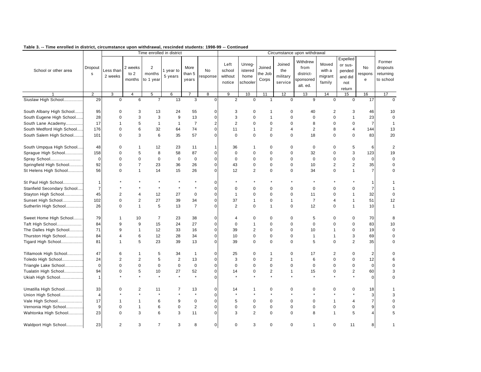|                            |                |                      |                           |                                       | Time enrolled in district |                         |                |                                     |                                       |                            |                                      | Circumstance upon withdrawal                           |                                      |                                                           |                    |                                              |
|----------------------------|----------------|----------------------|---------------------------|---------------------------------------|---------------------------|-------------------------|----------------|-------------------------------------|---------------------------------------|----------------------------|--------------------------------------|--------------------------------------------------------|--------------------------------------|-----------------------------------------------------------|--------------------|----------------------------------------------|
| School or other area       | Dropout<br>s   | Less than<br>2 weeks | 2 weeks<br>to 2<br>months | $\overline{2}$<br>months<br>to 1 year | 1 year to<br>5 years      | More<br>than 5<br>years | No<br>esponse  | Left<br>school<br>without<br>notice | Unreg-<br>istered<br>home<br>schooler | Joined<br>the Job<br>Corps | Joined<br>the<br>military<br>service | Withdrew<br>from<br>district-<br>sponsored<br>alt. ed. | Moved<br>with a<br>migrant<br>family | Expelled<br>or sus-<br>pended<br>and did<br>not<br>return | No<br>respons<br>e | Former<br>dropouts<br>returning<br>to school |
|                            | $\overline{2}$ | 3                    | 4                         | 5                                     | 6                         |                         | 8              | 9                                   | 10                                    | 11                         | 12                                   | 13                                                     | 14                                   | 15                                                        | 16                 | 17                                           |
| Siuslaw High School        | 29             | $\mathbf 0$          | 6                         | $\overline{7}$                        | 13                        | 3                       | $\mathbf 0$    | $\overline{2}$                      | $\Omega$                              | $\mathbf{1}$               | $\Omega$                             | 9                                                      | $\mathbf 0$                          | $\mathbf 0$                                               | 17                 | $\Omega$                                     |
| South Albany High School   | 95             | $\mathbf 0$          | 3                         | 13                                    | 24                        | 55                      | 0              | 3                                   | $\mathbf 0$                           | $\mathbf 1$                | $\Omega$                             | 40                                                     | 2                                    | 3                                                         | 46                 | 10                                           |
| South Eugene High School   | 28             | $\mathbf 0$          | 3                         | 3                                     | 9                         | 13                      | $\pmb{0}$      | 3                                   | $\mathbf 0$                           | $\overline{1}$             | $\Omega$                             | $\pmb{0}$                                              | $\pmb{0}$                            | $\overline{1}$                                            | 23                 | $\mathbf 0$                                  |
| South Lane Academy         | 17             | 1                    | 5                         | $\mathbf{1}$                          | $\mathbf{1}$              | $\overline{7}$          | $\overline{2}$ | $\overline{2}$                      | $\mathbf 0$                           | $\mathbf 0$                | $\mathbf 0$                          | 8                                                      | $\mathbf 0$                          | $\mathbf 0$                                               | $\overline{7}$     | $\mathbf{1}$                                 |
| South Medford High School  | 176            | $\mathbf 0$          | 6                         | 32                                    | 64                        | 74                      | $\mathbf 0$    | 11                                  | 1                                     | 2                          | 4                                    | 2                                                      | 8                                    | 4                                                         | 144                | 13                                           |
| South Salem High School    | 101            | $\Omega$             | 3                         | 6                                     | 35                        | 57                      | $\mathbf 0$    | $\Omega$                            | $\mathbf 0$                           | $\Omega$                   | $\mathbf 0$                          | 18                                                     | $\mathbf 0$                          | $\mathbf 0$                                               | 83                 | 20                                           |
| South Umpqua High School   | 48             | 0                    | $\mathbf{1}$              | 12                                    | 23                        | 11                      | 1              | 36                                  | $\mathbf 1$                           | $\mathbf 0$                | 0                                    | $\mathbf 0$                                            | $\mathbf 0$                          | 5                                                         | 6                  | $\overline{2}$                               |
| Sprague High School        | 158            | $\mathbf 0$          | 5                         | 8                                     | 58                        | 87                      | $\mathbf 0$    | $\mathbf 0$                         | $\mathbf 0$                           | $\mathbf 0$                | $\mathbf 0$                          | 32                                                     | $\mathbf 0$                          | 3                                                         | 123                | 19                                           |
| Spray School               | $\Omega$       | $\Omega$             | $\Omega$                  | $\mathbf 0$                           | $\Omega$                  | $\mathbf 0$             | $\mathbf 0$    | $\Omega$                            | $\Omega$                              | $\Omega$                   | $\Omega$                             | $\Omega$                                               | $\Omega$                             | $\mathbf 0$                                               | $\mathbf 0$        | $\mathbf 0$                                  |
| Springfield High School    | 92             | 0                    | $\overline{7}$            | 23                                    | 36                        | 26                      | $\mathbf 0$    | 43                                  | 0                                     | 0                          | $\mathbf 0$                          | 10                                                     | $\overline{2}$                       | $\overline{2}$                                            | 35                 | 0                                            |
| St Helens High School      | 56             | $\mathbf 0$          | $\mathbf{1}$              | 14                                    | 15                        | 26                      | $\mathbf 0$    | 12                                  | $\overline{2}$                        | $\mathsf 0$                | $\mathbf 0$                          | 34                                                     | $\mathbf 0$                          | $\mathbf{1}$                                              | $\overline{7}$     | 0                                            |
| St Paul High School        | $\mathbf{1}$   |                      |                           |                                       |                           | $\star$                 | $\mathbf 0$    |                                     |                                       |                            |                                      |                                                        |                                      |                                                           | 1                  | $\mathbf 1$                                  |
| Stanfield Secondary School | $\overline{7}$ |                      |                           |                                       |                           | $\star$                 | $\mathbf 0$    | $\mathbf 0$                         | $\mathbf 0$                           | $\mathbf 0$                | $\mathbf 0$                          | $\mathbf 0$                                            | $\mathbf 0$                          | 0                                                         | $\overline{7}$     | 1                                            |
| Stayton High School        | 45             | $\overline{2}$       |                           | 12                                    | 27                        | $\mathbf 0$             | $\mathbf 0$    | $\mathbf{1}$                        | $\mathbf 0$                           | $\mathsf 0$                | $\mathbf 0$                          | 11                                                     | $\mathbf 0$                          | $\mathbf{1}$                                              | 32                 | $\mathbf 0$                                  |
| Sunset High School         | 102            | $\Omega$             | $\overline{2}$            | 27                                    | 39                        | 34                      | $\mathbf 0$    | 37                                  | $\mathbf{1}$                          | $\mathbf 0$                | $\mathbf{1}$                         | $\overline{7}$                                         | $\overline{4}$                       | $\mathbf{1}$                                              | 51                 | 12                                           |
| Sutherlin High School      | 26             | $\mathbf 0$          | $\mathbf{1}$              | 5                                     | 13                        | $\overline{7}$          | $\mathbf 0$    | $\overline{2}$                      | $\mathbf 0$                           | $\overline{1}$             | $\mathbf 0$                          | 12                                                     | $\mathbf 0$                          | $\mathbf{1}$                                              | 10                 | $\mathbf{1}$                                 |
| Sweet Home High School     | 79             | 1                    | 10                        | $\overline{7}$                        | 23                        | 38                      | $\mathbf 0$    | $\overline{4}$                      | 0                                     | 0                          | 0                                    | 5                                                      | $\mathbf 0$                          | $\pmb{0}$                                                 | 70                 | 8                                            |
| Taft High School           | 84             | 9                    | 9                         | 15                                    | 24                        | 27                      | $\mathbf 0$    | $\mathbf 0$                         | $\mathbf{1}$                          | $\mathbf 0$                | $\Omega$                             | $\mathbf 0$                                            | $\Omega$                             | $\mathbf 0$                                               | 83                 | 10                                           |
| The Dalles High School     | 71             | 9                    | 1                         | 12                                    | 33                        | 16                      | $\mathbf 0$    | 39                                  | $\overline{2}$                        | $\mathbf 0$                | $\mathbf 0$                          | 10                                                     | $\mathbf{1}$                         | 0                                                         | 19                 | 0                                            |
| Thurston High School       | 84             | 4                    | 6                         | 12                                    | 28                        | 34                      | $\mathbf 0$    | 10                                  | $\mathbf 0$                           | $\mathbf 0$                | $\Omega$                             | $\mathbf{1}$                                           | $\mathbf{1}$                         | 3                                                         | 69                 | $\Omega$                                     |
| Tigard High School         | 81             | 1                    | 5                         | 23                                    | 39                        | 13                      | $\pmb{0}$      | 39                                  | $\mathbf 0$                           | $\mathbf 0$                | $\mathbf 0$                          | 5                                                      | $\mathbf 0$                          | $\overline{2}$                                            | 35                 | $\mathbf 0$                                  |
| Tillamook High School      | 47             | 6                    |                           | 5                                     | 34                        | $\overline{1}$          | $\mathbf 0$    | 25                                  | $\mathbf 0$                           | $\mathbf{1}$               | $\mathbf 0$                          | 17                                                     | $\overline{2}$                       | 0                                                         | $\overline{2}$     | $\Omega$                                     |
| Toledo High School         | 24             | $\overline{2}$       | $\overline{\mathbf{c}}$   | 5                                     | $\overline{\mathbf{c}}$   | 13                      | $\mathbf 0$    | 3                                   | $\mathbf 0$                           | $\mathbf 2$                | $\mathbf 1$                          | 6                                                      | $\Omega$                             | $\mathbf 0$                                               | 12                 | 6                                            |
| Triangle Lake School       | $\mathbf 0$    | $\mathbf 0$          | $\mathbf 0$               | $\mathbf 0$                           | $\mathbf 0$               | $\mathbf 0$             | $\mathbf 0$    | $\mathbf 0$                         | $\mathbf 0$                           | $\mathsf 0$                | $\mathbf 0$                          | $\mathbf 0$                                            | $\mathbf 0$                          | $\pmb{0}$                                                 | $\pmb{0}$          | $\mathbf 0$                                  |
| Tualatin High School       | 94             | $\mathbf 0$          | 5                         | 10                                    | 27                        | 52                      | $\mathbf 0$    | 14                                  | $\pmb{0}$                             | $\mathbf 2$                | $\mathbf{1}$                         | 15                                                     | $\pmb{0}$                            | $\overline{\mathbf{c}}$                                   | 60                 | 3                                            |
| Ukiah High School          | $\mathbf{1}$   |                      |                           |                                       |                           | $\star$                 | $\mathbf 0$    |                                     |                                       |                            |                                      | $\star$                                                |                                      | $\star$                                                   | $\pmb{0}$          | $\mathbf 0$                                  |
| Umatilla High School       | 33             | $\Omega$             | $\overline{2}$            | 11                                    | $\overline{7}$            | 13                      | $\mathbf 0$    | 14                                  | -1                                    | $\mathbf 0$                | 0                                    | $\mathbf 0$                                            | $\mathbf 0$                          | 0                                                         | 18                 | -1                                           |
| Union High School          | $\overline{4}$ |                      |                           |                                       |                           | $\star$                 | $\mathbf 0$    |                                     |                                       |                            |                                      |                                                        |                                      |                                                           | 3                  | 3                                            |
| Vale High School           | 17             | 1                    | $\mathbf{1}$              | 6                                     | 9                         | $\mathbf 0$             | $\mathbf 0$    | 5                                   | $\mathbf 0$                           | $\mathbf 0$                | $\mathbf 0$                          | $\mathbf 0$                                            | $\mathbf{1}$                         | 4                                                         | $\overline{7}$     | $\mathbf 0$                                  |
| Vernonia High School       | 9              | $\mathbf 0$          | $\mathbf{1}$              | 6                                     | $\mathbf 0$               | $\overline{c}$          | $\mathbf 0$    | $\mathbf 0$                         | $\pmb{0}$                             | $\pmb{0}$                  | $\mathbf 0$                          | $\pmb{0}$                                              | $\pmb{0}$                            | $\mathbf 0$                                               | 9                  |                                              |
| Wahtonka High School       | 23             | $\Omega$             | 3                         | 6                                     | 3                         | 11                      | $\mathbf 0$    | 3                                   | $\overline{2}$                        | $\mathbf 0$                | $\mathbf 0$                          | 8                                                      | $\mathbf{1}$                         | 5                                                         | $\overline{4}$     | 5                                            |
| Waldport High School       | 23             | $\overline{2}$       | 3                         | $\overline{7}$                        | 3                         | 8                       | $\pmb{0}$      | $\mathbf 0$                         | 3                                     | $\mathbf 0$                | $\Omega$                             | $\mathbf{1}$                                           | $\mathbf 0$                          | 11                                                        | 8                  | 1                                            |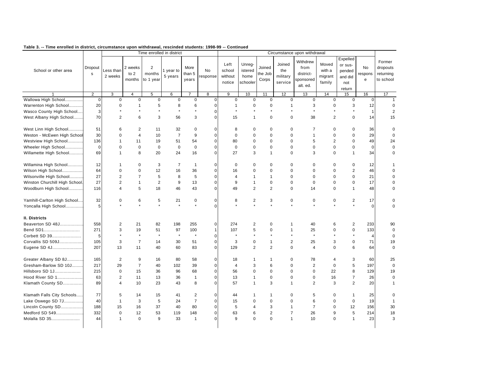|                                |                        |                      |                             |                                       | Time enrolled in district |                         |               |                                     |                                       |                            |                                      | Circumstance upon withdrawal                           |                                      |                                                           |                    |                                              |
|--------------------------------|------------------------|----------------------|-----------------------------|---------------------------------------|---------------------------|-------------------------|---------------|-------------------------------------|---------------------------------------|----------------------------|--------------------------------------|--------------------------------------------------------|--------------------------------------|-----------------------------------------------------------|--------------------|----------------------------------------------|
| School or other area           | Dropout<br>$\mathbf s$ | Less than<br>2 weeks | 2 weeks<br>to $2$<br>months | $\overline{2}$<br>months<br>to 1 year | year to<br>5 years        | More<br>than 5<br>years | No<br>esponse | Left<br>school<br>without<br>notice | Unreg-<br>istered<br>home<br>schooler | Joined<br>the Job<br>Corps | Joined<br>the<br>military<br>service | Withdrew<br>from<br>district-<br>sponsored<br>alt. ed. | Moved<br>with a<br>migrant<br>family | Expelled<br>or sus-<br>pended<br>and did<br>not<br>return | No<br>respons<br>e | Former<br>dropouts<br>returning<br>to school |
|                                | $\overline{2}$         | 3                    | $\overline{4}$              | 5                                     | 6                         | $\overline{7}$          | 8             | 9                                   | 10                                    | 11                         | 12                                   | 13                                                     | 14                                   | 15                                                        | 16                 | 17                                           |
| Wallowa High School            | $\mathbf 0$            | $\bf 0$              | $\pmb{0}$                   | $\pmb{0}$                             | $\pmb{0}$                 | $\pmb{0}$               | $\pmb{0}$     | $\mathsf 0$                         | $\mathbf 0$                           | $\mathbf 0$                | $\mathbf 0$                          | $\bf 0$                                                | $\mathbf 0$                          | $\mathsf 0$                                               | $\pmb{0}$          | $\mathbf{1}$                                 |
| Warrenton High School          | 20                     | 0                    | 1                           | 5                                     | 8                         | 6                       | $\pmb{0}$     | $\overline{1}$                      | $\Omega$                              | $\mathbf 0$                | 1                                    | 3                                                      | $\mathbf 0$                          | 3                                                         | 12                 | $\mathbf 0$                                  |
| Wasco County High School       | 3                      | $\star$              |                             | $\star$                               | $\star$                   | $\star$                 | $\pmb{0}$     | $\star$                             | $\star$                               | $\star$                    |                                      | $\star$                                                | $\star$                              | $\star$                                                   | $\mathbf{1}$       | 2                                            |
| West Albany High School        | 70                     | $\overline{2}$       | 6                           | 3                                     | 56                        | 3                       | $\pmb{0}$     | 15                                  | $\mathbf{1}$                          | $\mathbf 0$                | $\mathbf 0$                          | 38                                                     | 2                                    | $\mathbf 0$                                               | 14                 | 15                                           |
| West Linn High School          | 51                     | 6                    | 2                           | 11                                    | 32                        | $\mathbf 0$             | 0             | 8                                   | $\mathbf 0$                           | $\mathbf 0$                | $\Omega$                             | $\overline{7}$                                         | $\mathbf 0$                          | $\mathbf 0$                                               | 36                 | $\Omega$                                     |
| Weston - McEwen High School    | 30                     | $\Omega$             | $\overline{4}$              | 10                                    | $\overline{7}$            | 9                       | 0             | $\mathbf 0$                         | $\mathbf 0$                           | $\mathbf 0$                | $\mathbf 0$                          | $\mathbf{1}$                                           | $\mathbf 0$                          | $\mathbf 0$                                               | 29                 | $\mathbf 0$                                  |
| Westview High School           | 136                    | 1                    | 11                          | 19                                    | 51                        | 54                      | 0             | 80                                  | $\mathbf 0$                           | $\mathbf 0$                | $\Omega$                             | 5                                                      | $\overline{2}$                       | $\mathbf 0$                                               | 49                 | 24                                           |
| Wheeler High School            | $\mathbf 0$            | 0                    | $\pmb{0}$                   | $\pmb{0}$                             | $\mathbf 0$               | $\pmb{0}$               | 0             | $\mathbf 0$                         | 0                                     | $\mathbf 0$                | 0                                    | $\pmb{0}$                                              | $\mathbf 0$                          | $\pmb{0}$                                                 | $\pmb{0}$          | $\mathbf 0$                                  |
| Willamette High School         | 69                     | $\mathbf{1}$         | 8                           | 20                                    | 24                        | 16                      | 0             | 27                                  | 3                                     | $\mathbf{1}$               | $\Omega$                             | 3                                                      | $\mathbf 0$                          | $\mathbf{1}$                                              | 34                 | $\mathbf 0$                                  |
| Willamina High School          | 12                     | 1                    | $\mathbf 0$                 | 3                                     | $\overline{7}$            | $\mathbf{1}$            | 0             | $\mathbf 0$                         | 0                                     | $\mathbf 0$                | 0                                    | $\mathbf 0$                                            | $\mathbf 0$                          | $\pmb{0}$                                                 | 12                 | $\mathbf 1$                                  |
| Wilson High School             | 64                     | 0                    | $\mathbf 0$                 | 12                                    | 16                        | 36                      | 0             | 16                                  | $\mathbf 0$                           | $\mathbf 0$                | $\Omega$                             | $\Omega$                                               | $\mathbf 0$                          | $\overline{2}$                                            | 46                 | $\Omega$                                     |
| Wilsonville High School        | 27                     | $\overline{c}$       | $\overline{7}$              | 5                                     | 8                         | 5                       | 0             | $\overline{4}$                      | 1                                     | $\mathbf{1}$               | $\Omega$                             | $\Omega$                                               | $\Omega$                             | $\Omega$                                                  | 21                 | $\Omega$                                     |
| Winston Churchill High School. | 27                     | $\overline{c}$       | $\mathbf{1}$                | $\overline{2}$                        | 9                         | 13                      | 0             | 9                                   | $\mathbf{1}$                          | $\mathbf 0$                | $\mathbf 0$                          | $\mathbf 0$                                            | $\mathbf 0$                          | $\mathbf 0$                                               | 17                 | $\mathbf 0$                                  |
| Woodburn High School           | 116                    | $\overline{4}$       | 5                           | 18                                    | 46                        | 43                      | $\pmb{0}$     | 49                                  | $\overline{2}$                        | 2                          | $\mathbf 0$                          | 14                                                     | $\mathbf 0$                          | $\mathbf{1}$                                              | 48                 | $\mathbf 0$                                  |
| Yamhill-Carlton High School    | 32                     | 0                    | 6                           | 5                                     | 21                        | 0                       | 0             | 8                                   | $\overline{c}$                        | 3                          | 0                                    | 0                                                      | 0                                    | 2                                                         | 17                 | 0                                            |
| Yoncalla High School           | 5                      |                      |                             |                                       | $\ddot{\phantom{0}}$      | $\star$                 | 0             | $\ddot{\phantom{0}}$                | $\ddot{\phantom{0}}$                  |                            |                                      |                                                        | ÷.                                   | $\star$                                                   | $\pmb{0}$          | $\mathbf 0$                                  |
| II. Districts                  |                        |                      |                             |                                       |                           |                         |               |                                     |                                       |                            |                                      |                                                        |                                      |                                                           |                    |                                              |
| Beaverton SD 48J               | 558                    | $\overline{2}$       | 21                          | 82                                    | 198                       | 255                     | $\pmb{0}$     | 274                                 | $\overline{2}$                        | $\mathbf 0$                | 1                                    | 40                                                     | 6                                    | $\overline{2}$                                            | 233                | 90                                           |
| Bend SD1                       | 271                    | 3                    | 19                          | 51                                    | 97                        | 100                     | $\mathbf{1}$  | 107                                 | 5                                     | $\mathbf 0$                | $\mathbf{1}$                         | 25                                                     | $\mathbf 0$                          | $\mathbf 0$                                               | 133                | $\mathbf 0$                                  |
| Corbett SD 39                  | 5                      | $\star$              | $\star$                     | $\star$                               | $\star$                   | $\star$                 | $\pmb{0}$     | $\star$                             | $\star$                               | $\star$                    |                                      | $\star$                                                | $\star$                              | $\star$                                                   | $\overline{4}$     | $\mathbf 0$                                  |
| Corvallis SD 509J              | 105                    | 3                    | $\overline{7}$              | 14                                    | 30                        | 51                      | $\pmb{0}$     | 3                                   | 0                                     | $\mathbf{1}$               | 2                                    | 25                                                     | 3                                    | $\mathbf 0$                                               | 71                 | 19                                           |
| Eugene SD 4J                   | 207                    | 13                   | 11                          | 40                                    | 60                        | 83                      | 0             | 129                                 | $\overline{2}$                        | 2                          | $\mathbf 0$                          | $\overline{4}$                                         | $\mathbf 0$                          | 6                                                         | 64                 | $\mathbf 0$                                  |
| Greater Albany SD 8J           | 165                    | $\overline{2}$       | 9                           | 16                                    | 80                        | 58                      | 0             | 18                                  | 1                                     | $\mathbf{1}$               | $\Omega$                             | 78                                                     | $\overline{4}$                       | 3                                                         | 60                 | 25                                           |
| Gresham-Barlow SD 10J          | 217                    | 29                   | $\overline{7}$              | 40                                    | 102                       | 39                      | $\pmb{0}$     | $\overline{4}$                      | 3                                     | 6                          | $\mathbf 0$                          | $\overline{2}$                                         | $\mathbf 0$                          | 5                                                         | 197                | $\mathbf 0$                                  |
| Hillsboro SD 1J                | 215                    | $\mathbf 0$          | 15                          | 36                                    | 96                        | 68                      | 0             | 56                                  | $\mathbf 0$                           | $\mathbf 0$                | $\Omega$                             | $\mathbf 0$                                            | 22                                   | 8                                                         | 129                | 19                                           |
| Hood River SD 1                | 63                     | $\overline{2}$       | 11                          | 13                                    | 36                        | $\mathbf{1}$            | 0             | 13                                  | $\mathbf{1}$                          | $\mathbf 0$                | $\mathbf 0$                          | $\mathbf 0$                                            | 16                                   | $\overline{7}$                                            | 26                 | $\mathbf 0$                                  |
| Klamath County SD              | 89                     | 4                    | 10                          | 23                                    | 43                        | 8                       | 0             | 57                                  | $\mathbf{1}$                          | 3                          | 1                                    | $\overline{2}$                                         | 3                                    | $\overline{2}$                                            | 20                 | $\mathbf{1}$                                 |
| Klamath Falls City Schools     | 77                     | 5                    | 14                          | 15                                    | 41                        | $\overline{2}$          | 0             | 44                                  | $\mathbf{1}$                          | $\overline{1}$             | $\mathbf 0$                          | 5                                                      | $\mathbf 0$                          | $\mathbf{1}$                                              | 25                 | $\mathbf 0$                                  |
| Lake Oswego SD 7J              | 40                     | $\mathbf{1}$         | 3                           | 5                                     | 24                        | $\overline{7}$          | $\pmb{0}$     | 15                                  | $\mathbf 0$                           | $\mathbf 0$                | $\mathbf 0$                          | 6                                                      | $\mathbf 0$                          | $\mathbf 0$                                               | 19                 | $\overline{1}$                               |
| Lincoln County SD              | 188                    | 15                   | 16                          | 37                                    | 40                        | 80                      | 0             | $\overline{5}$                      | $\overline{4}$                        | 3                          | $\mathbf{1}$                         | $\overline{7}$                                         | $\mathbf 0$                          | 12                                                        | 156                | 30                                           |
| Medford SD 549                 | 332                    | $\pmb{0}$            | 12                          | 53                                    | 119                       | 148                     | 0             | 63                                  | 6                                     | $\overline{2}$             | $\overline{7}$                       | 26                                                     | 9                                    | 5                                                         | 214                | 18                                           |
| Molalla SD 35                  | 44                     | $\mathbf{1}$         | $\Omega$                    | 9                                     | 33                        | $\mathbf{1}$            | 0             | 9                                   | $\Omega$                              | $\mathbf 0$                | 1                                    | 10                                                     | $\mathbf 0$                          | $\mathbf{1}$                                              | 23                 | 3                                            |
|                                |                        |                      |                             |                                       |                           |                         |               |                                     |                                       |                            |                                      |                                                        |                                      |                                                           |                    |                                              |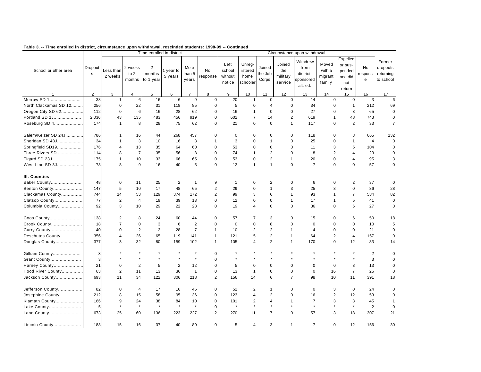|                       |                |                      |                             |                                       | Time enrolled in district |                         |                         |                                     |                                       |                            |                                      | Circumstance upon withdrawal                           |                                      |                                                           |                    |                                              |
|-----------------------|----------------|----------------------|-----------------------------|---------------------------------------|---------------------------|-------------------------|-------------------------|-------------------------------------|---------------------------------------|----------------------------|--------------------------------------|--------------------------------------------------------|--------------------------------------|-----------------------------------------------------------|--------------------|----------------------------------------------|
| School or other area  | Dropout<br>s   | Less than<br>2 weeks | 2 weeks<br>to $2$<br>months | $\overline{2}$<br>months<br>to 1 year | 1 year to<br>5 years      | More<br>than 5<br>years | <b>No</b><br>response   | Left<br>school<br>without<br>notice | Unreq-<br>istered<br>home<br>schooler | Joined<br>the Job<br>Corps | Joined<br>the<br>military<br>service | Withdrew<br>from<br>district-<br>sponsored<br>alt. ed. | Moved<br>with a<br>migrant<br>family | Expelled<br>or sus-<br>pended<br>and did<br>not<br>return | No<br>respons<br>e | Former<br>dropouts<br>returning<br>to school |
|                       | $\overline{2}$ | 3                    | $\overline{4}$              | 5                                     | 6                         |                         | 8                       | 9                                   | 10                                    | 11                         | 12                                   | 13                                                     | 14                                   | 15                                                        | 16                 | 17                                           |
| Morrow SD 1           | 38             | $\mathbf{1}$         | 6                           | 16                                    | 6                         | 9                       | 0                       | 20                                  | $\mathbf{1}$                          | $\mathbf 0$                | $\mathbf 0$                          | 14                                                     | $\mathbf 0$                          | $\mathbf 0$                                               | 3                  | 6                                            |
| North Clackamas SD 12 | 256            | $\mathsf 0$          | 22                          | 31                                    | 118                       | 85                      | 0                       | 5                                   | $\mathbf 0$                           | $\overline{4}$             | $\mathbf 0$                          | 34                                                     | 0                                    | $\mathbf{1}$                                              | 212                | 69                                           |
| Oregon City SD 62     | 112            | $\Omega$             | 6                           | 16                                    | 28                        | 62                      | 0                       | 16                                  | $\mathbf{1}$                          | $\mathbf 0$                | $\Omega$                             | 27                                                     | $\mathbf 0$                          | 3                                                         | 65                 | $\mathbf 0$                                  |
| Portland SD 1J        | 2,036          | 43                   | 135                         | 483                                   | 456                       | 919                     | 0                       | 602                                 | $\overline{7}$                        | 14                         | $\overline{2}$                       | 619                                                    | $\mathbf{1}$                         | 48                                                        | 743                | $\mathbf 0$                                  |
| Roseburg SD 4         | 174            | $\mathbf{1}$         | 8                           | 28                                    | 75                        | 62                      | 0                       | 21                                  | $\mathbf 0$                           | $\mathbf 0$                | $\mathbf{1}$                         | 117                                                    | $\pmb{0}$                            | $\overline{2}$                                            | 33                 | $\overline{7}$                               |
| Salem/Keizer SD 24J   | 786            | $\mathbf{1}$         | 16                          | 44                                    | 268                       | 457                     | 0                       | $\mathbf 0$                         | $\mathbf 0$                           | $\mathbf 0$                | 0                                    | 118                                                    | $\mathbf 0$                          | 3                                                         | 665                | 132                                          |
| Sheridan SD 48J       | 34             | $\mathbf{1}$         | 3                           | 10                                    | 16                        | 3                       | 1                       | 3                                   | $\mathbf 0$                           | $\mathbf{1}$               | 0                                    | 25                                                     | $\mathbf 0$                          | $\mathbf{1}$                                              | $\overline{4}$     | $\mathbf 0$                                  |
| Springfield SD19      | 176            | 4                    | 13                          | 35                                    | 64                        | 60                      | 0                       | 53                                  | 0                                     | $\mathbf 0$                | $\mathbf 0$                          | 11                                                     | 3                                    | $\sqrt{5}$                                                | 104                | $\mathbf 0$                                  |
| Three Rivers SD       | 114            | 8                    | $\overline{7}$              | 35                                    | 56                        | 8                       | 0                       | 74                                  | $\mathbf{1}$                          | 2                          | $\mathbf 0$                          | 8                                                      | $\overline{2}$                       | $\overline{4}$                                            | 23                 | $\mathbf 0$                                  |
| Tigard SD 23J         | 175            | 1                    | 10                          | 33                                    | 66                        | 65                      | 0                       | 53                                  | $\mathbf 0$                           | $\overline{2}$             | $\overline{1}$                       | 20                                                     | $\mathbf 0$                          | $\overline{4}$                                            | 95                 | 3                                            |
| West Linn SD 3J       | 78             | 8                    | 9                           | 16                                    | 40                        | 5                       | $\Omega$                | 12                                  | $\mathbf{1}$                          | $\overline{1}$             | $\Omega$                             | $\overline{7}$                                         | $\Omega$                             | $\Omega$                                                  | 57                 | $\mathbf 0$                                  |
| III. Counties         |                |                      |                             |                                       |                           |                         |                         |                                     |                                       |                            |                                      |                                                        |                                      |                                                           |                    |                                              |
| Baker County          | 48             | $\mathbf 0$          | 11                          | 25                                    | 2                         | $\overline{1}$          | 9                       | $\mathbf{1}$                        | 0                                     | 2                          | 0                                    | 6                                                      | $\mathbf 0$                          | 2                                                         | 37                 | $\mathbf 0$                                  |
| Benton County         | 147            | 5                    | 10                          | 17                                    | 48                        | 65                      | $\overline{\mathbf{c}}$ | 29                                  | $\mathbf 0$                           | $\mathbf{1}$               | 3                                    | 25                                                     | 3                                    | $\mathsf 0$                                               | 86                 | 28                                           |
| Clackamas County      | 744            | 14                   | 53                          | 129                                   | 374                       | 172                     | $\overline{2}$          | 99                                  | 3                                     | 6                          | $\mathbf{1}$                         | 93                                                     | $\mathbf{1}$                         | $\overline{7}$                                            | 534                | 82                                           |
| Clatsop County        | 77             | $\overline{2}$       | $\overline{4}$              | 19                                    | 39                        | 13                      | 0                       | 12                                  | $\mathbf 0$                           | $\mathbf 0$                | $\mathbf{1}$                         | 17                                                     | $\mathbf{1}$                         | $\sqrt{5}$                                                | 41                 | $\mathbf 0$                                  |
| Columbia County       | 92             | 3                    | 10                          | 29                                    | 22                        | 28                      | 0                       | 19                                  | 4                                     | $\mathbf 0$                | $\Omega$                             | 36                                                     | $\mathbf 0$                          | 6                                                         | 27                 | $\mathbf 0$                                  |
| Coos County           | 138            | $\overline{2}$       | 8                           | 24                                    | 60                        | 44                      | 0                       | 57                                  | $\overline{7}$                        | 3                          | 0                                    | 15                                                     | $\mathbf 0$                          | 6                                                         | 50                 | 18                                           |
| Crook County          | 18             | $\overline{7}$       | $\mathbf 0$                 | 3                                     | 6                         | $\overline{2}$          | 0                       | $\mathbf 0$                         | $\mathbf 0$                           | 8                          | 0                                    | $\mathbf 0$                                            | $\mathbf 0$                          | $\mathbf 0$                                               | 10                 | 5                                            |
| Curry County          | 40             | $\Omega$             | $\overline{2}$              | $\sqrt{2}$                            | 28                        | $\overline{7}$          | 1                       | 10                                  | $\overline{c}$                        | $\sqrt{2}$                 | $\overline{1}$                       | $\overline{4}$                                         | $\Omega$                             | $\Omega$                                                  | 21                 | $\Omega$                                     |
| Deschutes County      | 356            | 4                    | 26                          | 65                                    | 119                       | 141                     | $\mathbf{1}$            | 121                                 | 5                                     | $\overline{2}$             | $\mathbf{1}$                         | 64                                                     | $\overline{2}$                       | $\overline{4}$                                            | 157                | $\Omega$                                     |
| Douglas County        | 377            | 3                    | 32                          | 80                                    | 159                       | 102                     | $\mathbf{1}$            | 105                                 | 4                                     | $\overline{2}$             | $\mathbf{1}$                         | 170                                                    | $\mathbf 0$                          | 12                                                        | 83                 | 14                                           |
| Gilliam County        | 3              |                      | $\star$                     | $\star$                               | $\star$                   | $\star$                 | 0                       | $\star$                             | $\star$                               |                            |                                      | $\star$                                                | $\star$                              | $\star$                                                   | $\mathbf 2$        | $\Omega$                                     |
| Grant County          | 3              |                      |                             |                                       |                           | $\star$                 | 0                       |                                     |                                       |                            |                                      |                                                        |                                      |                                                           | 3                  | $\Omega$                                     |
| Harney County         | 21             | $\mathbf 0$          | $\overline{2}$              | 5                                     | $\overline{2}$            | 12                      | 0                       | 5                                   | $\mathbf 0$                           | $\mathbf 0$                | 0                                    | $\mathbf 0$                                            | $\mathbf 0$                          | 3                                                         | 13                 | $\mathbf 0$                                  |
| Hood River County     | 63             | $\overline{2}$       | 11                          | 13                                    | 36                        | $\mathbf{1}$            | 0                       | 13                                  | $\mathbf{1}$                          | $\mathbf 0$                | $\Omega$                             | $\mathbf 0$                                            | 16                                   | $\overline{7}$                                            | 26                 | $\mathbf 0$                                  |
| Jackson County        | 693            | 11                   | 34                          | 122                                   | 306                       | 218                     | $\overline{\mathbf{c}}$ | 156                                 | 14                                    | 6                          | $\overline{7}$                       | 98                                                     | 10                                   | 11                                                        | 391                | 18                                           |
| Jefferson County      | 82             | $\mathbf 0$          | 4                           | 17                                    | 16                        | 45                      | 0                       | 52                                  | $\overline{2}$                        | $\mathbf{1}$               | 0                                    | $\mathbf 0$                                            | 3                                    | $\mathbf 0$                                               | 24                 | $\Omega$                                     |
| Josephine County      | 212            | 8                    | 15                          | 58                                    | 95                        | 36                      | 0                       | 123                                 | $\overline{4}$                        | $\sqrt{2}$                 | 0                                    | 16                                                     | $\mathbf 2$                          | 12                                                        | 53                 | 0                                            |
| Klamath County        | 166            | 9                    | 24                          | 38                                    | 84                        | 10                      | 0                       | 101                                 | $\overline{2}$                        | 4                          | $\mathbf{1}$                         | $\overline{7}$                                         | 3                                    | 3                                                         | 45                 | -1                                           |
| Lake County           | 5              | $\star$              | $\star$                     | $\star$                               | $\star$                   | $\star$                 | 0                       | $\star$                             | $\star$                               | $\star$                    | $\star$                              | $\star$                                                | $\star$                              | $\star$                                                   | $\overline{c}$     | $\Omega$                                     |
| Lane County           | 673            | 25                   | 60                          | 136                                   | 223                       | 227                     | $\overline{c}$          | 270                                 | 11                                    | $\overline{7}$             | $\mathbf 0$                          | 57                                                     | 3                                    | 18                                                        | 307                | 21                                           |
| Lincoln County        | 188            | 15                   | 16                          | 37                                    | 40                        | 80                      | 0                       | 5                                   | $\overline{4}$                        | 3                          | $\mathbf{1}$                         | $\overline{7}$                                         | $\Omega$                             | 12                                                        | 156                | 30                                           |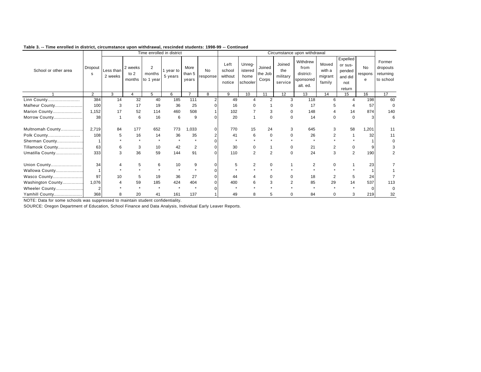|                      |                |                      |                             |                                       | Time enrolled in district |                         |                 |                                     |                                       |                            |                                      | Circumstance upon withdrawal                           |                                      |                                                           |                    |                                              |
|----------------------|----------------|----------------------|-----------------------------|---------------------------------------|---------------------------|-------------------------|-----------------|-------------------------------------|---------------------------------------|----------------------------|--------------------------------------|--------------------------------------------------------|--------------------------------------|-----------------------------------------------------------|--------------------|----------------------------------------------|
| School or other area | Dropout<br>s   | Less than<br>2 weeks | 2 weeks<br>to $2$<br>months | $\overline{2}$<br>months<br>to 1 year | year to<br>5 years        | More<br>than 5<br>years | No.<br>response | Left<br>school<br>without<br>notice | Unreq-<br>istered<br>home<br>schooler | Joined<br>the Job<br>Corps | Joined<br>the<br>military<br>service | Withdrew<br>from<br>district-<br>sponsored<br>alt. ed. | Moved<br>with a<br>migrant<br>family | Expelled<br>or sus-<br>pended<br>and did<br>not<br>return | No<br>respons<br>e | Former<br>dropouts<br>returning<br>to school |
|                      | $\overline{2}$ | 3                    |                             | 5                                     | 6                         | $\overline{7}$          | 8               | 9                                   | 10                                    | 11                         | 12                                   | 13                                                     | 14                                   | 15                                                        | 16                 | 17                                           |
| Linn County          | 384            | 14                   | 32                          | 40                                    | 185                       | 111                     |                 | 49                                  | $\overline{\mathbf{A}}$               | $\mathcal{P}$              | 3                                    | 118                                                    | 6                                    | $\boldsymbol{\Lambda}$                                    | 198                | 60                                           |
| Malheur County       | 100            | 3                    | 17                          | 19                                    | 36                        | 25                      |                 | 16                                  |                                       |                            |                                      | 17                                                     |                                      |                                                           | 57                 | 0                                            |
| Marion County        | 1,152          | 17                   | 52                          | 114                                   | 460                       | 508                     |                 | 102                                 |                                       | 3                          |                                      | 148                                                    |                                      | 14                                                        | 874                | 140                                          |
| Morrow County        | 38             |                      | 6                           | 16                                    | 6                         | 9                       | $\Omega$        | 20                                  |                                       | $\Omega$                   | ŋ                                    | 14                                                     | $\Omega$                             | $\Omega$                                                  | 3                  | 6                                            |
| Multnomah County     | 2,719          | 84                   | 177                         | 652                                   | 773                       | 1,033                   | $\Omega$        | 770                                 | 15                                    | 24                         |                                      | 645                                                    | 3                                    | 58                                                        | 1,201              | 11                                           |
| Polk County          | 108            | 5                    | 16                          | 14                                    | 36                        | 35                      |                 | 41                                  | 6                                     | $\Omega$                   |                                      | 26                                                     |                                      |                                                           | 32                 | 11                                           |
| Sherman County       |                |                      |                             |                                       |                           |                         |                 |                                     |                                       |                            |                                      |                                                        |                                      |                                                           |                    |                                              |
| Tillamook County     | 63             | 6                    | 3                           | 10                                    | 42                        | 2                       | $\Omega$        | 30                                  | 0                                     |                            |                                      | 21                                                     | 2                                    | 0                                                         | 9                  |                                              |
| Umatilla County      | 333            | 3                    | 36                          | 59                                    | 144                       | 91                      | $\Omega$        | 110                                 | 2                                     | $\overline{2}$             | $\Omega$                             | 24                                                     | 3                                    | $\overline{2}$                                            | 190                |                                              |
| Union County         | 34             |                      | 5                           | 6                                     | 10                        | 9                       | $\Omega$        | 5                                   |                                       |                            |                                      | $\overline{2}$                                         |                                      |                                                           | 23                 |                                              |
| Wallowa County       |                |                      |                             |                                       |                           |                         |                 |                                     |                                       |                            |                                      |                                                        |                                      |                                                           |                    |                                              |
| Wasco County         | 97             | 10                   | 5                           | 19                                    | 36                        | 27                      | $\Omega$        | 44                                  |                                       |                            |                                      | 18                                                     | $\overline{2}$                       | 5                                                         | 24                 |                                              |
| Washington County    | 1,076          |                      | 59                          | 185                                   | 424                       | 404                     | $\Omega$        | 400                                 | 6                                     | 3                          |                                      | 85                                                     | 29                                   | 14                                                        | 537                | 113                                          |
| Wheeler County       |                |                      |                             |                                       |                           |                         |                 |                                     |                                       |                            |                                      |                                                        |                                      |                                                           |                    | $\Omega$                                     |
| Yamhill County       | 368            | 8                    | 20                          | 41                                    | 161                       | 137                     |                 | 49                                  | 8                                     |                            | $\Omega$                             | 84                                                     | $\Omega$                             | 3                                                         | 219                | 32                                           |

NOTE: Data for some schools was suppressed to maintain student confidentiality.

SOURCE: Oregon Department of Education, School Finance and Data Analysis, Individual Early Leaver Reports.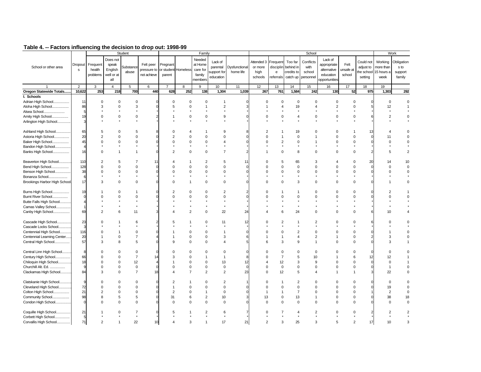|                              |                          |                |                | Student             |             |                      |                     | Family         |                         |                |                |                     |                | School         |                |                |           |                       | Work       |
|------------------------------|--------------------------|----------------|----------------|---------------------|-------------|----------------------|---------------------|----------------|-------------------------|----------------|----------------|---------------------|----------------|----------------|----------------|----------------|-----------|-----------------------|------------|
|                              |                          |                | Does not       |                     |             |                      |                     | Needed         |                         |                |                |                     |                |                | Lack of        |                |           |                       |            |
|                              | Dropout                  | Frequent       | speak          |                     | Felt peer   | Pregnant             |                     | at Home        | Lack of                 |                | Attended 3     | Frequent            | Too far        | Conflicts      | appropriate    | Felt           | Could not | Working               | Obligation |
| School or other area         |                          |                |                | <b>Substance</b>    |             |                      |                     |                | parental                | Dysfunctional  | or more        | disciplin           | behind in      | with           |                |                | adjust to | more than             | s to       |
|                              | $\mathbf{s}$             | health         | English        | abuse               | pressure to |                      | or student Homeless | care for       | support for             | home life      | high           | $\mathbf{e}$        | credits to     | school         | alternative    | unsafe at      |           | the school 15 hours a | support    |
|                              |                          | problems       | well or at     |                     | not achieve | parent               |                     | family         | education               |                | schools        | referrals           | catch up       | personnel      | education      | school         | setting   | week                  | family     |
|                              |                          |                | all            |                     |             |                      |                     | members        |                         |                |                |                     |                |                | opportunities  |                |           |                       |            |
|                              | $\overline{2}$           | 3              | $\overline{4}$ | 5                   | 6           | 7                    | 8                   | 9              | 10                      | 11             | 12             | 13                  | 14             | 15             | 16             | 17             | 18        | 19                    |            |
| Oregon Statewide Totals      | 10,622                   | 253            | 218            | 700                 | 440         | 628                  | 252                 | 138            | 1,304                   | 1,039          | 267            | 761                 | 1,584          | 242            | 130            | 52             | 975       | 1,303                 | 292        |
| I. Schools                   |                          |                |                |                     |             |                      |                     |                |                         |                |                |                     |                |                |                |                |           |                       |            |
| Adrian High School           | 11                       | $\mathbf 0$    | $^{\circ}$     | $\mathbf 0$         |             | $\mathbf 0$          | $\mathbf 0$         | 0              | 1                       |                | $\Omega$       | $\Omega$            | $\Omega$       | $\Omega$       | $\Omega$       | 0              |           | $\mathbf 0$           |            |
| Aloha High School            | 86                       | 3              | $\mathbf 0$    | 3                   |             | 5                    | $\Omega$            | 1              | $\overline{2}$          |                |                |                     | 19             | $\overline{4}$ | $\overline{2}$ | $\Omega$       |           | 12                    |            |
|                              | 5                        |                |                |                     |             |                      |                     |                |                         |                |                |                     |                |                |                |                |           |                       |            |
| Alsea School                 |                          |                |                |                     |             |                      |                     |                |                         |                |                |                     |                |                |                |                |           |                       |            |
| Amity High School            | 19                       | $\Omega$       | $\mathsf 0$    | 0                   |             | -1                   | 0                   | $\mathbf 0$    | 9                       |                | $\Omega$       | $\mathbf 0$         | 4              | 0              | 0              | $\mathbf 0$    |           | $\overline{2}$        |            |
| Arlington High School        | Э                        |                |                |                     |             |                      |                     |                |                         |                |                |                     |                |                |                |                |           |                       |            |
|                              |                          |                |                |                     |             |                      |                     |                |                         |                |                |                     |                |                |                |                |           |                       |            |
| Ashland High School          | 65                       | 5              | $\Omega$       | 5                   |             | $\Omega$             |                     |                | 9                       |                | $\overline{2}$ |                     | 19             | $\Omega$       | $\Omega$       |                | 13        |                       |            |
| Astoria High School          | 20                       | $\mathfrak{p}$ | $\Omega$       | $\Omega$            |             | $\overline{2}$       | $\Omega$            | $\Omega$       | $\Omega$                |                |                | $\overline{1}$      | $\Omega$       |                | $\Omega$       | $\Omega$       |           | 11                    |            |
| Baker High School            | 45                       | $\Omega$       | $\Omega$       | $\mathbf 0$         |             | $\Omega$             | 0                   | $\Omega$       | $\overline{4}$          |                | $\Omega$       | $\overline{2}$      | $\Omega$       |                | $\Omega$       | $\Omega$       |           | $\Omega$              |            |
| Bandon High School           | Z                        |                |                |                     |             |                      |                     |                |                         |                |                |                     |                |                |                |                |           |                       |            |
| Banks High School            | 16                       | $\Omega$       |                | $\mathbf{1}$        |             | $\overline{c}$       | $\Omega$            | $\Omega$       | $\overline{7}$          |                |                | 0                   | 8              | $\Omega$       | $\Omega$       | $\Omega$       |           | 5                     |            |
|                              |                          |                |                |                     |             |                      |                     |                |                         |                |                |                     |                |                |                |                |           |                       |            |
| Beaverton High School        | 110                      | $\overline{2}$ | 5              | $\overline{7}$      | 11          | 4                    |                     | $\overline{2}$ | 5                       | 11             | O              | 5                   | 65             | 3              | 4              | $\Omega$       | 20        | 14                    | 10         |
| Bend High School             | 128                      |                | $\Omega$       | $\Omega$            |             | $\Omega$             | $\Omega$            | $\Omega$       | $\Omega$                |                |                | $\Omega$            | $\Omega$       | $\Omega$       | $\Omega$       | $\Omega$       |           | $\Omega$              | $\Omega$   |
| Benson High School           | 38                       | $\Omega$       | $\Omega$       | $\Omega$            | $\Omega$    | $\Omega$             | $\Omega$            | $\Omega$       | $\Omega$                |                | $\Omega$       | $\Omega$            | $\Omega$       | $\Omega$       | $\Omega$       | $\Omega$       |           | $\Omega$              |            |
| Bonanza School               | 6                        |                |                |                     |             |                      |                     |                |                         |                |                |                     |                |                |                |                |           |                       |            |
| Brookings Harbor High School | 17                       | 3              | $\mathbf 0$    | $\Omega$            |             | $\Omega$             |                     | $\Omega$       | $\Omega$                |                | $\Omega$       | $\mathbf 0$         | 3              | $\Omega$       | $\Omega$       | $\Omega$       |           |                       |            |
|                              |                          |                |                |                     |             |                      |                     |                |                         |                |                |                     |                |                |                |                |           |                       |            |
| Burns High School            | 19                       |                | $\Omega$       | -1                  |             | $\overline{c}$       | $\Omega$            | $\Omega$       | $\overline{2}$          |                |                | 1                   |                | $\Omega$       | $\Omega$       | $\Omega$       |           |                       |            |
| Burnt River School           |                          |                | $\Omega$       | $\Omega$            |             | $\Omega$             | $\Omega$            | $\Omega$       | $\mathbf 0$             |                |                | $\Omega$            |                | $\Omega$       |                | $\Omega$       |           |                       |            |
| Butte Falls High School      | $\overline{\phantom{a}}$ |                |                |                     |             |                      |                     |                |                         |                |                |                     |                |                |                |                |           |                       |            |
|                              |                          |                |                |                     |             |                      |                     |                |                         |                |                |                     |                |                |                |                |           |                       |            |
| Camas Valley School          |                          |                |                |                     |             |                      |                     |                |                         |                |                |                     |                |                |                |                |           |                       |            |
| Canby High School            | 69                       | $\overline{2}$ | 6              | 11                  |             |                      | $\overline{2}$      | $\mathbf 0$    | 22                      | 24             |                | 6                   | 24             | $\Omega$       | $\Omega$       | $\Omega$       |           | 10                    |            |
| Cascade High School          | 23                       | n              |                | 6                   |             |                      |                     | $\Omega$       | 11                      | 12             | $\Omega$       | $\overline{2}$      |                | $\overline{2}$ |                | $\Omega$       |           |                       |            |
|                              |                          |                |                |                     |             |                      |                     |                |                         |                |                |                     |                |                |                |                |           |                       |            |
| Cascade Locks School         |                          |                |                |                     |             |                      |                     |                |                         |                |                |                     |                |                |                |                |           |                       |            |
| Centennial High School       | 116                      | $\Omega$       | $\overline{1}$ | $\mathbf 0$         |             |                      | $\Omega$            | $\Omega$       | $\mathbf{1}$            |                |                | $\Omega$            | $\overline{2}$ | $\Omega$       | $\Omega$       | $\Omega$       |           |                       |            |
| Centennial Learning Center   | 20                       |                | $\mathbf 0$    | $\overline{7}$      |             |                      | 0                   | $\Omega$       | 3                       |                |                | $\overline{1}$      |                | $\overline{2}$ |                | $\mathbf 0$    |           | 3                     |            |
| Central High School          | 57                       | 3              | 8              | 5                   |             | 9                    | $\Omega$            | $\Omega$       | $\overline{\mathbf{A}}$ |                | 6              | 3                   | $\mathbf{Q}$   | $\mathbf{1}$   | $\Omega$       | $\Omega$       |           | 3                     |            |
|                              |                          |                |                |                     |             |                      |                     |                |                         |                | $\Omega$       |                     | $\Omega$       |                |                |                |           |                       |            |
| Central Linn High School     | 8                        | $\Omega$       | $^{\circ}$     | $\mathbf 0$         |             | $\Omega$             | $\mathbf 0$         | $\Omega$       | $\mathbf 0$             |                |                | 0                   |                | $\Omega$       | $\Omega$       | 0              |           | $\Omega$              |            |
| Century High School<br>.     | 66                       | $\Omega$       | $\mathbf 0$    | $\overline{7}$      | 14          | 3                    | $\Omega$            | $\mathbf{1}$   | $\mathbf{1}$            |                | $\Omega$       | $\overline{7}$      | 5              | 10             |                | 6              | 12        | 12                    |            |
| Chiloquin High School        | 18                       | $\Omega$       | $\mathbf 0$    | 12                  |             |                      | $\mathbf 0$         | $\Omega$       | 13                      | 12             |                | 12                  | 3              | 9              | $\Omega$       | $\Omega$       |           | $\Omega$              |            |
| Churchill Alt. Ed.           | $\mathbf{Q}$             | $\Omega$       | $\mathbf 0$    | $\mathsf{O}\xspace$ | $\Omega$    | $\Omega$             | 0                   | $\mathbf 0$    | $\mathsf{O}\xspace$     |                | $\Omega$       | $\mathsf{O}\xspace$ | $\mathbf 0$    | $\mathbf 0$    | $\Omega$       | $\Omega$       |           | $\overline{1}$        |            |
| Clackamas High School        | 84                       | 3              | $\Omega$       | $\overline{7}$      | 18          |                      | $\overline{7}$      | $\mathfrak{p}$ | $\overline{2}$          | 2 <sup>3</sup> | $\Omega$       | 12                  | 5              | $\overline{4}$ |                | $\overline{1}$ |           | 22                    | $\Omega$   |
|                              |                          |                |                |                     |             |                      |                     |                |                         |                |                |                     |                |                |                |                |           |                       |            |
| Clatskanie High School       | 9                        | $\Omega$       | $\Omega$       | $\Omega$            |             | 2                    |                     | $\Omega$       | $\overline{2}$          |                | 0              | 1                   | 2              | 0              | $\Omega$       | $\Omega$       |           | $\Omega$              |            |
| Cleveland High School        | 72                       | $\Omega$       | $\mathbf 0$    | $\mathbf 0$         |             | $\overline{1}$       | 0                   | $\Omega$       | 0                       |                | $\Omega$       | $\Omega$            | $\Omega$       | $\mathbf 0$    | $\Omega$       | $\mathbf 0$    |           | 19                    | $\Omega$   |
| Colton High School           | 21                       | $\overline{2}$ | $\mathbf 0$    | $\mathbf 0$         | $\Omega$    | $\overline{2}$       | $\Omega$            | $\mathbf{1}$   | $\mathbf 0$             |                | $\overline{1}$ | $\overline{1}$      | 7              | $\Omega$       | $\Omega$       | $\Omega$       |           | 2                     |            |
| Community School             | 98                       | 8              | 5              | 5                   | $\Omega$    | 31                   | 6                   | $\overline{2}$ | 10                      |                | 13             | 0                   | 13             | 1              | $\Omega$       | $\mathbf 0$    |           | 38                    | 18         |
| Condon High School           | $\Omega$                 |                | $\Omega$       | $\Omega$            |             | $\Omega$             | $\Omega$            | $\Omega$       | $\Omega$                |                | $\Omega$       | $\Omega$            | $\Omega$       | $\Omega$       | $\Omega$       | $\Omega$       |           | $\Omega$              | $\Omega$   |
|                              |                          |                |                |                     |             |                      |                     |                |                         |                |                |                     |                |                |                |                |           |                       |            |
| Coquille High School         | 21                       |                |                |                     |             |                      |                     |                | 6                       |                |                |                     |                |                |                |                |           |                       |            |
| Corbett High School          | 5                        |                |                |                     |             |                      |                     |                |                         |                |                |                     |                |                |                |                |           |                       |            |
| Corvallis High School.       | 71                       |                |                | 22                  | 10          | $\overline{\Lambda}$ |                     |                | 17                      | 21             |                |                     | 25             |                |                | $\mathcal{P}$  | 17        | 10                    |            |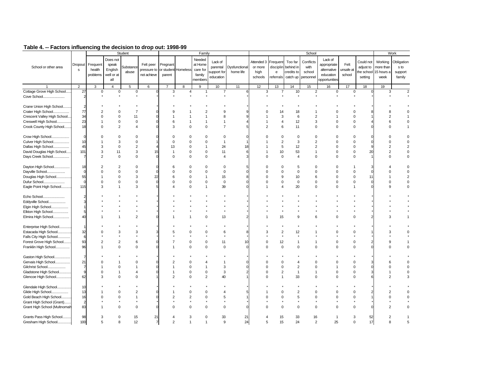| School or other area                      | Dropout<br>s   | Frequent<br>health<br>problems | Does not<br>speak<br>English<br>well or at | Student<br><b>Substance</b><br>abuse | Felt peer<br>pressure to<br>not achieve | Pregnant<br>parent | or student Homeless | Family<br>Needed<br>at Home<br>care for<br>family | Lack of<br>parental<br>support for<br>education | Dysfunctional<br>home life | Attended 3<br>or more<br>high<br>schools | Frequent<br>disciplin<br>$\mathsf{e}% _{t}\left( t\right)$<br>referrals | Too far<br>behind in<br>credits to<br>catch up | School<br>Conflicts<br>with<br>school<br>personnel | Lack of<br>appropriate<br>alternative<br>education | Felt<br>unsafe at<br>school | Could not<br>adjust to<br>setting | Working<br>more than<br>the school 15 hours a<br>week | Work<br>Obligation<br>s to<br>support<br>family |
|-------------------------------------------|----------------|--------------------------------|--------------------------------------------|--------------------------------------|-----------------------------------------|--------------------|---------------------|---------------------------------------------------|-------------------------------------------------|----------------------------|------------------------------------------|-------------------------------------------------------------------------|------------------------------------------------|----------------------------------------------------|----------------------------------------------------|-----------------------------|-----------------------------------|-------------------------------------------------------|-------------------------------------------------|
|                                           |                |                                | all                                        |                                      |                                         |                    |                     | members                                           |                                                 |                            |                                          |                                                                         |                                                |                                                    | opportunities                                      |                             |                                   |                                                       |                                                 |
|                                           | $\overline{2}$ | 3                              | $\overline{4}$                             | 5                                    | 6                                       | 7                  | 8                   | 9                                                 | 10                                              | 11                         | 12                                       | 13                                                                      | 14                                             | 15                                                 | 16                                                 | 17                          | 18                                | 19                                                    |                                                 |
| Cottage Grove High School                 | 27             | $\mathbf 0$                    | 0                                          | 0                                    |                                         | 3                  | 4                   | 1                                                 | $\overline{7}$                                  |                            | 3                                        | $\overline{7}$                                                          | 10                                             | $\overline{2}$                                     | 0                                                  | 0                           |                                   | 3                                                     | $\overline{2}$                                  |
| Cove School                               | $\overline{2}$ |                                |                                            |                                      |                                         |                    |                     |                                                   |                                                 |                            |                                          |                                                                         |                                                |                                                    |                                                    |                             |                                   |                                                       |                                                 |
|                                           |                |                                |                                            |                                      |                                         |                    |                     |                                                   |                                                 |                            |                                          |                                                                         |                                                |                                                    |                                                    |                             |                                   |                                                       |                                                 |
| Crane Union High School                   | $\overline{2}$ |                                |                                            |                                      |                                         |                    |                     |                                                   |                                                 |                            |                                          |                                                                         |                                                |                                                    |                                                    |                             |                                   |                                                       |                                                 |
| Crater High School                        | 77             |                                | $\Omega$                                   | $\overline{7}$                       |                                         |                    |                     |                                                   | 9                                               |                            |                                          | 14                                                                      | 18                                             |                                                    |                                                    | $\Omega$                    |                                   |                                                       |                                                 |
| Crescent Valley High School               | 34             | $\Omega$                       | $\Omega$                                   | 11                                   | O                                       |                    |                     |                                                   | 8                                               |                            |                                          | 3                                                                       | 6                                              | $\overline{2}$                                     | 1                                                  | $\mathbf 0$                 |                                   | $\overline{2}$                                        |                                                 |
| Creswell High School                      | 23             |                                | $\mathbf 0$                                | $\mathbf 0$                          |                                         | 6                  |                     |                                                   | $\mathbf{1}$                                    |                            |                                          | $\overline{4}$                                                          | 12                                             | 3                                                  | $\Omega$                                           | $\mathbf 0$                 |                                   | 6                                                     | 0                                               |
| Crook County High School                  | 18             | $\Omega$                       | 2                                          | $\overline{\mathbf{A}}$              |                                         | 3                  | $\Omega$            | $\mathbf 0$                                       | $\overline{7}$                                  |                            | $\overline{2}$                           | 6                                                                       | 11                                             | $\mathbf 0$                                        | $\mathbf 0$                                        | $\mathbf 0$                 |                                   | $\Omega$                                              |                                                 |
|                                           | $\Omega$       | $\Omega$                       | $\Omega$                                   | $\Omega$                             |                                         | $\Omega$           | $\Omega$            | $\Omega$                                          | $\mathbf 0$                                     |                            | C                                        | $\mathbf 0$                                                             | $\Omega$                                       | $\Omega$                                           | $\Omega$                                           | $\Omega$                    |                                   |                                                       | $\mathbf 0$                                     |
| Crow High School<br>Culver High School    | 10             |                                | 3                                          | $\mathbf 0$                          |                                         | $\Omega$           | $\Omega$            | $\Omega$                                          | $\mathbf{1}$                                    |                            |                                          | $\overline{2}$                                                          | 3                                              | $\overline{2}$                                     | $\Omega$                                           | $\Omega$                    |                                   | $\Omega$                                              | $\Omega$                                        |
| Dallas High School                        | 45             | 3                              | $\Omega$                                   | $\overline{2}$                       |                                         | 13                 | $\Omega$            |                                                   | 24                                              |                            |                                          | 5                                                                       | 12                                             | $\overline{2}$                                     | $\Omega$                                           | $\Omega$                    |                                   | $\overline{2}$                                        | $\overline{2}$                                  |
| David Douglas High School                 | 101            | 3                              | 11                                         | 3                                    | 15                                      | $\overline{1}$     | 0                   | $\mathbf 0$                                       | 11                                              |                            |                                          | 10                                                                      | 53                                             | $\overline{1}$                                     | $\Omega$                                           | $\mathsf 0$                 | $\overline{2}$                    | $\overline{2}$                                        | 0                                               |
| Days Creek School                         | 7              | $\mathfrak{p}$                 | $\Omega$                                   | $\mathbf 0$                          | $\Omega$                                | $\Omega$           | $\Omega$            | $\Omega$                                          | 4                                               |                            | $\Omega$                                 | $\mathbf 0$                                                             | $\overline{4}$                                 | $\Omega$                                           | $\Omega$                                           | $\Omega$                    |                                   | $\Omega$                                              | $\Omega$                                        |
|                                           |                |                                |                                            |                                      |                                         |                    |                     |                                                   |                                                 |                            |                                          |                                                                         |                                                |                                                    |                                                    |                             |                                   |                                                       |                                                 |
| Dayton High School                        | 18             | 2                              | $\overline{2}$                             | $\Omega$                             |                                         | 6                  | $\Omega$            | $\Omega$                                          | $\Omega$                                        |                            | 0                                        | $\Omega$                                                                | 5                                              | 0                                                  | 0                                                  |                             |                                   |                                                       |                                                 |
| Dayville School                           | $\mathbf 0$    | $\Omega$                       | $\Omega$                                   | 0                                    | $\Omega$                                | $\Omega$           | 0                   | $\Omega$                                          | $\mathbf 0$                                     |                            | $\Omega$                                 | $\Omega$                                                                | $\Omega$                                       | $\Omega$                                           | $\Omega$                                           | $\mathbf 0$                 |                                   | $\Omega$                                              |                                                 |
| Douglas High School                       | 55             |                                | $\Omega$                                   | 3                                    | 22                                      | 6                  | 0                   |                                                   | 15                                              |                            |                                          | 9                                                                       | 10                                             | 6                                                  | $\Omega$                                           | $\mathbf 0$                 |                                   |                                                       |                                                 |
| Dufur School                              | $\mathbf 0$    | $\Omega$                       | $\mathbf 0$                                | $\mathsf 0$                          | $\Omega$                                | $\Omega$           | 0                   | 0                                                 | $\mathbf 0$                                     |                            | $\Omega$                                 | $\mathbf 0$                                                             | $\mathbf 0$                                    | $\Omega$                                           | $\Omega$                                           | $\mathbf 0$                 |                                   | $\Omega$                                              | 0                                               |
| Eagle Point High School                   | 115            | 3                              | 1                                          | 3                                    |                                         |                    | $\Omega$            | 1                                                 | 39                                              |                            |                                          | 4                                                                       | 20                                             | $\Omega$                                           | $\Omega$                                           | $\mathbf{1}$                |                                   | g                                                     | 0                                               |
|                                           |                |                                |                                            |                                      |                                         |                    |                     |                                                   |                                                 |                            |                                          |                                                                         |                                                |                                                    |                                                    |                             |                                   |                                                       |                                                 |
| Echo School                               | $\overline{2}$ |                                |                                            |                                      |                                         |                    |                     |                                                   |                                                 |                            |                                          |                                                                         |                                                |                                                    |                                                    |                             |                                   |                                                       |                                                 |
| Eddyville School                          | 3              |                                |                                            |                                      |                                         |                    |                     |                                                   |                                                 |                            |                                          |                                                                         |                                                |                                                    |                                                    |                             |                                   |                                                       |                                                 |
| Elgin High School                         |                |                                |                                            |                                      |                                         |                    |                     |                                                   |                                                 |                            |                                          |                                                                         |                                                |                                                    |                                                    |                             |                                   |                                                       |                                                 |
| Elkton High School                        | 5              |                                |                                            |                                      |                                         |                    |                     |                                                   |                                                 |                            |                                          |                                                                         |                                                |                                                    |                                                    |                             |                                   |                                                       |                                                 |
| Elmira High School                        | 40             |                                |                                            | $\overline{2}$                       |                                         |                    |                     | $\Omega$                                          | 13                                              |                            |                                          | 15                                                                      | 9                                              |                                                    | $\Omega$                                           | $\Omega$                    |                                   |                                                       |                                                 |
|                                           |                |                                |                                            |                                      |                                         |                    |                     |                                                   |                                                 |                            |                                          |                                                                         |                                                |                                                    |                                                    |                             |                                   |                                                       |                                                 |
| Enterprise High School                    |                |                                |                                            |                                      |                                         |                    |                     |                                                   |                                                 |                            |                                          |                                                                         |                                                |                                                    |                                                    |                             |                                   |                                                       |                                                 |
| Estacada High School                      | 32             |                                | 3                                          | 3                                    |                                         |                    | $\Omega$            | $\Omega$                                          | 6                                               |                            | З                                        | $\overline{2}$                                                          | 12                                             |                                                    | $\Omega$                                           | $\Omega$                    |                                   |                                                       | 0                                               |
| Falls City High School                    | 6              |                                |                                            |                                      |                                         |                    |                     |                                                   |                                                 |                            |                                          |                                                                         |                                                |                                                    |                                                    |                             |                                   |                                                       |                                                 |
| Forest Grove High School                  | 93             | 2                              | $\overline{2}$                             | 6                                    |                                         |                    | $\Omega$            | $\Omega$                                          | 11                                              | 10                         | $\Omega$                                 | 12                                                                      | $\mathbf{1}$                                   | -1                                                 | $\Omega$                                           | $\Omega$                    |                                   |                                                       |                                                 |
| Franklin High School<br>                  | 96             |                                | $\Omega$                                   | $\Omega$                             |                                         |                    | $\Omega$            | $\Omega$                                          | $\mathbf 0$                                     |                            | $\Omega$                                 | $\mathbf 0$                                                             | $\mathbf 0$                                    | $\Omega$                                           | $\Omega$                                           | $\Omega$                    |                                   | $\Omega$                                              | 0                                               |
|                                           |                |                                |                                            |                                      |                                         |                    |                     |                                                   |                                                 |                            |                                          |                                                                         |                                                |                                                    |                                                    |                             |                                   |                                                       |                                                 |
| Gaston High School                        | $\overline{7}$ |                                |                                            |                                      |                                         |                    |                     |                                                   |                                                 |                            |                                          |                                                                         |                                                |                                                    |                                                    |                             |                                   |                                                       |                                                 |
| Gervais High School                       | 21             |                                |                                            | $\Omega$                             |                                         |                    | $\Omega$            |                                                   |                                                 |                            | C                                        | $\Omega$                                                                |                                                | $\Omega$                                           | C                                                  | $\Omega$                    |                                   | ĥ                                                     |                                                 |
| Gilchrist School                          | $\overline{7}$ |                                | $\Omega$                                   |                                      | $\Omega$                                | -1                 | $\Omega$            |                                                   | 3                                               |                            | $\Omega$                                 | $\Omega$                                                                | $\overline{2}$                                 | $\Omega$                                           | -1                                                 | $\Omega$                    |                                   | $\Omega$                                              | $\Omega$                                        |
| Gladstone High School                     | 9              | 0                              | 1                                          | $\overline{4}$                       |                                         |                    | 0                   | 0                                                 | 3                                               |                            |                                          | $\overline{2}$                                                          | $\overline{1}$                                 | $\overline{1}$                                     | $\Omega$                                           | $\mathbf 0$                 |                                   |                                                       | 0                                               |
| Glencoe High School                       | 62             | 3                              | $\mathbf 0$                                | $\Omega$                             |                                         | $\overline{2}$     | 0                   | $\overline{2}$                                    | 40                                              |                            | $\Omega$                                 | $\overline{1}$                                                          | 33                                             | $\Omega$                                           | $\Omega$                                           | $\Omega$                    |                                   | 2                                                     | 3                                               |
|                                           | 10             |                                |                                            |                                      |                                         |                    |                     |                                                   |                                                 |                            |                                          |                                                                         |                                                |                                                    |                                                    |                             |                                   |                                                       |                                                 |
| Glendale High School<br>Glide High School | 13             |                                | $\Omega$                                   | $\overline{2}$                       |                                         |                    | $\Omega$            | 0                                                 | 4                                               |                            |                                          | 0                                                                       | 2                                              | 0                                                  | O                                                  | $\Omega$                    |                                   | 2                                                     |                                                 |
| Gold Beach High School                    | 16             | n                              | $\Omega$                                   | $\mathbf{1}$                         | $\sqrt{ }$                              | $\overline{c}$     | $\overline{2}$      | $\Omega$                                          | 5                                               |                            |                                          | $\Omega$                                                                | 5                                              | $\Omega$                                           | $\Omega$                                           | $\Omega$                    |                                   | U                                                     | 0                                               |
| Grant High School (Grant)                 | $\mathfrak{p}$ |                                |                                            |                                      |                                         |                    |                     |                                                   |                                                 |                            |                                          |                                                                         |                                                |                                                    |                                                    |                             |                                   |                                                       |                                                 |
| Grant High School (Multnomah              | 83             |                                | $\Omega$                                   | $\Omega$                             |                                         |                    | $\Omega$            | $\Omega$                                          | $\Omega$                                        |                            |                                          | $\Omega$                                                                | $\Omega$                                       | $\Omega$                                           | $\Omega$                                           | $\Omega$                    |                                   |                                                       | 0                                               |
|                                           |                |                                |                                            |                                      |                                         |                    |                     |                                                   |                                                 |                            |                                          |                                                                         |                                                |                                                    |                                                    |                             |                                   |                                                       |                                                 |
| Grants Pass High School                   | 98             | 3                              | O                                          | 15                                   | 21                                      |                    | 3                   | $\Omega$                                          | 33                                              | 21                         |                                          | 15                                                                      | 33                                             | 16                                                 |                                                    | 3                           | 52                                | 2                                                     |                                                 |
| Gresham High School.                      | 100            | 5                              | R                                          | 12                                   | $\overline{7}$                          | 2                  |                     |                                                   | 9                                               | 24                         | 5                                        | 15                                                                      | 24                                             | $\mathcal{P}$                                      | 25                                                 | $\Omega$                    | 17                                | R                                                     | 5                                               |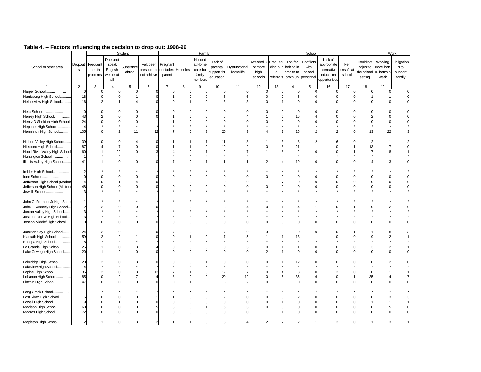|                                |                |                |                | Student                 |                |                |                     | Family         |                         |                |               |                                            |                | School         |                |                |           |                       | Work                    |
|--------------------------------|----------------|----------------|----------------|-------------------------|----------------|----------------|---------------------|----------------|-------------------------|----------------|---------------|--------------------------------------------|----------------|----------------|----------------|----------------|-----------|-----------------------|-------------------------|
|                                |                |                | Does not       |                         |                |                |                     | Needed         |                         |                |               |                                            |                |                | Lack of        |                |           |                       |                         |
|                                | Dropout        | Frequent       | speak          |                         | Felt peer      | Pregnant       |                     | at Home        | Lack of                 |                | Attended 3    | Frequent                                   | Too far        | Conflicts      | appropriate    | Felt           | Could not | Working               | Obligation              |
| School or other area           | s              | health         | English        | <b>Substance</b>        | pressure to    |                | or student Homeless | care for       | parental                | Dysfunctional  | or more       | disciplin                                  | behind in      | with           | alternative    | unsafe at      | adjust to | more than             | s to                    |
|                                |                | problems       | well or at     | abuse                   | not achieve    | parent         |                     | family         | support for             | home life      | high          | $\mathsf{e}% _{0}\left( \mathsf{e}\right)$ | credits to     | school         | education      | school         |           | the school 15 hours a | support                 |
|                                |                |                |                |                         |                |                |                     |                | education               |                | schools       | referrals                                  | catch up       | personnel      |                |                | setting   | week                  | family                  |
|                                |                |                | all            |                         |                |                |                     | members        |                         |                |               |                                            |                |                | opportunities  |                |           |                       |                         |
|                                | $\overline{2}$ | 3              | $\overline{4}$ | 5                       | 6              | $\overline{7}$ | 8                   | 9              | 10                      | 11             | 12            | 13                                         | 14             | 15             | 16             | 17             | 18        | 19                    |                         |
| Harper School                  | $\Omega$       | $\pmb{0}$      | 0              | $\mathbf 0$             |                | $\mathbf 0$    | $\mathbf 0$         | $\mathbf 0$    | $\mathsf 0$             | $\Omega$       | $\mathbf 0$   | $\mathbf 0$                                | $\mathbf 0$    | $\mathbf 0$    | $\mathbf 0$    | 0              | $\Omega$  | 0                     | $\mathbf 0$             |
| Harrisburg High School         | 18             | $\pmb{0}$      | 0              | $\mathbf{1}$            |                | $\mathbf{1}$   | $\pmb{0}$           | $\mathbf 0$    | 6                       | 6              | 0             | $\overline{2}$                             | 5              | $\mathsf 0$    | $\mathsf 0$    | $\mathbf 0$    |           | $\mathbf{1}$          | $\pmb{0}$               |
| Helensview High School         | 16             | 2              | $\overline{1}$ | $\overline{\mathbf{A}}$ |                | $\mathbf 0$    | $\overline{1}$      | $\mathbf 0$    | 3                       | 3              | $\Omega$      | $\mathbf{1}$                               | $\Omega$       | $\mathbf 0$    | $\Omega$       | $\mathbf 0$    |           | $\Omega$              | $\mathbf 0$             |
|                                |                |                |                |                         |                |                |                     |                |                         |                |               |                                            |                |                |                |                |           |                       |                         |
| Helix School                   | $\Omega$       | $\Omega$       | $\mathbf 0$    | $\Omega$                |                | $\Omega$       | $\mathbf 0$         | $\Omega$       | $\Omega$                | $\Omega$       |               | $\Omega$                                   | $\mathbf 0$    | $\mathbf 0$    | $\Omega$       | $\mathbf 0$    |           | $\Omega$              | 0                       |
| Henley High School             | 43             | $\overline{2}$ | $\Omega$       | $\Omega$                |                |                | $\Omega$            | $\Omega$       | 5                       |                |               | 6                                          | 16             |                | $\Omega$       | $\Omega$       |           | $\Omega$              | $\Omega$                |
| Henry D Sheldon High School.   | 24             | $\Omega$       | 0              | 0                       |                |                | $\mathbf 0$         | $\mathbf 0$    | $\mathbf 0$             | $\Omega$       |               | $\Omega$                                   | $\mathbf 0$    | $\Omega$       | $\Omega$       | $\mathbf 0$    | $\Omega$  | $\mathbf 0$           | 0                       |
|                                |                |                |                |                         |                |                |                     |                |                         |                |               |                                            |                |                |                |                |           |                       |                         |
| Heppner High School            | $\overline{A}$ |                |                |                         |                |                |                     |                |                         |                |               |                                            |                |                |                |                |           |                       |                         |
| Hermiston High School          | 105            | $\Omega$       | $\overline{2}$ | 11                      | 12             |                | $\mathbf 0$         | 3              | 20                      | 9              |               | $\overline{7}$                             | 25             | $\overline{2}$ | $\overline{2}$ | $\mathbf 0$    | 13        | 22                    | 3                       |
|                                |                |                |                |                         |                |                |                     |                |                         |                |               |                                            |                |                |                |                |           |                       |                         |
| Hidden Valley High School      | 39             | $\Omega$       | 0              | $\overline{4}$          |                |                | $\overline{1}$      | $\mathbf{1}$   | 11                      | 8              |               | 3                                          | 8              | $\overline{2}$ | 6              | $\mathbf 0$    |           |                       | $\overline{\mathbf{c}}$ |
| Hillsboro High School          | 87             |                | $\overline{7}$ | 0                       |                |                | $\overline{1}$      | $\Omega$       | 19                      | $\overline{2}$ |               | 8                                          | 21             | 1              | $\Omega$       | $\overline{1}$ | 13        | 7                     | $\Omega$                |
| Hood River Valley High School  | 60             |                | 22             | $\Omega$                |                |                | $\mathbf 0$         |                | $\overline{2}$          |                |               | 8                                          | $\overline{2}$ | $\Omega$       | $\Omega$       | $\mathbf{1}$   |           | 8                     |                         |
| Huntington School              |                |                | $\star$        |                         |                |                |                     |                |                         |                |               |                                            |                |                |                |                |           |                       |                         |
| Illinois Valley High School    | 41             |                | $\mathbf 0$    | $\Omega$                |                |                | $\mathbf 0$         | -1             | $\mathbf{1}$            |                |               |                                            | 19             | $\mathbf 0$    | $\Omega$       | $\Omega$       |           | 3                     | $\mathbf 0$             |
|                                |                |                |                |                         |                |                |                     |                |                         |                |               |                                            |                |                |                |                |           |                       |                         |
| Imbler High School             | $\overline{2}$ |                |                |                         |                |                |                     |                |                         |                |               |                                            |                |                |                |                |           |                       |                         |
| Ione School<br>.               |                | $\Omega$       | $\Omega$       | $\Omega$                |                | $\mathbf 0$    | $\mathbf 0$         | $\mathbf 0$    | 0                       | $\mathbf 0$    |               | $\Omega$                                   | $\Omega$       | $\Omega$       | $\Omega$       | $\mathbf 0$    |           | $\Omega$              | $\mathbf 0$             |
| Jefferson High School (Marion  | 14             | $\Omega$       | $\overline{1}$ | $\overline{\mathbf{A}}$ |                | $\overline{2}$ | $\mathbf 0$         | $\mathbf 0$    | $\mathbf 0$             | $\mathbf 0$    |               | $\overline{7}$                             | $\mathbf 0$    | $\mathbf 0$    | $\mathbf 0$    | $\mathbf 0$    |           | $\Omega$              | 0                       |
| Jefferson High School (Multnor | 48             | $\Omega$       | $\mathbf 0$    | $\Omega$                |                | $\mathbf 0$    | $\mathbf 0$         | $\mathsf 0$    | $\mathbf 0$             | $\Omega$       | $\Omega$      | $\mathbf 0$                                | $\mathbf 0$    | $\mathbf 0$    | $\Omega$       | $\mathbf 0$    |           | $\Omega$              | 0                       |
|                                |                |                |                |                         |                |                |                     |                |                         |                |               |                                            |                |                |                |                |           |                       |                         |
| Jewell School                  |                |                |                |                         |                |                |                     |                |                         |                |               |                                            |                |                |                |                |           |                       |                         |
|                                |                |                |                |                         |                |                |                     |                |                         |                |               |                                            |                |                |                |                |           |                       |                         |
| John C. Fremont Jr High Schoo  |                |                |                |                         |                |                |                     |                |                         |                |               |                                            |                |                |                |                |           |                       |                         |
| John F Kennedy High School.    | 12             | $\overline{2}$ | $\Omega$       | $\Omega$                |                | $\overline{2}$ | $\Omega$            | $\Omega$       | 3                       |                |               |                                            |                |                | $\Omega$       | -1             |           | $\overline{2}$        |                         |
| Jordan Valley High School      | 3              |                |                |                         |                |                |                     |                |                         |                |               |                                            |                |                |                |                |           |                       |                         |
| Joseph Lane Jr High School     |                |                |                |                         |                |                |                     |                |                         |                |               |                                            |                |                |                |                |           |                       |                         |
| Joseph Middle/High School      | $\Omega$       | $\Omega$       | $\Omega$       | $\Omega$                |                | $\Omega$       | $\mathbf 0$         | $\mathbf 0$    | $\mathbf 0$             | $\Omega$       |               | $\Omega$                                   | $\Omega$       | $\Omega$       | $\Omega$       | $\mathbf 0$    |           | $\Omega$              | $\mathbf 0$             |
|                                |                |                |                |                         |                |                |                     |                |                         |                |               |                                            |                |                |                |                |           |                       |                         |
| Junction City High School      | 24             | $\overline{2}$ | 0              |                         |                |                | $\mathbf 0$         | $\Omega$       | $\overline{7}$          | $\mathbf 0$    | 3             | 5                                          | $\Omega$       | $\Omega$       | $\Omega$       | -1             |           | 8                     | 3                       |
| Klamath High School            | 59             | $\overline{2}$ | $\overline{2}$ |                         |                | $\Omega$       | $\overline{1}$      | $\pmb{0}$      | $\overline{7}$          | 5              |               | 1                                          | 13             | 1              | $\Omega$       | $\mathbf 0$    |           | $\overline{2}$        |                         |
| Knappa High School             | 5              |                |                |                         |                |                |                     |                |                         |                |               |                                            |                |                |                |                |           |                       |                         |
| La Grande High School          | 25             | $\overline{1}$ | 0              | 3                       |                | $\Omega$       | $\mathbf 0$         | $\mathbf 0$    | $\mathbf 0$             | 3              | $\Omega$      | -1                                         | $\overline{1}$ | $\Omega$       | $\Omega$       | $\mathbf 0$    |           | $\overline{2}$        |                         |
| Lake Oswego High School        | 20             | $\overline{1}$ | $\overline{2}$ | $\mathbf 0$             |                | $\Omega$       | $\mathbf 0$         | $\mathbf 0$    | $\mathbf 0$             | $\Omega$       |               | $\mathbf{1}$                               | $\mathbf 0$    | $\mathbf 0$    | $\Omega$       | $\mathbf 0$    |           | $\Omega$              | 0                       |
|                                |                |                |                |                         |                |                |                     |                |                         |                |               |                                            |                |                |                |                |           |                       |                         |
| Lakeridge High School          | 20             | $\overline{2}$ | $\mathbf 0$    | 3                       |                | $\Omega$       | $\mathbf 0$         | 1              | $\mathbf 0$             | 0              |               | -1                                         | 12             | $\Omega$       | $\Omega$       | $\Omega$       |           | 2                     | $\Omega$                |
| Lakeview High School           | $\overline{4}$ |                |                |                         |                |                |                     |                |                         |                |               |                                            |                |                |                |                |           |                       |                         |
| Lapine High School             | 36             | $\overline{2}$ | 0              | 3                       | 13             |                | $\overline{1}$      | $\mathbf 0$    | 12                      |                |               | 4                                          | 3              | $\mathbf 0$    | 3              | $\mathbf 0$    |           |                       |                         |
| Lebanon High School            | 85             | $\Omega$       | $\overline{2}$ | $\overline{7}$          | Z              | 8              | $\mathbf 0$         | $\overline{2}$ | 20                      | 12             | $\Omega$      | 6                                          | 36             | 6              | $\Omega$       | $\overline{1}$ | 35        |                       | $\overline{7}$          |
|                                | 47             | $\Omega$       |                | $\Omega$                |                | $\Omega$       | $\overline{1}$      | $\mathbf 0$    |                         |                |               | $\Omega$                                   |                |                | $\Omega$       |                |           |                       |                         |
| Lincoln High School            |                |                | $\mathbf 0$    |                         |                |                |                     |                | 3                       |                |               |                                            | $\mathbf 0$    | $\mathbf 0$    |                | $\mathbf 0$    |           |                       | 0                       |
|                                |                |                |                |                         |                |                |                     |                |                         |                |               |                                            |                |                |                |                |           |                       |                         |
| Long Creek School<br>.         |                |                |                |                         |                |                |                     |                |                         |                |               |                                            |                |                |                |                |           | 3                     |                         |
| Lost River High School         | 15             | $\Omega$       | 0              | 0                       |                |                | $\mathbf 0$         | $\mathbf 0$    | $\overline{\mathbf{c}}$ | $\mathbf 0$    | $\Omega$      | 3                                          | $\overline{2}$ | $\mathbf 0$    | $\mathbf 0$    | $\mathbf 0$    |           |                       | 3                       |
| Lowell High School             | $\mathbf{q}$   | $\Omega$       | $\overline{1}$ | $\mathbf 0$             |                | $\Omega$       | $\mathbf 0$         | $\mathbf 0$    | $\mathbf 0$             | $\Omega$       | $\Omega$      | $\overline{1}$                             | $\Omega$       | $\mathbf 0$    | $\Omega$       | $\mathbf 0$    |           |                       | $\mathbf{1}$            |
| Madison High School            | 60             | $\Omega$       | 0              | 0                       |                | 3              | $\pmb{0}$           | $\mathbf{1}$   | 6                       | 3              |               | $\mathbf 0$                                | $\mathbf 0$    | $\Omega$       | $\Omega$       | $\pmb{0}$      |           | 5                     | 0                       |
| Madras High School             | 72             | $\Omega$       | $\mathbf 0$    | $\mathbf 0$             |                | $\Omega$       | $\mathbf 0$         | $\mathbf 0$    | $\Omega$                | $\mathbf 0$    |               | $\overline{1}$                             | $\Omega$       | $\Omega$       | $\Omega$       | $\mathbf 0$    |           | $\Omega$              | 0                       |
|                                |                |                |                |                         |                |                |                     |                |                         |                |               |                                            |                |                |                |                |           |                       |                         |
| Mapleton High School           | 12             | $\overline{1}$ | $\Omega$       | 3                       | $\overline{2}$ |                |                     | $\Omega$       | 5                       | 4              | $\mathcal{P}$ | $\overline{2}$                             | $\overline{2}$ |                | 3              | $\mathbf 0$    | 1         | 3                     |                         |
|                                |                |                |                |                         |                |                |                     |                |                         |                |               |                                            |                |                |                |                |           |                       |                         |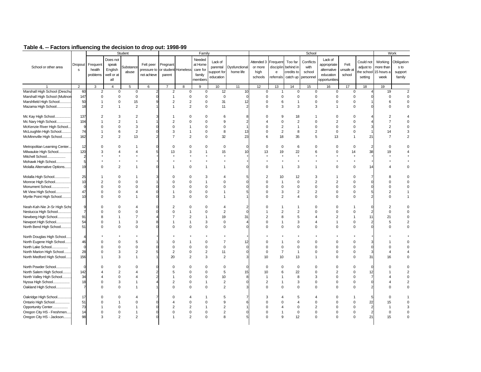|                               |                |                                |                                                   | Student                   |                                         |                    |                     | Family                                             |                                                 |                            |                                          |                                                                                  |                                                | School                                   |                                                                     |                             |                                   |                                                       | Work                                    |
|-------------------------------|----------------|--------------------------------|---------------------------------------------------|---------------------------|-----------------------------------------|--------------------|---------------------|----------------------------------------------------|-------------------------------------------------|----------------------------|------------------------------------------|----------------------------------------------------------------------------------|------------------------------------------------|------------------------------------------|---------------------------------------------------------------------|-----------------------------|-----------------------------------|-------------------------------------------------------|-----------------------------------------|
| School or other area          | Dropout<br>s   | Frequent<br>health<br>problems | Does not<br>speak<br>English<br>well or at<br>all | <b>Substance</b><br>abuse | Felt peer<br>pressure to<br>not achieve | Pregnant<br>parent | or student Homeless | Needed<br>at Home<br>care for<br>family<br>members | Lack of<br>parental<br>support for<br>education | Dysfunctional<br>home life | Attended 3<br>or more<br>high<br>schools | Frequent<br>disciplin<br>$\mathsf{e}% _{0}\left( \mathsf{e}\right)$<br>referrals | Too far<br>behind in<br>credits to<br>catch up | Conflicts<br>with<br>school<br>personnel | Lack of<br>appropriate<br>alternative<br>education<br>opportunities | Felt<br>unsafe at<br>school | Could not<br>adjust to<br>setting | Working<br>more than<br>the school 15 hours a<br>week | Obligation<br>s to<br>support<br>family |
|                               | $\overline{2}$ | 3                              | $\overline{4}$                                    | 5                         | 6                                       | $\overline{7}$     | 8                   | 9                                                  | 10                                              | 11                         | 12                                       | 13                                                                               | 14                                             | 15                                       | 16                                                                  | 17                          | 18                                | 19                                                    |                                         |
| Marshall High School (Deschu  | 60             | $\overline{2}$                 | $\mathbf 0$                                       | $\mathsf 0$               |                                         | $\overline{c}$     | 0                   | 0                                                  | 12                                              | 10                         | $\mathsf 0$                              | $\mathbf 1$                                                                      | 0                                              | $\mathbf 0$                              | 0                                                                   | 0                           |                                   | 19                                                    | $\overline{\mathbf{c}}$                 |
| Marshall High School (Multnon | 147            | $\mathbf 0$                    | $\Omega$                                          | $\mathbf 0$               |                                         | $\overline{1}$     | 0                   | 0                                                  | $\mathsf 0$                                     |                            | $\Omega$                                 | $\Omega$                                                                         | $\Omega$                                       | $\mathbf 0$                              | $\Omega$                                                            | $\mathbf 0$                 |                                   | $\mathbf 0$                                           | $\mathbf 0$                             |
| Marshfield High School        | 50             |                                | $\mathbf 0$                                       | 15                        |                                         | $\overline{2}$     | $\overline{c}$      | 0                                                  | 31                                              | 12                         | $\mathbf 0$                              | 6                                                                                | 1                                              | $\mathbf 0$                              | $\mathbf 0$                                                         | $\mathbf 0$                 |                                   | 6                                                     | 0                                       |
| Mazama High School            | 18             | $\overline{2}$                 | $\overline{1}$                                    | $\overline{2}$            |                                         | $\overline{1}$     | $\overline{2}$      | $\mathbf 0$                                        | 11                                              |                            | $\Omega$                                 | 3                                                                                | 3                                              | 3                                        | $\overline{1}$                                                      | $\mathbf 0$                 |                                   | O                                                     | 0                                       |
| Mc Kay High School            | 137            | $\overline{2}$                 | 3                                                 | $\overline{2}$            |                                         |                    | $\Omega$            | 0                                                  | 6                                               |                            |                                          | 9                                                                                | 18                                             |                                          | $\Omega$                                                            | $\Omega$                    |                                   | 2                                                     |                                         |
| Mc Nary High School           | 104            |                                | $\overline{2}$                                    | $\mathbf{1}$              |                                         | $\overline{c}$     | $\Omega$            | $\Omega$                                           | 9                                               |                            |                                          | $\Omega$                                                                         | $\overline{2}$                                 | $\Omega$                                 | $\overline{2}$                                                      | $\Omega$                    |                                   | 7                                                     | $\Omega$                                |
| McKenzie River High School.   | 9              | $\Omega$                       | $\Omega$                                          | 3                         |                                         | $\Omega$           |                     | $\Omega$                                           | $\mathbf 0$                                     |                            | $\Omega$                                 | $\overline{2}$                                                                   | $\overline{1}$                                 | $\Omega$                                 | $\Omega$                                                            | $\Omega$                    |                                   | $\overline{2}$                                        | $\Omega$                                |
| McLoughlin High School        | 74             |                                | 6                                                 | $\overline{2}$            | $\Omega$                                | 3                  | 1                   | $\mathbf 0$                                        | 8                                               | 13                         | $\Omega$                                 | $\overline{2}$                                                                   | 8                                              | $\overline{2}$                           | $\Omega$                                                            | $\Omega$                    |                                   | 14                                                    | 3                                       |
| McMinnville High School       | 162            | $\overline{2}$                 | 2                                                 | 13                        |                                         | $\overline{7}$     | $\overline{2}$      | $\Omega$                                           | 32                                              | 23                         | 6                                        | 18                                                                               | 35                                             | 5                                        | 13                                                                  | $\mathbf{1}$                | 21                                | 7                                                     | $\overline{2}$                          |
| Metropolitan Learning Center  | 12             | $\Omega$                       | $\Omega$                                          | $\mathbf 1$               |                                         | $\Omega$           | $\mathbf 0$         | $\mathbf 0$                                        | $\mathbf 0$                                     |                            | $\Omega$                                 | $\mathbf 0$                                                                      | 6                                              | $\Omega$                                 | $\Omega$                                                            | $\Omega$                    |                                   | $\Omega$                                              | $\mathbf 0$                             |
| Milwaukie High School         | 120            | 3                              |                                                   | $\Delta$                  |                                         | 13                 | 3                   |                                                    | 15                                              | 10                         | 13                                       | 19                                                                               | 22                                             | 6                                        | $\Omega$                                                            | 14                          | 38                                | 19                                                    |                                         |
| Mitchell School               | $\overline{2}$ |                                |                                                   |                           |                                         |                    |                     |                                                    |                                                 |                            |                                          |                                                                                  |                                                |                                          |                                                                     |                             |                                   |                                                       |                                         |
| Mohawk High School            | 5              |                                |                                                   |                           |                                         |                    |                     |                                                    |                                                 |                            |                                          |                                                                                  |                                                |                                          |                                                                     |                             |                                   |                                                       |                                         |
| Molalla Alternative Options   | 19             | $\Omega$                       | $\overline{2}$                                    | 1                         |                                         |                    | 0                   |                                                    |                                                 |                            | O                                        | $\overline{1}$                                                                   | 3                                              |                                          | $\Omega$                                                            | $\mathbf 0$                 |                                   |                                                       |                                         |
| Molalla High School           | 25             |                                | $\Omega$                                          |                           |                                         | 0                  | $\Omega$            | 3                                                  | 4                                               |                            | $\overline{2}$                           | 10                                                                               | 12                                             | 3                                        |                                                                     | $\Omega$                    |                                   | 8                                                     |                                         |
| Monroe High School            | 10             | $\overline{2}$                 | $\mathbf 0$                                       | $\mathbf 0$               |                                         | $\Omega$           | 0                   |                                                    | $\mathbf 0$                                     |                            | $\Omega$                                 | $\mathbf{1}$                                                                     | 0                                              | $\overline{2}$                           | $\overline{2}$                                                      | $\mathbf 0$                 |                                   | $\Omega$                                              |                                         |
| Monument School               | $\Omega$       | O                              | $\Omega$                                          | $\Omega$                  |                                         |                    | $\Omega$            | $\Omega$                                           | $\Omega$                                        |                            | C                                        | $\mathbf 0$                                                                      | $\Omega$                                       | $\Omega$                                 | $\Omega$                                                            | $\Omega$                    |                                   | $\Omega$                                              | 0                                       |
| Mt View High School           | 47             | $\Omega$                       | $\Omega$                                          | $\boldsymbol{\Delta}$     |                                         |                    | $\Omega$            | $\Omega$                                           | 1                                               |                            | $\Omega$                                 | 3                                                                                | $\overline{2}$                                 | $\overline{2}$                           | $\Omega$                                                            | $\Omega$                    |                                   | 2                                                     |                                         |
| Myrtle Point High School      | 10             | $\Omega$                       | $\Omega$                                          | $\mathbf{1}$              |                                         | 3                  | $\Omega$            | $\Omega$                                           | $\mathbf{1}$                                    |                            | $\cap$                                   | $\overline{2}$                                                                   |                                                | $\Omega$                                 | $\Omega$                                                            | $\Omega$                    |                                   |                                                       |                                         |
| Neah-Kah-Nie Jr-Sr High Scho  | 9              | $\Omega$                       | $\Omega$                                          | $\overline{\mathbf{4}}$   |                                         | $\overline{c}$     | 0                   | $\Omega$                                           | 4                                               |                            | C                                        | 1                                                                                |                                                | $\Omega$                                 | $\Omega$                                                            |                             |                                   | 2                                                     |                                         |
| Nestucca High School          | $\overline{7}$ | $\Omega$                       | $\Omega$                                          | $\Omega$                  | O                                       | $\Omega$           | 1                   | $\mathbf 0$                                        | $\overline{2}$                                  |                            |                                          | $\overline{2}$                                                                   | $\overline{2}$                                 | $\Omega$                                 | $\Omega$                                                            | $\Omega$                    |                                   | $\Omega$                                              | 0                                       |
| Newberg High School           | 91             | 8                              | $\overline{1}$                                    | $\overline{7}$            |                                         | 7                  | $\overline{2}$      |                                                    | 19                                              | 31                         | $\overline{c}$                           | 8                                                                                | 5                                              | $\Delta$                                 | $\overline{2}$                                                      | $\mathbf{1}$                |                                   | 21                                                    |                                         |
| Newport High School           | 54             | $\Omega$                       | $\overline{1}$                                    | 3                         | 8                                       |                    |                     | 3                                                  | $\mathsf 0$                                     |                            | $\Omega$                                 | $\overline{1}$                                                                   | 3                                              | $\overline{4}$                           | $\overline{1}$                                                      | $\mathbf 0$                 |                                   | 5                                                     |                                         |
| North Bend High School        | 51             | $\Omega$                       | $\Omega$                                          | $\pmb{0}$                 |                                         | $\Omega$           | $\Omega$            | $\Omega$                                           | $\Omega$                                        |                            |                                          | $\Omega$                                                                         | $\Omega$                                       | $\Omega$                                 | $\Omega$                                                            | $\mathbf 0$                 |                                   |                                                       | 0                                       |
| North Douglas High School     |                |                                |                                                   |                           |                                         |                    |                     |                                                    |                                                 |                            |                                          |                                                                                  |                                                |                                          |                                                                     |                             |                                   |                                                       |                                         |
| North Eugene High School      | 46             |                                | $\Omega$                                          | 5                         |                                         | 0                  |                     | $\Omega$                                           | $\overline{7}$                                  | 12                         |                                          |                                                                                  | O                                              | 0                                        | 0                                                                   | $\Omega$                    |                                   |                                                       | $\Omega$                                |
| North Lake School             | $\mathbf 0$    | $\Omega$                       | $\Omega$                                          | $\pmb{0}$                 | O                                       | $\mathbf 0$        | 0                   | 0                                                  | $\mathbf 0$                                     |                            | $\Omega$                                 | 0                                                                                | $\Omega$                                       | $\Omega$                                 | $\Omega$                                                            | $\mathbf 0$                 |                                   | 0                                                     |                                         |
| North Marion High School      | 28             | $\Omega$                       | 3                                                 | $\boldsymbol{2}$          | 5                                       | $\overline{2}$     | 0                   | $\boldsymbol{2}$                                   | 11                                              |                            | $\Omega$                                 | $\overline{7}$                                                                   | $\overline{1}$                                 | $\mathbf 0$                              | $\mathbf 0$                                                         | $\mathbf 0$                 |                                   |                                                       |                                         |
| North Medford High School     | 156            | $\overline{1}$                 | 3                                                 | $\overline{1}$            |                                         | 20                 | $\overline{2}$      | 3                                                  | 2                                               |                            | 10                                       | 10                                                                               | 13                                             | $\overline{1}$                           | $\Omega$                                                            | $\Omega$                    | 31                                | 16                                                    | $\Omega$                                |
| North Powder School           | $\Omega$       |                                | $\Omega$                                          | $\Omega$                  |                                         | $\Omega$           | $\Omega$            | $\Omega$                                           | $\mathbf 0$                                     |                            | $\Omega$                                 | $\mathbf 0$                                                                      | $\mathbf 0$                                    | $\Omega$                                 | $\Omega$                                                            | $\Omega$                    |                                   |                                                       | $\mathbf 0$                             |
| North Salem High School       | 142            |                                | $\overline{2}$                                    | $\boldsymbol{\Delta}$     |                                         | 5                  | $\Omega$            | $\Omega$                                           | $\overline{5}$                                  | 15                         | 10                                       | 6                                                                                | 22                                             | $\Omega$                                 | $\overline{2}$                                                      | $\mathbf 0$                 | 12                                |                                                       |                                         |
| North Valley High School      | 34             |                                | $\Omega$                                          | $\boldsymbol{\Delta}$     |                                         | -1                 | $\Omega$            | $\mathbf 0$                                        | 10                                              |                            | -1                                       | $\overline{1}$                                                                   | 8                                              | 3                                        | $\Omega$                                                            | $\pmb{0}$                   |                                   |                                                       | $\Omega$                                |
| Nyssa High School             | 18             | $\Omega$                       | 3                                                 | $\mathbf{1}$              |                                         | $\overline{2}$     | 0                   | 1                                                  | $\sqrt{2}$                                      |                            | $\overline{2}$                           | $\overline{1}$                                                                   | 3                                              | $\mathbf 0$                              | $\Omega$                                                            | $\mathbf 0$                 |                                   |                                                       | $\overline{c}$                          |
| Oakland High School           | $\overline{7}$ | $\Omega$                       | $\Omega$                                          | $\mathbf{1}$              |                                         | $\Omega$           | $\Omega$            | $\Omega$                                           | 2                                               |                            | $\Omega$                                 | $\Omega$                                                                         | $\Omega$                                       | $\Omega$                                 | $\Omega$                                                            | $\Omega$                    |                                   | U                                                     | $\mathbf 0$                             |
| Oakridge High School          | 17             | O                              | $\Omega$                                          |                           |                                         | $\cap$             |                     |                                                    | 5                                               |                            | 3                                        |                                                                                  |                                                | Δ                                        | $\Omega$                                                            |                             |                                   | ŋ                                                     |                                         |
| Ontario High School           | 51             | ŋ                              | 1                                                 | $\Omega$                  |                                         |                    | $\Omega$            | $\Omega$                                           | 9                                               |                            |                                          | C                                                                                |                                                | $\Omega$                                 | $\Omega$                                                            | $\Omega$                    | 2                                 | 15                                                    | 0                                       |
| Opportunity Center            | 73             |                                | $\mathbf 0$                                       | $\mathbf 1$               | 0                                       | $\overline{c}$     | $\overline{2}$      | 1                                                  | $\sqrt{2}$                                      |                            | C                                        | Δ                                                                                | 0                                              | $\overline{2}$                           | $\Omega$                                                            | $\mathbf 0$                 |                                   |                                                       | 3                                       |
| Oregon City HS - Freshmen     | 14             | $\Omega$                       | $\mathbf 0$                                       | $\mathbf{1}$              | $\Omega$                                | $\Omega$           | 0                   | 0                                                  | $\sqrt{2}$                                      |                            | $\Omega$                                 | -1                                                                               | $\Omega$                                       | $\mathbf 0$                              | $\Omega$                                                            | $\pmb{0}$                   |                                   | $\mathbf 0$                                           | 0                                       |
| Oregon City HS - Jackson      | 98             | 3                              | 2                                                 | $\overline{2}$            |                                         |                    | $\overline{2}$      | $\Omega$                                           | 8                                               |                            | $\Omega$                                 | 9                                                                                | 12                                             | $\Omega$                                 | $\Omega$                                                            | $\Omega$                    | 21                                | 15                                                    | 0                                       |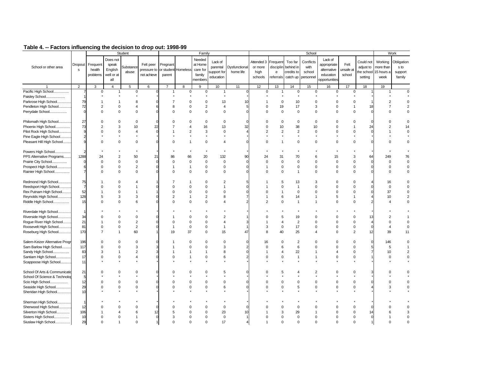|                                |                |                |                | Student          |             |                |                     | Family                  |                         |               |                |                |                | School         |               |                |                |                       | Work           |
|--------------------------------|----------------|----------------|----------------|------------------|-------------|----------------|---------------------|-------------------------|-------------------------|---------------|----------------|----------------|----------------|----------------|---------------|----------------|----------------|-----------------------|----------------|
|                                |                |                | Does not       |                  |             |                |                     | Needed                  |                         |               |                |                |                |                | Lack of       |                |                |                       |                |
|                                | Dropout        | Frequent       | speak          |                  | Felt peer   | Pregnant       |                     | at Home                 | Lack of                 |               | Attended 3     | Frequent       | Too far        | Conflicts      | appropriate   | Felt           | Could not      | Working               | Obligation     |
| School or other area           | s              | health         | English        | <b>Substance</b> | pressure to |                | or student Homeless | care for                | parental                | Dysfunctional | or more        | disciplin      | behind in      | with           | alternative   | unsafe at      | adjust to      | more than             | s to           |
|                                |                | problems       | well or at     | abuse            | not achieve | parent         |                     | family                  | support for             | home life     | high           | $\mathbf{e}$   | credits to     | school         | education     | school         |                | the school 15 hours a | support        |
|                                |                |                | all            |                  |             |                |                     | members                 | education               |               | schools        | referrals      | catch up       | personnel      | opportunities |                | setting        | week                  | family         |
|                                |                |                |                |                  |             |                |                     |                         |                         |               |                |                |                |                |               |                |                |                       |                |
|                                | $\overline{2}$ | 3              | $\overline{4}$ | 5                | 6           | 7              | 8                   | 9                       | 10                      | 11            | 12             | 13             | 14             | 15             | 16            | 17             | 18             | 19                    |                |
| Pacific High School            |                | $\mathbf 0$    | $\overline{1}$ | $\mathbf 0$      |             | 1              | $\mathbf 0$         | $\mathbf 0$             | $\mathbf{1}$            |               | $\mathbf 0$    | $\mathbf{1}$   | $\mathbf 0$    | $\mathbf 0$    | $\Omega$      | $\mathbf 0$    |                |                       | $\Omega$       |
| Paisley School                 |                |                |                |                  |             |                |                     |                         |                         |               |                |                |                |                |               |                |                |                       |                |
| Parkrose High School           | 79             |                | -1             | 8                |             | 7              | 0                   | 0                       | 13                      | 10            |                | 0              | 10             | $\Omega$       | 0             | $\mathbf 0$    |                | $\overline{2}$        |                |
| Pendleton High School          | 72             | 2              | $\Omega$       | $\overline{4}$   | 6           | 8              | 0                   | $\overline{2}$          | 4                       |               | $\Omega$       | 19             | 17             | 3              | $\Omega$      | $\mathbf{1}$   |                |                       | $\overline{2}$ |
| Perrydale School               | $\Omega$       | 0              | $\Omega$       | $\Omega$         | $\Omega$    | $\Omega$       | $\Omega$            | $\mathbf 0$             | $\mathbf 0$             |               | $\Omega$       | $\mathbf 0$    | $\mathbf 0$    | $\Omega$       | $\Omega$      | $\Omega$       |                |                       | 0              |
|                                |                |                |                |                  |             |                |                     |                         |                         |               |                |                |                |                |               |                |                |                       |                |
| Philomath High School          | 27             | $\Omega$       | $\Omega$       | $\Omega$         |             | $\Omega$       | $\Omega$            | $\mathbf 0$             | $\mathbf 0$             |               | $\Omega$       | $\mathbf 0$    | $\Omega$       | $\Omega$       | $\Omega$      | $\Omega$       |                |                       | $\mathbf 0$    |
| Phoenix High School            | 73             | $\overline{2}$ | 3              | 10               | 22          |                | Δ                   | 16                      | 13                      | 32            | $\Omega$       | 10             | 38             | 10             | $\Omega$      | -1             | 2              | 2                     | 14             |
| Pilot Rock High School         | 9              | $\Omega$       | $\Omega$       | $\overline{4}$   | $\Omega$    |                | $\overline{2}$      | 3                       | $\mathbf 0$             |               | $\overline{2}$ | $\overline{2}$ | $\overline{2}$ | $\Omega$       | $\Omega$      | $\Omega$       |                |                       |                |
| Pine Eagle High School         | $\overline{2}$ |                |                |                  |             |                |                     |                         |                         |               |                |                |                |                |               |                |                |                       |                |
| Pleasant Hill High School      | 9              | $\Omega$       | $\Omega$       | $\mathbf 0$      | $\Omega$    | $\Omega$       |                     | $\mathbf 0$             | $\overline{\mathbf{A}}$ |               | $\Omega$       | $\overline{1}$ | $\mathbf 0$    | $\Omega$       | $\Omega$      | $\Omega$       |                |                       | $\mathbf 0$    |
|                                |                |                |                |                  |             |                |                     |                         |                         |               |                |                |                |                |               |                |                |                       |                |
| Powers High School             |                |                |                |                  |             |                |                     |                         |                         |               |                |                |                |                |               |                |                |                       |                |
| PPS Alternative Programs       | 1288           | 24             | $\overline{2}$ | 50               | 21          | 86             | 66                  | 20                      | 132                     | 90            | 24             | 31             | 70             | 6              | 15            | 3              | 6 <sup>2</sup> | 249                   | 76             |
| Prairie City School            | $\mathbf 0$    | $\mathbf 0$    | $\mathbf 0$    | $\mathsf 0$      | $\Omega$    | $\Omega$       | 0                   | $\mathbf 0$             | $\mathsf 0$             |               | $\Omega$       | $\mathbf 0$    | $\mathbf 0$    | $\Omega$       | $\Omega$      | $\mathbf 0$    |                | $\Omega$              | $\mathbf 0$    |
| Prospect High School           | 6              | $\Omega$       | 0              | $\mathbf 2$      | $\Omega$    | $\overline{1}$ | $\mathbf{1}$        | 0                       | $\mathbf 0$             |               |                | $\mathbf 0$    | 0              | $\mathbf 0$    | $\Omega$      | $\mathsf 0$    |                | $\Omega$              | 0              |
| Rainier High School            | $\overline{7}$ | $\Omega$       | $\mathbf 0$    | $\mathbf 0$      | $\Omega$    | $\Omega$       | $\mathbf 0$         | $\mathbf 0$             | $\mathbf 0$             |               | $\Omega$       | $\mathbf 0$    | $\overline{1}$ | $\Omega$       | $\mathbf 0$   | $\mathbf 0$    |                | $\Omega$              | $\mathbf 0$    |
|                                |                |                |                |                  |             |                |                     |                         |                         |               |                |                |                |                |               |                |                |                       |                |
| Redmond High School            | 75             |                | $\Omega$       | Δ                |             |                |                     | $\Omega$                | $\overline{2}$          |               |                | 5              | 13             | 3              | $\Omega$      | $\Omega$       |                | 16                    | $\Omega$       |
| Reedsport High School          | $\overline{7}$ | $\Omega$       | $\Omega$       | $\mathbf{1}$     |             | $\Omega$       | $\Omega$            | $\Omega$                | 1                       |               |                | $\Omega$       | $\overline{1}$ | $\Omega$       | $\Omega$      | $\Omega$       |                | $\mathbf 0$           |                |
| Rex Putnam High School         | 52             |                | $\mathbf 0$    | -1               |             | $\mathbf 0$    | 0                   | 0                       | $\mathbf 0$             |               | $\Omega$       | 1              | $\Omega$       | $\mathbf 0$    | $\Omega$      | $\mathbf 0$    |                | 37                    | 0              |
| Reynolds High School           | 128            | 5              | 3              | 3                | O           | $\overline{2}$ | 1                   | $\overline{\mathbf{c}}$ | 8                       |               |                | 6              | 14             | $\overline{1}$ | 5             | $\mathbf{1}$   |                | 10                    |                |
| Riddle High School             | 15             | $\Omega$       | $\Omega$       | 6                |             | $\Omega$       | $\Omega$            | $\Omega$                | 4                       |               | 2              | $\Omega$       | $\overline{1}$ | -1             | $\Omega$      | $\Omega$       |                |                       | $\Omega$       |
|                                |                |                |                |                  |             |                |                     |                         |                         |               |                |                |                |                |               |                |                |                       |                |
| Riverdale High School          |                |                |                |                  |             |                |                     |                         |                         |               |                |                |                |                |               |                |                |                       |                |
| Riverside High School          | 34             |                | $\Omega$       | $\Omega$         |             |                | $\Omega$            | $\Omega$                | $\overline{2}$          |               |                | 5              | 19             | $\Omega$       | $\Omega$      | $\Omega$       |                |                       |                |
| Rogue River High School        | 21             |                | $\Omega$       | $\overline{2}$   |             | $\Omega$       | $\Omega$            | $\Omega$                | 4                       |               |                | $\Delta$       | $\overline{2}$ | $\Omega$       | $\Omega$      | $\Omega$       |                | O                     | $\Omega$       |
| Roosevelt High School          | 81             | $\Omega$       | $\Omega$       | $\overline{2}$   | $\Omega$    |                | $\mathbf 0$         | $\mathbf 0$             | $\mathbf{1}$            |               | 3              | $\mathbf 0$    | 17             | $\Omega$       | $\Omega$      | $\Omega$       |                | Δ                     | $\Omega$       |
| Roseburg High School           | 170            |                | $\overline{1}$ | 60               |             | 19             | 37                  | $\Omega$                | 15                      | 47            | 8              | 40             | 25             | 4              | $\Omega$      | $\overline{2}$ |                | 39                    | 11             |
|                                |                |                |                |                  |             |                |                     |                         |                         |               |                |                |                |                |               |                |                |                       |                |
| Salem-Keizer Alternative Progr | 196            | $\Omega$       | $\Omega$       | $\Omega$         |             |                | $\Omega$            | $\mathbf 0$             | $\mathbf 0$             |               | 16             | $\mathbf 0$    | 2              | $\Omega$       | $\Omega$      | $\mathbf 0$    |                | 146                   | $\Omega$       |
| Sam Barlow High School         | 117            | $\Omega$       | $\Omega$       | 3                |             |                | $\Omega$            | $\Omega$                | 3                       |               | $\Omega$       | 6              | 6              | $\Omega$       | $\Omega$      | $\Omega$       |                | 5                     |                |
| Sandy High School.<br>         | 83             | 3              | $\overline{1}$ | $\overline{2}$   |             |                |                     |                         | 8                       |               |                | $\overline{4}$ | 22             | -1             | 4             | $\mathbf 0$    |                | 10                    |                |
| Santiam High School            | 17             | $\Omega$       | $\Omega$       | $\overline{4}$   |             | $\Omega$       |                     | $\Omega$                | 6                       |               | $\Omega$       | $\Omega$       | $\overline{1}$ | $\overline{1}$ | $\Omega$      | $\Omega$       |                | $\Omega$              | 0              |
| Scappoose High School          | 11             |                |                |                  |             |                |                     |                         |                         |               |                |                |                |                |               |                |                |                       |                |
|                                |                |                |                |                  |             |                |                     |                         |                         |               |                |                |                |                |               |                |                |                       |                |
| School Of Arts & Communicatio  | 21             | $\Omega$       | $\Omega$       | $\Omega$         |             |                | $\Omega$            | $\Omega$                | 5                       |               | $\Omega$       | 5              |                | $\overline{c}$ | $\Omega$      | $\Omega$       |                |                       | $\Omega$       |
| School Of Science & Technolog  | 5              |                |                |                  |             |                |                     |                         |                         |               |                |                |                |                |               |                |                |                       |                |
| Scio High School               | 12             | 0              | $\mathbf 0$    | $\mathbf 0$      |             | $\Omega$       | 0                   | 0                       | $\mathbf 0$             |               | $\Omega$       | $\mathbf 0$    | $\Omega$       | $^{\circ}$     | $\mathbf 0$   | $\mathbf 0$    |                | ŋ                     | 0              |
| Seaside High School            | 29             | $\Omega$       | $\mathbf 0$    | $\mathbf 0$      |             | $\Omega$       | 0                   | 0                       | 6                       |               | $\Omega$       | $\mathbf 0$    | 5              | $\mathbf 0$    | $\mathbf 0$   | $\mathbf 0$    |                | 3                     | 0              |
| Sheridan High School           | 10             |                |                |                  |             |                |                     |                         |                         |               |                |                |                |                |               |                |                |                       |                |
|                                |                |                |                |                  |             |                |                     |                         |                         |               |                |                |                |                |               |                |                |                       |                |
| Sherman High School<br>.       |                |                |                |                  |             |                |                     |                         |                         |               |                |                |                |                |               |                |                |                       |                |
| Sherwood High School           | 12             |                |                | $\Omega$         |             |                | 0                   | $\Omega$                | $\mathbf 0$             |               |                | C              | 0              |                |               | $\Omega$       |                |                       |                |
| Silverton High School.<br>     | 106            |                |                | 6                | 12          |                |                     | $\Omega$                | 23                      |               |                | 3              | 29             |                |               | $\Omega$       |                |                       | 3              |
| Sisters High School            | 10             | $\Omega$       | $\Omega$       |                  | $\Omega$    | 3              | $\Omega$            | $\Omega$                | $\Omega$                |               |                | $\Omega$       | $\Omega$       | $\Omega$       | U             | $\Omega$       |                |                       |                |
| Siuslaw High School.           | 29             | $\Omega$       |                | $\Omega$         |             |                |                     |                         | 17                      |               |                |                | $\Omega$       |                |               | $\Omega$       |                |                       |                |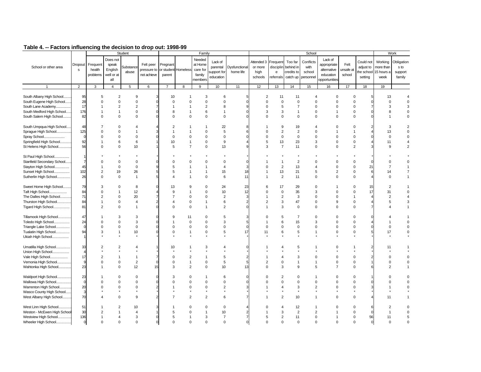|                             |                |                                |                                                   |                                      |                                         |                                  |                |                                                              |                                                 |                            |                                          |                                                    |                                                |                                                    |                                                                     |                             |                                   |                                                       | Work                                    |
|-----------------------------|----------------|--------------------------------|---------------------------------------------------|--------------------------------------|-----------------------------------------|----------------------------------|----------------|--------------------------------------------------------------|-------------------------------------------------|----------------------------|------------------------------------------|----------------------------------------------------|------------------------------------------------|----------------------------------------------------|---------------------------------------------------------------------|-----------------------------|-----------------------------------|-------------------------------------------------------|-----------------------------------------|
| School or other area        | Dropout<br>s   | Frequent<br>health<br>problems | Does not<br>speak<br>English<br>well or at<br>all | Student<br><b>Substance</b><br>abuse | Felt peer<br>pressure to<br>not achieve | Pregnant<br>or student<br>parent | Homeless       | Family<br>Needed<br>at Home<br>care for<br>family<br>members | Lack of<br>parental<br>support for<br>education | Dysfunctional<br>home life | Attended 3<br>or more<br>high<br>schools | Frequent<br>disciplin<br>$\mathbf{e}$<br>referrals | Too far<br>behind in<br>credits to<br>catch up | School<br>Conflicts<br>with<br>school<br>personnel | Lack of<br>appropriate<br>alternative<br>education<br>opportunities | Felt<br>unsafe at<br>school | Could not<br>adjust to<br>setting | Working<br>more than<br>the school 15 hours a<br>week | Obligation<br>s to<br>support<br>family |
|                             | $\overline{2}$ | 3                              | $\overline{4}$                                    | 5                                    | 6                                       | $\overline{7}$                   | 8              | 9                                                            | 10                                              | 11                         | 12                                       | 13                                                 | 14                                             | 15                                                 | 16                                                                  | 17                          | 18                                | 19                                                    |                                         |
|                             |                |                                |                                                   |                                      |                                         |                                  |                |                                                              |                                                 |                            |                                          |                                                    |                                                |                                                    |                                                                     |                             |                                   |                                                       |                                         |
| South Albany High School    | 95             | 5                              | $\overline{2}$                                    | 9                                    | 3                                       | 10                               | 1              | 3                                                            | 6                                               |                            | $\overline{2}$                           | 11                                                 | 11                                             | 4                                                  | $\Omega$                                                            | $\Omega$                    |                                   | 13                                                    |                                         |
| South Eugene High School    | 28             | $\Omega$                       | $\Omega$                                          | $\Omega$                             | $\Omega$                                | $\Omega$                         | $\Omega$       | $\Omega$                                                     | $\Omega$                                        |                            | $\Omega$                                 | $\Omega$                                           | $\Omega$                                       | $\Omega$                                           | $\Omega$                                                            | $\Omega$                    |                                   | $\Omega$                                              |                                         |
| South Lane Academy          | 17             |                                | $\overline{2}$                                    | $\overline{2}$                       | $\overline{7}$                          | 1                                |                | $\overline{2}$                                               | 8                                               |                            | $\Omega$                                 | 5                                                  | 7                                              | $\Omega$                                           | 0                                                                   | $\Omega$                    |                                   | 3                                                     | 3                                       |
| South Medford High School   | 176            |                                | $\overline{1}$                                    | $\mathsf 0$                          | $\mathbf 0$                             | 8                                | 1              | 6                                                            | $\mathbf{1}$                                    |                            | 3                                        | 3                                                  | 1                                              | $\mathbf 0$                                        | $\overline{1}$                                                      | $\mathbf 0$                 |                                   | 8                                                     | 0                                       |
|                             | 82             | $\Omega$                       | $\mathbf 0$                                       | $\mathbf 0$                          | $\Omega$                                | $\Omega$                         | 0              | $\mathbf 0$                                                  | $\mathbf 0$                                     |                            | $\Omega$                                 | $\mathbf 0$                                        | $\Omega$                                       | $\Omega$                                           | $\mathbf 0$                                                         | $\mathbf 0$                 |                                   |                                                       | 0                                       |
| South Salem High School     |                |                                |                                                   |                                      |                                         |                                  |                |                                                              |                                                 |                            |                                          |                                                    |                                                |                                                    |                                                                     |                             |                                   |                                                       |                                         |
|                             |                |                                |                                                   |                                      |                                         |                                  |                |                                                              |                                                 |                            |                                          |                                                    |                                                |                                                    |                                                                     |                             |                                   |                                                       |                                         |
| South Umpqua High School    | 48             |                                | $\Omega$                                          | $\overline{A}$                       |                                         | $\overline{c}$                   |                | 1                                                            | 22                                              |                            |                                          | 9                                                  | 19                                             | 4                                                  | $\Omega$                                                            | $\Omega$                    |                                   | 3                                                     |                                         |
| Sprague High School         | 125            | $\Omega$                       | $\mathbf 0$                                       | $\mathbf{1}$                         |                                         | 1                                | 1              | $\mathbf 0$                                                  | 5                                               |                            | $\Omega$                                 | $\overline{2}$                                     | 2                                              | $\Omega$                                           | 1                                                                   | $\mathbf{1}$                |                                   | 13                                                    |                                         |
| Spray School                | $\Omega$       | $\Omega$                       | $\mathbf 0$                                       | $\mathbf 0$                          | $\Omega$                                | $\Omega$                         | $\Omega$       | $\Omega$                                                     | $\mathbf 0$                                     |                            | $\Omega$                                 | $\mathbf 0$                                        | $\mathbf 0$                                    | $\Omega$                                           | $\Omega$                                                            | $\Omega$                    |                                   | $\Omega$                                              | $\Omega$                                |
| Springfield High School     | 92             |                                | 6                                                 | 6                                    |                                         | 10                               | $\mathbf{1}$   | $\Omega$                                                     | 9                                               |                            | 5                                        | 13                                                 | 23                                             | 3                                                  | $\Omega$                                                            | $\mathbf 0$                 |                                   | 11                                                    |                                         |
| St Helens High School       | 56             | $\Omega$                       | $\mathbf 0$                                       | 10                                   |                                         | 5                                | $\overline{7}$ | $\Omega$                                                     | 13                                              |                            | 3                                        | $\overline{7}$                                     | 11                                             | $\Omega$                                           | $\Omega$                                                            | $\overline{2}$              |                                   | $\mathbf{Q}$                                          | $\overline{2}$                          |
|                             |                |                                |                                                   |                                      |                                         |                                  |                |                                                              |                                                 |                            |                                          |                                                    |                                                |                                                    |                                                                     |                             |                                   |                                                       |                                         |
| St Paul High School         |                |                                |                                                   |                                      |                                         |                                  |                |                                                              |                                                 |                            |                                          |                                                    |                                                |                                                    |                                                                     |                             |                                   |                                                       |                                         |
| Stanfield Secondary School  | $\overline{7}$ | $\Omega$                       | 0                                                 | $\mathbf 0$                          |                                         | $\Omega$                         | $\Omega$       | $\Omega$                                                     | $\mathbf 0$                                     |                            |                                          | $\mathbf{1}$                                       | $\overline{2}$                                 | $\Omega$                                           | $\Omega$                                                            | $\mathbf 0$                 |                                   | $\Omega$                                              | 0                                       |
| Stayton High School         | 45             |                                | $\mathbf 0$                                       | $\mathbf 0$                          | 9                                       | 5                                |                |                                                              | $\overline{4}$                                  |                            | O                                        | $\boldsymbol{2}$                                   | 13                                             | 4                                                  | $\Omega$                                                            | $\Omega$                    | 21                                | 7                                                     |                                         |
| Sunset High School          | 102            | 2                              | 19                                                | 26                                   | 5                                       | 5                                | 1              | 1                                                            | 15                                              | 18                         | 1                                        | 13                                                 | 21                                             | 5                                                  | $\overline{2}$                                                      | $\mathbf 0$                 |                                   | 14                                                    | 7                                       |
| Sutherlin High School       | 26             | 0                              | $\mathbf 0$                                       | $\mathbf{1}$                         | 5                                       | 4                                | 1              | $\Omega$                                                     | 6                                               | 11                         |                                          | $\overline{2}$                                     | 11                                             | $\Omega$                                           | $\Omega$                                                            | $\pmb{0}$                   |                                   | $\Omega$                                              |                                         |
|                             |                |                                |                                                   |                                      |                                         |                                  |                |                                                              |                                                 |                            |                                          |                                                    |                                                |                                                    |                                                                     |                             |                                   |                                                       |                                         |
| Sweet Home High School      | 79             | 3                              | $\Omega$                                          | 8                                    |                                         | 13                               | 9              | $\Omega$                                                     | 24                                              | 23                         | 6                                        | 17                                                 | 29                                             | $\Omega$                                           |                                                                     | $\Omega$                    |                                   | $\overline{2}$                                        |                                         |
| Taft High School            | 84             | $\Omega$                       | $\overline{1}$                                    | 12                                   |                                         | 9                                | $\mathbf{1}$   | $\Omega$                                                     | 10                                              | 12                         | $\Omega$                                 | $\mathsf 0$                                        | 35                                             | 3                                                  | $\Omega$                                                            | $\Omega$                    | 17                                | 31                                                    | $\mathbf 0$                             |
| The Dalles High School      | 71             | $\overline{2}$                 | $\mathbf 0$                                       | 20                                   |                                         | $\overline{7}$                   | 0              | $\Omega$                                                     | $\overline{2}$                                  |                            |                                          | $\overline{2}$                                     | 3                                              | $\Omega$                                           | $\Omega$                                                            | $\mathbf{1}$                |                                   | $\overline{2}$                                        | 4                                       |
| Thurston High School        | 84             | 1                              | $\mathbf 0$                                       | $\overline{4}$                       | $\overline{2}$                          | Δ                                | 0              | 1                                                            | 6                                               |                            | $\overline{2}$                           | 3                                                  | 47                                             | $\mathbf 0$                                        | 9                                                                   | $\mathbf 0$                 |                                   | 5                                                     | 3                                       |
| Tigard High School          | 81             | $\mathfrak{p}$                 | $\Omega$                                          | $\overline{1}$                       | $\Omega$                                | $\Omega$                         | 0              | 1                                                            | $\overline{2}$                                  |                            |                                          | 3                                                  | $\Omega$                                       | $\Omega$                                           | $\Omega$                                                            | $\Omega$                    |                                   |                                                       |                                         |
|                             |                |                                |                                                   |                                      |                                         |                                  |                |                                                              |                                                 |                            |                                          |                                                    |                                                |                                                    |                                                                     |                             |                                   |                                                       |                                         |
| Tillamook High School       | 47             |                                | 3                                                 | 3                                    |                                         | 9                                | 11             | $\Omega$                                                     | 5                                               |                            | 0                                        | 5                                                  | $\overline{7}$                                 | $\Omega$                                           | $\Omega$                                                            | $\Omega$                    |                                   |                                                       |                                         |
| Toledo High School          | 24             | $\Omega$                       | $\mathbf 0$                                       | 3                                    | $\mathbf 0$                             |                                  | 0              | $\Omega$                                                     | 3                                               |                            |                                          | 6                                                  | 15                                             | 3                                                  | $\Omega$                                                            | $\Omega$                    |                                   |                                                       | $\Omega$                                |
| Triangle Lake School        | $\mathbf 0$    | $\Omega$                       | $\mathbf 0$                                       | $\mathsf 0$                          | $\Omega$                                | $\Omega$                         | 0              | $\mathbf 0$                                                  | $\mathbf 0$                                     |                            | $\Omega$                                 | $\mathbf 0$                                        | $\mathbf 0$                                    | $\Omega$                                           | $\Omega$                                                            | $\mathbf 0$                 |                                   | $\Omega$                                              |                                         |
| Tualatin High School        | 94             | 3                              | $\overline{1}$                                    | 10                                   |                                         | $\Omega$                         | 1              | 0                                                            | 5                                               | 17                         | 11                                       | 6                                                  | 5                                              | $\mathbf{1}$                                       | $\mathbf 0$                                                         | $\mathbf 0$                 |                                   | 17                                                    | 0                                       |
| Ukiah High School           |                |                                |                                                   |                                      |                                         |                                  |                |                                                              |                                                 |                            |                                          |                                                    |                                                |                                                    |                                                                     |                             |                                   |                                                       |                                         |
|                             |                |                                |                                                   |                                      |                                         |                                  |                |                                                              |                                                 |                            |                                          |                                                    |                                                |                                                    |                                                                     |                             |                                   |                                                       |                                         |
| Umatilla High School        | 33             | $\overline{2}$                 | $\overline{2}$                                    | $\overline{4}$                       |                                         | 10                               |                | 3                                                            | 4                                               |                            |                                          | Δ                                                  |                                                |                                                    | ŋ                                                                   |                             |                                   | 11                                                    |                                         |
| Union High School           |                |                                |                                                   |                                      |                                         |                                  |                |                                                              |                                                 |                            |                                          |                                                    |                                                |                                                    |                                                                     |                             |                                   |                                                       |                                         |
| Vale High School            | 17             | $\overline{2}$                 | $\overline{1}$                                    | $\mathbf{1}$                         |                                         | $\Omega$                         | $\overline{2}$ | 1                                                            | 5                                               |                            |                                          | 4                                                  | 3                                              | $\Omega$                                           | $\Omega$                                                            | $\Omega$                    |                                   | $\Omega$                                              | 0                                       |
| Vernonia High School        | 9              | $\Omega$                       | $\mathbf 0$                                       | $\overline{2}$                       | $\mathbf 0$                             | $\Omega$                         | $\mathbf{1}$   | $\mathbf 0$                                                  | 5                                               | 5                          | $\overline{2}$                           | $\mathbf 0$                                        | 1                                              | $\mathbf{1}$                                       | $\mathbf 0$                                                         | $\mathbf 0$                 |                                   | $\Omega$                                              | 0                                       |
| Wahtonka High School        | 23             |                                | $\Omega$                                          | 12                                   | 15                                      | 3                                | $\overline{2}$ | $\mathbf 0$                                                  | 10                                              | 13                         | $\Omega$                                 | 3                                                  | $\mathbf{Q}$                                   | 5                                                  | $\overline{7}$                                                      | $\mathbf 0$                 |                                   | $\mathfrak{p}$                                        |                                         |
|                             |                |                                |                                                   |                                      |                                         |                                  |                |                                                              |                                                 |                            |                                          |                                                    |                                                |                                                    |                                                                     |                             |                                   |                                                       |                                         |
| Waldport High School        | 23             |                                | 0                                                 | $\mathbf 0$                          | $\Omega$                                | 3                                | 0              |                                                              | 6                                               |                            | $\Omega$                                 | $\overline{2}$                                     | $\Omega$                                       | 1                                                  | $\Omega$                                                            | $\Omega$                    |                                   | ŋ                                                     | $\Omega$                                |
| Wallowa High School         | $\Omega$       | $\Omega$                       | $\Omega$                                          | $\mathbf 0$                          | $\Omega$                                | $\Omega$                         | $\Omega$       | $\Omega$                                                     | $\Omega$                                        |                            | O                                        | $\Omega$                                           | $\Omega$                                       | $\Omega$                                           | $\Omega$                                                            | $\Omega$                    |                                   |                                                       | 0                                       |
|                             |                |                                |                                                   |                                      |                                         |                                  |                |                                                              |                                                 |                            |                                          | $\overline{4}$                                     |                                                |                                                    |                                                                     |                             |                                   |                                                       |                                         |
| Warrenton High School       | 20<br>3        | $\Omega$                       | 0                                                 | $\mathbf 0$                          |                                         |                                  | 0              | 0                                                            | $\overline{2}$                                  |                            |                                          |                                                    | 3                                              | $\overline{2}$                                     | $\Omega$                                                            | $\mathbf 0$                 |                                   |                                                       | 0                                       |
| Wasco County High School    |                |                                | $\Omega$                                          |                                      |                                         |                                  |                | $\mathfrak{p}$                                               |                                                 |                            |                                          |                                                    |                                                |                                                    | $\Omega$                                                            |                             |                                   |                                                       |                                         |
| West Albany High School     | 70             |                                |                                                   | 9                                    |                                         |                                  | $\overline{2}$ |                                                              | 6                                               |                            |                                          | $\overline{2}$                                     | 10 <sup>10</sup>                               |                                                    |                                                                     | $\mathbf 0$                 |                                   |                                                       |                                         |
| West Linn High School       | 51             |                                |                                                   | 10                                   |                                         |                                  | $\Omega$       | $\Omega$                                                     | $\mathbf 0$                                     |                            |                                          |                                                    | 12                                             |                                                    | ŋ                                                                   | $\Omega$                    |                                   | $\overline{2}$                                        | $\mathbf 0$                             |
| Weston - McEwen High School | 30             |                                |                                                   | $\overline{4}$                       |                                         |                                  | O              |                                                              | 10                                              |                            |                                          | 3                                                  | $\overline{2}$                                 | $\overline{2}$                                     |                                                                     | $\Omega$                    |                                   |                                                       | $\mathbf 0$                             |
| Westview High School        | 136            |                                |                                                   | 3                                    | $\Omega$                                | 5                                |                | 3                                                            | $\overline{7}$                                  |                            | 5                                        | $\overline{2}$                                     | 11                                             | $\Omega$                                           |                                                                     | $\Omega$                    | 56                                | 11                                                    |                                         |
| Wheeler High School         | $\Omega$       | <sup>0</sup>                   | $\Omega$                                          | $\Omega$                             | $\Omega$                                |                                  |                | $\Omega$                                                     | $\Omega$                                        |                            |                                          |                                                    | $\Omega$                                       | $\Omega$                                           | U                                                                   | $\Omega$                    |                                   | $\Omega$                                              |                                         |
|                             |                |                                |                                                   |                                      |                                         |                                  |                |                                                              |                                                 |                            |                                          |                                                    |                                                |                                                    |                                                                     |                             |                                   |                                                       |                                         |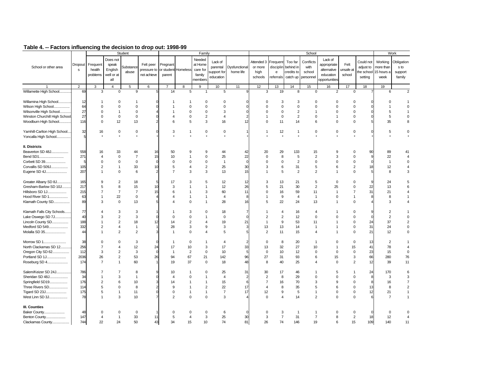|  | Table 4. -- Factors influencing the decision to drop out: 1998-99 |
|--|-------------------------------------------------------------------|
|  |                                                                   |

|                               |                |                    |                              | Student        |                          |                        |                     | Family                        |                     |                  |                       |                       |                      | School            |                                       |                   |                        |                      | Work               |
|-------------------------------|----------------|--------------------|------------------------------|----------------|--------------------------|------------------------|---------------------|-------------------------------|---------------------|------------------|-----------------------|-----------------------|----------------------|-------------------|---------------------------------------|-------------------|------------------------|----------------------|--------------------|
| School or other area          | Dropout<br>s   | Frequent<br>health | Does not<br>speak<br>English | Substance      | Felt peer<br>pressure to | Pregnant               | or student Homeless | Needed<br>at Home<br>care for | Lack of<br>parental | Dysfunctional    | Attended 3<br>or more | Frequent<br>disciplin | Too far<br>behind in | Conflicts<br>with | Lack of<br>appropriate<br>alternative | Felt<br>unsafe at | Could not<br>adjust to | Working<br>more than | Obligation<br>s to |
|                               |                | problems           | well or at                   | abuse          | not achieve              | parent                 |                     | family                        | support for         | home life        | high                  | $\mathsf{e}$          | credits to           | school            | education                             | school            | the school             | 15 hours a           | support            |
|                               |                |                    | all                          |                |                          |                        |                     | nembers                       | education           |                  | schools               | referrals             | catch up             | personnel         | opportunities                         |                   | setting                | week                 | family             |
|                               | $\overline{2}$ | 3                  | $\overline{4}$               | 5              | 6                        | $\overline{7}$         | 8                   | 9                             | 10                  | 11               | 12                    | 13                    | 14                   | 15                | 16                                    | 17                | 18                     | 19                   |                    |
| Willamette High School        | 69             | 3                  | $\mathbf 0$                  | 9              | 5                        | 14                     | 5                   | $\overline{1}$                | 5                   | q                | 3                     | 19                    | 8                    | $\mathbf 0$       | $\overline{2}$                        | $\mathbf 0$       |                        | 6                    | $\overline{2}$     |
|                               |                |                    |                              |                |                          |                        |                     |                               |                     |                  |                       |                       |                      |                   |                                       |                   |                        |                      |                    |
| Willamina High School         | 12             | $\mathbf{1}$       | $\mathbf 0$                  | 1              |                          |                        | -1                  | $\Omega$                      | $\Omega$            |                  | $\Omega$              | 3                     | 3                    | $\mathbf 0$       | $\Omega$                              | $\Omega$          |                        | O                    |                    |
| Wilson High School            | 64             | $\mathbf 0$        | $\mathbf 0$                  | $\mathbf 0$    |                          | $\overline{1}$         | $\Omega$            | $\mathbf 0$                   | $\mathbf 0$         |                  | $\Omega$              | $\mathbf 0$           | $\mathbf 0$          | $\mathbf 0$       | $\mathbf 0$                           | $\Omega$          |                        |                      | $\Omega$           |
| Wilsonville High School       | 27             | $\Omega$           | $\overline{1}$               | $\mathbf 0$    |                          | $\mathbf{1}$           | $\mathbf 0$         | $\Omega$                      | 3                   |                  | $\Omega$              | $\mathsf 0$           | $\overline{2}$       | $\mathbf{1}$      | $\Omega$                              | $\mathbf 0$       |                        | 5                    | $\overline{1}$     |
| Winston Churchill High School | 27             | $\mathbf 0$        | $\mathbf 0$                  | $\mathbf 0$    |                          | $\overline{4}$         | $\mathbf 0$         | $\overline{2}$                | $\overline{4}$      |                  | $\mathbf{1}$          | $\mathbf 0$           | 2                    | $\mathbf 0$       | $\mathbf{1}$                          | $\mathbf 0$       |                        | 5                    | $\mathbf 0$        |
| Woodburn High School          | 116            | $\Omega$           | 12                           | 13             |                          | 6                      | 5                   | 3                             | 16                  | 12               | $\Omega$              | 11                    | 14                   | 6                 | $\mathbf 0$                           | $\mathbf 0$       |                        | 35                   | 8                  |
|                               |                |                    |                              |                |                          |                        |                     |                               |                     |                  |                       |                       |                      |                   |                                       |                   |                        |                      |                    |
| Yamhill-Carlton High School   | 32             | 16                 | 0                            | $\mathbf 0$    |                          | 3                      | $\overline{1}$      | 0                             | 0                   |                  | 1                     | 12                    | $\mathbf 1$          | 0                 | $\pmb{0}$                             | 0                 |                        | 5                    | $\mathbf 0$        |
| Yoncalla High School          | 5              |                    |                              |                |                          |                        |                     |                               |                     |                  |                       |                       |                      |                   |                                       | $\star$           |                        |                      |                    |
|                               |                |                    |                              |                |                          |                        |                     |                               |                     |                  |                       |                       |                      |                   |                                       |                   |                        |                      |                    |
| II. Districts                 |                |                    |                              |                |                          |                        |                     |                               |                     |                  |                       |                       |                      |                   |                                       |                   |                        |                      |                    |
| Beaverton SD 48J              | 558            | 16                 | 33                           | 44             | 16                       | 50                     | 9                   | 9                             | 44                  | 42               | 20                    | 29                    | 133                  | 15                | 9                                     | 0                 | 90                     | 89                   | 41                 |
| Bend SD1                      | 271            | $\overline{4}$     | $\mathbf 0$                  | $\overline{7}$ | 15                       | 10                     | -1                  | 0                             | 25                  | 22               | $\mathbf 0$           | 8                     | 5                    | $\overline{2}$    | 3                                     | $\mathbf 0$       |                        | 22                   | $\overline{4}$     |
| Corbett SD 39                 | 5              | $\mathbf 0$        | $\mathbf 0$                  | $\mathbf 0$    |                          | $\mathbf 0$            | $\mathbf 0$         | 0                             | $\overline{1}$      | $\overline{(\ }$ | $\Omega$              | $\mathsf 0$           | $\overline{2}$       | 0                 | $\mathbf 0$                           | $\mathbf 0$       |                        | $\overline{1}$       | $\mathbf 0$        |
| Corvallis SD 509J             | 105            | $\overline{c}$     | $\overline{1}$               | 33             | 10                       | 5                      | $\overline{4}$      | $\overline{2}$                | 25                  | 30               | 3                     | 6                     | 31                   | 5                 | 6                                     | $\overline{2}$    | 18                     | 12                   | $\overline{4}$     |
| Eugene SD 4J                  | 207            | $\mathbf{1}$       | $\mathbf 0$                  | 6              |                          | $\overline{7}$         | 3                   | 3                             | 13                  | 15               | $\mathbf{1}$          | 5                     | 2                    | $\overline{2}$    | $\mathbf{1}$                          | $\mathbf 0$       |                        | 8                    | 3                  |
|                               |                |                    |                              |                |                          |                        |                     |                               |                     |                  |                       |                       |                      |                   |                                       |                   |                        |                      |                    |
| Greater Albany SD 8J          | 165            | $\mathbf{Q}$       | 2                            | 18             |                          | 17                     | 3                   | 5                             | 12                  | 12               | 3                     | 13                    | 21                   | 5                 | $\mathbf 0$                           | $\Omega$          |                        | 24                   | 5                  |
| Gresham-Barlow SD 10J         | 217            | 5                  | 8                            | 15             | 10                       | 3                      |                     | 1                             | 12                  | 26               | 5                     | 21                    | 30                   | $\overline{2}$    | 25                                    | $\mathsf 0$       | $\overline{22}$        | 13                   | 6                  |
| Hillsboro SD 1J               | 215            | $\overline{7}$     | $\overline{7}$               | $\overline{7}$ | 15                       | 6                      |                     | 3                             | 60                  | 11               | $\Omega$              | 16                    | 59                   | 11                | $\mathbf{1}$                          | $\overline{7}$    | 31                     | 21                   | $\overline{4}$     |
| Hood River SD 1               | 63             | $\mathbf{1}$       | 22                           | $\mathbf 0$    |                          | $\boldsymbol{\Delta}$  | $\overline{1}$      | $\mathbf 1$                   | $\overline{4}$      | ε                | $\mathbf{1}$          | 9                     | $\overline{4}$       | $\overline{1}$    | 0                                     | $\mathbf{1}$      |                        | 8                    | $\overline{1}$     |
| Klamath County SD             | 89             | 3                  | $\mathbf 0$                  | 13             |                          | $\boldsymbol{\Lambda}$ | $\mathbf 0$         | 1                             | 28                  | 16               | 5                     | 22                    | 24                   | 13                | $\mathbf{1}$                          | $\mathbf 0$       |                        | 3                    | $\overline{4}$     |
|                               |                |                    |                              |                |                          |                        |                     |                               |                     |                  |                       |                       |                      |                   |                                       |                   |                        |                      |                    |
| Klamath Falls City Schools    | 77             |                    | 3                            | 3              |                          |                        | 3                   | $\Omega$                      | 18                  |                  | $\mathbf 1$           | $\overline{4}$        | 16                   | $\overline{4}$    | 1                                     | $\Omega$          |                        | $\overline{2}$       | $\overline{1}$     |
| Lake Oswego SD 7J             | 40             | 3                  | $\overline{2}$               | 3              |                          | $\mathbf 0$            | $\Omega$            |                               | $\Omega$            |                  | $\overline{2}$        | $\overline{2}$        | 12                   | $\Omega$          | $\Omega$                              | $\Omega$          |                        | $\overline{2}$       | $\Omega$           |
| Lincoln County SD             | 188            | $\mathbf{1}$       | $\overline{2}$               | 18             | 12                       | 14                     | $\overline{2}$      | $\overline{4}$                | 19                  | 21               | $\mathbf{1}$          | $\mathsf g$           | 53                   | 11                | $\mathbf{1}$                          | $\mathsf 0$       | 24                     | 37                   | $\overline{2}$     |
| Medford SD 549                | 332            | $\overline{c}$     | 4                            | $\mathbf{1}$   |                          | 28                     | 3                   | 9                             | 3                   |                  | 13                    | 13                    | 14                   | $\mathbf{1}$      | $\mathbf{1}$                          | $\mathbf 0$       | 31                     | 24                   | $\mathbf 0$        |
| Molalla SD 35                 | 44             | $\overline{1}$     | 2                            | 2              |                          | $\overline{1}$         | $\Omega$            | $\Delta$                      | 5                   |                  | 2                     | 11                    | 15                   | $\overline{4}$    | $\mathbf{1}$                          | $\mathbf 0$       | 21                     | 12                   | $\mathbf 0$        |
| Morrow SD 1                   | 38             | $\Omega$           | $\mathbf 0$                  | 3              |                          | $\overline{1}$         | $\mathbf 0$         | 1                             | $\overline{4}$      |                  | $\mathbf 0$           | 8                     | 20                   | $\overline{1}$    | $\mathbf 0$                           | $\mathbf 0$       | 13                     | $\overline{2}$       | $\overline{1}$     |
| North Clackamas SD 12         | 256            | $\overline{7}$     | $\overline{4}$               | 12             | 24                       | 17                     | 10                  | 3                             | 17                  | 33               | 13                    | 32                    | 27                   | 10                | $\mathbf{1}$                          | 15                | 41                     | 78                   | $\overline{4}$     |
| Oregon City SD 62             | 112            | 3                  | $\overline{2}$               | 3              | $\sqrt{ }$               | $\overline{1}$         | $\overline{2}$      | $\mathbf 0$                   | 10                  | 5                | $\mathbf 0$           | 10                    | 12                   | $\mathbf 0$       | $\mathbf 0$                           | $\mathbf 0$       | 23                     | 15                   | $\mathbf 0$        |
| Portland SD 1J                | 2036           | 26                 | $\overline{2}$               | 53             | 26                       | 94                     | 67                  | 21                            | 142                 | 96               | 27                    | 31                    | 93                   | 6                 | 15                                    | 3                 | 66                     | 280                  | 76                 |
| Roseburg SD 4                 | 174            | $\overline{7}$     | $\mathbf{1}$                 | 60             |                          | 19                     | 37                  | $\Omega$                      | 18                  | 48               | 8                     | 40                    | 25                   | 4                 | $\mathbf 0$                           | $\overline{2}$    | 12                     | 39                   | 11                 |
|                               |                |                    |                              |                |                          |                        |                     |                               |                     |                  |                       |                       |                      |                   |                                       |                   |                        |                      |                    |
| Salem/Keizer SD 24J           | 786            | $\overline{7}$     | $\overline{7}$               | 8              |                          | 10                     | $\overline{1}$      | $\Omega$                      | 25                  | 31               | 30                    | 17                    | 46                   | $\mathbf{1}$      | 5                                     | $\mathbf{1}$      | 24                     | 170                  | 6                  |
| Sheridan SD 48J               | 34             | 1                  | 3                            | $\mathbf{1}$   |                          | $\overline{4}$         | $\Omega$            |                               | $\overline{4}$      |                  | $\overline{2}$        | 8                     | 29                   | $\mathbf 0$       | $\Omega$                              | $\mathbf 0$       | ε                      | 3                    | 3                  |
| Springfield SD19              | 176            | $\overline{2}$     | 6                            | 10             |                          | 14                     |                     |                               | 15                  |                  | $\overline{7}$        | 16                    | 70                   | 3                 | 9                                     | $\mathsf 0$       | ۶                      | 16                   | $\overline{7}$     |
| Three Rivers SD               | 114            | 5                  | $\mathbf 0$                  | 8              |                          | 9                      | $\overline{1}$      | $\overline{2}$                | 22                  | 17               | $\overline{4}$        | 8                     | 35                   | 5                 | 6                                     | $\mathbf 0$       | 13                     | 8                    | $\overline{2}$     |
| Tigard SD 23J                 | 175            | 5                  | $\mathbf{1}$                 | 11             |                          | $\mathbf 0$            | $\mathbf{1}$        | $\mathbf 1$                   | $\overline{7}$      | 17               | 12                    | $\boldsymbol{9}$      | $\overline{5}$       | $\mathbf{1}$      | $\mathsf 0$                           | $\mathsf 0$       | 12                     | 21                   | $\mathbf{1}$       |
| West Linn SD 3J               | 78             | $\mathbf{1}$       | 3                            | 10             |                          | $\overline{2}$         | $\mathbf 0$         | $\mathbf 0$                   | 3                   |                  | $\Omega$              | $\overline{4}$        | 14                   | $\overline{2}$    | $\mathbf 0$                           | $\mathbf 0$       |                        | $\overline{7}$       | $\overline{1}$     |
|                               |                |                    |                              |                |                          |                        |                     |                               |                     |                  |                       |                       |                      |                   |                                       |                   |                        |                      |                    |
| III. Counties                 |                |                    |                              |                |                          |                        |                     |                               |                     |                  |                       |                       |                      |                   |                                       |                   |                        |                      |                    |
| <b>Baker County</b>           | 48             | O                  | $\Omega$                     | $\mathbf 0$    |                          | $\Omega$               | $\Omega$            | $\Omega$                      | 6                   |                  | $\Omega$              | 3                     | 1                    | $\mathbf{1}$      | $\Omega$                              | $\Omega$          |                        | $\Omega$             | $\Omega$           |
| Benton County                 | 147            | 4                  | $\overline{1}$               | 33             | 11                       | 5                      | 4                   | 3                             | 25                  | 30               | 3                     | $\overline{7}$        | 31                   | $\overline{7}$    | 8                                     | $\overline{2}$    | 18                     | 12                   | $\overline{4}$     |
| Clackamas County              | 744            | 22                 | 24                           | 50             | 43                       | 34                     | 15                  | 10 <sup>10</sup>              | 74                  | 81               | 26                    | 74                    | 146                  | 19                | 6                                     | 15                | 109                    | 140                  | 11                 |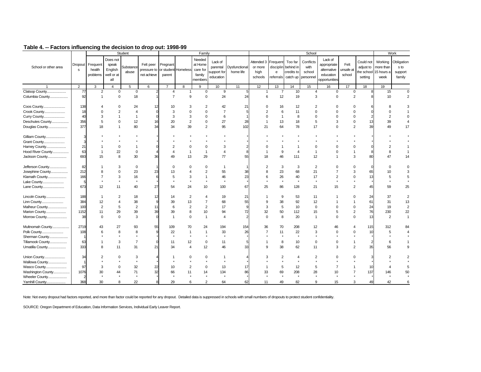|                      |                         |                                |                                                   | Student            |                                         |                    |                     | Family                                             |                                                 |                            |                                                           |                                            |                                                         | School                                   |                                                                     |                             |                      |                                                                 | Work                                    |
|----------------------|-------------------------|--------------------------------|---------------------------------------------------|--------------------|-----------------------------------------|--------------------|---------------------|----------------------------------------------------|-------------------------------------------------|----------------------------|-----------------------------------------------------------|--------------------------------------------|---------------------------------------------------------|------------------------------------------|---------------------------------------------------------------------|-----------------------------|----------------------|-----------------------------------------------------------------|-----------------------------------------|
| School or other area | Dropout<br>$\mathbf{s}$ | Frequent<br>health<br>problems | Does not<br>speak<br>English<br>well or at<br>all | Substance<br>abuse | Felt peer<br>pressure to<br>not achieve | Pregnant<br>parent | or student Homeless | Needed<br>at Home<br>care for<br>family<br>members | Lack of<br>parental<br>support for<br>education | Dysfunctional<br>home life | Attended 3 Frequent Too far<br>or more<br>high<br>schools | $\mathsf{e}% _{0}\left( \mathsf{e}\right)$ | disciplin behind in<br>credits to<br>referrals catch up | Conflicts<br>with<br>school<br>personnel | Lack of<br>appropriate<br>alternative<br>education<br>opportunities | Felt<br>unsafe at<br>school | adjust to<br>setting | Could not Working<br>more than<br>the school 15 hours a<br>week | Obligation<br>s to<br>support<br>family |
|                      | $\overline{2}$          | 3                              | $\overline{4}$                                    | $5\phantom{.0}$    | 6                                       | $\overline{7}$     | 8                   | 9                                                  | 10                                              | 11                         | 12                                                        | 13                                         | 14                                                      | 15                                       | 16                                                                  | 17                          | 18                   | 19                                                              |                                         |
| Clatsop County       | 77                      | 2                              | $\mathbf 0$                                       | $\mathbf 0$        |                                         | $\overline{4}$     | $\overline{1}$      | $\mathbf 0$                                        | 9                                               |                            | $\mathbf{1}$                                              | $\overline{7}$                             | 10                                                      | $\overline{4}$                           | $\mathbf 0$                                                         | $\mathbf 0$                 |                      | 15                                                              | $\mathbf 0$                             |
| Columbia County      | 92                      | $\overline{1}$                 | $\mathbf 0$                                       | 18                 |                                         | $\overline{7}$     | 9                   | 0                                                  | 24                                              | 24                         | 6                                                         | 12                                         | 19                                                      | 3                                        | $\mathbf 0$                                                         | $\overline{2}$              |                      | 10                                                              | $\overline{2}$                          |
| Coos County          | 138                     |                                | $\Omega$                                          | 24                 | 12                                      | 10                 |                     |                                                    | 42                                              | 21                         | $\Omega$                                                  | 16                                         | 12                                                      | $\overline{2}$                           |                                                                     |                             |                      |                                                                 | 3                                       |
| Crook County         | 18                      |                                | $\overline{2}$                                    | 4                  |                                         | 3                  | $\Omega$            | U                                                  | $\overline{7}$                                  |                            | $\mathcal{P}$                                             | 6                                          | 11                                                      | $\Omega$                                 | $\Omega$                                                            | $\Omega$                    |                      |                                                                 |                                         |
| Curry County         | 40                      | 3                              | $\overline{1}$                                    | $\mathbf{1}$       |                                         | 3                  | 3                   | $\Omega$                                           | 6                                               |                            | $\Omega$                                                  | $\overline{1}$                             | 8                                                       | $\Omega$                                 | $\Omega$                                                            | $\Omega$                    |                      | $\mathcal{P}$                                                   | $\Omega$                                |
| Deschutes County     | 356                     |                                | $\mathbf 0$                                       | 12                 | 16                                      | 20                 | $\overline{2}$      | 0                                                  | 27                                              | 28                         | $\overline{1}$                                            | 13                                         | 18                                                      | 5                                        | 3                                                                   | 0                           |                      | 39                                                              | $\overline{4}$                          |
| Douglas County       | 377                     | 18                             | $\overline{1}$                                    | 80                 | 34                                      | 34                 | 39                  | $\overline{2}$                                     | 95                                              | 102                        | 21                                                        | 64                                         | 78                                                      | 17                                       | $\Omega$                                                            | $\overline{2}$              | 3 <sup>c</sup>       | 49                                                              | 17                                      |
| Gilliam County       |                         |                                |                                                   |                    |                                         |                    |                     |                                                    |                                                 |                            |                                                           |                                            |                                                         |                                          |                                                                     |                             |                      |                                                                 |                                         |
| Grant County         |                         |                                |                                                   |                    |                                         |                    |                     |                                                    |                                                 |                            |                                                           |                                            |                                                         |                                          |                                                                     |                             |                      |                                                                 |                                         |
| Harney County        | 21                      |                                | $\mathbf 0$                                       |                    |                                         |                    | $\Omega$            |                                                    | 3                                               |                            |                                                           |                                            |                                                         |                                          |                                                                     | $\Omega$                    |                      |                                                                 |                                         |
| Hood River County    | 63                      |                                | 22                                                | $\mathbf 0$        |                                         | $\Delta$           | -1                  |                                                    | $\overline{\mathbf{A}}$                         |                            |                                                           | 9                                          | Δ                                                       |                                          | $\Omega$                                                            |                             |                      |                                                                 |                                         |
| Jackson County       | 693                     | 15                             | 8                                                 | 30                 | 36                                      | 49                 | 13                  | 29                                                 | 77                                              | 55                         | 18                                                        | 46                                         | 111                                                     | 12                                       | -1                                                                  | 3                           |                      | 47                                                              | 14                                      |
| Jefferson County     | 82                      |                                | 3                                                 | 0                  |                                         | $\Omega$           | $\Omega$            | O                                                  | 1                                               |                            | $\overline{2}$                                            | 3                                          | 3                                                       | $\overline{2}$                           | O                                                                   | $\Omega$                    |                      | $\Omega$                                                        | $\mathbf 0$                             |
| Josephine County     | 212                     |                                | $\Omega$                                          | 23                 | 23                                      | 13                 |                     | $\overline{2}$                                     | 55                                              | 38                         | 8                                                         | 23                                         | 68                                                      | 21                                       | $\overline{7}$                                                      | 3                           |                      | 10                                                              | 3                                       |
| Klamath County       | 166                     |                                | 3                                                 | 16                 |                                         | 5                  | 3                   |                                                    | 46                                              | 23                         | 6                                                         | 26                                         | 40                                                      | 17                                       | $\overline{2}$                                                      | $\mathbf 0$                 |                      |                                                                 | 5                                       |
| Lake County          | 5                       |                                |                                                   | $\star$            |                                         |                    |                     |                                                    | $\star$                                         |                            |                                                           | $\star$                                    |                                                         | $\star$                                  |                                                                     |                             |                      |                                                                 |                                         |
| Lane County          | 673                     | 12                             | 11                                                | 40                 | 27                                      | 54                 | 24                  | 10                                                 | 100                                             | 67                         | 25                                                        | 86                                         | 128                                                     | 21                                       | 15                                                                  | $\overline{2}$              | 45                   | 59                                                              | 25                                      |
| Lincoln County       | 188                     |                                | $\overline{2}$                                    | 18                 | 12                                      | 14                 | $\overline{2}$      | 4                                                  | 19                                              | 21                         | $\overline{1}$                                            | 9                                          | 53                                                      | 11                                       |                                                                     | $\Omega$                    | 24                   | 37                                                              | 2                                       |
| Linn County          | 384                     | 12                             | $\overline{4}$                                    | 38                 |                                         | 39                 | 13                  |                                                    | 68                                              | 55                         | 9                                                         | 38                                         | 92                                                      | 12                                       |                                                                     |                             | 61                   | 31                                                              | 13                                      |
| Malheur County       | 100                     | 2                              | 5                                                 | $\overline{2}$     | 11                                      | 6                  | $\overline{2}$      | $\overline{c}$                                     | 17                                              |                            | 3                                                         | 5                                          | 10                                                      | $\mathbf 0$                              | $\Omega$                                                            | $\Omega$                    | 24                   | 19                                                              | $\overline{2}$                          |
| Marion County        | 1152                    | 11                             | 29                                                | 39                 | 39                                      | 39                 | 8                   | 10                                                 | 94                                              | 72                         | 32                                                        | 50                                         | 112                                                     | 15                                       | 5                                                                   | $\overline{c}$              | 76                   | 230                                                             | 22                                      |
| Morrow County        | 38                      | $\Omega$                       | $\mathbf 0$                                       | 3                  |                                         | $\overline{1}$     | $\Omega$            | $\overline{1}$                                     | $\overline{\mathbf{A}}$                         |                            | $\Omega$                                                  | 8                                          | 20                                                      | $\overline{1}$                           | $\Omega$                                                            | $\mathbf 0$                 | 13                   | 2                                                               | $\mathbf{1}$                            |
| Multnomah County     | 2719                    | 43                             | 27                                                | 93                 | 55                                      | 109                | 70                  | 24                                                 | 194                                             | 154                        | 36                                                        | 70                                         | 208                                                     | 12                                       | 46                                                                  | 4                           | 115                  | 312                                                             | 84                                      |
| Polk County          | 108                     |                                | 8                                                 | 8                  |                                         | 22                 | $\overline{1}$      | 1                                                  | 33                                              | 26                         | $\overline{7}$                                            | 11                                         | 22                                                      | 3                                        | $\Omega$                                                            | $\Omega$                    | 10                   | 5                                                               | $\overline{4}$                          |
| Sherman County       | -1                      |                                |                                                   |                    |                                         | $\star$            | $\star$             |                                                    | $\star$                                         |                            |                                                           | $\star$                                    | $\star$                                                 |                                          |                                                                     |                             |                      |                                                                 |                                         |
| Tillamook County     | 63                      |                                | 3                                                 | $\overline{7}$     |                                         | 11                 | 12                  | $\mathbf 0$                                        | 11                                              |                            | -1                                                        | 8                                          | 10                                                      | $\mathbf 0$                              | $^{\circ}$                                                          | 1                           |                      | 6                                                               |                                         |
| Umatilla County      | 333                     |                                | 11                                                | 31                 | 21                                      | 34                 | $\overline{4}$      | 12                                                 | 46                                              | 33                         | $\mathbf{Q}$                                              | 38                                         | 62                                                      | 11                                       | 3                                                                   | $\overline{2}$              | 35                   | 56                                                              | 9                                       |
| Union County         | 34                      |                                | $\mathbf 0$                                       | 3                  |                                         |                    |                     | ŋ                                                  |                                                 |                            |                                                           | $\overline{2}$                             |                                                         |                                          |                                                                     |                             |                      |                                                                 |                                         |
| Wallowa County       |                         |                                |                                                   |                    |                                         |                    |                     |                                                    |                                                 |                            |                                                           |                                            |                                                         |                                          |                                                                     |                             |                      |                                                                 |                                         |
| Wasco County         | 97                      | 3                              | $\Omega$                                          | 32                 | 22                                      | 10                 | $\overline{2}$      | $\Omega$                                           | 13                                              | 17                         |                                                           | 5                                          | 12                                                      | 5                                        |                                                                     |                             |                      |                                                                 |                                         |
| Washington County    | 1076                    | 30                             | 44                                                | 71                 | 32                                      | 66                 | 11                  | 14                                                 | 134                                             | 86                         | 33                                                        | 69                                         | 208                                                     | 28                                       | 10                                                                  |                             | 137                  |                                                                 | 50                                      |
| Wheeler County       |                         |                                |                                                   |                    |                                         |                    |                     |                                                    |                                                 |                            |                                                           |                                            |                                                         |                                          |                                                                     |                             |                      |                                                                 |                                         |
|                      | 368                     | 30                             | 8                                                 | 22                 |                                         | 29                 | 6                   | 2                                                  | 64                                              | 62                         | 11                                                        | 49                                         | 82                                                      | 9                                        | 15                                                                  | 3                           | 49                   | 42                                                              | 6                                       |

Note: Not every dropout had factors reported, and more than factor could be reported for any dropout. Detailed data is suppressed in schools with small numbers of dropouts to protect student confidentiality.

SOURCE: Oregon Department of Education, Data Information Services, Individual Early Leaver Report.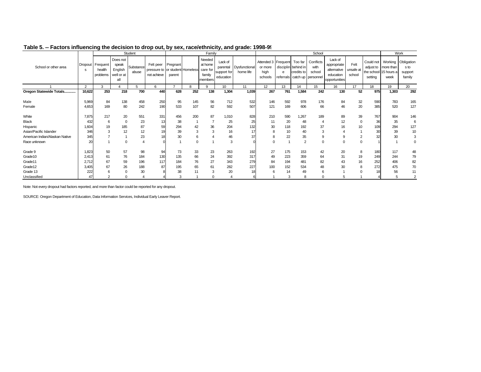|                                |                |                                |                                                   | Student            |                                                                      |                          |            | Family                                             |                                     |                                     |                                                   |            |                                              | School                                                      |                                                                     |                             |                                               |                                        | Work                                    |
|--------------------------------|----------------|--------------------------------|---------------------------------------------------|--------------------|----------------------------------------------------------------------|--------------------------|------------|----------------------------------------------------|-------------------------------------|-------------------------------------|---------------------------------------------------|------------|----------------------------------------------|-------------------------------------------------------------|---------------------------------------------------------------------|-----------------------------|-----------------------------------------------|----------------------------------------|-----------------------------------------|
| School or other area           | Dropout<br>s   | Frequent<br>health<br>problems | Does not<br>speak<br>English<br>well or at<br>all | Substance<br>abuse | Felt peer Pregnant<br>pressure to or student Homeless<br>not achieve | parent                   |            | Needed<br>at home<br>care for<br>family<br>members | Lack of<br>support for<br>education | parental Dysfunctional<br>home life | Attended 3 Frequent<br>or more<br>high<br>schools | e          | Too far<br>disciplin behind in<br>credits to | Conflicts<br>with<br>school<br>referrals catch up personnel | Lack of<br>appropriate<br>alternative<br>education<br>opportunities | Felt<br>unsafe at<br>school | Could not<br>the school 15 hours a<br>setting | Working<br>adjust to more than<br>week | Obligation<br>s to<br>support<br>family |
|                                | $\overline{2}$ | 3                              |                                                   | 5                  | 6                                                                    | $\overline{\phantom{a}}$ | R          | 9                                                  | 10 <sup>°</sup>                     | 11                                  | 12                                                | 13         | 14                                           | 15                                                          | 16                                                                  | 17                          | 18                                            | 19                                     | 20                                      |
| Oregon Statewide Totals        | 10,622         | 253                            | 218                                               | 700                | 440                                                                  | 628                      | 252        | 138                                                | 1,304                               | 1,039                               | 267                                               | 761        | 1,584                                        | 242                                                         | 130                                                                 | 52                          | 975                                           | 1,303                                  | 292                                     |
| Male<br>Female                 | 5,969<br>4,653 | 84<br>169                      | 138<br>80                                         | 458<br>242         | 250<br>190                                                           | 95<br>533                | 145<br>107 | 56<br>82                                           | 712<br>592                          | 532<br>507                          | 146<br>121                                        | 592<br>169 | 978<br>606                                   | 176<br>66                                                   | 84<br>46                                                            | 32<br>20                    | 590<br>385                                    | 783<br>520                             | 165<br>127                              |
|                                |                |                                |                                                   |                    |                                                                      |                          |            |                                                    |                                     |                                     |                                                   |            |                                              |                                                             |                                                                     |                             |                                               |                                        |                                         |
| White                          | 7,875          | 217                            | 20                                                | 551                | 331                                                                  | 456                      | 200        | 87                                                 | 1,010                               | 828                                 | 210                                               | 590        | 1,267                                        | 189                                                         | 89                                                                  | 39                          | 767                                           | 904                                    | 146                                     |
| Black                          | 432            | 6                              | $\Omega$                                          | 23                 | 13                                                                   | 38                       |            |                                                    | 25                                  | 25                                  | 11                                                | 20         | 48                                           |                                                             | 12                                                                  | $\mathbf 0$                 | 36                                            | 35                                     | 6                                       |
| Hispanic                       | 1,604          | 19                             | 185                                               | 87                 | 59                                                                   | 294                      | 42         | 36                                                 | 204                                 | 132                                 | 30                                                | 118        | 192                                          | 37                                                          | 16                                                                  | 10                          | 109                                           | 294                                    | 127                                     |
| Asian/Pacific Islander         | 346            | 3                              | 12                                                | 12                 | 19                                                                   | 39                       | 3          | 3                                                  | 16                                  | 17                                  | 8                                                 | 10         | 40                                           | 3                                                           |                                                                     |                             | 30                                            | 39                                     | 10                                      |
| American Indian/Alaskan Native | 345            |                                |                                                   | 23                 | 18                                                                   | 30                       |            |                                                    | 46                                  | 37                                  | 8                                                 | 22         | 35                                           | 9                                                           | 9                                                                   | $\overline{2}$              | 32                                            | 30                                     |                                         |
| Race unknown                   | 20             |                                | $\mathbf 0$                                       |                    |                                                                      |                          |            |                                                    | 3                                   |                                     | $\Omega$                                          |            | $\overline{2}$                               |                                                             |                                                                     | $\Omega$                    |                                               |                                        |                                         |
| Grade 9                        | 1,823          | 50                             | 57                                                | 98                 | 94                                                                   | 73                       | 33         | 23                                                 | 263                                 | 192                                 | 27                                                | 175        | 153                                          | 42                                                          | 20                                                                  | 8                           | 180                                           | 117                                    | 48                                      |
| Grade10                        | 2,413          | 61                             | 76                                                | 184                | 130                                                                  | 135                      | 66         | 24                                                 | 392                                 | 317                                 | 49                                                | 223        | 359                                          | 64                                                          | 31                                                                  | 19                          | 249                                           | 244                                    | 79                                      |
| Grade11                        | 2,712          | 67                             | 59                                                | 196                | 117                                                                  | 184                      | 76         | 27                                                 | 343                                 | 279                                 | 84                                                | 194        | 481                                          | 82                                                          | 43                                                                  | 16                          | 252                                           | 406                                    | 82                                      |
| Grade12                        | 3,405          | 67                             | 26                                                | 188                | 87                                                                   | 195                      | 65         | 61                                                 | 282                                 | 227                                 | 100                                               | 152        | 534                                          | 48                                                          | 30                                                                  | 8                           | 272                                           | 475                                    | 70                                      |
| Grade 13                       | 222            | 6                              | $\Omega$                                          | 30                 |                                                                      | 38                       |            | 3                                                  | 20                                  | 18                                  |                                                   | 14         | 49                                           | 6                                                           |                                                                     |                             |                                               | 56                                     | 11                                      |
| Unclassified                   | 47             | ◠                              |                                                   |                    |                                                                      | 3                        |            | $\Omega$                                           |                                     |                                     |                                                   | 3          | 8                                            |                                                             |                                                                     |                             |                                               |                                        |                                         |

#### **Table 5. -- Factors influencing the decision to drop out, by sex, race/ethnicity, and grade: 1998-99**

Note: Not every dropout had factors reported, and more than factor could be reported for any dropout.

SOURCE: Oregon Department of Education, Data Information Services, Individual Early Leaver Report.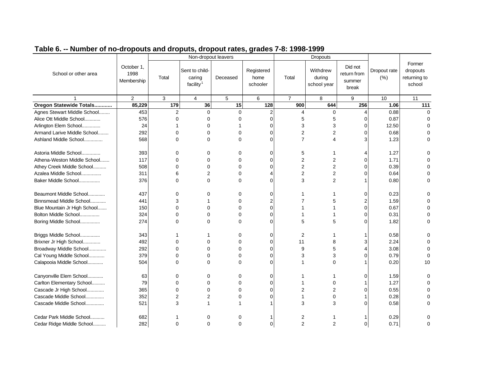|                              |                                  |                | Non-dropout leavers                               |             |                                |                | <b>Dropouts</b>                   |                                           |                      |                                              |
|------------------------------|----------------------------------|----------------|---------------------------------------------------|-------------|--------------------------------|----------------|-----------------------------------|-------------------------------------------|----------------------|----------------------------------------------|
| School or other area         | October 1,<br>1998<br>Membership | Total          | Sent to child-<br>caring<br>facility <sup>1</sup> | Deceased    | Registered<br>home<br>schooler | Total          | Withdrew<br>during<br>school year | Did not<br>return from<br>summer<br>break | Dropout rate<br>(% ) | Former<br>dropouts<br>returning to<br>school |
|                              | 2                                | 3              | $\overline{4}$                                    | 5           | 6                              | $\overline{7}$ | 8                                 | 9                                         | 10                   | 11                                           |
| Oregon Statewide Totals      | 85,229                           | 179            | 36                                                | 15          | 128                            | 900            | 644                               | 256                                       | 1.06                 | 111                                          |
| Agnes Stewart Middle School  | 453                              | 2              | $\mathbf 0$                                       | $\mathbf 0$ | $\overline{c}$                 | 4              | 0                                 | $\overline{4}$                            | 0.88                 | $\mathbf 0$                                  |
| Alice Ott Middle School      | 576                              | 0              | 0                                                 | 0           | 0                              | 5              | 5                                 | $\Omega$                                  | 0.87                 | 0                                            |
| Arlington Elem School        | 24                               |                | $\Omega$                                          |             | 0                              | 3              | 3                                 | 0                                         | 12.50                | $\Omega$                                     |
| Armand Larive Middle School  | 292                              | 0              | $\mathbf 0$                                       | $\mathbf 0$ | 0                              | $\overline{c}$ | 2                                 | $\Omega$                                  | 0.68                 | 0                                            |
| Ashland Middle School        | 568                              | $\Omega$       | $\Omega$                                          | $\Omega$    | $\Omega$                       | $\overline{7}$ | 4                                 | 3                                         | 1.23                 | 0                                            |
|                              |                                  |                |                                                   |             |                                |                |                                   |                                           |                      |                                              |
| Astoria Middle School        | 393                              | 0              | 0                                                 | 0           | 0                              | 5              |                                   | 4                                         | 1.27                 | 0                                            |
| Athena-Weston Middle School  | 117                              | $\Omega$       | 0                                                 | $\Omega$    | 0                              | 2              | 2                                 | $\Omega$                                  | 1.71                 | 0                                            |
| Athey Creek Middle School    | 508                              | $\Omega$       | $\Omega$                                          | $\Omega$    | $\Omega$                       | 2              | $\overline{2}$                    | $\Omega$                                  | 0.39                 | $\Omega$                                     |
| Azalea Middle School         | 311                              | 6              | 2                                                 | $\Omega$    |                                | 2              | 2                                 | $\sqrt{ }$                                | 0.64                 | $\Omega$                                     |
| Baker Middle School          | 376                              | $\Omega$       | $\Omega$                                          | $\Omega$    | 0                              | 3              | 2                                 |                                           | 0.80                 | $\Omega$                                     |
|                              |                                  |                |                                                   |             |                                |                |                                   |                                           |                      |                                              |
| Beaumont Middle School       | 437                              | 0              | 0                                                 | $\Omega$    | 0                              |                |                                   | 0                                         | 0.23                 | 0                                            |
| Binnsmead Middle School      | 441                              | 3              |                                                   | $\Omega$    | 2                              |                | 5                                 | $\overline{2}$                            | 1.59                 |                                              |
| Blue Mountain Jr High School | 150                              | $\Omega$       | $\Omega$                                          | $\Omega$    | $\Omega$                       |                |                                   | $\Omega$                                  | 0.67                 | $\Omega$                                     |
| Bolton Middle School         | 324                              | 0              | $\Omega$                                          | 0           | 0                              |                |                                   | $\Omega$                                  | 0.31                 | $\Omega$                                     |
| Boring Middle School         | 274                              | $\Omega$       | 0                                                 | $\Omega$    | $\Omega$                       | 5              | 5                                 | C                                         | 1.82                 | $\Omega$                                     |
|                              |                                  |                |                                                   |             |                                |                |                                   |                                           |                      |                                              |
| Briggs Middle School         | 343                              |                |                                                   | $\Omega$    | 0                              | 2              |                                   |                                           | 0.58                 | 0                                            |
| Brixner Jr High School       | 492                              | $\Omega$       | $\Omega$                                          | $\Omega$    | $\Omega$                       | 11             | 8                                 | 3                                         | 2.24                 |                                              |
| Broadway Middle School       | 292                              | $\Omega$       | 0                                                 | $\Omega$    | $\Omega$                       | 9              | 5                                 | 4                                         | 3.08                 | $\Omega$                                     |
| Cal Young Middle School      | 379                              | 0              | 0                                                 | $\Omega$    | 0                              | 3              | 3                                 | $\Omega$                                  | 0.79                 | $\Omega$                                     |
| Calapooia Middle School      | 504                              | $\Omega$       | $\Omega$                                          | $\Omega$    | $\Omega$                       |                | $\Omega$                          |                                           | 0.20                 | 10                                           |
|                              |                                  |                |                                                   |             |                                |                |                                   |                                           |                      |                                              |
| Canyonville Elem School      | 63                               | 0              | O                                                 | $\Omega$    | 0                              |                |                                   | $\Omega$                                  | 1.59                 | 0                                            |
| Carlton Elementary School    | 79                               | $\Omega$       | $\Omega$                                          | $\Omega$    | $\Omega$                       |                | $\Omega$                          |                                           | 1.27                 | $\Omega$                                     |
| Cascade Jr High School       | 365                              | $\Omega$       | 0                                                 | $\Omega$    | $\Omega$                       | 2              | $\overline{2}$                    | $\sqrt{ }$                                | 0.55                 |                                              |
| Cascade Middle School        | 352                              | $\overline{2}$ | 2                                                 | $\Omega$    | 0                              |                | 0                                 |                                           | 0.28                 |                                              |
| Cascade Middle School        | 521                              | 3              |                                                   |             |                                | 3              | 3                                 | C                                         | 0.58                 | $\Omega$                                     |
|                              |                                  |                |                                                   |             |                                |                |                                   |                                           |                      |                                              |
| Cedar Park Middle School     | 682                              |                | O                                                 | O           |                                | 2              |                                   |                                           | 0.29                 |                                              |
| Cedar Ridge Middle School    | 282                              | $\Omega$       | $\Omega$                                          | $\Omega$    | $\mathbf 0$                    | 2              | 2                                 | $\mathbf 0$                               | 0.71                 | $\Omega$                                     |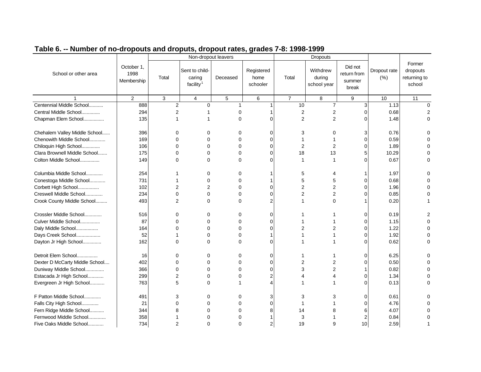|                                |                                  |                | Non-dropout leavers                               |            |                                |                | <b>Dropouts</b>                   |                                           |                      |                                              |
|--------------------------------|----------------------------------|----------------|---------------------------------------------------|------------|--------------------------------|----------------|-----------------------------------|-------------------------------------------|----------------------|----------------------------------------------|
| School or other area           | October 1,<br>1998<br>Membership | Total          | Sent to child-<br>caring<br>facility <sup>1</sup> | Deceased   | Registered<br>home<br>schooler | Total          | Withdrew<br>during<br>school year | Did not<br>return from<br>summer<br>break | Dropout rate<br>(% ) | Former<br>dropouts<br>returning to<br>school |
|                                | 2                                | $\mathbf{3}$   | $\overline{4}$                                    | $\sqrt{5}$ | $\,6\,$                        | $\overline{7}$ | 8                                 | 9                                         | 10                   | 11                                           |
| Centennial Middle School       | 888                              | $\overline{c}$ | $\Omega$                                          | 1          |                                | 10             | $\overline{7}$                    | $\overline{3}$                            | 1.13                 | $\mathbf 0$                                  |
| Central Middle School          | 294                              | $\overline{2}$ |                                                   | 0          |                                | 2              | 2                                 | $\Omega$                                  | 0.68                 | 2                                            |
| Chapman Elem School            | 135                              | 1              |                                                   | $\Omega$   | $\Omega$                       | $\overline{2}$ | 2                                 | 0                                         | 1.48                 | $\Omega$                                     |
| Chehalem Valley Middle School  | 396                              | 0              | 0                                                 | $\Omega$   | $\Omega$                       | 3              | 0                                 | 3                                         | 0.76                 | 0                                            |
| Chenowith Middle School        | 169                              | $\Omega$       | $\Omega$                                          | $\Omega$   | 0                              |                |                                   | 0                                         | 0.59                 | $\Omega$                                     |
| Chiloquin High School          | 106                              | $\Omega$       | $\Omega$                                          | $\Omega$   | $\Omega$                       | 2              | 2                                 | 0                                         | 1.89                 |                                              |
| Clara Brownell Middle School   | 175                              | $\Omega$       | $\Omega$                                          | 0          | $\Omega$                       | 18             | 13                                | 5                                         | 10.29                | ი                                            |
| Colton Middle School           | 149                              | $\Omega$       | $\Omega$                                          | $\Omega$   | $\Omega$                       | 1              |                                   | ∩                                         | 0.67                 | 0                                            |
| Columbia Middle School         | 254                              |                | $\Omega$                                          | 0          |                                | 5              |                                   |                                           | 1.97                 | 0                                            |
| Conestoga Middle School        | 731                              | 1              | $\Omega$                                          | $\Omega$   |                                | 5              |                                   | ∩                                         | 0.68                 | $\Omega$                                     |
| Corbett High School            | 102                              | $\mathfrak{p}$ | 2                                                 | $\Omega$   | $\Omega$                       | $\overline{2}$ | 2                                 | 0                                         | 1.96                 | 0                                            |
| Creswell Middle School         | 234                              | $\Omega$       | $\Omega$                                          | $\Omega$   |                                | 2              | 2                                 |                                           | 0.85                 | ი                                            |
| Crook County Middle School     | 493                              | 2              | $\Omega$                                          | $\Omega$   | $\overline{2}$                 |                | 0                                 |                                           | 0.20                 |                                              |
| Crossler Middle School         | 516                              | 0              | 0                                                 | 0          | 0                              |                |                                   | 0                                         | 0.19                 |                                              |
| Culver Middle School           | 87                               | 0              | $\Omega$                                          | $\Omega$   | $\Omega$                       |                |                                   | 0                                         | 1.15                 | $\Omega$                                     |
| Daly Middle School             | 164                              | $\Omega$       | $\Omega$                                          | $\Omega$   | $\Omega$                       | $\overline{2}$ | 2                                 | U                                         | 1.22                 | 0                                            |
| Days Creek School              | 52                               | 1              | $\mathbf 0$                                       | 0          |                                |                |                                   | 0                                         | 1.92                 | 0                                            |
| Dayton Jr High School          | 162                              | $\Omega$       | $\Omega$                                          | $\Omega$   | $\Omega$                       |                |                                   | ∩                                         | 0.62                 | 0                                            |
| Detroit Elem School            | 16                               | 0              | 0                                                 | $\Omega$   | $\Omega$                       |                |                                   | 0                                         | 6.25                 | 0                                            |
| Dexter D McCarty Middle School | 402                              | 0              | $\mathbf 0$                                       | 0          | 0                              | 2              | 2                                 | 0                                         | 0.50                 | $\Omega$                                     |
| Duniway Middle School          | 366                              | $\Omega$       | $\Omega$                                          | $\Omega$   | $\Omega$                       | 3              | 2                                 |                                           | 0.82                 | 0                                            |
| Estacada Jr High School        | 299                              | $\overline{2}$ | $\Omega$                                          | 0          | 2                              |                |                                   |                                           | 1.34                 | $\Omega$                                     |
| Evergreen Jr High School       | 763                              | 5              | $\Omega$                                          |            |                                |                |                                   | 0                                         | 0.13                 | $\Omega$                                     |
| F Patton Middle School         | 491                              | 3              | 0                                                 | $\Omega$   | 3                              | 3              | З                                 | $\Omega$                                  | 0.61                 | ი                                            |
| Falls City High School         | 21                               | 0              | $\Omega$                                          | $\Omega$   | $\Omega$                       | 1              |                                   | U                                         | 4.76                 | $\Omega$                                     |
| Fern Ridge Middle School       | 344                              | 8              | $\mathbf 0$                                       | 0          | 8                              | 14             |                                   |                                           | 4.07                 |                                              |
| Fernwood Middle School         | 358                              |                | $\Omega$                                          | O          |                                | 3              |                                   |                                           | 0.84                 | $\Omega$                                     |
| Five Oaks Middle School        | 734                              | $\overline{2}$ | $\Omega$                                          | $\Omega$   | $\overline{2}$                 | 19             | 9                                 | 10                                        | 2.59                 |                                              |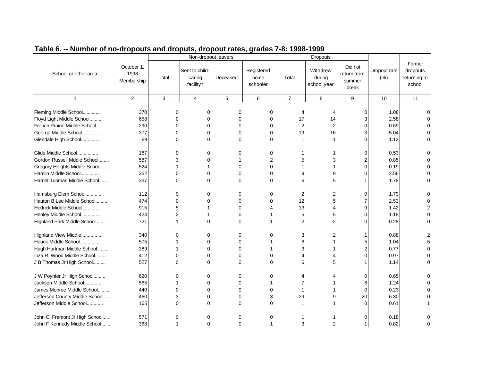|                                                                                    |                                  |                    | Non-dropout leavers                               |             |                                |                           | <b>Dropouts</b>                   |                                           |                      |                                              |
|------------------------------------------------------------------------------------|----------------------------------|--------------------|---------------------------------------------------|-------------|--------------------------------|---------------------------|-----------------------------------|-------------------------------------------|----------------------|----------------------------------------------|
| School or other area                                                               | October 1,<br>1998<br>Membership | Total              | Sent to child-<br>caring<br>facility <sup>1</sup> | Deceased    | Registered<br>home<br>schooler | Total                     | Withdrew<br>during<br>school year | Did not<br>return from<br>summer<br>break | Dropout rate<br>(% ) | Former<br>dropouts<br>returning to<br>school |
| $\mathbf{1}$                                                                       | $\overline{c}$                   | 3                  | $\overline{4}$                                    | 5           | 6                              | $\overline{7}$            | 8                                 | 9                                         | 10                   | 11                                           |
| Fleming Middle School<br>Floyd Light Middle School<br>French Prairie Middle School | 370<br>658<br>290                | 0<br>0<br>$\Omega$ | 0<br>$\Omega$<br>$\Omega$                         | 0<br>0<br>0 | 0<br>$\Omega$<br>$\Omega$      | 4<br>17<br>$\overline{2}$ | 4<br>14<br>2                      | $\overline{0}$<br>3<br>$\Omega$           | 1.08<br>2.58<br>0.69 |                                              |
| George Middle School                                                               | 377                              | 0                  | $\Omega$                                          | 0           | C                              | 19                        | 16                                | 3                                         | 5.04                 |                                              |
| Glendale High School                                                               | 89                               | $\Omega$           | $\Omega$                                          | 0           | C                              | 1                         | $\mathbf{1}$                      | $\Omega$                                  | 1.12                 |                                              |
| Glide Middle School                                                                | 187                              | 0                  | 0                                                 | 0           | 0                              |                           |                                   | $\overline{0}$                            | 0.53                 |                                              |
| Gordon Russell Mddle School                                                        | 587                              | 3                  | $\Omega$                                          |             | 2                              | 5                         | 3                                 | 2                                         | 0.85                 |                                              |
| Gregory Heights Middle School                                                      | 524                              |                    |                                                   | $\Omega$    | $\Omega$                       |                           |                                   | $\Omega$                                  | 0.19                 |                                              |
| Hamlin Middle School                                                               | 352                              | 0                  | $\Omega$                                          | 0           | $\sqrt{ }$                     | 9                         | 9                                 | $\Omega$                                  | 2.56                 |                                              |
| Harriet Tubman Middle School                                                       | 337                              | $\Omega$           | $\Omega$                                          | $\Omega$    | C                              | 6                         | 5                                 |                                           | 1.78                 |                                              |
| Harrisburg Elem School                                                             | 112                              | 0                  | $\Omega$                                          | 0           | $\Omega$                       | 2                         | 2                                 | $\Omega$                                  | 1.79                 |                                              |
| Hauton B Lee Middle School                                                         | 474                              | 0                  | $\Omega$                                          | 0           | $\Omega$                       | 12                        | 5                                 | 7                                         | 2.53                 |                                              |
| Hedrick Middle School                                                              | 915                              | 5                  |                                                   | $\Omega$    |                                | 13                        | 4                                 | 9                                         | 1.42                 | 2                                            |
| Henley Middle School                                                               | 424                              | 2                  |                                                   | 0           |                                | 5                         | 5                                 | $\Omega$                                  | 1.18                 |                                              |
| Highland Park Middle School                                                        | 721                              | 1                  | $\Omega$                                          | $\Omega$    |                                | $\overline{2}$            | 2                                 | $\Omega$                                  | 0.28                 |                                              |
| Highland View Middle                                                               | 340                              | 0                  | $\Omega$                                          | 0           | $\Omega$                       | 3                         | 2                                 | 1                                         | 0.88                 | 2                                            |
| Houck Middle School                                                                | 575                              |                    | $\Omega$                                          | $\Omega$    |                                | 6                         |                                   | 5                                         | 1.04                 |                                              |
| Hugh Hartman Middle School                                                         | 389                              |                    | $\Omega$                                          | 0           |                                | 3                         |                                   | 2                                         | 0.77                 | $\cap$                                       |
| Inza R. Wood Middle School                                                         | 412                              | 0                  | $\Omega$                                          | $\Omega$    | C                              |                           |                                   | $\Omega$                                  | 0.97                 |                                              |
| J B Thomas Jr High School                                                          | 527                              | $\Omega$           | $\Omega$                                          | $\Omega$    | C                              | 6                         | 5                                 |                                           | 1.14                 |                                              |
| J W Poynter Jr High School                                                         | 620                              | 0                  | 0                                                 | 0           | $\Omega$                       | 4                         |                                   | $\Omega$                                  | 0.65                 |                                              |
| Jackson Middle School                                                              | 565                              |                    | $\Omega$                                          | 0           |                                | 7                         |                                   | 6                                         | 1.24                 |                                              |
| James Monroe Middle School                                                         | 440                              | 0                  | $\Omega$                                          | 0           | ∩                              | 1                         |                                   | $\Omega$                                  | 0.23                 |                                              |
| Jefferson County Middle School                                                     | 460                              | 3                  | 0                                                 | 0           | 3                              | 29                        | 9                                 | 20                                        | 6.30                 |                                              |
| Jefferson Middle School                                                            | 165                              | 0                  | $\Omega$                                          | $\Omega$    | $\sqrt{ }$                     | 1                         |                                   | $\Omega$                                  | 0.61                 |                                              |
| John C. Fremont Jr High School                                                     | 571                              | 0                  | 0                                                 | 0           | 0                              | 1                         |                                   | $\Omega$                                  | 0.18                 |                                              |
| John F Kennedy Middle School                                                       | 368                              |                    | $\Omega$                                          | $\Omega$    | $\mathbf{1}$                   | 3                         | $\overline{c}$                    | $1 \mid$                                  | 0.82                 | $\Omega$                                     |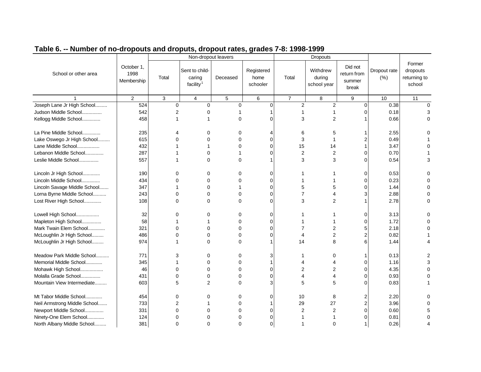| Table 6. -- Number of no-dropouts and droputs, dropout rates, grades 7-8: 1998-1999 |  |
|-------------------------------------------------------------------------------------|--|
|                                                                                     |  |

|                              |                                  |             | Non-dropout leavers                               |            |                                |                | Dropouts                          |                                           |                     |                                              |
|------------------------------|----------------------------------|-------------|---------------------------------------------------|------------|--------------------------------|----------------|-----------------------------------|-------------------------------------------|---------------------|----------------------------------------------|
| School or other area         | October 1,<br>1998<br>Membership | Total       | Sent to child-<br>caring<br>facility <sup>1</sup> | Deceased   | Registered<br>home<br>schooler | Total          | Withdrew<br>during<br>school year | Did not<br>return from<br>summer<br>break | Dropout rate<br>(%) | Former<br>dropouts<br>returning to<br>school |
|                              | 2                                | 3           | $\overline{4}$                                    | $\sqrt{5}$ | 6                              | $\overline{7}$ | 8                                 | 9                                         | 10                  | 11                                           |
| Joseph Lane Jr High School   | 524                              | 0           | $\Omega$                                          | 0          | 0                              | $\overline{c}$ | $\overline{2}$                    | $\mathbf 0$                               | 0.38                | $\Omega$                                     |
| Judson Middle School         | 542                              | 2           | 0                                                 |            |                                |                | 1                                 | $\Omega$                                  | 0.18                | 3                                            |
| Kellogg Middle School        | 458                              | 1           |                                                   | $\Omega$   | $\Omega$                       | 3              | 2                                 |                                           | 0.66                | $\Omega$                                     |
| La Pine Middle School        | 235                              | 4           | 0                                                 | 0          |                                | 6              | 5                                 |                                           | 2.55                | O                                            |
| Lake Oswego Jr High School   | 615                              | 0           | $\Omega$                                          | 0          | 0                              | 3              | 1                                 | $\overline{2}$                            | 0.49                |                                              |
| Lane Middle School           | 432                              |             |                                                   | $\Omega$   | $\Omega$                       | 15             | 14                                |                                           | 3.47                |                                              |
| Lebanon Middle School        | 287                              |             | $\Omega$                                          |            | $\Omega$                       | $\overline{2}$ | 2                                 | $\mathbf 0$                               | 0.70                |                                              |
| Leslie Middle School         | 557                              | 1           | $\Omega$                                          | $\Omega$   |                                | 3              | 3                                 | $\Omega$                                  | 0.54                | 3                                            |
| Lincoln Jr High School       | 190                              | $\Omega$    | $\Omega$                                          | $\Omega$   | $\Omega$                       |                |                                   | $\mathbf 0$                               | 0.53                | $\Omega$                                     |
| Lincoln Middle School        | 434                              | 0           | 0                                                 | 0          | 0                              |                |                                   | 0                                         | 0.23                | 0                                            |
| Lincoln Savage Middle School | 347                              |             | $\Omega$                                          |            | $\Omega$                       | 5              | 5                                 | $\Omega$                                  | 1.44                | $\Omega$                                     |
| Lorna Byrne Middle School    | 243                              | $\Omega$    | $\Omega$                                          | $\Omega$   | $\Omega$                       | 7              |                                   | 3                                         | 2.88                |                                              |
| Lost River High School       | 108                              | $\Omega$    | $\Omega$                                          | $\Omega$   | $\Omega$                       | 3              | $\overline{2}$                    |                                           | 2.78                | $\Omega$                                     |
| Lowell High School           | 32                               | 0           | 0                                                 | 0          | 0                              |                |                                   | 0                                         | 3.13                | 0                                            |
| Mapleton High School         | 58                               | 1           |                                                   | 0          | $\Omega$                       |                |                                   | $\mathbf 0$                               | 1.72                | $\Omega$                                     |
| Mark Twain Elem School       | 321                              | $\mathbf 0$ | $\mathbf 0$                                       | 0          | $\Omega$                       | 7              | 2                                 | 5                                         | 2.18                | 0                                            |
| McLoughlin Jr High School    | 486                              | $\Omega$    | $\Omega$                                          | 0          | 0                              | 4              | 2                                 | 2                                         | 0.82                |                                              |
| McLoughlin Jr High School    | 974                              |             | $\Omega$                                          | $\Omega$   |                                | 14             | 8                                 | 6                                         | 1.44                |                                              |
| Meadow Park Middle School    | 771                              | 3           | 0                                                 | 0          | 3                              |                | 0                                 | -1                                        | 0.13                | 2                                            |
| Memorial Middle School       | 345                              | 1           | 0                                                 | 0          | 1                              |                |                                   | $\mathbf 0$                               | 1.16                | 3                                            |
| Mohawk High School           | 46                               | $\Omega$    | $\Omega$                                          | 0          | $\Omega$                       | 2              | 2                                 | $\Omega$                                  | 4.35                | $\Omega$                                     |
| Molalla Grade School         | 431                              | $\Omega$    | $\Omega$                                          | $\Omega$   | $\Omega$                       | 4              | 4                                 | $\Omega$                                  | 0.93                | $\Omega$                                     |
| Mountain View Intermediate   | 603                              | 5           | 2                                                 | 0          | 3                              | 5              | 5                                 | $\Omega$                                  | 0.83                |                                              |
| Mt Tabor Middle School       | 454                              | $\Omega$    | $\Omega$                                          | 0          | $\Omega$                       | 10             | 8                                 | $\overline{2}$                            | 2.20                |                                              |
| Neil Armstrong Middle School | 733                              | 2           |                                                   | 0          |                                | 29             | 27                                | $\overline{c}$                            | 3.96                |                                              |
| Newport Middle School        | 331                              | 0           | $\Omega$                                          | 0          | 0                              | 2              | $\overline{2}$                    | $\mathbf 0$                               | 0.60                |                                              |
| Ninety-One Elem School       | 124                              | $\Omega$    | $\Omega$                                          | 0          | 0                              |                |                                   | $\Omega$                                  | 0.81                | $\Omega$                                     |
| North Albany Middle School   | 381                              | $\Omega$    | $\Omega$                                          | $\Omega$   | $\Omega$                       |                | $\Omega$                          | $\mathbf 1$                               | 0.26                | Δ                                            |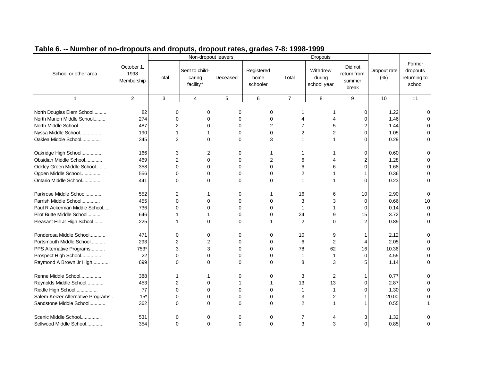#### 1 2 3 4 5 6 7 8 9 10 11 October 1, 1998 Membership School or other area Non-dropout leavers Dropouts Total Sent to childcaring facility $1$ Deceased Registered home schooler Total Withdrew during school year Did not return from summer break Dropout rate (%) returning to North Douglas Elem School........... | 82 0 0 0 0 0 0 1 1 0 1.22 0

Former dropouts

school

| North Marion Middle School        | 274   |                |              |   |   |    |    |    | 1.46  |              |
|-----------------------------------|-------|----------------|--------------|---|---|----|----|----|-------|--------------|
| North Middle School               | 487   |                |              |   |   |    |    |    | 1.44  |              |
| Nyssa Middle School               | 190   |                |              |   |   |    |    | U  | 1.05  |              |
| Oaklea Middle School              | 345   | 3              | U            |   | વ |    |    |    | 0.29  |              |
| Oakridge High School              | 166   | 3              | 2            |   |   |    |    | ი  | 0.60  |              |
| Obsidian Middle School            | 469   | $\overline{2}$ |              |   |   |    |    |    | 1.28  |              |
| Ockley Green Middle School        | 358   | 0              |              |   |   |    |    |    | 1.68  |              |
| Ogden Middle School               | 556   | ი              |              |   |   |    |    |    | 0.36  |              |
| Ontario Middle School             | 441   | 0              | ∩            |   |   |    |    |    | 0.23  |              |
| Parkrose Middle School            | 552   | 2              |              |   |   | 16 |    | 10 | 2.90  |              |
| Parrish Middle School             | 455   |                |              |   |   | 3  |    | 0  | 0.66  | 10           |
| Paul R Ackerman Middle School     | 736   |                |              |   |   |    |    |    | 0.14  | 0            |
| Pilot Butte Middle School         | 646   |                |              |   |   | 24 |    | 15 | 3.72  |              |
| Pleasant Hill Jr High School      | 225   |                | $\Omega$     | ∩ |   | 2  |    |    | 0.89  |              |
| Ponderosa Middle School           | 471   | 0              |              |   |   | 10 |    |    | 2.12  |              |
| Portsmouth Middle School          | 293   | 2              |              |   |   | 6  | 2  |    | 2.05  |              |
| PPS Alternative Programs          | 753*  | 3              |              |   |   | 78 | 62 | 16 | 10.36 |              |
| Prospect High School              | 22    | 0              | 0            |   |   |    |    | 0  | 4.55  |              |
| Raymond A Brown Jr High           | 699   | 0              | $\Omega$     | ∩ |   | 8  |    |    | 1.14  |              |
| Renne Middle School               | 388   |                |              |   |   | 3  | 2  |    | 0.77  |              |
| Reynolds Middle School            | 453   | 2              |              |   |   | 13 | 13 |    | 2.87  |              |
| Riddle High School                | 77    | U              |              |   |   |    |    |    | 1.30  |              |
| Salem-Keizer Alternative Programs | $15*$ | ი              |              |   |   | 3  | 2  |    | 20.00 |              |
| Sandstone Middle School           | 362   | <sup>0</sup>   | <sup>n</sup> | n |   | 2  |    |    | 0.55  |              |
| Scenic Middle School              | 531   | 0              |              | 0 | 0 |    |    | 3  | 1.32  |              |
| Sellwood Middle School            | 354   | 0              | 0            | 0 | 0 | 3  | 3  | 0  | 0.85  | <sup>0</sup> |
|                                   |       |                |              |   |   |    |    |    |       |              |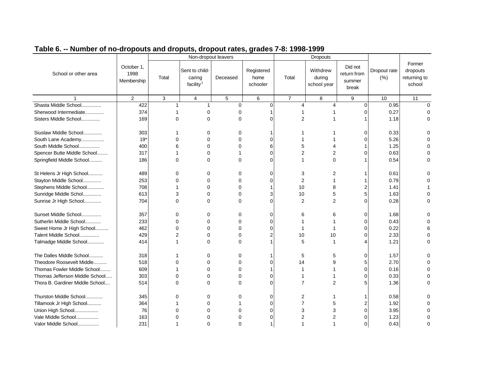|                                 |                                  |                | Non-dropout leavers                               |            |                                |                | Dropouts                          |                                           |                     |                                              |
|---------------------------------|----------------------------------|----------------|---------------------------------------------------|------------|--------------------------------|----------------|-----------------------------------|-------------------------------------------|---------------------|----------------------------------------------|
| School or other area            | October 1,<br>1998<br>Membership | Total          | Sent to child-<br>caring<br>facility <sup>1</sup> | Deceased   | Registered<br>home<br>schooler | Total          | Withdrew<br>during<br>school year | Did not<br>return from<br>summer<br>break | Dropout rate<br>(%) | Former<br>dropouts<br>returning to<br>school |
|                                 | $\overline{2}$                   | $\mathbf{3}$   | $\overline{4}$                                    | $\sqrt{5}$ | 6                              | $\overline{7}$ | 8                                 | 9                                         | 10                  | 11                                           |
| Shasta Middle School            | 422                              | 1              | 1                                                 | $\Omega$   | $\Omega$                       | 4              | 4                                 | $\Omega$                                  | 0.95                | $\Omega$                                     |
| Sherwood Intermediate           | 374                              |                | $\Omega$                                          | $\Omega$   |                                |                |                                   | $\Omega$                                  | 0.27                | $\Omega$                                     |
| Sisters Middle School           | 169                              | $\Omega$       | $\Omega$                                          | 0          | $\Omega$                       | 2              |                                   |                                           | 1.18                | $\Omega$                                     |
| Siuslaw Middle School           | 303                              |                | 0                                                 | 0          |                                |                |                                   | ∩                                         | 0.33                | ი                                            |
| South Lane Academy              | $19*$                            | $\Omega$       | $\Omega$                                          | $\Omega$   | $\Omega$                       |                |                                   |                                           | 5.26                | $\Omega$                                     |
| South Middle School             | 400                              | 6              | $\Omega$                                          | $\Omega$   | 6                              | 5              |                                   |                                           | 1.25                |                                              |
| Spencer Butte Middle School     | 317                              | 1              | 0                                                 |            | $\Omega$                       | 2              | 2                                 |                                           | 0.63                | ი                                            |
| Springfield Middle School       | 186                              | $\Omega$       | $\Omega$                                          | $\Omega$   | $\Omega$                       | 1              | $\Omega$                          |                                           | 0.54                | 0                                            |
| St Helens Jr High School        | 489                              | 0              | O                                                 | 0          | 0                              | 3              | 2                                 |                                           | 0.61                | 0                                            |
| Stayton Middle School           | 253                              | 0              | $\Omega$                                          | $\Omega$   | 0                              | $\overline{2}$ |                                   |                                           | 0.79                | $\Omega$                                     |
| Stephens Middle School          | 708                              |                | O                                                 | $\Omega$   |                                | 10             |                                   |                                           | 1.41                |                                              |
| Sunridge Middle Schol           | 613                              | 3              | O                                                 | $\Omega$   | 3                              | 10             | 5                                 | 5                                         | 1.63                | ი                                            |
| Sunrise Jr High School          | 704                              | 0              | $\Omega$                                          | $\Omega$   | $\Omega$                       | $\overline{2}$ | 2                                 | U                                         | 0.28                | 0                                            |
| Sunset Middle School            | 357                              | 0              | 0                                                 | 0          | 0                              | 6              | 6                                 | 0                                         | 1.68                | 0                                            |
| Sutherlin Middle School         | 233                              | 0              | $\Omega$                                          | 0          | $\Omega$                       |                |                                   | 0                                         | 0.43                | $\Omega$                                     |
| Sweet Home Jr High School       | 462                              | 0              | $\Omega$                                          | $\Omega$   | 0                              |                |                                   |                                           | 0.22                |                                              |
| Talent Middle School            | 429                              | $\overline{2}$ | $\Omega$                                          | 0          | 2                              | 10             | 10                                |                                           | 2.33                | 0                                            |
| Talmadge Middle School          | 414                              | 1              | $\Omega$                                          | $\Omega$   |                                | 5              |                                   |                                           | 1.21                | 0                                            |
| The Dalles Middle School        | 318                              |                | $\Omega$                                          | 0          |                                | 5              | 5                                 | 0                                         | 1.57                | 0                                            |
| Theodore Roosevelt Middle       | 518                              | 0              | 0                                                 | 0          | 0                              | 14             |                                   | 5                                         | 2.70                | $\Omega$                                     |
| Thomas Fowler Middle School     | 609                              |                | $\Omega$                                          | 0          |                                |                |                                   | 0                                         | 0.16                | 0                                            |
| Thomas Jefferson Middle School  | 303                              | 0              | $\Omega$                                          | $\Omega$   | $\Omega$                       |                |                                   | ∩                                         | 0.33                | $\Omega$                                     |
| Thora B. Gardiner Middle School | 514                              | 0              | $\Omega$                                          | 0          | $\Omega$                       | 7              | 2                                 | 5                                         | 1.36                | $\Omega$                                     |
| Thurston Middle School          | 345                              | 0              | $\Omega$                                          | 0          | 0                              | 2              |                                   |                                           | 0.58                | ი                                            |
| Tillamook Jr High School        | 364                              |                | $\Omega$                                          |            | $\Omega$                       | $\overline{7}$ | 5                                 |                                           | 1.92                | $\Omega$                                     |
| Union High School               | 76                               | 0              | $\Omega$                                          | 0          | 0                              | 3              | 3                                 | 0                                         | 3.95                |                                              |
| Vale Middle School              | 163                              | $\Omega$       | $\Omega$                                          | $\Omega$   | 0                              | 2              | 2                                 | ∩                                         | 1.23                | ი                                            |
| Valor Middle School             | 231                              |                | O                                                 | $\Omega$   |                                |                |                                   | 0                                         | 0.43                | 0                                            |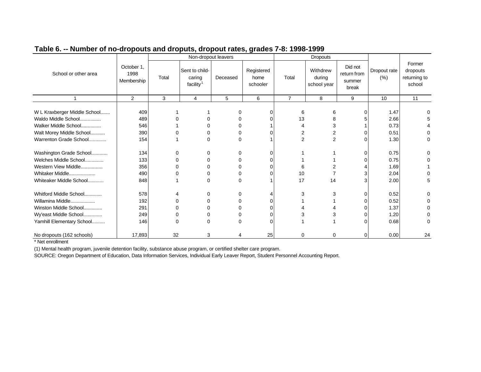| October 1,                                                                                                                |                                 |             | Non-dropout leavers                               |               |                                |                | <b>Dropouts</b>                   |                                           |                                      |                                              |
|---------------------------------------------------------------------------------------------------------------------------|---------------------------------|-------------|---------------------------------------------------|---------------|--------------------------------|----------------|-----------------------------------|-------------------------------------------|--------------------------------------|----------------------------------------------|
| School or other area                                                                                                      | 1998<br>Membership              | Total       | Sent to child-<br>caring<br>facility <sup>1</sup> | Deceased      | Registered<br>home<br>schooler | Total          | Withdrew<br>during<br>school year | Did not<br>return from<br>summer<br>break | Dropout rate<br>(% )                 | Former<br>dropouts<br>returning to<br>school |
|                                                                                                                           | 2                               | 3           | 4                                                 | 5             | 6                              | 7              | 8                                 | 9                                         | 10                                   | 11                                           |
| W L Kraxberger Middle School<br>Waldo Middle School<br>Walker Middle School                                               | 409<br>489<br>546               |             |                                                   |               | 0                              | 6<br>13<br>4   | 6                                 | $\Omega$                                  | 1.47<br>2.66<br>0.73                 |                                              |
| Walt Morey Middle School                                                                                                  | 390                             |             |                                                   |               |                                |                | 3<br>2                            |                                           | 0.51                                 |                                              |
| Warrenton Grade School                                                                                                    | 154                             |             |                                                   |               |                                | $\overline{2}$ | 2                                 |                                           | 1.30                                 | 0                                            |
| Washington Grade School<br>Welches Middle School<br>Western View Middle                                                   | 134<br>133<br>356               | 0<br>n      |                                                   | 0             | C                              |                |                                   |                                           | 0.75<br>0.75<br>1.69                 |                                              |
| Whitaker Middle<br>Whiteaker Middle School                                                                                | 490<br>848                      |             | 0                                                 | 0             |                                | 10<br>17       | 14                                |                                           | 2.04<br>2.00                         | 5                                            |
| Whitford Middle School<br>Willamina Middle<br>Winston Middle School<br>Wy'east Middle School<br>Yamhill Elementary School | 578<br>192<br>291<br>249<br>146 | 0<br>n<br>n | 0                                                 | O<br>$\Omega$ | O                              | 3<br>3         | 3<br>3                            |                                           | 0.52<br>0.52<br>1.37<br>1.20<br>0.68 | O                                            |
| No dropouts (162 schools)                                                                                                 | 17,893                          | 32          | 3                                                 | 4             | 25                             | $\Omega$       | 0                                 | 0                                         | 0.00                                 | 24                                           |

\* Net enrollment

(1) Mental health program, juvenile detention facility, substance abuse program, or certified shelter care program.

SOURCE: Oregon Department of Education, Data Information Services, Individual Early Leaver Report, Student Personnel Accounting Report.